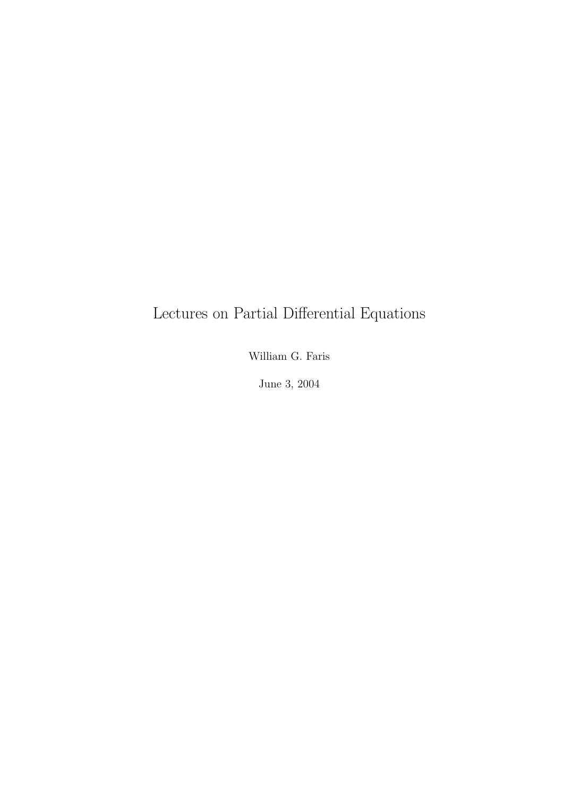# Lectures on Partial Differential Equations

William G. Faris

June 3, 2004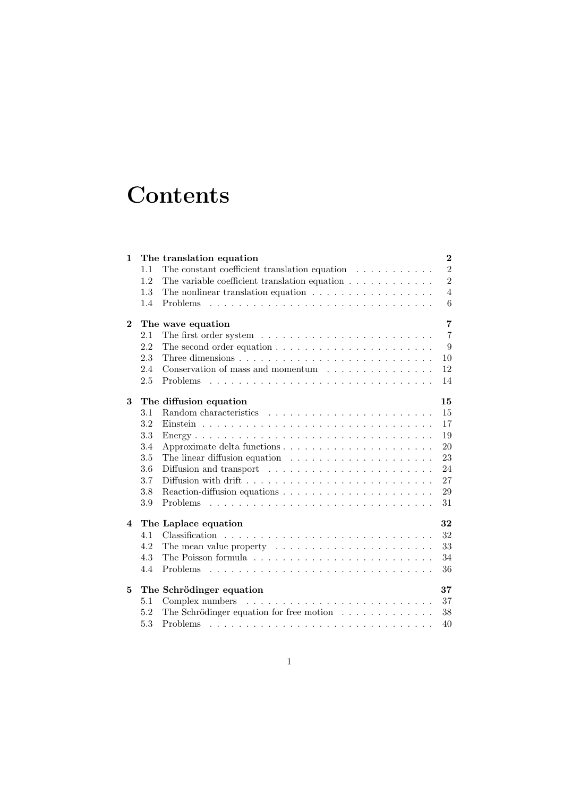# **Contents**

| $\mathbf{1}$ |     | The translation equation                                                     | $\bf{2}$       |
|--------------|-----|------------------------------------------------------------------------------|----------------|
|              | 1.1 | The constant coefficient translation equation $\ldots \ldots \ldots$         | $\overline{2}$ |
|              | 1.2 | The variable coefficient translation equation $\ldots \ldots \ldots \ldots$  | $\overline{2}$ |
|              | 1.3 | The nonlinear translation equation $\ldots \ldots \ldots \ldots \ldots$      | $\overline{4}$ |
|              | 1.4 | Problems                                                                     | 6              |
| $\bf{2}$     |     | The wave equation                                                            | $\overline{7}$ |
|              | 2.1 |                                                                              | $\overline{7}$ |
|              | 2.2 | The second order equation $\ldots \ldots \ldots \ldots \ldots \ldots \ldots$ | 9              |
|              | 2.3 |                                                                              | 10             |
|              | 2.4 | Conservation of mass and momentum $\ldots \ldots \ldots \ldots$              | 12             |
|              | 2.5 | Problems                                                                     | 14             |
| 3            |     | The diffusion equation                                                       | 15             |
|              | 3.1 | Random characteristics                                                       | 15             |
|              | 3.2 |                                                                              | 17             |
|              | 3.3 |                                                                              | 19             |
|              | 3.4 |                                                                              | 20             |
|              | 3.5 | The linear diffusion equation $\ldots \ldots \ldots \ldots \ldots \ldots$    | 23             |
|              | 3.6 |                                                                              | 24             |
|              | 3.7 |                                                                              | 27             |
|              | 3.8 |                                                                              | 29             |
|              | 3.9 | Problems                                                                     | 31             |
| 4            |     | The Laplace equation                                                         | 32             |
|              | 4.1 |                                                                              | 32             |
|              | 4.2 | The mean value property $\dots \dots \dots \dots \dots \dots \dots$          | 33             |
|              | 4.3 |                                                                              | 34             |
|              | 4.4 | Problems                                                                     | 36             |
| 5            |     | The Schrödinger equation                                                     | 37             |
|              | 5.1 |                                                                              | 37             |
|              | 5.2 | The Schrödinger equation for free motion $\ldots \ldots \ldots \ldots$       | 38             |
|              | 5.3 |                                                                              | 40             |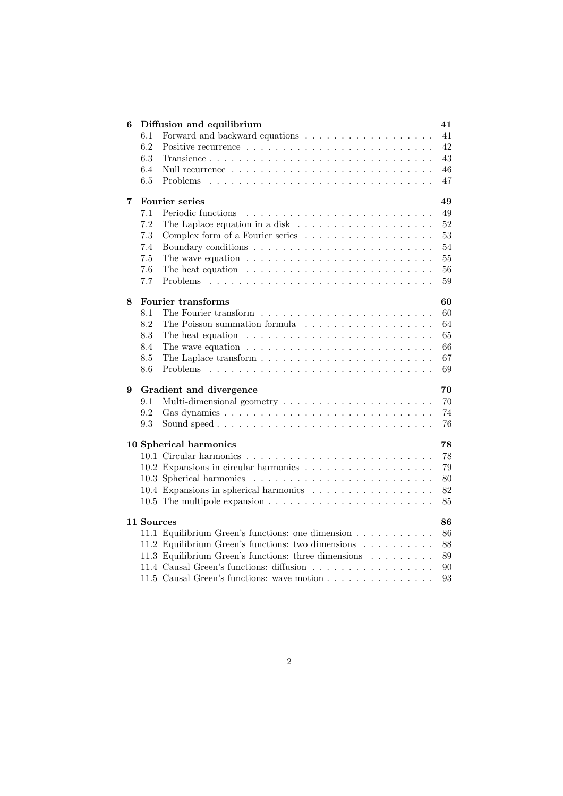| 6 |            | Diffusion and equilibrium<br>41                                                                                                   |
|---|------------|-----------------------------------------------------------------------------------------------------------------------------------|
|   | 6.1        | 41                                                                                                                                |
|   | 6.2        | 42                                                                                                                                |
|   | 6.3        | 43                                                                                                                                |
|   | 6.4        | 46                                                                                                                                |
|   | 6.5        | 47<br>Problems<br>the contract of the contract of the contract of the contract of the contract of the contract of the contract of |
| 7 |            | Fourier series<br>49                                                                                                              |
|   | 7.1        | Periodic functions<br>49                                                                                                          |
|   | 7.2        | The Laplace equation in a disk $\ldots \ldots \ldots \ldots \ldots \ldots$<br>52                                                  |
|   | 7.3        | 53                                                                                                                                |
|   | 7.4        | 54                                                                                                                                |
|   | 7.5        | 55<br>The wave equation $\ldots \ldots \ldots \ldots \ldots \ldots \ldots \ldots$                                                 |
|   | 7.6        | 56<br>The heat equation $\ldots \ldots \ldots \ldots \ldots \ldots \ldots \ldots$                                                 |
|   | 7.7        | 59                                                                                                                                |
| 8 |            | Fourier transforms<br>60                                                                                                          |
|   | 8.1        | 60                                                                                                                                |
|   | 8.2        | The Poisson summation formula $\ldots \ldots \ldots \ldots \ldots \ldots$<br>64                                                   |
|   | 8.3        | 65<br>The heat equation $\ldots \ldots \ldots \ldots \ldots \ldots \ldots \ldots$                                                 |
|   | 8.4        | 66<br>The wave equation $\ldots \ldots \ldots \ldots \ldots \ldots \ldots \ldots$                                                 |
|   | 8.5        | The Laplace transform $\ldots \ldots \ldots \ldots \ldots \ldots \ldots \ldots$<br>67                                             |
|   | 8.6        | 69                                                                                                                                |
| 9 |            | Gradient and divergence<br>70                                                                                                     |
|   | 9.1        | 70                                                                                                                                |
|   | 9.2        | 74                                                                                                                                |
|   | 9.3        | 76                                                                                                                                |
|   |            | 78<br>10 Spherical harmonics                                                                                                      |
|   |            | 78                                                                                                                                |
|   |            | 79                                                                                                                                |
|   |            | 80                                                                                                                                |
|   |            | 10.4 Expansions in spherical harmonics<br>82                                                                                      |
|   |            | 85                                                                                                                                |
|   | 11 Sources | 86                                                                                                                                |
|   |            | 11.1 Equilibrium Green's functions: one dimension<br>86                                                                           |
|   |            | 11.2 Equilibrium Green's functions: two dimensions<br>88                                                                          |
|   |            | 11.3 Equilibrium Green's functions: three dimensions<br>89                                                                        |
|   |            | 11.4 Causal Green's functions: diffusion<br>90                                                                                    |
|   |            | 11.5 Causal Green's functions: wave motion<br>93                                                                                  |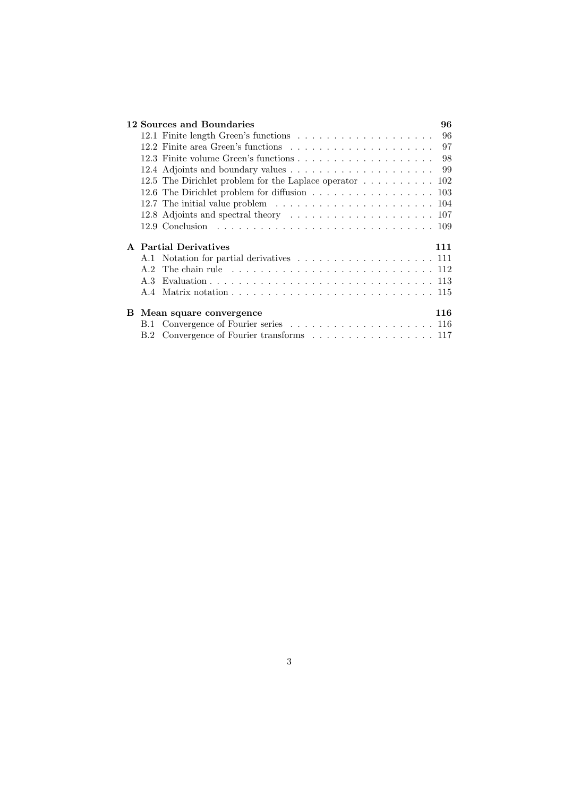|   | 12 Sources and Boundaries                                                                                | 96  |
|---|----------------------------------------------------------------------------------------------------------|-----|
|   |                                                                                                          | -96 |
|   |                                                                                                          |     |
|   |                                                                                                          |     |
|   |                                                                                                          |     |
|   | 12.5 The Dirichlet problem for the Laplace operator $\ldots \ldots \ldots 102$                           |     |
|   | 12.6 The Dirichlet problem for diffusion 103                                                             |     |
|   |                                                                                                          |     |
|   |                                                                                                          |     |
|   |                                                                                                          |     |
|   |                                                                                                          |     |
|   | A Partial Derivatives<br>111                                                                             |     |
|   |                                                                                                          |     |
|   | The chain rule $\ldots \ldots \ldots \ldots \ldots \ldots \ldots \ldots \ldots \ldots \ldots 112$<br>A.2 |     |
|   | A.3                                                                                                      |     |
|   | Matrix notation $\ldots \ldots \ldots \ldots \ldots \ldots \ldots \ldots \ldots \ldots$<br>A.4           |     |
| В | 116<br>Mean square convergence                                                                           |     |
|   |                                                                                                          |     |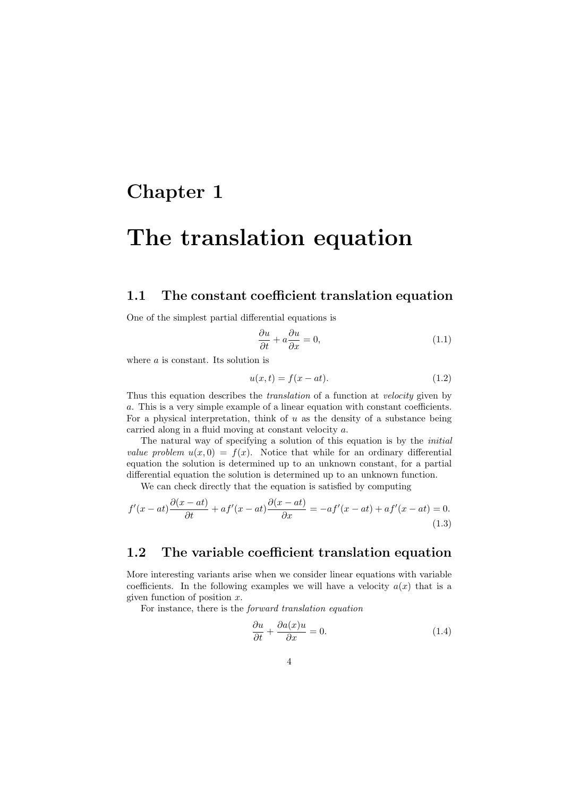# Chapter 1

# The translation equation

### 1.1 The constant coefficient translation equation

One of the simplest partial differential equations is

$$
\frac{\partial u}{\partial t} + a \frac{\partial u}{\partial x} = 0, \tag{1.1}
$$

where a is constant. Its solution is

$$
u(x,t) = f(x - at). \tag{1.2}
$$

Thus this equation describes the translation of a function at velocity given by a. This is a very simple example of a linear equation with constant coefficients. For a physical interpretation, think of  $u$  as the density of a substance being carried along in a fluid moving at constant velocity a.

The natural way of specifying a solution of this equation is by the initial value problem  $u(x, 0) = f(x)$ . Notice that while for an ordinary differential equation the solution is determined up to an unknown constant, for a partial differential equation the solution is determined up to an unknown function.

We can check directly that the equation is satisfied by computing

$$
f'(x-at)\frac{\partial(x-at)}{\partial t} + af'(x-at)\frac{\partial(x-at)}{\partial x} = -af'(x-at) + af'(x-at) = 0.
$$
\n(1.3)

### 1.2 The variable coefficient translation equation

More interesting variants arise when we consider linear equations with variable coefficients. In the following examples we will have a velocity  $a(x)$  that is a given function of position x.

For instance, there is the forward translation equation

$$
\frac{\partial u}{\partial t} + \frac{\partial a(x)u}{\partial x} = 0.
$$
\n(1.4)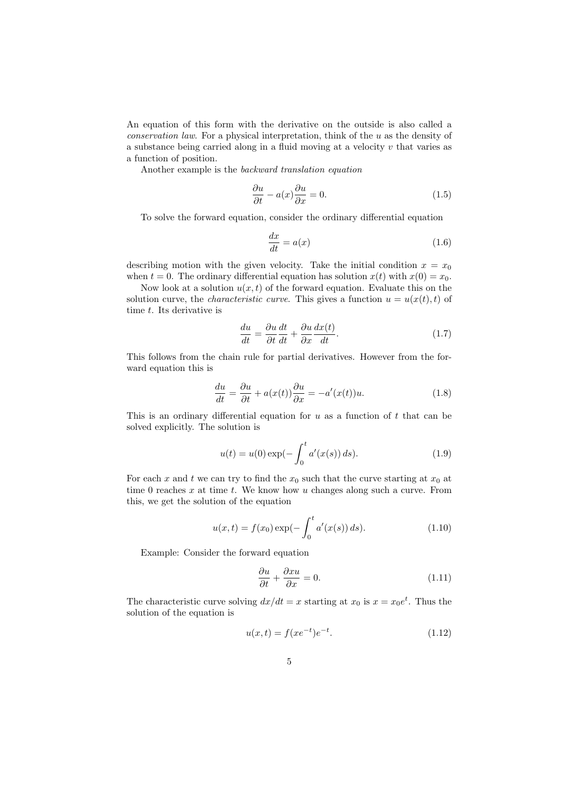An equation of this form with the derivative on the outside is also called a conservation law. For a physical interpretation, think of the u as the density of a substance being carried along in a fluid moving at a velocity  $v$  that varies as a function of position.

Another example is the backward translation equation

$$
\frac{\partial u}{\partial t} - a(x)\frac{\partial u}{\partial x} = 0.
$$
\n(1.5)

To solve the forward equation, consider the ordinary differential equation

$$
\frac{dx}{dt} = a(x) \tag{1.6}
$$

describing motion with the given velocity. Take the initial condition  $x = x_0$ when  $t = 0$ . The ordinary differential equation has solution  $x(t)$  with  $x(0) = x_0$ .

Now look at a solution  $u(x, t)$  of the forward equation. Evaluate this on the solution curve, the *characteristic curve*. This gives a function  $u = u(x(t), t)$  of time t. Its derivative is

$$
\frac{du}{dt} = \frac{\partial u}{\partial t}\frac{dt}{dt} + \frac{\partial u}{\partial x}\frac{dx(t)}{dt}.
$$
\n(1.7)

This follows from the chain rule for partial derivatives. However from the forward equation this is

$$
\frac{du}{dt} = \frac{\partial u}{\partial t} + a(x(t))\frac{\partial u}{\partial x} = -a'(x(t))u.
$$
\n(1.8)

This is an ordinary differential equation for u as a function of t that can be solved explicitly. The solution is

$$
u(t) = u(0) \exp(-\int_0^t a'(x(s)) ds).
$$
 (1.9)

For each x and t we can try to find the  $x_0$  such that the curve starting at  $x_0$  at time 0 reaches  $x$  at time  $t$ . We know how  $u$  changes along such a curve. From this, we get the solution of the equation

$$
u(x,t) = f(x_0) \exp(-\int_0^t a'(x(s)) ds).
$$
 (1.10)

Example: Consider the forward equation

$$
\frac{\partial u}{\partial t} + \frac{\partial x u}{\partial x} = 0.
$$
\n(1.11)

The characteristic curve solving  $dx/dt = x$  starting at  $x_0$  is  $x = x_0 e^t$ . Thus the solution of the equation is

$$
u(x,t) = f(xe^{-t})e^{-t}.
$$
\n(1.12)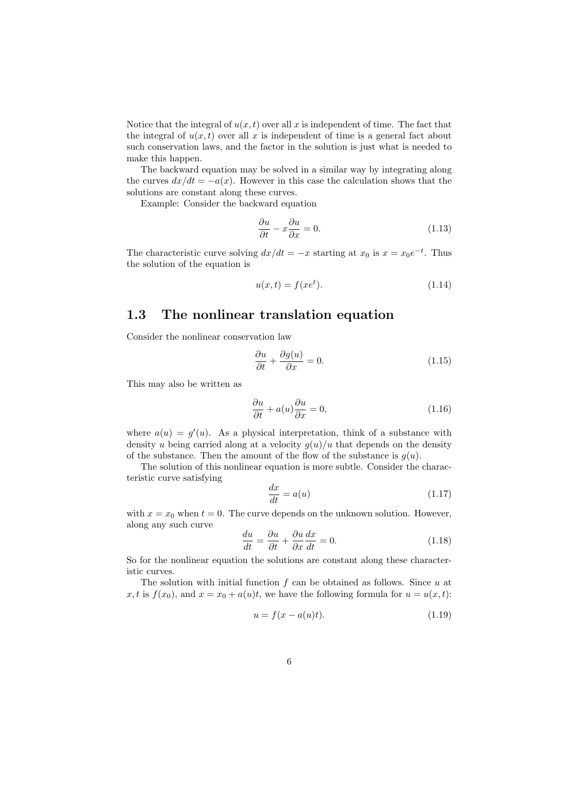Notice that the integral of  $u(x, t)$  over all x is independent of time. The fact that the integral of  $u(x, t)$  over all x is independent of time is a general fact about such conservation laws, and the factor in the solution is just what is needed to make this happen.

The backward equation may be solved in a similar way by integrating along the curves  $dx/dt = -a(x)$ . However in this case the calculation shows that the solutions are constant along these curves.

Example: Consider the backward equation

$$
\frac{\partial u}{\partial t} - x \frac{\partial u}{\partial x} = 0.
$$
\n(1.13)

The characteristic curve solving  $dx/dt = -x$  starting at  $x_0$  is  $x = x_0e^{-t}$ . Thus the solution of the equation is

$$
u(x,t) = f(xe^t). \tag{1.14}
$$

### 1.3 The nonlinear translation equation

Consider the nonlinear conservation law

$$
\frac{\partial u}{\partial t} + \frac{\partial g(u)}{\partial x} = 0.
$$
 (1.15)

This may also be written as

$$
\frac{\partial u}{\partial t} + a(u)\frac{\partial u}{\partial x} = 0,
$$
\n(1.16)

where  $a(u) = g'(u)$ . As a physical interpretation, think of a substance with density u being carried along at a velocity  $g(u)/u$  that depends on the density of the substance. Then the amount of the flow of the substance is  $g(u)$ .

The solution of this nonlinear equation is more subtle. Consider the characteristic curve satisfying

$$
\frac{dx}{dt} = a(u) \tag{1.17}
$$

with  $x = x_0$  when  $t = 0$ . The curve depends on the unknown solution. However, along any such curve

$$
\frac{du}{dt} = \frac{\partial u}{\partial t} + \frac{\partial u}{\partial x}\frac{dx}{dt} = 0.
$$
\n(1.18)

So for the nonlinear equation the solutions are constant along these characteristic curves.

The solution with initial function  $f$  can be obtained as follows. Since  $u$  at x, t is  $f(x_0)$ , and  $x = x_0 + a(u)t$ , we have the following formula for  $u = u(x, t)$ :

$$
u = f(x - a(u)t). \tag{1.19}
$$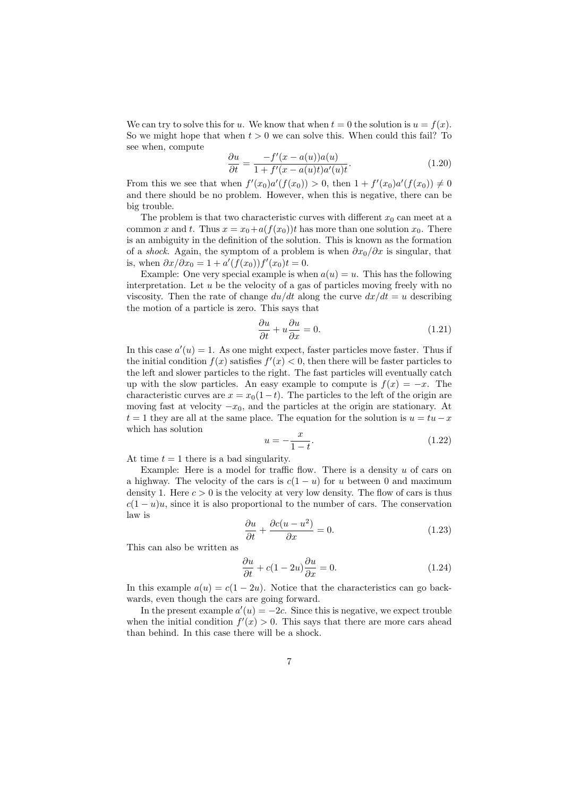We can try to solve this for u. We know that when  $t = 0$  the solution is  $u = f(x)$ . So we might hope that when  $t > 0$  we can solve this. When could this fail? To see when, compute

$$
\frac{\partial u}{\partial t} = \frac{-f'(x - a(u))a(u)}{1 + f'(x - a(u))a'(u)t}.
$$
\n(1.20)

From this we see that when  $f'(x_0)a'(f(x_0)) > 0$ , then  $1 + f'(x_0)a'(f(x_0)) \neq 0$ and there should be no problem. However, when this is negative, there can be big trouble.

The problem is that two characteristic curves with different  $x_0$  can meet at a common x and t. Thus  $x = x_0 + a(f(x_0))t$  has more than one solution  $x_0$ . There is an ambiguity in the definition of the solution. This is known as the formation of a *shock*. Again, the symptom of a problem is when  $\partial x_0/\partial x$  is singular, that is, when  $\partial x/\partial x_0 = 1 + a'(f(x_0))f'(x_0)t = 0.$ 

Example: One very special example is when  $a(u) = u$ . This has the following interpretation. Let  $u$  be the velocity of a gas of particles moving freely with no viscosity. Then the rate of change  $du/dt$  along the curve  $dx/dt = u$  describing the motion of a particle is zero. This says that

$$
\frac{\partial u}{\partial t} + u \frac{\partial u}{\partial x} = 0.
$$
\n(1.21)

In this case  $a'(u) = 1$ . As one might expect, faster particles move faster. Thus if the initial condition  $f(x)$  satisfies  $f'(x) < 0$ , then there will be faster particles to the left and slower particles to the right. The fast particles will eventually catch up with the slow particles. An easy example to compute is  $f(x) = -x$ . The characteristic curves are  $x = x_0(1-t)$ . The particles to the left of the origin are moving fast at velocity  $-x_0$ , and the particles at the origin are stationary. At  $t = 1$  they are all at the same place. The equation for the solution is  $u = tu - x$ which has solution

$$
u = -\frac{x}{1-t}.\tag{1.22}
$$

At time  $t = 1$  there is a bad singularity.

Example: Here is a model for traffic flow. There is a density  $u$  of cars on a highway. The velocity of the cars is  $c(1 - u)$  for u between 0 and maximum density 1. Here  $c > 0$  is the velocity at very low density. The flow of cars is thus  $c(1-u)u$ , since it is also proportional to the number of cars. The conservation law is

$$
\frac{\partial u}{\partial t} + \frac{\partial c(u - u^2)}{\partial x} = 0.
$$
 (1.23)

This can also be written as

$$
\frac{\partial u}{\partial t} + c(1 - 2u)\frac{\partial u}{\partial x} = 0.
$$
\n(1.24)

In this example  $a(u) = c(1 - 2u)$ . Notice that the characteristics can go backwards, even though the cars are going forward.

In the present example  $a'(u) = -2c$ . Since this is negative, we expect trouble when the initial condition  $f'(x) > 0$ . This says that there are more cars ahead than behind. In this case there will be a shock.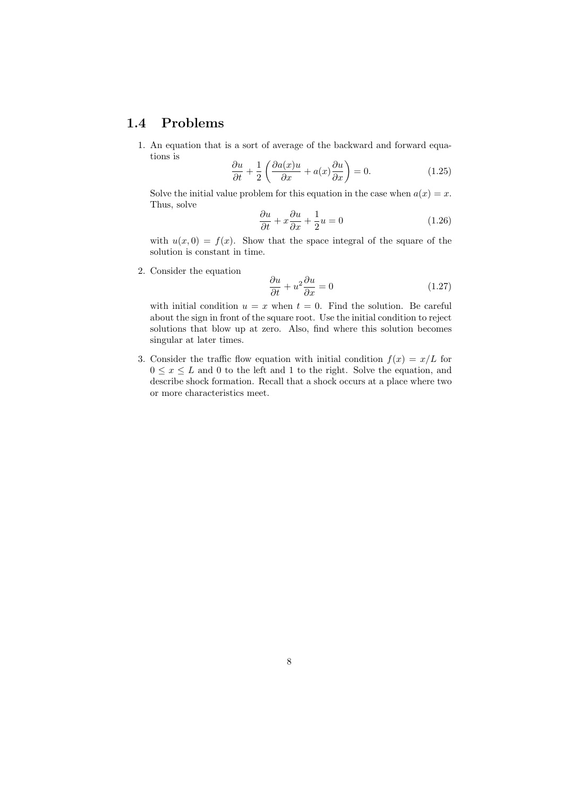### 1.4 Problems

1. An equation that is a sort of average of the backward and forward equations is  $\overline{\phantom{a}}$ 

$$
\frac{\partial u}{\partial t} + \frac{1}{2} \left( \frac{\partial a(x)u}{\partial x} + a(x) \frac{\partial u}{\partial x} \right) = 0.
$$
 (1.25)

Solve the initial value problem for this equation in the case when  $a(x) = x$ . Thus, solve

$$
\frac{\partial u}{\partial t} + x \frac{\partial u}{\partial x} + \frac{1}{2} u = 0 \tag{1.26}
$$

with  $u(x, 0) = f(x)$ . Show that the space integral of the square of the solution is constant in time.

2. Consider the equation

$$
\frac{\partial u}{\partial t} + u^2 \frac{\partial u}{\partial x} = 0 \tag{1.27}
$$

with initial condition  $u = x$  when  $t = 0$ . Find the solution. Be careful about the sign in front of the square root. Use the initial condition to reject solutions that blow up at zero. Also, find where this solution becomes singular at later times.

3. Consider the traffic flow equation with initial condition  $f(x) = x/L$  for  $0 \leq x \leq L$  and 0 to the left and 1 to the right. Solve the equation, and describe shock formation. Recall that a shock occurs at a place where two or more characteristics meet.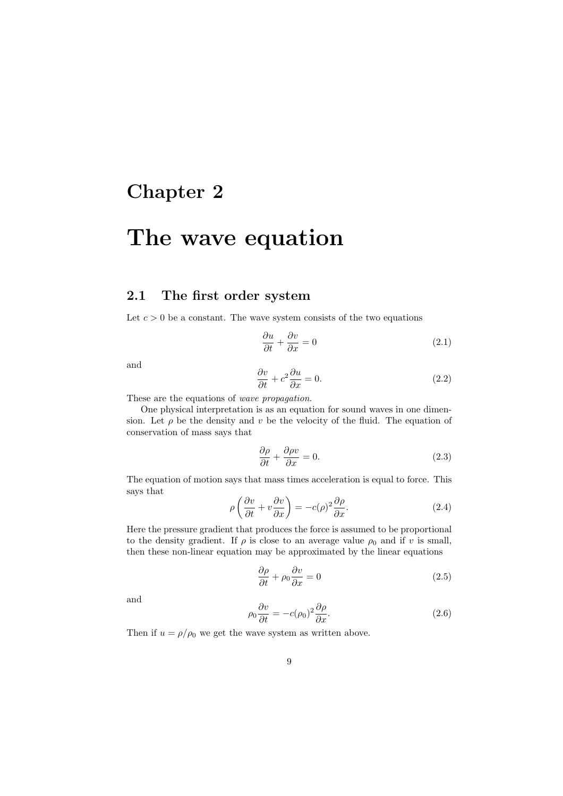# Chapter 2

# The wave equation

## 2.1 The first order system

Let  $c > 0$  be a constant. The wave system consists of the two equations

$$
\frac{\partial u}{\partial t} + \frac{\partial v}{\partial x} = 0\tag{2.1}
$$

and

$$
\frac{\partial v}{\partial t} + c^2 \frac{\partial u}{\partial x} = 0.
$$
\n(2.2)

These are the equations of wave propagation.

One physical interpretation is as an equation for sound waves in one dimension. Let  $\rho$  be the density and v be the velocity of the fluid. The equation of conservation of mass says that

$$
\frac{\partial \rho}{\partial t} + \frac{\partial \rho v}{\partial x} = 0.
$$
\n(2.3)

The equation of motion says that mass times acceleration is equal to force. This says that  $\overline{\phantom{a}}$ 

$$
\rho \left( \frac{\partial v}{\partial t} + v \frac{\partial v}{\partial x} \right) = -c(\rho)^2 \frac{\partial \rho}{\partial x}.
$$
\n(2.4)

Here the pressure gradient that produces the force is assumed to be proportional to the density gradient. If  $\rho$  is close to an average value  $\rho_0$  and if v is small, then these non-linear equation may be approximated by the linear equations

$$
\frac{\partial \rho}{\partial t} + \rho_0 \frac{\partial v}{\partial x} = 0 \tag{2.5}
$$

and

$$
\rho_0 \frac{\partial v}{\partial t} = -c(\rho_0)^2 \frac{\partial \rho}{\partial x}.\tag{2.6}
$$

Then if  $u = \rho/\rho_0$  we get the wave system as written above.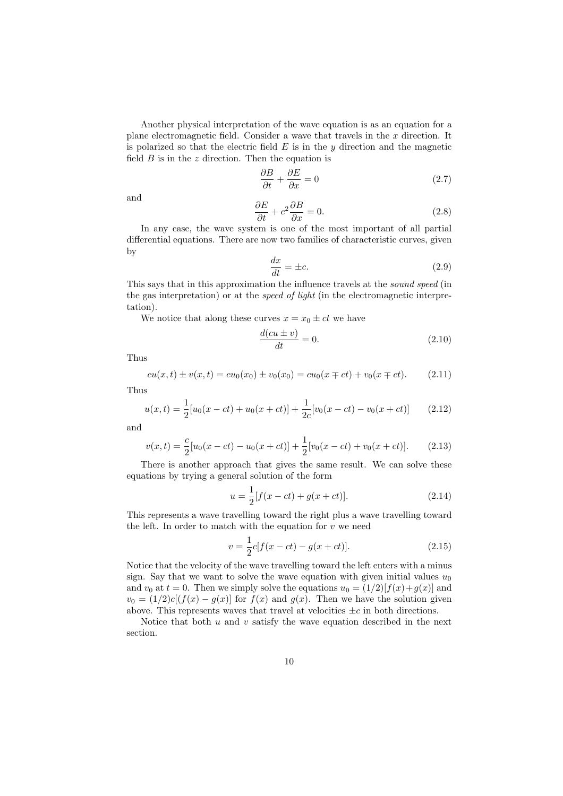Another physical interpretation of the wave equation is as an equation for a plane electromagnetic field. Consider a wave that travels in the  $x$  direction. It is polarized so that the electric field  $E$  is in the  $y$  direction and the magnetic field  $B$  is in the  $z$  direction. Then the equation is

$$
\frac{\partial B}{\partial t} + \frac{\partial E}{\partial x} = 0\tag{2.7}
$$

and

$$
\frac{\partial E}{\partial t} + c^2 \frac{\partial B}{\partial x} = 0.
$$
\n(2.8)

In any case, the wave system is one of the most important of all partial differential equations. There are now two families of characteristic curves, given by

$$
\frac{dx}{dt} = \pm c.\tag{2.9}
$$

This says that in this approximation the influence travels at the sound speed (in the gas interpretation) or at the speed of light (in the electromagnetic interpretation).

We notice that along these curves  $x = x_0 \pm ct$  we have

$$
\frac{d(cu \pm v)}{dt} = 0.\t(2.10)
$$

Thus

$$
cu(x,t) \pm v(x,t) = cu_0(x_0) \pm v_0(x_0) = cu_0(x \mp ct) + v_0(x \mp ct). \tag{2.11}
$$

Thus

$$
u(x,t) = \frac{1}{2}[u_0(x-ct) + u_0(x+ct)] + \frac{1}{2c}[v_0(x-ct) - v_0(x+ct)] \tag{2.12}
$$

and

$$
v(x,t) = \frac{c}{2}[u_0(x-ct) - u_0(x+ct)] + \frac{1}{2}[v_0(x-ct) + v_0(x+ct)].
$$
 (2.13)

There is another approach that gives the same result. We can solve these equations by trying a general solution of the form

$$
u = \frac{1}{2}[f(x - ct) + g(x + ct)].
$$
\n(2.14)

This represents a wave travelling toward the right plus a wave travelling toward the left. In order to match with the equation for  $v$  we need

$$
v = \frac{1}{2}c[f(x - ct) - g(x + ct)].
$$
\n(2.15)

Notice that the velocity of the wave travelling toward the left enters with a minus sign. Say that we want to solve the wave equation with given initial values  $u_0$ and  $v_0$  at  $t = 0$ . Then we simply solve the equations  $u_0 = (1/2)[f(x) + g(x)]$  and  $v_0 = (1/2)c[(f(x) - g(x))]$  for  $f(x)$  and  $g(x)$ . Then we have the solution given above. This represents waves that travel at velocities  $\pm c$  in both directions.

Notice that both  $u$  and  $v$  satisfy the wave equation described in the next section.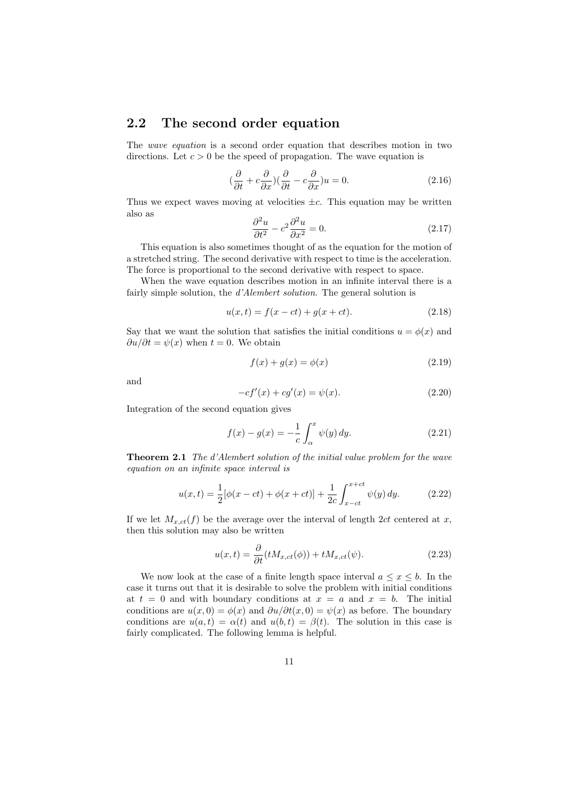### 2.2 The second order equation

The wave equation is a second order equation that describes motion in two directions. Let  $c > 0$  be the speed of propagation. The wave equation is

$$
(\frac{\partial}{\partial t} + c \frac{\partial}{\partial x})(\frac{\partial}{\partial t} - c \frac{\partial}{\partial x})u = 0.
$$
 (2.16)

Thus we expect waves moving at velocities  $\pm c$ . This equation may be written also as

$$
\frac{\partial^2 u}{\partial t^2} - c^2 \frac{\partial^2 u}{\partial x^2} = 0.
$$
\n(2.17)

This equation is also sometimes thought of as the equation for the motion of a stretched string. The second derivative with respect to time is the acceleration. The force is proportional to the second derivative with respect to space.

When the wave equation describes motion in an infinite interval there is a fairly simple solution, the d'Alembert solution. The general solution is

$$
u(x,t) = f(x - ct) + g(x + ct).
$$
 (2.18)

Say that we want the solution that satisfies the initial conditions  $u = \phi(x)$  and  $\partial u/\partial t = \psi(x)$  when  $t = 0$ . We obtain

$$
f(x) + g(x) = \phi(x) \tag{2.19}
$$

and

$$
-cf'(x) + cg'(x) = \psi(x).
$$
 (2.20)

Integration of the second equation gives

$$
f(x) - g(x) = -\frac{1}{c} \int_{\alpha}^{x} \psi(y) \, dy. \tag{2.21}
$$

Theorem 2.1 The d'Alembert solution of the initial value problem for the wave equation on an infinite space interval is

$$
u(x,t) = \frac{1}{2} [\phi(x-ct) + \phi(x+ct)] + \frac{1}{2c} \int_{x-ct}^{x+ct} \psi(y) \, dy. \tag{2.22}
$$

If we let  $M_{x,ct}(f)$  be the average over the interval of length 2ct centered at x, then this solution may also be written

$$
u(x,t) = \frac{\partial}{\partial t}(tM_{x,ct}(\phi)) + tM_{x,ct}(\psi). \tag{2.23}
$$

We now look at the case of a finite length space interval  $a \leq x \leq b$ . In the case it turns out that it is desirable to solve the problem with initial conditions at  $t = 0$  and with boundary conditions at  $x = a$  and  $x = b$ . The initial conditions are  $u(x, 0) = \phi(x)$  and  $\frac{\partial u}{\partial t}(x, 0) = \psi(x)$  as before. The boundary conditions are  $u(a,t) = \alpha(t)$  and  $u(b,t) = \beta(t)$ . The solution in this case is fairly complicated. The following lemma is helpful.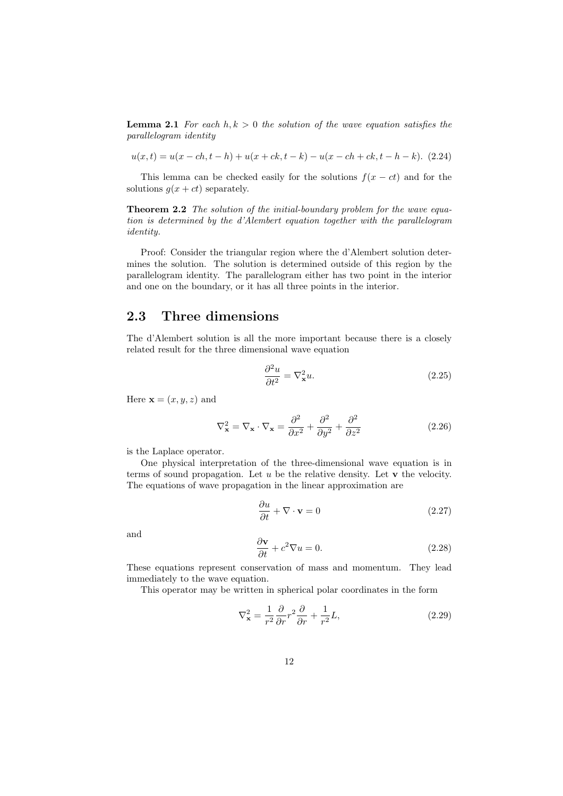**Lemma 2.1** For each  $h, k > 0$  the solution of the wave equation satisfies the parallelogram identity

$$
u(x,t) = u(x - ch, t - h) + u(x + ck, t - k) - u(x - ch + ck, t - h - k). \tag{2.24}
$$

This lemma can be checked easily for the solutions  $f(x - ct)$  and for the solutions  $g(x + ct)$  separately.

**Theorem 2.2** The solution of the initial-boundary problem for the wave equation is determined by the d'Alembert equation together with the parallelogram identity.

Proof: Consider the triangular region where the d'Alembert solution determines the solution. The solution is determined outside of this region by the parallelogram identity. The parallelogram either has two point in the interior and one on the boundary, or it has all three points in the interior.

### 2.3 Three dimensions

The d'Alembert solution is all the more important because there is a closely related result for the three dimensional wave equation

$$
\frac{\partial^2 u}{\partial t^2} = \nabla_{\mathbf{x}}^2 u. \tag{2.25}
$$

Here  $\mathbf{x} = (x, y, z)$  and

$$
\nabla_{\mathbf{x}}^2 = \nabla_{\mathbf{x}} \cdot \nabla_{\mathbf{x}} = \frac{\partial^2}{\partial x^2} + \frac{\partial^2}{\partial y^2} + \frac{\partial^2}{\partial z^2}
$$
 (2.26)

is the Laplace operator.

One physical interpretation of the three-dimensional wave equation is in terms of sound propagation. Let  $u$  be the relative density. Let  $\bf{v}$  the velocity. The equations of wave propagation in the linear approximation are

$$
\frac{\partial u}{\partial t} + \nabla \cdot \mathbf{v} = 0 \tag{2.27}
$$

and

$$
\frac{\partial \mathbf{v}}{\partial t} + c^2 \nabla u = 0. \tag{2.28}
$$

These equations represent conservation of mass and momentum. They lead immediately to the wave equation.

This operator may be written in spherical polar coordinates in the form

$$
\nabla_{\mathbf{x}}^2 = \frac{1}{r^2} \frac{\partial}{\partial r} r^2 \frac{\partial}{\partial r} + \frac{1}{r^2} L,\tag{2.29}
$$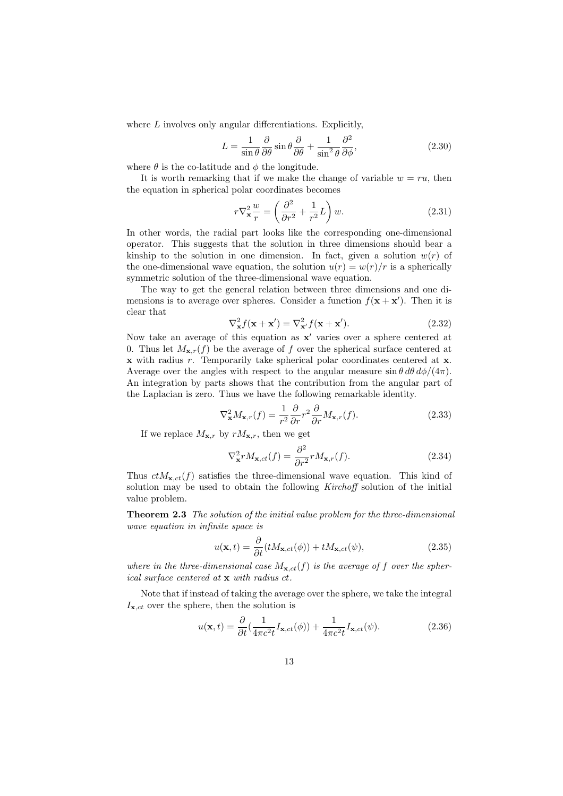where  $L$  involves only angular differentiations. Explicitly,

$$
L = \frac{1}{\sin \theta} \frac{\partial}{\partial \theta} \sin \theta \frac{\partial}{\partial \theta} + \frac{1}{\sin^2 \theta} \frac{\partial^2}{\partial \phi},
$$
 (2.30)

where  $\theta$  is the co-latitude and  $\phi$  the longitude.

It is worth remarking that if we make the change of variable  $w = ru$ , then the equation in spherical polar coordinates becomes

$$
r\nabla_{\mathbf{x}}^2 \frac{w}{r} = \left(\frac{\partial^2}{\partial r^2} + \frac{1}{r^2}L\right)w.\tag{2.31}
$$

In other words, the radial part looks like the corresponding one-dimensional operator. This suggests that the solution in three dimensions should bear a kinship to the solution in one dimension. In fact, given a solution  $w(r)$  of the one-dimensional wave equation, the solution  $u(r) = w(r)/r$  is a spherically symmetric solution of the three-dimensional wave equation.

The way to get the general relation between three dimensions and one dimensions is to average over spheres. Consider a function  $f(\mathbf{x} + \mathbf{x}')$ . Then it is clear that

$$
\nabla_{\mathbf{x}}^2 f(\mathbf{x} + \mathbf{x}') = \nabla_{\mathbf{x}'}^2 f(\mathbf{x} + \mathbf{x}'). \tag{2.32}
$$

Now take an average of this equation as  $x'$  varies over a sphere centered at 0. Thus let  $M_{\mathbf{x},r}(f)$  be the average of f over the spherical surface centered at x with radius r. Temporarily take spherical polar coordinates centered at x. Average over the angles with respect to the angular measure  $\sin \theta \, d\theta \, d\phi/(4\pi)$ . An integration by parts shows that the contribution from the angular part of the Laplacian is zero. Thus we have the following remarkable identity.

$$
\nabla_{\mathbf{x}}^2 M_{\mathbf{x},r}(f) = \frac{1}{r^2} \frac{\partial}{\partial r} r^2 \frac{\partial}{\partial r} M_{\mathbf{x},r}(f). \tag{2.33}
$$

If we replace  $M_{\mathbf{x},r}$  by  $rM_{\mathbf{x},r}$ , then we get

$$
\nabla_{\mathbf{x}}^2 r M_{\mathbf{x},ct}(f) = \frac{\partial^2}{\partial r^2} r M_{\mathbf{x},r}(f). \tag{2.34}
$$

Thus  $\langle tM_{\mathbf{x},ct}(f) \rangle$  satisfies the three-dimensional wave equation. This kind of solution may be used to obtain the following Kirchoff solution of the initial value problem.

Theorem 2.3 The solution of the initial value problem for the three-dimensional wave equation in infinite space is

$$
u(\mathbf{x},t) = \frac{\partial}{\partial t}(tM_{\mathbf{x},ct}(\phi)) + tM_{\mathbf{x},ct}(\psi),
$$
\n(2.35)

where in the three-dimensional case  $M_{\mathbf{x},ct}(f)$  is the average of f over the spherical surface centered at x with radius ct.

Note that if instead of taking the average over the sphere, we take the integral  $I_{\mathbf{x},ct}$  over the sphere, then the solution is

$$
u(\mathbf{x},t) = \frac{\partial}{\partial t} \left( \frac{1}{4\pi c^2 t} I_{\mathbf{x},ct}(\phi) \right) + \frac{1}{4\pi c^2 t} I_{\mathbf{x},ct}(\psi).
$$
 (2.36)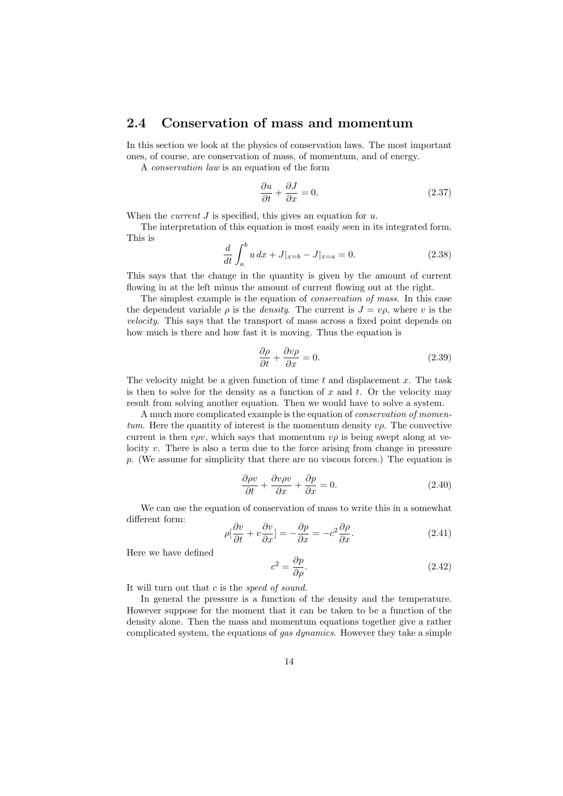### 2.4 Conservation of mass and momentum

In this section we look at the physics of conservation laws. The most important ones, of course, are conservation of mass, of momentum, and of energy.

A conservation law is an equation of the form

$$
\frac{\partial u}{\partial t} + \frac{\partial J}{\partial x} = 0.
$$
\n(2.37)

When the *current*  $J$  is specified, this gives an equation for  $u$ .

The interpretation of this equation is most easily seen in its integrated form. This is

$$
\frac{d}{dt} \int_{a}^{b} u \, dx + J|_{x=b} - J|_{x=a} = 0. \tag{2.38}
$$

This says that the change in the quantity is given by the amount of current flowing in at the left minus the amount of current flowing out at the right.

The simplest example is the equation of conservation of mass. In this case the dependent variable  $\rho$  is the *density*. The current is  $J = v\rho$ , where v is the velocity. This says that the transport of mass across a fixed point depends on how much is there and how fast it is moving. Thus the equation is

$$
\frac{\partial \rho}{\partial t} + \frac{\partial v \rho}{\partial x} = 0.
$$
\n(2.39)

The velocity might be a given function of time  $t$  and displacement  $x$ . The task is then to solve for the density as a function of  $x$  and  $t$ . Or the velocity may result from solving another equation. Then we would have to solve a system.

A much more complicated example is the equation of conservation of momentum. Here the quantity of interest is the momentum density  $\nu \rho$ . The convective current is then  $\nu \rho \nu$ , which says that momentum  $\nu \rho$  is being swept along at velocity  $v$ . There is also a term due to the force arising from change in pressure p. (We assume for simplicity that there are no viscous forces.) The equation is

$$
\frac{\partial \rho v}{\partial t} + \frac{\partial v \rho v}{\partial x} + \frac{\partial p}{\partial x} = 0.
$$
 (2.40)

We can use the equation of conservation of mass to write this in a somewhat different form:

$$
\rho[\frac{\partial v}{\partial t} + v \frac{\partial v}{\partial x}] = -\frac{\partial p}{\partial x} = -c^2 \frac{\partial \rho}{\partial x}.
$$
\n(2.41)

Here we have defined

$$
c^2 = \frac{\partial p}{\partial \rho}.\tag{2.42}
$$

It will turn out that c is the speed of sound.

In general the pressure is a function of the density and the temperature. However suppose for the moment that it can be taken to be a function of the density alone. Then the mass and momentum equations together give a rather complicated system, the equations of gas dynamics. However they take a simple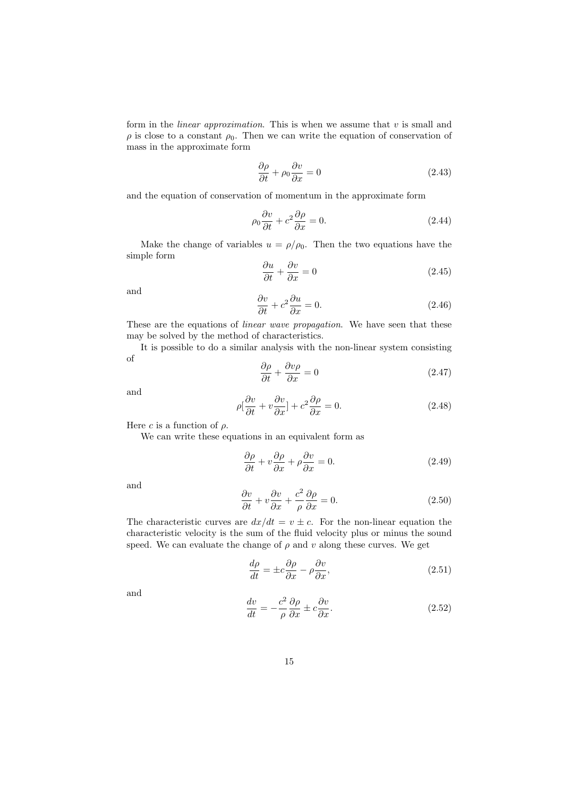form in the *linear approximation*. This is when we assume that  $v$  is small and  $\rho$  is close to a constant  $\rho_0$ . Then we can write the equation of conservation of mass in the approximate form

$$
\frac{\partial \rho}{\partial t} + \rho_0 \frac{\partial v}{\partial x} = 0 \tag{2.43}
$$

and the equation of conservation of momentum in the approximate form

$$
\rho_0 \frac{\partial v}{\partial t} + c^2 \frac{\partial \rho}{\partial x} = 0.
$$
\n(2.44)

Make the change of variables  $u = \rho/\rho_0$ . Then the two equations have the simple form

$$
\frac{\partial u}{\partial t} + \frac{\partial v}{\partial x} = 0 \tag{2.45}
$$

and

$$
\frac{\partial v}{\partial t} + c^2 \frac{\partial u}{\partial x} = 0.
$$
\n(2.46)

These are the equations of *linear wave propagation*. We have seen that these may be solved by the method of characteristics.

It is possible to do a similar analysis with the non-linear system consisting of

$$
\frac{\partial \rho}{\partial t} + \frac{\partial v \rho}{\partial x} = 0 \tag{2.47}
$$

and

$$
\rho[\frac{\partial v}{\partial t} + v \frac{\partial v}{\partial x}] + c^2 \frac{\partial \rho}{\partial x} = 0.
$$
\n(2.48)

Here c is a function of  $\rho$ .

We can write these equations in an equivalent form as

$$
\frac{\partial \rho}{\partial t} + v \frac{\partial \rho}{\partial x} + \rho \frac{\partial v}{\partial x} = 0.
$$
 (2.49)

and

$$
\frac{\partial v}{\partial t} + v \frac{\partial v}{\partial x} + \frac{c^2}{\rho} \frac{\partial \rho}{\partial x} = 0.
$$
 (2.50)

The characteristic curves are  $dx/dt = v \pm c$ . For the non-linear equation the characteristic velocity is the sum of the fluid velocity plus or minus the sound speed. We can evaluate the change of  $\rho$  and v along these curves. We get

$$
\frac{d\rho}{dt} = \pm c \frac{\partial \rho}{\partial x} - \rho \frac{\partial v}{\partial x},\tag{2.51}
$$

and

$$
\frac{dv}{dt} = -\frac{c^2}{\rho} \frac{\partial \rho}{\partial x} \pm c \frac{\partial v}{\partial x}.
$$
\n(2.52)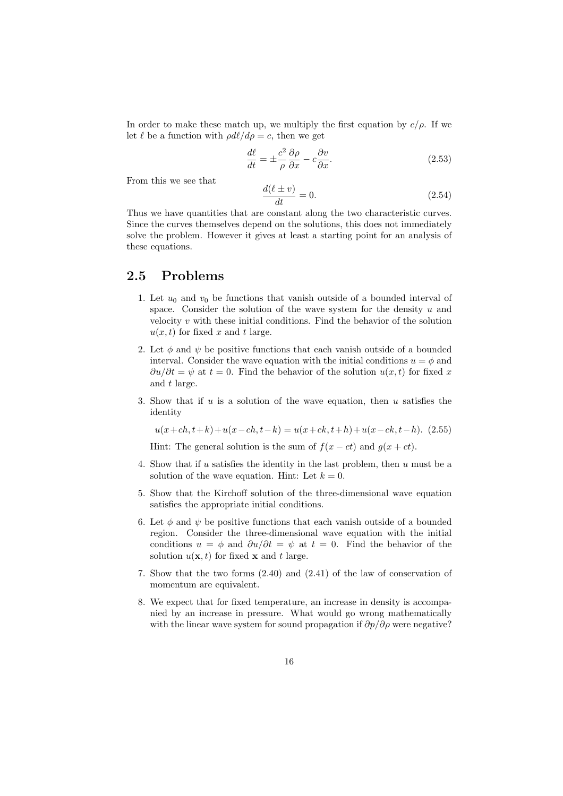In order to make these match up, we multiply the first equation by  $c/\rho$ . If we let  $\ell$  be a function with  $\rho d\ell/d\rho = c$ , then we get

$$
\frac{d\ell}{dt} = \pm \frac{c^2}{\rho} \frac{\partial \rho}{\partial x} - c \frac{\partial v}{\partial x}.
$$
\n(2.53)

From this we see that

$$
\frac{d(\ell \pm v)}{dt} = 0.\t(2.54)
$$

Thus we have quantities that are constant along the two characteristic curves. Since the curves themselves depend on the solutions, this does not immediately solve the problem. However it gives at least a starting point for an analysis of these equations.

#### 2.5 Problems

- 1. Let  $u_0$  and  $v_0$  be functions that vanish outside of a bounded interval of space. Consider the solution of the wave system for the density  $u$  and velocity  $v$  with these initial conditions. Find the behavior of the solution  $u(x, t)$  for fixed x and t large.
- 2. Let  $\phi$  and  $\psi$  be positive functions that each vanish outside of a bounded interval. Consider the wave equation with the initial conditions  $u = \phi$  and  $\partial u/\partial t = \psi$  at  $t = 0$ . Find the behavior of the solution  $u(x, t)$  for fixed x and t large.
- 3. Show that if  $u$  is a solution of the wave equation, then  $u$  satisfies the identity

 $u(x+ch, t+k)+u(x-ch, t-k) = u(x+ck, t+h)+u(x-ck, t-h)$ . (2.55)

Hint: The general solution is the sum of  $f(x - ct)$  and  $g(x + ct)$ .

- 4. Show that if u satisfies the identity in the last problem, then u must be a solution of the wave equation. Hint: Let  $k = 0$ .
- 5. Show that the Kirchoff solution of the three-dimensional wave equation satisfies the appropriate initial conditions.
- 6. Let  $\phi$  and  $\psi$  be positive functions that each vanish outside of a bounded region. Consider the three-dimensional wave equation with the initial conditions  $u = \phi$  and  $\frac{\partial u}{\partial t} = \psi$  at  $t = 0$ . Find the behavior of the solution  $u(\mathbf{x}, t)$  for fixed **x** and t large.
- 7. Show that the two forms (2.40) and (2.41) of the law of conservation of momentum are equivalent.
- 8. We expect that for fixed temperature, an increase in density is accompanied by an increase in pressure. What would go wrong mathematically with the linear wave system for sound propagation if  $\partial p/\partial \rho$  were negative?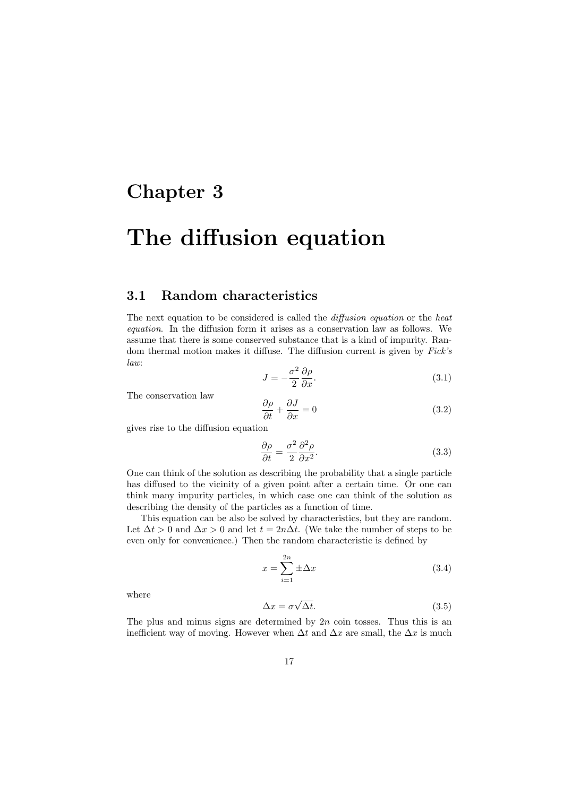# Chapter 3

# The diffusion equation

### 3.1 Random characteristics

The next equation to be considered is called the *diffusion equation* or the heat equation. In the diffusion form it arises as a conservation law as follows. We assume that there is some conserved substance that is a kind of impurity. Random thermal motion makes it diffuse. The diffusion current is given by Fick's law:

$$
J = -\frac{\sigma^2}{2} \frac{\partial \rho}{\partial x}.
$$
\n(3.1)

The conservation law

$$
\frac{\partial \rho}{\partial t} + \frac{\partial J}{\partial x} = 0 \tag{3.2}
$$

gives rise to the diffusion equation

$$
\frac{\partial \rho}{\partial t} = \frac{\sigma^2}{2} \frac{\partial^2 \rho}{\partial x^2}.
$$
\n(3.3)

One can think of the solution as describing the probability that a single particle has diffused to the vicinity of a given point after a certain time. Or one can think many impurity particles, in which case one can think of the solution as describing the density of the particles as a function of time.

This equation can be also be solved by characteristics, but they are random. Let  $\Delta t > 0$  and  $\Delta x > 0$  and let  $t = 2n\Delta t$ . (We take the number of steps to be even only for convenience.) Then the random characteristic is defined by

$$
x = \sum_{i=1}^{2n} \pm \Delta x \tag{3.4}
$$

where

$$
\Delta x = \sigma \sqrt{\Delta t}.\tag{3.5}
$$

The plus and minus signs are determined by  $2n$  coin tosses. Thus this is an inefficient way of moving. However when  $\Delta t$  and  $\Delta x$  are small, the  $\Delta x$  is much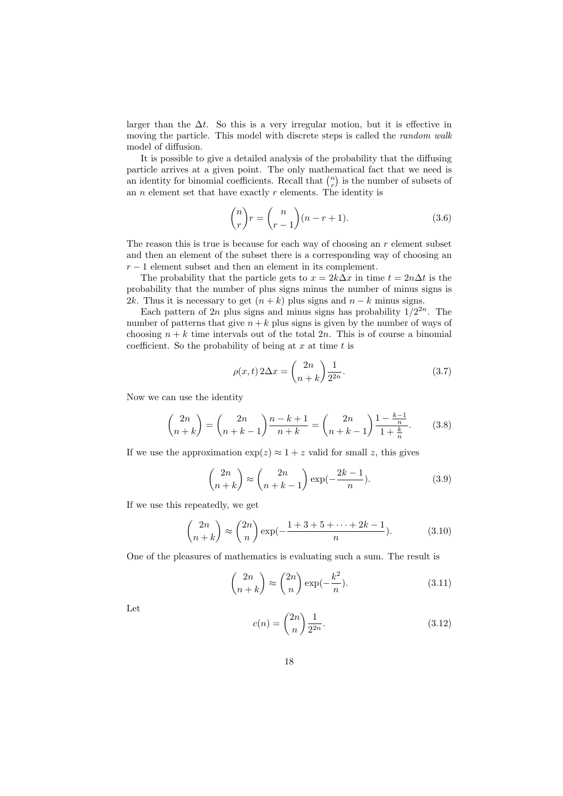larger than the  $\Delta t$ . So this is a very irregular motion, but it is effective in moving the particle. This model with discrete steps is called the random walk model of diffusion.

It is possible to give a detailed analysis of the probability that the diffusing particle arrives at a given point. The only mathematical fact that we need is particle arrives at a given point. The only mathematical fact that we need is<br>an identity for binomial coefficients. Recall that  $\binom{n}{r}$  is the number of subsets of an  $n$  element set that have exactly  $r$  elements. The identity is

$$
\binom{n}{r}r = \binom{n}{r-1}(n-r+1). \tag{3.6}
$$

The reason this is true is because for each way of choosing an  $r$  element subset and then an element of the subset there is a corresponding way of choosing an  $r-1$  element subset and then an element in its complement.

The probability that the particle gets to  $x = 2k\Delta x$  in time  $t = 2n\Delta t$  is the probability that the number of plus signs minus the number of minus signs is 2k. Thus it is necessary to get  $(n + k)$  plus signs and  $n - k$  minus signs.

Each pattern of 2n plus signs and minus signs has probability  $1/2^{2n}$ . The number of patterns that give  $n + k$  plus signs is given by the number of ways of choosing  $n + k$  time intervals out of the total  $2n$ . This is of course a binomial coefficient. So the probability of being at  $x$  at time  $t$  is

$$
\rho(x,t) 2\Delta x = \binom{2n}{n+k} \frac{1}{2^{2n}}.
$$
\n(3.7)

Now we can use the identity

$$
\binom{2n}{n+k} = \binom{2n}{n+k-1} \frac{n-k+1}{n+k} = \binom{2n}{n+k-1} \frac{1 - \frac{k-1}{n}}{1 + \frac{k}{n}}.
$$
 (3.8)

If we use the approximation  $\exp(z) \approx 1 + z$  valid for small z, this gives

$$
\binom{2n}{n+k} \approx \binom{2n}{n+k-1} \exp(-\frac{2k-1}{n}).
$$
\n(3.9)

If we use this repeatedly, we get

$$
\binom{2n}{n+k} \approx \binom{2n}{n} \exp\left(-\frac{1+3+5+\dots+2k-1}{n}\right). \tag{3.10}
$$

One of the pleasures of mathematics is evaluating such a sum. The result is

$$
\binom{2n}{n+k} \approx \binom{2n}{n} \exp(-\frac{k^2}{n}).\tag{3.11}
$$

Let

$$
c(n) = \binom{2n}{n} \frac{1}{2^{2n}}.\tag{3.12}
$$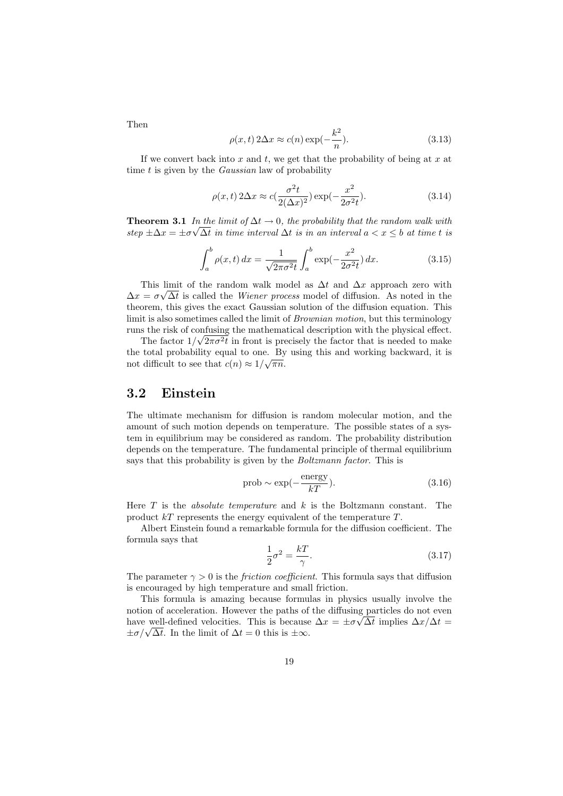Then

$$
\rho(x,t) 2\Delta x \approx c(n) \exp(-\frac{k^2}{n}).
$$
\n(3.13)

If we convert back into  $x$  and  $t$ , we get that the probability of being at  $x$  at time  $t$  is given by the *Gaussian* law of probability

$$
\rho(x,t) 2\Delta x \approx c\left(\frac{\sigma^2 t}{2(\Delta x)^2}\right) \exp\left(-\frac{x^2}{2\sigma^2 t}\right). \tag{3.14}
$$

**Theorem 3.1** In the limit of  $\Delta t \to 0$ , the probability that the random walk with step  $\pm\Delta x = \pm\sigma\sqrt{\Delta t}$  in time interval  $\Delta t$  is in an interval  $a < x \leq b$  at time t is

$$
\int_{a}^{b} \rho(x, t) dx = \frac{1}{\sqrt{2\pi\sigma^2 t}} \int_{a}^{b} \exp(-\frac{x^2}{2\sigma^2 t}) dx.
$$
 (3.15)

This limit of the random walk model as  $\Delta t$  and  $\Delta x$  approach zero with  $\Delta x = \sigma \sqrt{\Delta t}$  is called the *Wiener process* model of diffusion. As noted in the theorem, this gives the exact Gaussian solution of the diffusion equation. This limit is also sometimes called the limit of Brownian motion, but this terminology runs the risk of confusing the mathematical description with the physical effect.

The factor  $1/\sqrt{2\pi\sigma^2t}$  in front is precisely the factor that is needed to make the total probability equal to one. By using this and working backward, it is not difficult to see that  $c(n) \approx 1/\sqrt{\pi n}$ .

#### 3.2 Einstein

The ultimate mechanism for diffusion is random molecular motion, and the amount of such motion depends on temperature. The possible states of a system in equilibrium may be considered as random. The probability distribution depends on the temperature. The fundamental principle of thermal equilibrium says that this probability is given by the *Boltzmann factor*. This is

$$
prob \sim \exp(-\frac{\text{energy}}{kT}).
$$
\n(3.16)

Here  $T$  is the *absolute temperature* and  $k$  is the Boltzmann constant. The product kT represents the energy equivalent of the temperature T.

Albert Einstein found a remarkable formula for the diffusion coefficient. The formula says that

$$
\frac{1}{2}\sigma^2 = \frac{kT}{\gamma}.\tag{3.17}
$$

The parameter  $\gamma > 0$  is the *friction coefficient*. This formula says that diffusion is encouraged by high temperature and small friction.

This formula is amazing because formulas in physics usually involve the notion of acceleration. However the paths of the diffusing particles do not even have well-defined velocities. This is because  $\Delta x = \pm \sigma \sqrt{\Delta t}$  implies  $\Delta x/\Delta t =$ have well-defined velocities. This is because<br> $\pm \sigma/\sqrt{\Delta t}$ . In the limit of  $\Delta t = 0$  this is  $\pm \infty$ .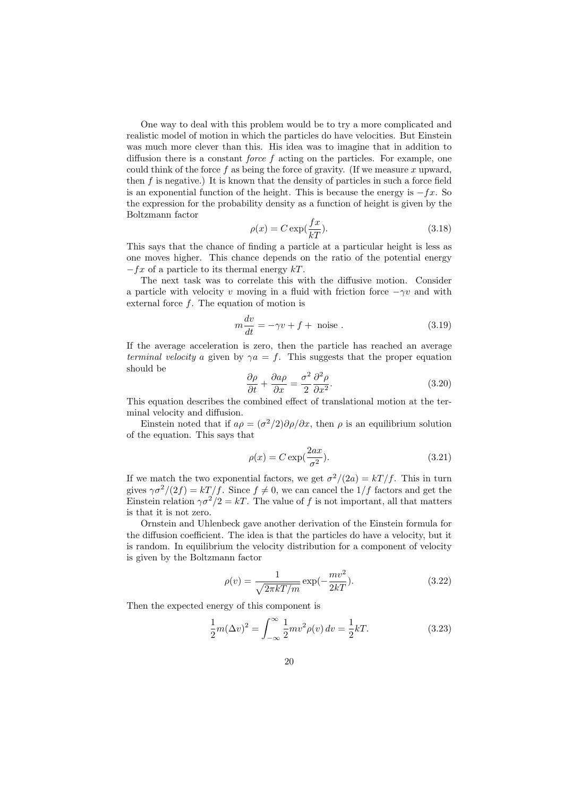One way to deal with this problem would be to try a more complicated and realistic model of motion in which the particles do have velocities. But Einstein was much more clever than this. His idea was to imagine that in addition to diffusion there is a constant *force*  $f$  acting on the particles. For example, one could think of the force  $f$  as being the force of gravity. (If we measure x upward, then  $f$  is negative.) It is known that the density of particles in such a force field is an exponential function of the height. This is because the energy is  $-fx$ . So the expression for the probability density as a function of height is given by the Boltzmann factor

$$
\rho(x) = C \exp(\frac{fx}{kT}).\tag{3.18}
$$

This says that the chance of finding a particle at a particular height is less as one moves higher. This chance depends on the ratio of the potential energy  $-fx$  of a particle to its thermal energy  $kT$ .

The next task was to correlate this with the diffusive motion. Consider a particle with velocity v moving in a fluid with friction force  $-\gamma v$  and with external force  $f$ . The equation of motion is

$$
m\frac{dv}{dt} = -\gamma v + f + \text{noise} \tag{3.19}
$$

If the average acceleration is zero, then the particle has reached an average terminal velocity a given by  $\gamma a = f$ . This suggests that the proper equation should be

$$
\frac{\partial \rho}{\partial t} + \frac{\partial a \rho}{\partial x} = \frac{\sigma^2}{2} \frac{\partial^2 \rho}{\partial x^2}.
$$
 (3.20)

This equation describes the combined effect of translational motion at the terminal velocity and diffusion.

Einstein noted that if  $a\rho = (\sigma^2/2)\partial \rho/\partial x$ , then  $\rho$  is an equilibrium solution of the equation. This says that

$$
\rho(x) = C \exp(\frac{2ax}{\sigma^2}).\tag{3.21}
$$

If we match the two exponential factors, we get  $\sigma^2/(2a) = kT/f$ . This in turn gives  $\gamma \sigma^2/(2f) = kT/f$ . Since  $f \neq 0$ , we can cancel the  $1/f$  factors and get the Einstein relation  $\gamma \sigma^2/2 = kT$ . The value of f is not important, all that matters is that it is not zero.

Ornstein and Uhlenbeck gave another derivation of the Einstein formula for the diffusion coefficient. The idea is that the particles do have a velocity, but it is random. In equilibrium the velocity distribution for a component of velocity is given by the Boltzmann factor

$$
\rho(v) = \frac{1}{\sqrt{2\pi kT/m}} \exp(-\frac{mv^2}{2kT}).
$$
\n(3.22)

Then the expected energy of this component is

$$
\frac{1}{2}m(\Delta v)^2 = \int_{-\infty}^{\infty} \frac{1}{2}mv^2 \rho(v) dv = \frac{1}{2}kT.
$$
 (3.23)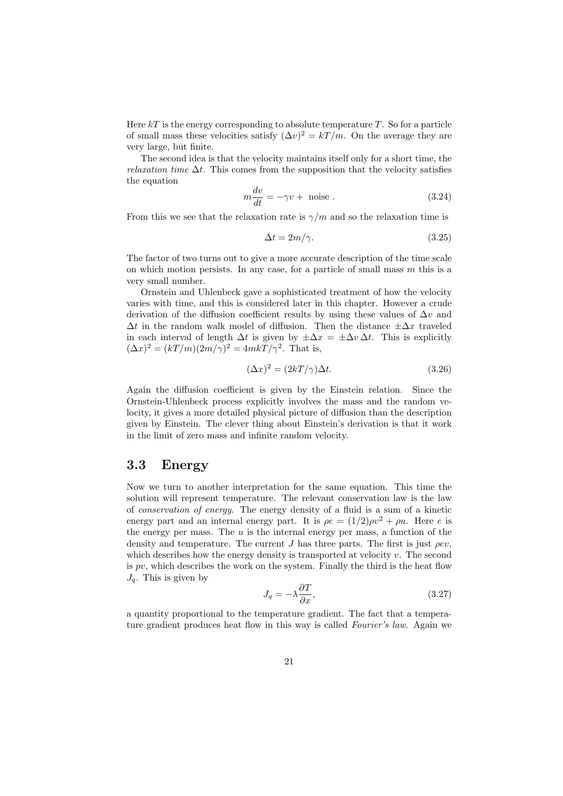Here  $kT$  is the energy corresponding to absolute temperature T. So for a particle of small mass these velocities satisfy  $(\Delta v)^2 = kT/m$ . On the average they are very large, but finite.

The second idea is that the velocity maintains itself only for a short time, the *relaxation time*  $\Delta t$ . This comes from the supposition that the velocity satisfies the equation

$$
m\frac{dv}{dt} = -\gamma v + \text{noise} \tag{3.24}
$$

From this we see that the relaxation rate is  $\gamma/m$  and so the relaxation time is

$$
\Delta t = 2m/\gamma. \tag{3.25}
$$

The factor of two turns out to give a more accurate description of the time scale on which motion persists. In any case, for a particle of small mass  $m$  this is a very small number.

Ornstein and Uhlenbeck gave a sophisticated treatment of how the velocity varies with time, and this is considered later in this chapter. However a crude derivation of the diffusion coefficient results by using these values of  $\Delta v$  and  $\Delta t$  in the random walk model of diffusion. Then the distance  $\pm \Delta x$  traveled in each interval of length  $\Delta t$  is given by  $\pm \Delta x = \pm \Delta v \Delta t$ . This is explicitly  $(\Delta x)^2 = (kT/m)(2m/\gamma)^2 = 4mkT/\gamma^2$ . That is,

$$
(\Delta x)^2 = (2kT/\gamma)\Delta t. \tag{3.26}
$$

Again the diffusion coefficient is given by the Einstein relation. Since the Ornstein-Uhlenbeck process explicitly involves the mass and the random velocity, it gives a more detailed physical picture of diffusion than the description given by Einstein. The clever thing about Einstein's derivation is that it work in the limit of zero mass and infinite random velocity.

#### 3.3 Energy

Now we turn to another interpretation for the same equation. This time the solution will represent temperature. The relevant conservation law is the law of conservation of energy. The energy density of a fluid is a sum of a kinetic energy part and an internal energy part. It is  $\rho e = (1/2)\rho v^2 + \rho u$ . Here e is the energy per mass. The  $u$  is the internal energy per mass, a function of the density and temperature. The current J has three parts. The first is just  $\rho ev$ . which describes how the energy density is transported at velocity  $v$ . The second is  $pv$ , which describes the work on the system. Finally the third is the heat flow  $J_q$ . This is given by

$$
J_q = -\lambda \frac{\partial T}{\partial x},\tag{3.27}
$$

a quantity proportional to the temperature gradient. The fact that a temperature gradient produces heat flow in this way is called Fourier's law. Again we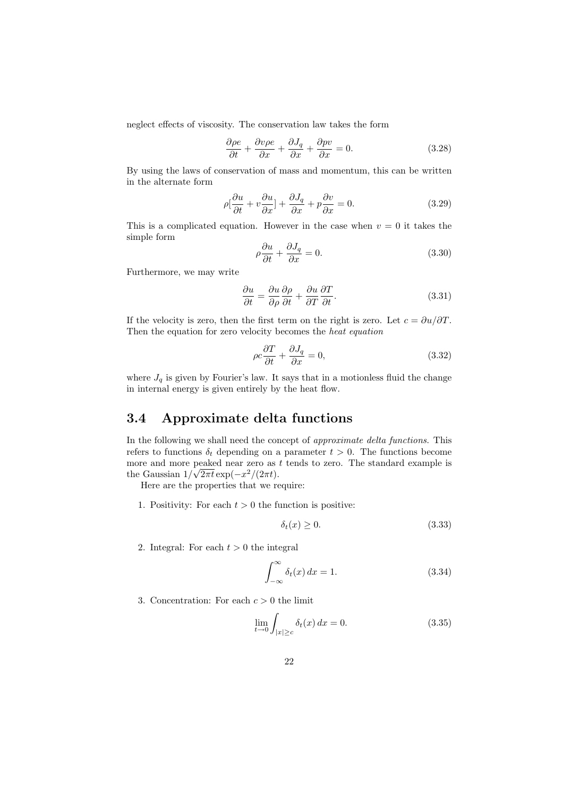neglect effects of viscosity. The conservation law takes the form

$$
\frac{\partial \rho e}{\partial t} + \frac{\partial v \rho e}{\partial x} + \frac{\partial J_q}{\partial x} + \frac{\partial pv}{\partial x} = 0.
$$
 (3.28)

By using the laws of conservation of mass and momentum, this can be written in the alternate form

$$
\rho \left[ \frac{\partial u}{\partial t} + v \frac{\partial u}{\partial x} \right] + \frac{\partial J_q}{\partial x} + p \frac{\partial v}{\partial x} = 0. \tag{3.29}
$$

This is a complicated equation. However in the case when  $v = 0$  it takes the simple form

$$
\rho \frac{\partial u}{\partial t} + \frac{\partial J_q}{\partial x} = 0.
$$
\n(3.30)

Furthermore, we may write

$$
\frac{\partial u}{\partial t} = \frac{\partial u}{\partial \rho} \frac{\partial \rho}{\partial t} + \frac{\partial u}{\partial T} \frac{\partial T}{\partial t}.
$$
\n(3.31)

If the velocity is zero, then the first term on the right is zero. Let  $c = \partial u / \partial T$ . Then the equation for zero velocity becomes the heat equation

$$
\rho c \frac{\partial T}{\partial t} + \frac{\partial J_q}{\partial x} = 0,
$$
\n(3.32)

where  $J_q$  is given by Fourier's law. It says that in a motionless fluid the change in internal energy is given entirely by the heat flow.

### 3.4 Approximate delta functions

In the following we shall need the concept of approximate delta functions. This refers to functions  $\delta_t$  depending on a parameter  $t > 0$ . The functions become more and more peaked near zero as t tends to zero. The standard example is the Gaussian  $1/\sqrt{2\pi t} \exp(-x^2/(2\pi t)).$ 

Here are the properties that we require:

1. Positivity: For each  $t > 0$  the function is positive:

$$
\delta_t(x) \ge 0. \tag{3.33}
$$

2. Integral: For each  $t > 0$  the integral

$$
\int_{-\infty}^{\infty} \delta_t(x) dx = 1.
$$
 (3.34)

3. Concentration: For each  $c > 0$  the limit

$$
\lim_{t \to 0} \int_{|x| \ge c} \delta_t(x) dx = 0.
$$
\n(3.35)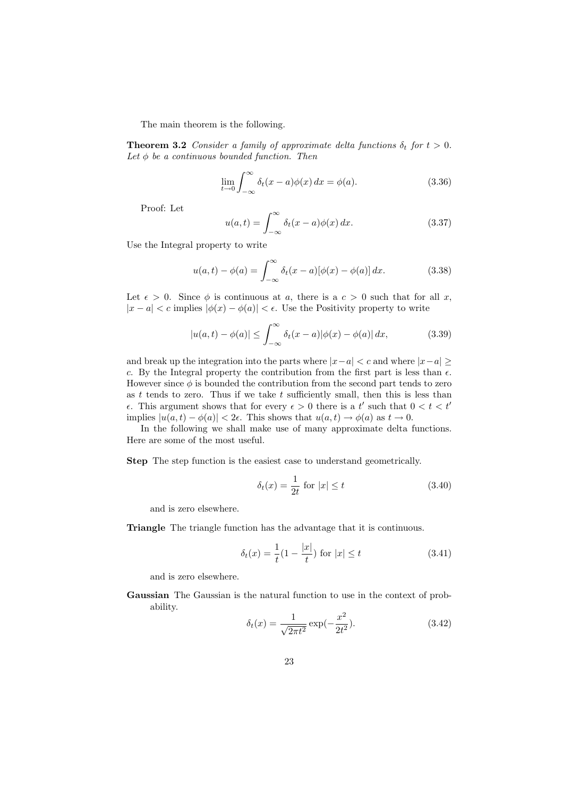The main theorem is the following.

**Theorem 3.2** Consider a family of approximate delta functions  $\delta_t$  for  $t > 0$ . Let  $\phi$  be a continuous bounded function. Then

$$
\lim_{t \to 0} \int_{-\infty}^{\infty} \delta_t(x - a) \phi(x) dx = \phi(a).
$$
 (3.36)

Proof: Let

$$
u(a,t) = \int_{-\infty}^{\infty} \delta_t(x-a)\phi(x) dx.
$$
 (3.37)

Use the Integral property to write

$$
u(a,t) - \phi(a) = \int_{-\infty}^{\infty} \delta_t(x-a)[\phi(x) - \phi(a)] dx.
$$
 (3.38)

Let  $\epsilon > 0$ . Since  $\phi$  is continuous at a, there is a  $c > 0$  such that for all x,  $|x - a| < c$  implies  $|\phi(x) - \phi(a)| < \epsilon$ . Use the Positivity property to write

$$
|u(a,t) - \phi(a)| \le \int_{-\infty}^{\infty} \delta_t(x-a)|\phi(x) - \phi(a)|\,dx,\tag{3.39}
$$

and break up the integration into the parts where  $|x-a| < c$  and where  $|x-a| \ge$ c. By the Integral property the contribution from the first part is less than  $\epsilon$ . However since  $\phi$  is bounded the contribution from the second part tends to zero as t tends to zero. Thus if we take t sufficiently small, then this is less than  $\epsilon$ . This argument shows that for every  $\epsilon > 0$  there is a t' such that  $0 < t < t'$ implies  $|u(a, t) - \phi(a)| < 2\epsilon$ . This shows that  $u(a, t) \to \phi(a)$  as  $t \to 0$ .

In the following we shall make use of many approximate delta functions. Here are some of the most useful.

Step The step function is the easiest case to understand geometrically.

$$
\delta_t(x) = \frac{1}{2t} \text{ for } |x| \le t \tag{3.40}
$$

and is zero elsewhere.

Triangle The triangle function has the advantage that it is continuous.

$$
\delta_t(x) = \frac{1}{t} (1 - \frac{|x|}{t}) \text{ for } |x| \le t \tag{3.41}
$$

and is zero elsewhere.

Gaussian The Gaussian is the natural function to use in the context of probability.

$$
\delta_t(x) = \frac{1}{\sqrt{2\pi t^2}} \exp(-\frac{x^2}{2t^2}).
$$
\n(3.42)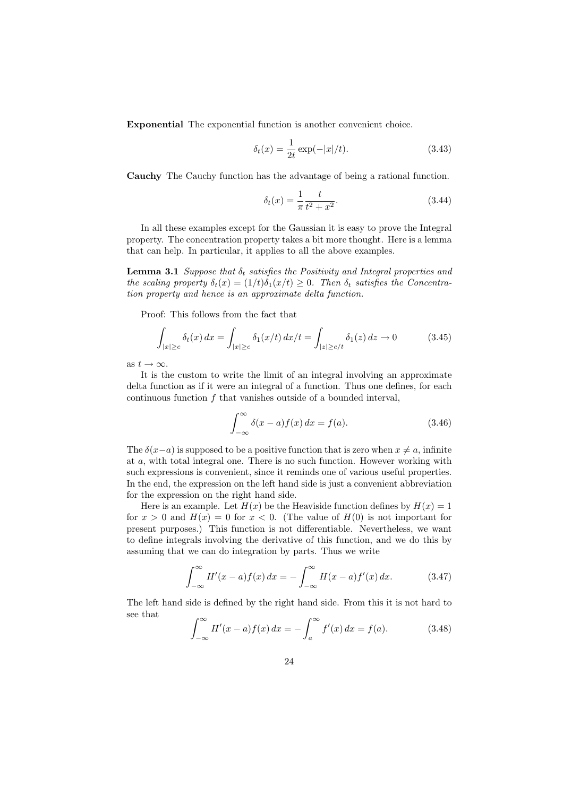Exponential The exponential function is another convenient choice.

$$
\delta_t(x) = \frac{1}{2t} \exp(-|x|/t).
$$
 (3.43)

Cauchy The Cauchy function has the advantage of being a rational function.

$$
\delta_t(x) = \frac{1}{\pi} \frac{t}{t^2 + x^2}.
$$
\n(3.44)

In all these examples except for the Gaussian it is easy to prove the Integral property. The concentration property takes a bit more thought. Here is a lemma that can help. In particular, it applies to all the above examples.

**Lemma 3.1** Suppose that  $\delta_t$  satisfies the Positivity and Integral properties and the scaling property  $\delta_t(x) = (1/t)\delta_1(x/t) \geq 0$ . Then  $\delta_t$  satisfies the Concentration property and hence is an approximate delta function.

Proof: This follows from the fact that

$$
\int_{|x|\geq c} \delta_t(x) dx = \int_{|x|\geq c} \delta_1(x/t) dx/t = \int_{|z|\geq c/t} \delta_1(z) dz \to 0 \tag{3.45}
$$

as  $t \to \infty$ .

It is the custom to write the limit of an integral involving an approximate delta function as if it were an integral of a function. Thus one defines, for each continuous function f that vanishes outside of a bounded interval,

$$
\int_{-\infty}^{\infty} \delta(x-a) f(x) dx = f(a).
$$
 (3.46)

The  $\delta(x-a)$  is supposed to be a positive function that is zero when  $x \neq a$ , infinite at a, with total integral one. There is no such function. However working with such expressions is convenient, since it reminds one of various useful properties. In the end, the expression on the left hand side is just a convenient abbreviation for the expression on the right hand side.

Here is an example. Let  $H(x)$  be the Heaviside function defines by  $H(x) = 1$ for  $x > 0$  and  $H(x) = 0$  for  $x < 0$ . (The value of  $H(0)$  is not important for present purposes.) This function is not differentiable. Nevertheless, we want to define integrals involving the derivative of this function, and we do this by assuming that we can do integration by parts. Thus we write

$$
\int_{-\infty}^{\infty} H'(x-a)f(x) \, dx = -\int_{-\infty}^{\infty} H(x-a)f'(x) \, dx. \tag{3.47}
$$

The left hand side is defined by the right hand side. From this it is not hard to see that  $\overline{r}^{\infty}$  $\overline{r}^{\infty}$ 

$$
\int_{-\infty}^{\infty} H'(x-a)f(x) dx = -\int_{a}^{\infty} f'(x) dx = f(a).
$$
 (3.48)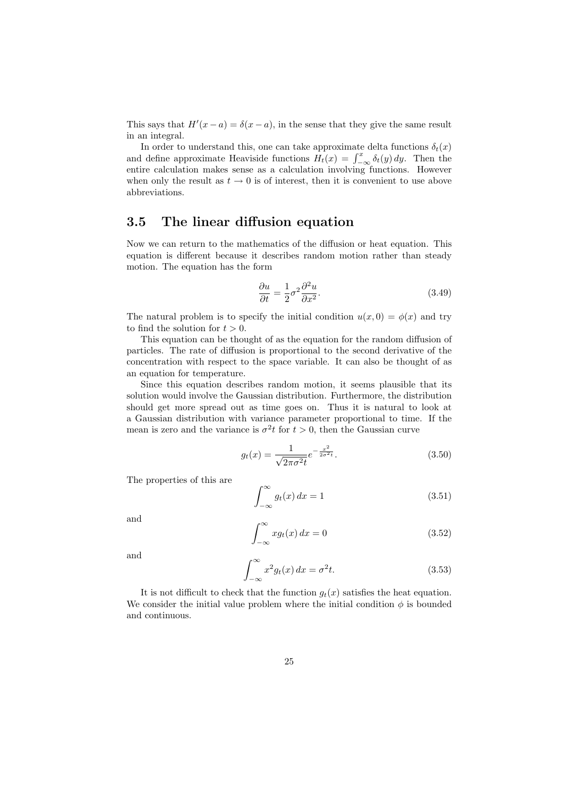This says that  $H'(x - a) = \delta(x - a)$ , in the sense that they give the same result in an integral.

In order to understand this, one can take approximate delta functions  $\delta_t(x)$ in order to understand this, one can take approximate delta functions  $\theta_t(x)$ <br>and define approximate Heaviside functions  $H_t(x) = \int_{-\infty}^x \delta_t(y) dy$ . Then the entire calculation makes sense as a calculation involving functions. However when only the result as  $t \to 0$  is of interest, then it is convenient to use above abbreviations.

## 3.5 The linear diffusion equation

Now we can return to the mathematics of the diffusion or heat equation. This equation is different because it describes random motion rather than steady motion. The equation has the form

$$
\frac{\partial u}{\partial t} = \frac{1}{2}\sigma^2 \frac{\partial^2 u}{\partial x^2}.
$$
\n(3.49)

The natural problem is to specify the initial condition  $u(x, 0) = \phi(x)$  and try to find the solution for  $t > 0$ .

This equation can be thought of as the equation for the random diffusion of particles. The rate of diffusion is proportional to the second derivative of the concentration with respect to the space variable. It can also be thought of as an equation for temperature.

Since this equation describes random motion, it seems plausible that its solution would involve the Gaussian distribution. Furthermore, the distribution should get more spread out as time goes on. Thus it is natural to look at a Gaussian distribution with variance parameter proportional to time. If the mean is zero and the variance is  $\sigma^2 t$  for  $t > 0$ , then the Gaussian curve

$$
g_t(x) = \frac{1}{\sqrt{2\pi\sigma^2 t}} e^{-\frac{x^2}{2\sigma^2 t}}.
$$
\n(3.50)

The properties of this are

$$
\int_{-\infty}^{\infty} g_t(x) dx = 1
$$
\n(3.51)

and

$$
\int_{-\infty}^{\infty} x g_t(x) dx = 0 \tag{3.52}
$$

and

$$
\int_{-\infty}^{\infty} x^2 g_t(x) dx = \sigma^2 t.
$$
 (3.53)

It is not difficult to check that the function  $g_t(x)$  satisfies the heat equation. We consider the initial value problem where the initial condition  $\phi$  is bounded and continuous.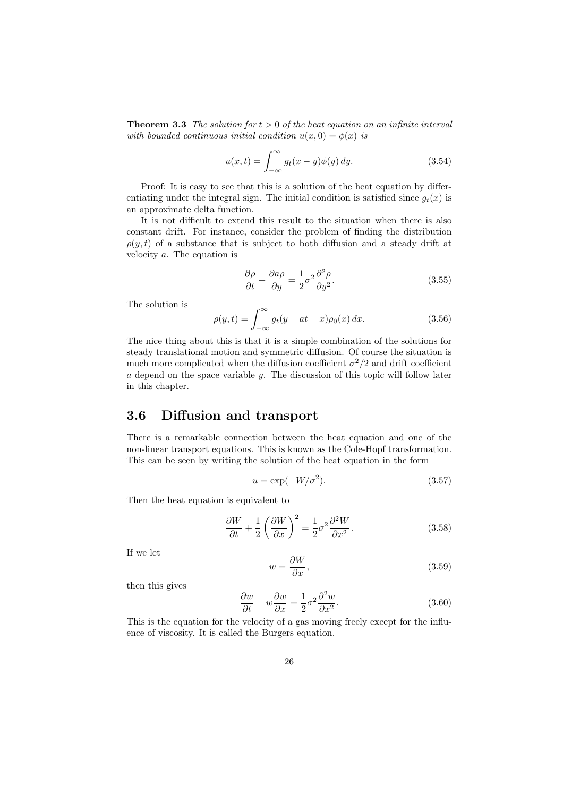**Theorem 3.3** The solution for  $t > 0$  of the heat equation on an infinite interval with bounded continuous initial condition  $u(x, 0) = \phi(x)$  is

$$
u(x,t) = \int_{-\infty}^{\infty} g_t(x-y)\phi(y) \, dy. \tag{3.54}
$$

Proof: It is easy to see that this is a solution of the heat equation by differentiating under the integral sign. The initial condition is satisfied since  $g_t(x)$  is an approximate delta function.

It is not difficult to extend this result to the situation when there is also constant drift. For instance, consider the problem of finding the distribution  $\rho(y, t)$  of a substance that is subject to both diffusion and a steady drift at velocity  $a$ . The equation is

$$
\frac{\partial \rho}{\partial t} + \frac{\partial a\rho}{\partial y} = \frac{1}{2}\sigma^2 \frac{\partial^2 \rho}{\partial y^2}.
$$
 (3.55)

The solution is

$$
\rho(y,t) = \int_{-\infty}^{\infty} g_t(y - at - x)\rho_0(x) dx.
$$
\n(3.56)

The nice thing about this is that it is a simple combination of the solutions for steady translational motion and symmetric diffusion. Of course the situation is much more complicated when the diffusion coefficient  $\sigma^2/2$  and drift coefficient  $a$  depend on the space variable  $y$ . The discussion of this topic will follow later in this chapter.

### 3.6 Diffusion and transport

There is a remarkable connection between the heat equation and one of the non-linear transport equations. This is known as the Cole-Hopf transformation. This can be seen by writing the solution of the heat equation in the form

$$
u = \exp(-W/\sigma^2). \tag{3.57}
$$

Then the heat equation is equivalent to

$$
\frac{\partial W}{\partial t} + \frac{1}{2} \left( \frac{\partial W}{\partial x} \right)^2 = \frac{1}{2} \sigma^2 \frac{\partial^2 W}{\partial x^2}.
$$
 (3.58)

If we let

$$
w = \frac{\partial W}{\partial x},\tag{3.59}
$$

then this gives

$$
\frac{\partial w}{\partial t} + w \frac{\partial w}{\partial x} = \frac{1}{2} \sigma^2 \frac{\partial^2 w}{\partial x^2}.
$$
\n(3.60)

This is the equation for the velocity of a gas moving freely except for the influence of viscosity. It is called the Burgers equation.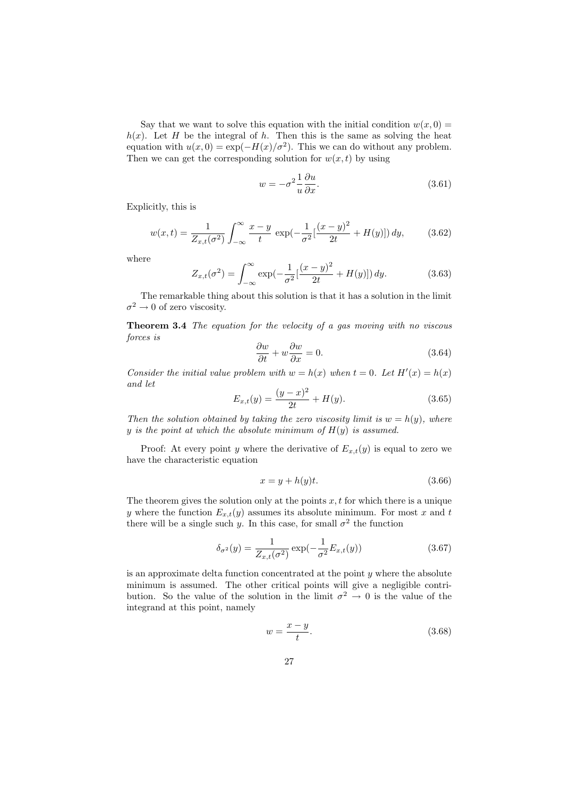Say that we want to solve this equation with the initial condition  $w(x, 0) =$  $h(x)$ . Let H be the integral of h. Then this is the same as solving the heat equation with  $u(x, 0) = \exp(-H(x)/\sigma^2)$ . This we can do without any problem. Then we can get the corresponding solution for  $w(x, t)$  by using

$$
w = -\sigma^2 \frac{1}{u} \frac{\partial u}{\partial x}.
$$
\n(3.61)

Explicitly, this is

$$
w(x,t) = \frac{1}{Z_{x,t}(\sigma^2)} \int_{-\infty}^{\infty} \frac{x-y}{t} \exp(-\frac{1}{\sigma^2} [\frac{(x-y)^2}{2t} + H(y)]) \, dy,\tag{3.62}
$$

where

$$
Z_{x,t}(\sigma^2) = \int_{-\infty}^{\infty} \exp(-\frac{1}{\sigma^2} \left[\frac{(x-y)^2}{2t} + H(y)\right]) dy.
$$
 (3.63)

The remarkable thing about this solution is that it has a solution in the limit  $\sigma^2 \to 0$  of zero viscosity.

Theorem 3.4 The equation for the velocity of a gas moving with no viscous forces is

$$
\frac{\partial w}{\partial t} + w \frac{\partial w}{\partial x} = 0.
$$
\n(3.64)

Consider the initial value problem with  $w = h(x)$  when  $t = 0$ . Let  $H'(x) = h(x)$ and let

$$
E_{x,t}(y) = \frac{(y-x)^2}{2t} + H(y).
$$
\n(3.65)

Then the solution obtained by taking the zero viscosity limit is  $w = h(y)$ , where y is the point at which the absolute minimum of  $H(y)$  is assumed.

Proof: At every point y where the derivative of  $E_{x,t}(y)$  is equal to zero we have the characteristic equation

$$
x = y + h(y)t.
$$
\n
$$
(3.66)
$$

The theorem gives the solution only at the points  $x, t$  for which there is a unique y where the function  $E_{x,t}(y)$  assumes its absolute minimum. For most x and t there will be a single such y. In this case, for small  $\sigma^2$  the function

$$
\delta_{\sigma^2}(y) = \frac{1}{Z_{x,t}(\sigma^2)} \exp(-\frac{1}{\sigma^2} E_{x,t}(y))
$$
\n(3.67)

is an approximate delta function concentrated at the point  $y$  where the absolute minimum is assumed. The other critical points will give a negligible contribution. So the value of the solution in the limit  $\sigma^2 \to 0$  is the value of the integrand at this point, namely

$$
w = \frac{x - y}{t}.\tag{3.68}
$$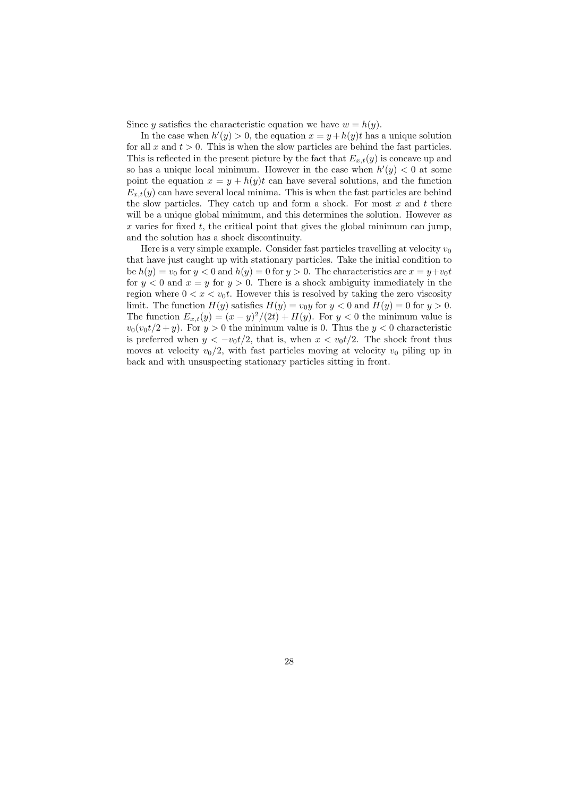Since y satisfies the characteristic equation we have  $w = h(y)$ .

In the case when  $h'(y) > 0$ , the equation  $x = y + h(y)t$  has a unique solution for all  $x$  and  $t > 0$ . This is when the slow particles are behind the fast particles. This is reflected in the present picture by the fact that  $E_{x,t}(y)$  is concave up and so has a unique local minimum. However in the case when  $h'(y) < 0$  at some point the equation  $x = y + h(y)t$  can have several solutions, and the function  $E_{x,t}(y)$  can have several local minima. This is when the fast particles are behind the slow particles. They catch up and form a shock. For most  $x$  and  $t$  there will be a unique global minimum, and this determines the solution. However as x varies for fixed t, the critical point that gives the global minimum can jump, and the solution has a shock discontinuity.

Here is a very simple example. Consider fast particles travelling at velocity  $v_0$ that have just caught up with stationary particles. Take the initial condition to be  $h(y) = v_0$  for  $y < 0$  and  $h(y) = 0$  for  $y > 0$ . The characteristics are  $x = y+v_0t$ for  $y < 0$  and  $x = y$  for  $y > 0$ . There is a shock ambiguity immediately in the region where  $0 < x < v_0t$ . However this is resolved by taking the zero viscosity limit. The function  $H(y)$  satisfies  $H(y) = v_0y$  for  $y < 0$  and  $H(y) = 0$  for  $y > 0$ . The function  $E_{x,t}(y) = (x - y)^2/(2t) + H(y)$ . For  $y < 0$  the minimum value is  $v_0(v_0t/2 + y)$ . For  $y > 0$  the minimum value is 0. Thus the  $y < 0$  characteristic is preferred when  $y < -v_0t/2$ , that is, when  $x < v_0t/2$ . The shock front thus moves at velocity  $v_0/2$ , with fast particles moving at velocity  $v_0$  piling up in back and with unsuspecting stationary particles sitting in front.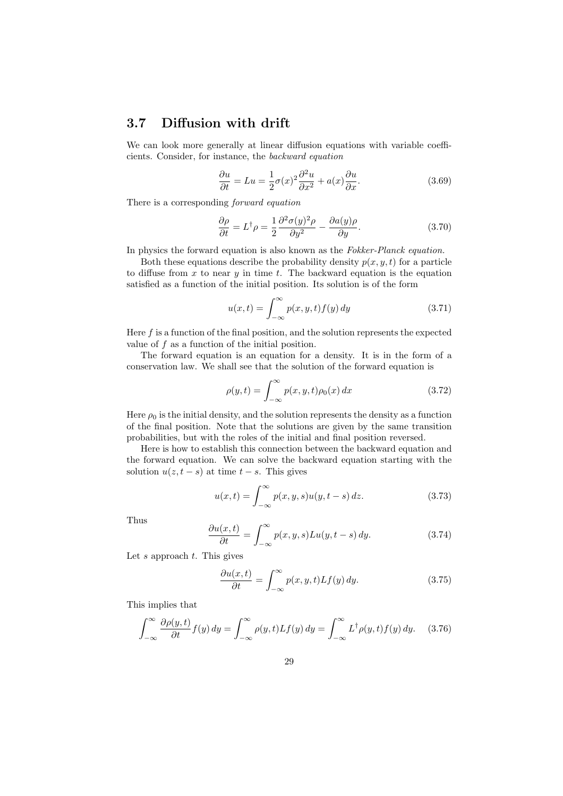## 3.7 Diffusion with drift

We can look more generally at linear diffusion equations with variable coefficients. Consider, for instance, the backward equation

$$
\frac{\partial u}{\partial t} = Lu = \frac{1}{2}\sigma(x)^2 \frac{\partial^2 u}{\partial x^2} + a(x)\frac{\partial u}{\partial x}.
$$
 (3.69)

There is a corresponding forward equation

$$
\frac{\partial \rho}{\partial t} = L^{\dagger} \rho = \frac{1}{2} \frac{\partial^2 \sigma(y)^2 \rho}{\partial y^2} - \frac{\partial a(y) \rho}{\partial y}.
$$
 (3.70)

In physics the forward equation is also known as the Fokker-Planck equation.

Both these equations describe the probability density  $p(x, y, t)$  for a particle to diffuse from  $x$  to near  $y$  in time  $t$ . The backward equation is the equation satisfied as a function of the initial position. Its solution is of the form

$$
u(x,t) = \int_{-\infty}^{\infty} p(x,y,t) f(y) dy
$$
 (3.71)

Here  $f$  is a function of the final position, and the solution represents the expected value of  $f$  as a function of the initial position.

The forward equation is an equation for a density. It is in the form of a conservation law. We shall see that the solution of the forward equation is

$$
\rho(y,t) = \int_{-\infty}^{\infty} p(x,y,t)\rho_0(x) dx
$$
\n(3.72)

Here  $\rho_0$  is the initial density, and the solution represents the density as a function of the final position. Note that the solutions are given by the same transition probabilities, but with the roles of the initial and final position reversed.

Here is how to establish this connection between the backward equation and the forward equation. We can solve the backward equation starting with the solution  $u(z, t - s)$  at time  $t - s$ . This gives

$$
u(x,t) = \int_{-\infty}^{\infty} p(x,y,s)u(y,t-s) dz.
$$
 (3.73)

Thus

$$
\frac{\partial u(x,t)}{\partial t} = \int_{-\infty}^{\infty} p(x,y,s) L u(y,t-s) \, dy. \tag{3.74}
$$

Let  $s$  approach  $t$ . This gives

$$
\frac{\partial u(x,t)}{\partial t} = \int_{-\infty}^{\infty} p(x,y,t) L f(y) \, dy. \tag{3.75}
$$

This implies that

$$
\int_{-\infty}^{\infty} \frac{\partial \rho(y, t)}{\partial t} f(y) dy = \int_{-\infty}^{\infty} \rho(y, t) L f(y) dy = \int_{-\infty}^{\infty} L^{\dagger} \rho(y, t) f(y) dy.
$$
 (3.76)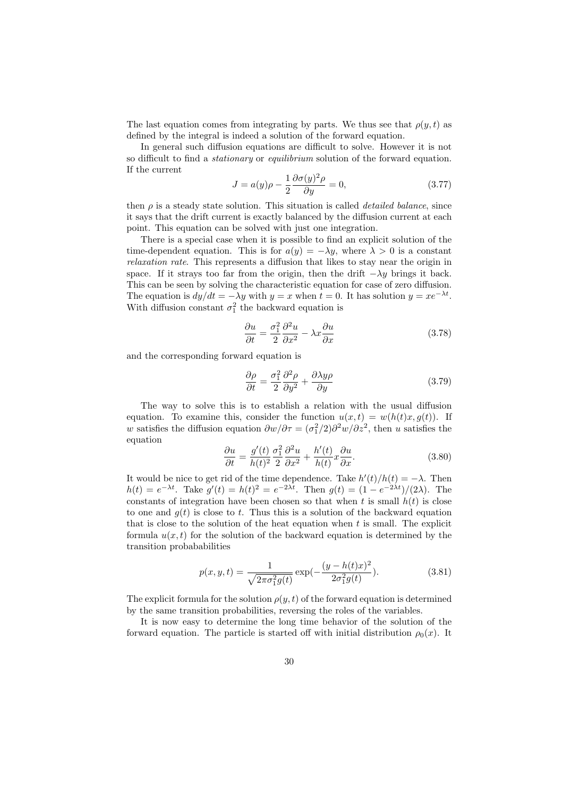The last equation comes from integrating by parts. We thus see that  $\rho(y, t)$  as defined by the integral is indeed a solution of the forward equation.

In general such diffusion equations are difficult to solve. However it is not so difficult to find a *stationary* or *equilibrium* solution of the forward equation. If the current

$$
J = a(y)\rho - \frac{1}{2}\frac{\partial \sigma(y)^2 \rho}{\partial y} = 0,
$$
\n(3.77)

then  $\rho$  is a steady state solution. This situation is called *detailed balance*, since it says that the drift current is exactly balanced by the diffusion current at each point. This equation can be solved with just one integration.

There is a special case when it is possible to find an explicit solution of the time-dependent equation. This is for  $a(y) = -\lambda y$ , where  $\lambda > 0$  is a constant relaxation rate. This represents a diffusion that likes to stay near the origin in space. If it strays too far from the origin, then the drift  $-\lambda y$  brings it back. This can be seen by solving the characteristic equation for case of zero diffusion. The equation is  $dy/dt = -\lambda y$  with  $y = x$  when  $t = 0$ . It has solution  $y = xe^{-\lambda t}$ . With diffusion constant  $\sigma_1^2$  the backward equation is

$$
\frac{\partial u}{\partial t} = \frac{\sigma_1^2}{2} \frac{\partial^2 u}{\partial x^2} - \lambda x \frac{\partial u}{\partial x}
$$
 (3.78)

and the corresponding forward equation is

$$
\frac{\partial \rho}{\partial t} = \frac{\sigma_1^2}{2} \frac{\partial^2 \rho}{\partial y^2} + \frac{\partial \lambda y \rho}{\partial y}
$$
(3.79)

The way to solve this is to establish a relation with the usual diffusion equation. To examine this, consider the function  $u(x,t) = w(h(t)x, g(t))$ . If w satisfies the diffusion equation  $\partial w/\partial \tau = (\sigma_1^2/2)\partial^2 w/\partial z^2$ , then u satisfies the equation

$$
\frac{\partial u}{\partial t} = \frac{g'(t)}{h(t)^2} \frac{\sigma_1^2}{2} \frac{\partial^2 u}{\partial x^2} + \frac{h'(t)}{h(t)} x \frac{\partial u}{\partial x}.
$$
\n(3.80)

It would be nice to get rid of the time dependence. Take  $h'(t)/h(t) = -\lambda$ . Then  $h(t) = e^{-\lambda t}$ . Take  $g'(t) = h(t)^2 = e^{-2\lambda t}$ . Then  $g(t) = (1 - e^{-2\lambda t})/(2\lambda)$ . The constants of integration have been chosen so that when t is small  $h(t)$  is close to one and  $q(t)$  is close to t. Thus this is a solution of the backward equation that is close to the solution of the heat equation when  $t$  is small. The explicit formula  $u(x, t)$  for the solution of the backward equation is determined by the transition probababilities

$$
p(x, y, t) = \frac{1}{\sqrt{2\pi\sigma_1^2 g(t)}} \exp(-\frac{(y - h(t)x)^2}{2\sigma_1^2 g(t)}).
$$
 (3.81)

The explicit formula for the solution  $\rho(y, t)$  of the forward equation is determined by the same transition probabilities, reversing the roles of the variables.

It is now easy to determine the long time behavior of the solution of the forward equation. The particle is started off with initial distribution  $\rho_0(x)$ . It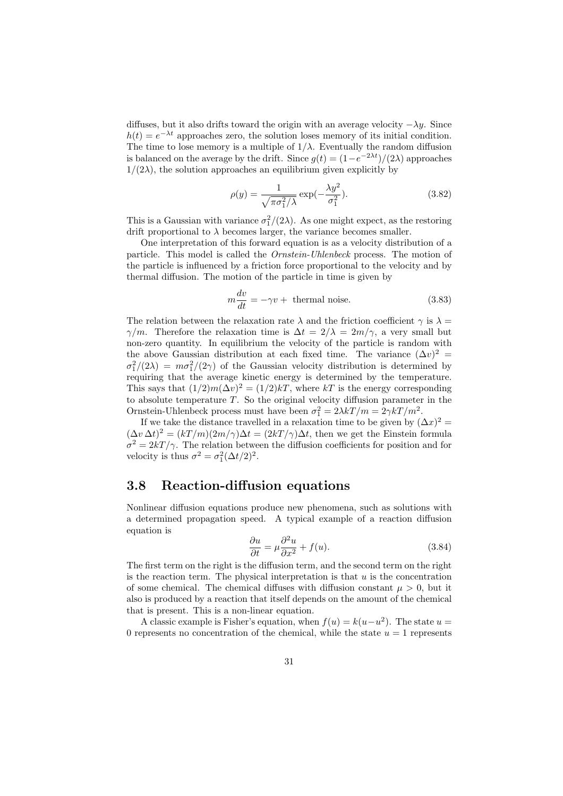diffuses, but it also drifts toward the origin with an average velocity  $-\lambda y$ . Since  $h(t) = e^{-\lambda t}$  approaches zero, the solution loses memory of its initial condition. The time to lose memory is a multiple of  $1/\lambda$ . Eventually the random diffusion is balanced on the average by the drift. Since  $g(t) = (1 - e^{-2\lambda t})/(2\lambda)$  approaches  $1/(2\lambda)$ , the solution approaches an equilibrium given explicitly by

$$
\rho(y) = \frac{1}{\sqrt{\pi \sigma_1^2/\lambda}} \exp(-\frac{\lambda y^2}{\sigma_1^2}).
$$
\n(3.82)

This is a Gaussian with variance  $\sigma_1^2/(2\lambda)$ . As one might expect, as the restoring drift proportional to  $\lambda$  becomes larger, the variance becomes smaller.

One interpretation of this forward equation is as a velocity distribution of a particle. This model is called the Ornstein-Uhlenbeck process. The motion of the particle is influenced by a friction force proportional to the velocity and by thermal diffusion. The motion of the particle in time is given by

$$
m\frac{dv}{dt} = -\gamma v + \text{ thermal noise.} \tag{3.83}
$$

The relation between the relaxation rate  $\lambda$  and the friction coefficient  $\gamma$  is  $\lambda =$  $\gamma/m$ . Therefore the relaxation time is  $\Delta t = 2/\lambda = 2m/\gamma$ , a very small but non-zero quantity. In equilibrium the velocity of the particle is random with the above Gaussian distribution at each fixed time. The variance  $(\Delta v)^2$  =  $\sigma_1^2/(2\lambda) = m\sigma_1^2/(2\gamma)$  of the Gaussian velocity distribution is determined by requiring that the average kinetic energy is determined by the temperature. This says that  $(1/2)m(\Delta v)^2 = (1/2)kT$ , where kT is the energy corresponding to absolute temperature  $T$ . So the original velocity diffusion parameter in the Ornstein-Uhlenbeck process must have been  $\sigma_1^2 = 2\lambda kT/m = 2\gamma kT/m^2$ .

If we take the distance travelled in a relaxation time to be given by  $(\Delta x)^2 =$  $(\Delta v \Delta t)^2 = (kT/m)(2m/\gamma)\Delta t = (2kT/\gamma)\Delta t$ , then we get the Einstein formula  $\sigma^2 = 2kT/\gamma$ . The relation between the diffusion coefficients for position and for velocity is thus  $\sigma^2 = \sigma_1^2 (\Delta t/2)^2$ .

### 3.8 Reaction-diffusion equations

Nonlinear diffusion equations produce new phenomena, such as solutions with a determined propagation speed. A typical example of a reaction diffusion equation is

$$
\frac{\partial u}{\partial t} = \mu \frac{\partial^2 u}{\partial x^2} + f(u). \tag{3.84}
$$

The first term on the right is the diffusion term, and the second term on the right is the reaction term. The physical interpretation is that  $u$  is the concentration of some chemical. The chemical diffuses with diffusion constant  $\mu > 0$ , but it also is produced by a reaction that itself depends on the amount of the chemical that is present. This is a non-linear equation.

A classic example is Fisher's equation, when  $f(u) = k(u - u^2)$ . The state  $u =$ 0 represents no concentration of the chemical, while the state  $u = 1$  represents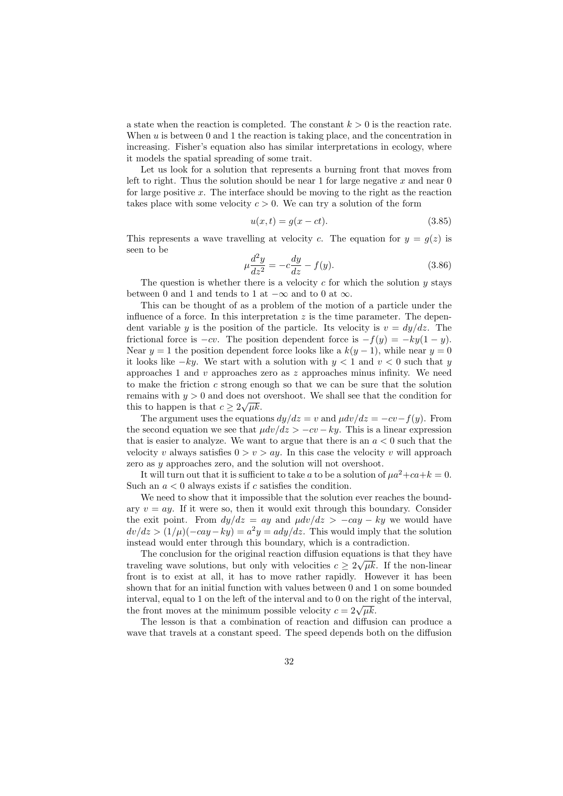a state when the reaction is completed. The constant  $k > 0$  is the reaction rate. When  $u$  is between 0 and 1 the reaction is taking place, and the concentration in increasing. Fisher's equation also has similar interpretations in ecology, where it models the spatial spreading of some trait.

Let us look for a solution that represents a burning front that moves from left to right. Thus the solution should be near 1 for large negative  $x$  and near 0 for large positive  $x$ . The interface should be moving to the right as the reaction takes place with some velocity  $c > 0$ . We can try a solution of the form

$$
u(x,t) = g(x - ct). \tag{3.85}
$$

This represents a wave travelling at velocity c. The equation for  $y = g(z)$  is seen to be

$$
\mu \frac{d^2 y}{dz^2} = -c \frac{dy}{dz} - f(y).
$$
 (3.86)

The question is whether there is a velocity  $c$  for which the solution  $y$  stays between 0 and 1 and tends to 1 at  $-\infty$  and to 0 at  $\infty$ .

This can be thought of as a problem of the motion of a particle under the influence of a force. In this interpretation  $z$  is the time parameter. The dependent variable y is the position of the particle. Its velocity is  $v = dy/dz$ . The frictional force is  $-cv$ . The position dependent force is  $-f(y) = -ky(1 - y)$ . Near  $y = 1$  the position dependent force looks like a  $k(y - 1)$ , while near  $y = 0$ it looks like  $-ky$ . We start with a solution with  $y < 1$  and  $v < 0$  such that y approaches 1 and  $v$  approaches zero as  $z$  approaches minus infinity. We need to make the friction  $c$  strong enough so that we can be sure that the solution remains with  $y > 0$  and does not overshoot. We shall see that the condition for this to happen is that  $c \geq 2\sqrt{\mu k}$ .

The argument uses the equations  $dy/dz = v$  and  $\mu dv/dz = -cv - f(y)$ . From the second equation we see that  $\mu dv/dz > -cv - ky$ . This is a linear expression that is easier to analyze. We want to argue that there is an  $a < 0$  such that the velocity v always satisfies  $0 > v > ay$ . In this case the velocity v will approach zero as y approaches zero, and the solution will not overshoot.

It will turn out that it is sufficient to take a to be a solution of  $\mu a^2 + c a + k = 0$ . Such an  $a < 0$  always exists if c satisfies the condition.

We need to show that it impossible that the solution ever reaches the boundary  $v = ay$ . If it were so, then it would exit through this boundary. Consider the exit point. From  $dy/dz = ay$  and  $\mu dv/dz > -cay - ky$  we would have  $dv/dz > (1/\mu)(-cay - ky) = a^2y = ady/dz$ . This would imply that the solution instead would enter through this boundary, which is a contradiction.

The conclusion for the original reaction diffusion equations is that they have traveling wave solutions, but only with velocities  $c \geq 2\sqrt{\mu k}$ . If the non-linear front is to exist at all, it has to move rather rapidly. However it has been shown that for an initial function with values between 0 and 1 on some bounded interval, equal to 1 on the left of the interval and to 0 on the right of the interval, the front moves at the minimum possible velocity  $c = 2\sqrt{\mu k}$ .

The lesson is that a combination of reaction and diffusion can produce a wave that travels at a constant speed. The speed depends both on the diffusion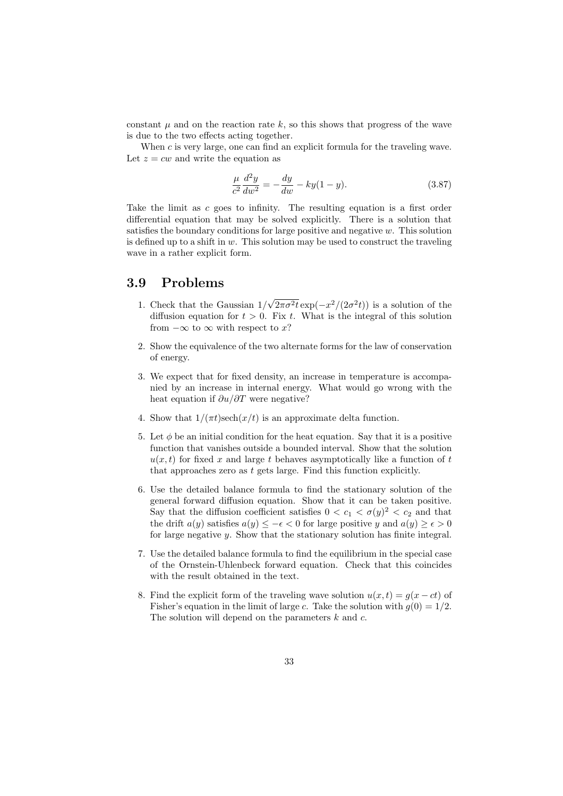constant  $\mu$  and on the reaction rate k, so this shows that progress of the wave is due to the two effects acting together.

When  $c$  is very large, one can find an explicit formula for the traveling wave. Let  $z = cw$  and write the equation as

$$
\frac{\mu}{c^2} \frac{d^2 y}{dw^2} = -\frac{dy}{dw} - ky(1-y).
$$
\n(3.87)

Take the limit as c goes to infinity. The resulting equation is a first order differential equation that may be solved explicitly. There is a solution that satisfies the boundary conditions for large positive and negative  $w$ . This solution is defined up to a shift in  $w$ . This solution may be used to construct the traveling wave in a rather explicit form.

## 3.9 Problems

- 1. Check that the Gaussian 1/ √  $\sqrt{2\pi\sigma^2t} \exp(-x^2/(2\sigma^2t))$  is a solution of the diffusion equation for  $t > 0$ . Fix t. What is the integral of this solution from  $-\infty$  to  $\infty$  with respect to x?
- 2. Show the equivalence of the two alternate forms for the law of conservation of energy.
- 3. We expect that for fixed density, an increase in temperature is accompanied by an increase in internal energy. What would go wrong with the heat equation if  $\partial u/\partial T$  were negative?
- 4. Show that  $1/(\pi t)$ sech $(x/t)$  is an approximate delta function.
- 5. Let  $\phi$  be an initial condition for the heat equation. Say that it is a positive function that vanishes outside a bounded interval. Show that the solution  $u(x, t)$  for fixed x and large t behaves asymptotically like a function of t that approaches zero as  $t$  gets large. Find this function explicitly.
- 6. Use the detailed balance formula to find the stationary solution of the general forward diffusion equation. Show that it can be taken positive. Say that the diffusion coefficient satisfies  $0 < c_1 < \sigma(y)^2 < c_2$  and that the drift  $a(y)$  satisfies  $a(y) \leq -\epsilon < 0$  for large positive y and  $a(y) \geq \epsilon > 0$ for large negative y. Show that the stationary solution has finite integral.
- 7. Use the detailed balance formula to find the equilibrium in the special case of the Ornstein-Uhlenbeck forward equation. Check that this coincides with the result obtained in the text.
- 8. Find the explicit form of the traveling wave solution  $u(x,t) = g(x-ct)$  of Fisher's equation in the limit of large c. Take the solution with  $q(0) = 1/2$ . The solution will depend on the parameters  $k$  and  $c$ .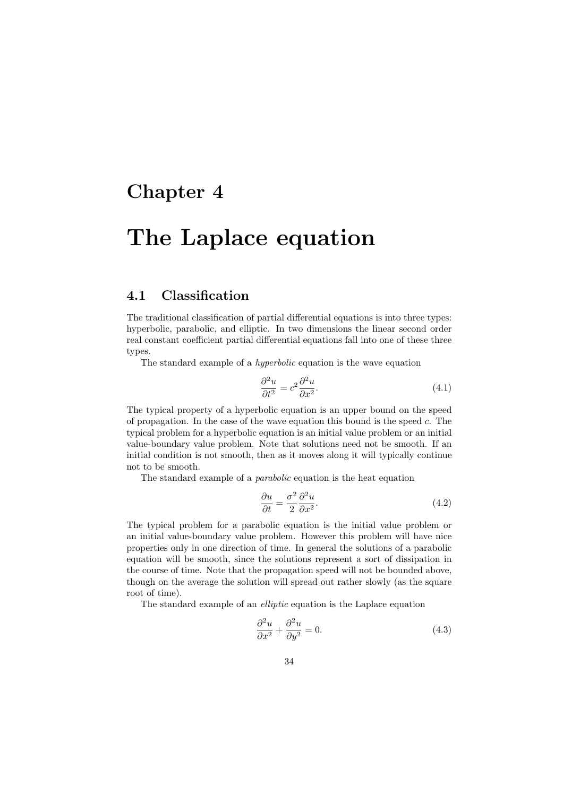# Chapter 4

# The Laplace equation

### 4.1 Classification

The traditional classification of partial differential equations is into three types: hyperbolic, parabolic, and elliptic. In two dimensions the linear second order real constant coefficient partial differential equations fall into one of these three types.

The standard example of a hyperbolic equation is the wave equation

$$
\frac{\partial^2 u}{\partial t^2} = c^2 \frac{\partial^2 u}{\partial x^2}.
$$
\n(4.1)

The typical property of a hyperbolic equation is an upper bound on the speed of propagation. In the case of the wave equation this bound is the speed  $c$ . The typical problem for a hyperbolic equation is an initial value problem or an initial value-boundary value problem. Note that solutions need not be smooth. If an initial condition is not smooth, then as it moves along it will typically continue not to be smooth.

The standard example of a parabolic equation is the heat equation

$$
\frac{\partial u}{\partial t} = \frac{\sigma^2}{2} \frac{\partial^2 u}{\partial x^2}.
$$
\n(4.2)

The typical problem for a parabolic equation is the initial value problem or an initial value-boundary value problem. However this problem will have nice properties only in one direction of time. In general the solutions of a parabolic equation will be smooth, since the solutions represent a sort of dissipation in the course of time. Note that the propagation speed will not be bounded above, though on the average the solution will spread out rather slowly (as the square root of time).

The standard example of an *elliptic* equation is the Laplace equation

$$
\frac{\partial^2 u}{\partial x^2} + \frac{\partial^2 u}{\partial y^2} = 0.
$$
\n(4.3)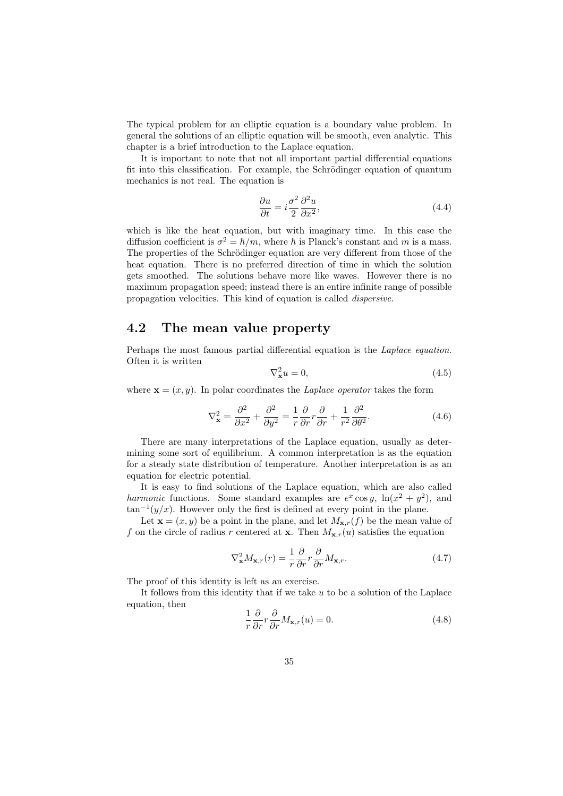The typical problem for an elliptic equation is a boundary value problem. In general the solutions of an elliptic equation will be smooth, even analytic. This chapter is a brief introduction to the Laplace equation.

It is important to note that not all important partial differential equations fit into this classification. For example, the Schrödinger equation of quantum mechanics is not real. The equation is

$$
\frac{\partial u}{\partial t} = i \frac{\sigma^2}{2} \frac{\partial^2 u}{\partial x^2},\tag{4.4}
$$

which is like the heat equation, but with imaginary time. In this case the diffusion coefficient is  $\sigma^2 = \hbar/m$ , where  $\hbar$  is Planck's constant and m is a mass. The properties of the Schrödinger equation are very different from those of the heat equation. There is no preferred direction of time in which the solution gets smoothed. The solutions behave more like waves. However there is no maximum propagation speed; instead there is an entire infinite range of possible propagation velocities. This kind of equation is called dispersive.

## 4.2 The mean value property

Perhaps the most famous partial differential equation is the Laplace equation. Often it is written

$$
\nabla_{\mathbf{x}}^2 u = 0,\tag{4.5}
$$

where  $\mathbf{x} = (x, y)$ . In polar coordinates the Laplace operator takes the form

$$
\nabla_{\mathbf{x}}^2 = \frac{\partial^2}{\partial x^2} + \frac{\partial^2}{\partial y^2} = \frac{1}{r} \frac{\partial}{\partial r} r \frac{\partial}{\partial r} + \frac{1}{r^2} \frac{\partial^2}{\partial \theta^2}.
$$
 (4.6)

There are many interpretations of the Laplace equation, usually as determining some sort of equilibrium. A common interpretation is as the equation for a steady state distribution of temperature. Another interpretation is as an equation for electric potential.

It is easy to find solutions of the Laplace equation, which are also called harmonic functions. Some standard examples are  $e^x \cos y$ ,  $\ln(x^2 + y^2)$ , and  $\tan^{-1}(y/x)$ . However only the first is defined at every point in the plane.

Let  $\mathbf{x} = (x, y)$  be a point in the plane, and let  $M_{\mathbf{x},r}(f)$  be the mean value of f on the circle of radius r centered at **x**. Then  $M_{\mathbf{x},r}(u)$  satisfies the equation

$$
\nabla_{\mathbf{x}}^2 M_{\mathbf{x},r}(r) = \frac{1}{r} \frac{\partial}{\partial r} r \frac{\partial}{\partial r} M_{\mathbf{x},r}.
$$
 (4.7)

The proof of this identity is left as an exercise.

It follows from this identity that if we take  $u$  to be a solution of the Laplace equation, then

$$
\frac{1}{r}\frac{\partial}{\partial r}r\frac{\partial}{\partial r}M_{\mathbf{x},r}(u) = 0.
$$
\n(4.8)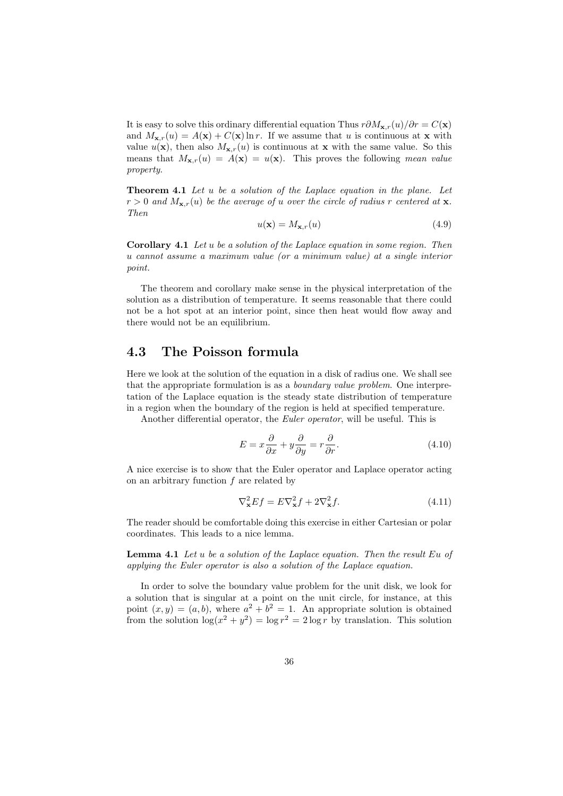It is easy to solve this ordinary differential equation Thus  $r \partial M_{\mathbf{x},r}(u)/\partial r = C(\mathbf{x})$ and  $M_{\mathbf{x},r}(u) = A(\mathbf{x}) + C(\mathbf{x}) \ln r$ . If we assume that u is continuous at x with value  $u(\mathbf{x})$ , then also  $M_{\mathbf{x},r}(u)$  is continuous at **x** with the same value. So this means that  $M_{\mathbf{x},r}(u) = A(\mathbf{x}) = u(\mathbf{x})$ . This proves the following mean value property.

Theorem 4.1 Let u be a solution of the Laplace equation in the plane. Let  $r > 0$  and  $M_{\mathbf{x},r}(u)$  be the average of u over the circle of radius r centered at  $\mathbf{x}$ . Then

$$
u(\mathbf{x}) = M_{\mathbf{x},r}(u) \tag{4.9}
$$

Corollary 4.1 Let u be a solution of the Laplace equation in some region. Then u cannot assume a maximum value (or a minimum value) at a single interior point.

The theorem and corollary make sense in the physical interpretation of the solution as a distribution of temperature. It seems reasonable that there could not be a hot spot at an interior point, since then heat would flow away and there would not be an equilibrium.

### 4.3 The Poisson formula

Here we look at the solution of the equation in a disk of radius one. We shall see that the appropriate formulation is as a boundary value problem. One interpretation of the Laplace equation is the steady state distribution of temperature in a region when the boundary of the region is held at specified temperature.

Another differential operator, the Euler operator, will be useful. This is

$$
E = x\frac{\partial}{\partial x} + y\frac{\partial}{\partial y} = r\frac{\partial}{\partial r}.
$$
\n(4.10)

A nice exercise is to show that the Euler operator and Laplace operator acting on an arbitrary function  $f$  are related by

$$
\nabla_{\mathbf{x}}^2 Ef = E \nabla_{\mathbf{x}}^2 f + 2 \nabla_{\mathbf{x}}^2 f. \tag{4.11}
$$

The reader should be comfortable doing this exercise in either Cartesian or polar coordinates. This leads to a nice lemma.

**Lemma 4.1** Let u be a solution of the Laplace equation. Then the result Eu of applying the Euler operator is also a solution of the Laplace equation.

In order to solve the boundary value problem for the unit disk, we look for a solution that is singular at a point on the unit circle, for instance, at this point  $(x, y) = (a, b)$ , where  $a^2 + b^2 = 1$ . An appropriate solution is obtained from the solution  $\log(x^2 + y^2) = \log r^2 = 2 \log r$  by translation. This solution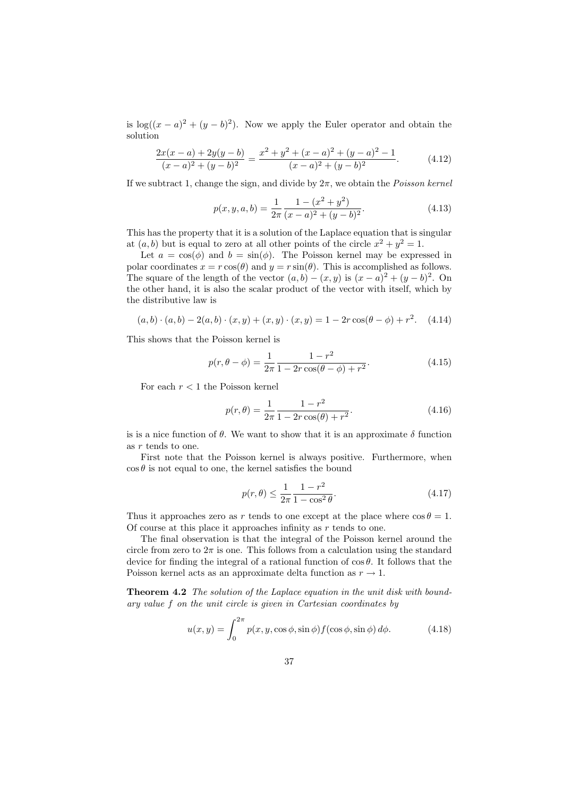is  $\log((x-a)^2 + (y-b)^2)$ . Now we apply the Euler operator and obtain the solution

$$
\frac{2x(x-a)+2y(y-b)}{(x-a)^2+(y-b)^2} = \frac{x^2+y^2+(x-a)^2+(y-a)^2-1}{(x-a)^2+(y-b)^2}.
$$
 (4.12)

If we subtract 1, change the sign, and divide by  $2\pi$ , we obtain the *Poisson kernel* 

$$
p(x, y, a, b) = \frac{1}{2\pi} \frac{1 - (x^2 + y^2)}{(x - a)^2 + (y - b)^2}.
$$
\n(4.13)

This has the property that it is a solution of the Laplace equation that is singular at  $(a, b)$  but is equal to zero at all other points of the circle  $x^2 + y^2 = 1$ .

Let  $a = \cos(\phi)$  and  $b = \sin(\phi)$ . The Poisson kernel may be expressed in polar coordinates  $x = r \cos(\theta)$  and  $y = r \sin(\theta)$ . This is accomplished as follows. The square of the length of the vector  $(a, b) - (x, y)$  is  $(x - a)^2 + (y - b)^2$ . On the other hand, it is also the scalar product of the vector with itself, which by the distributive law is

$$
(a,b)\cdot (a,b) - 2(a,b)\cdot (x,y) + (x,y)\cdot (x,y) = 1 - 2r\cos(\theta - \phi) + r^2. \tag{4.14}
$$

This shows that the Poisson kernel is

$$
p(r, \theta - \phi) = \frac{1}{2\pi} \frac{1 - r^2}{1 - 2r\cos(\theta - \phi) + r^2}.
$$
\n(4.15)

For each  $r < 1$  the Poisson kernel

$$
p(r,\theta) = \frac{1}{2\pi} \frac{1 - r^2}{1 - 2r\cos(\theta) + r^2}.
$$
\n(4.16)

is is a nice function of  $\theta$ . We want to show that it is an approximate  $\delta$  function as r tends to one.

First note that the Poisson kernel is always positive. Furthermore, when  $\cos \theta$  is not equal to one, the kernel satisfies the bound

$$
p(r,\theta) \le \frac{1}{2\pi} \frac{1 - r^2}{1 - \cos^2 \theta}.
$$
 (4.17)

Thus it approaches zero as r tends to one except at the place where  $\cos \theta = 1$ . Of course at this place it approaches infinity as  $r$  tends to one.

The final observation is that the integral of the Poisson kernel around the circle from zero to  $2\pi$  is one. This follows from a calculation using the standard device for finding the integral of a rational function of  $\cos \theta$ . It follows that the Poisson kernel acts as an approximate delta function as  $r \to 1$ .

Theorem 4.2 The solution of the Laplace equation in the unit disk with boundary value f on the unit circle is given in Cartesian coordinates by

$$
u(x,y) = \int_0^{2\pi} p(x,y,\cos\phi,\sin\phi) f(\cos\phi,\sin\phi) d\phi.
$$
 (4.18)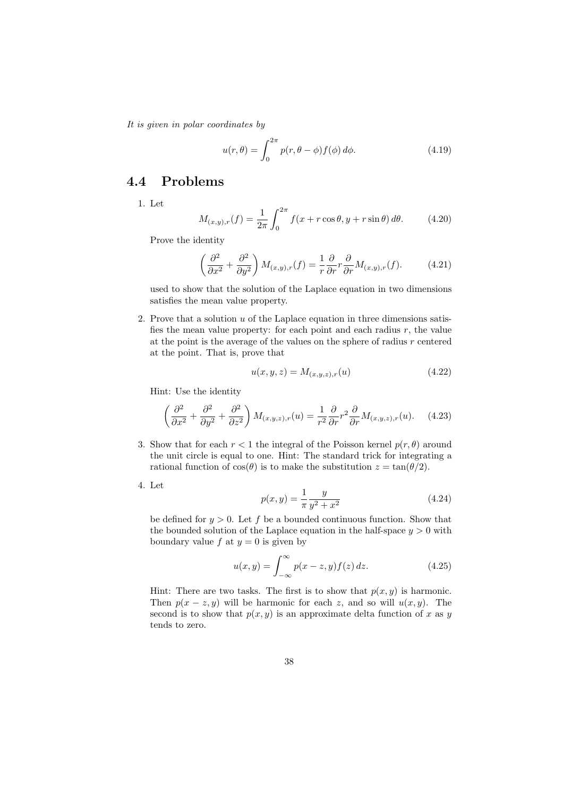It is given in polar coordinates by

$$
u(r,\theta) = \int_0^{2\pi} p(r,\theta - \phi) f(\phi) d\phi.
$$
 (4.19)

## 4.4 Problems

1. Let

$$
M_{(x,y),r}(f) = \frac{1}{2\pi} \int_0^{2\pi} f(x + r\cos\theta, y + r\sin\theta) \, d\theta. \tag{4.20}
$$

Prove the identity

$$
\left(\frac{\partial^2}{\partial x^2} + \frac{\partial^2}{\partial y^2}\right) M_{(x,y),r}(f) = \frac{1}{r} \frac{\partial}{\partial r} r \frac{\partial}{\partial r} M_{(x,y),r}(f). \tag{4.21}
$$

used to show that the solution of the Laplace equation in two dimensions satisfies the mean value property.

2. Prove that a solution  $u$  of the Laplace equation in three dimensions satisfies the mean value property: for each point and each radius  $r$ , the value at the point is the average of the values on the sphere of radius  $r$  centered at the point. That is, prove that

$$
u(x, y, z) = M_{(x, y, z), r}(u)
$$
\n(4.22)

Hint: Use the identity

$$
\left(\frac{\partial^2}{\partial x^2} + \frac{\partial^2}{\partial y^2} + \frac{\partial^2}{\partial z^2}\right) M_{(x,y,z),r}(u) = \frac{1}{r^2} \frac{\partial}{\partial r} r^2 \frac{\partial}{\partial r} M_{(x,y,z),r}(u). \tag{4.23}
$$

- 3. Show that for each  $r < 1$  the integral of the Poisson kernel  $p(r, \theta)$  around the unit circle is equal to one. Hint: The standard trick for integrating a rational function of  $cos(\theta)$  is to make the substitution  $z = tan(\theta/2)$ .
- 4. Let

$$
p(x,y) = \frac{1}{\pi} \frac{y}{y^2 + x^2}
$$
\n(4.24)

be defined for  $y > 0$ . Let f be a bounded continuous function. Show that the bounded solution of the Laplace equation in the half-space  $y > 0$  with boundary value  $f$  at  $y = 0$  is given by

$$
u(x,y) = \int_{-\infty}^{\infty} p(x-z,y)f(z) dz.
$$
 (4.25)

Hint: There are two tasks. The first is to show that  $p(x, y)$  is harmonic. Then  $p(x - z, y)$  will be harmonic for each z, and so will  $u(x, y)$ . The second is to show that  $p(x, y)$  is an approximate delta function of x as y tends to zero.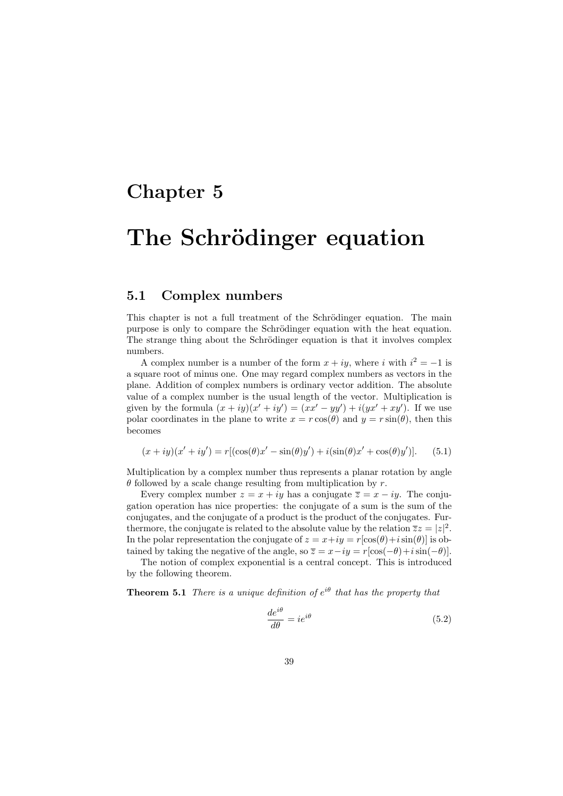## Chapter 5

# The Schrödinger equation

#### 5.1 Complex numbers

This chapter is not a full treatment of the Schrödinger equation. The main purpose is only to compare the Schrödinger equation with the heat equation. The strange thing about the Schrödinger equation is that it involves complex numbers.

A complex number is a number of the form  $x + iy$ , where i with  $i^2 = -1$  is a square root of minus one. One may regard complex numbers as vectors in the plane. Addition of complex numbers is ordinary vector addition. The absolute value of a complex number is the usual length of the vector. Multiplication is given by the formula  $(x + iy)(x' + iy') = (xx' - yy') + i(yx' + xy')$ . If we use polar coordinates in the plane to write  $x = r \cos(\theta)$  and  $y = r \sin(\theta)$ , then this becomes

$$
(x+iy)(x'+iy') = r[(\cos(\theta)x' - \sin(\theta)y') + i(\sin(\theta)x' + \cos(\theta)y')].
$$
 (5.1)

Multiplication by a complex number thus represents a planar rotation by angle  $\theta$  followed by a scale change resulting from multiplication by r.

Every complex number  $z = x + iy$  has a conjugate  $\overline{z} = x - iy$ . The conjugation operation has nice properties: the conjugate of a sum is the sum of the conjugates, and the conjugate of a product is the product of the conjugates. Furthermore, the conjugate is related to the absolute value by the relation  $\overline{z}z = |z|^2$ . In the polar representation the conjugate of  $z = x+iy = r[\cos(\theta) + i\sin(\theta)]$  is obtained by taking the negative of the angle, so  $\overline{z} = x - iy = r[\cos(-\theta) + i\sin(-\theta)].$ 

The notion of complex exponential is a central concept. This is introduced by the following theorem.

**Theorem 5.1** There is a unique definition of  $e^{i\theta}$  that has the property that

$$
\frac{de^{i\theta}}{d\theta} = ie^{i\theta} \tag{5.2}
$$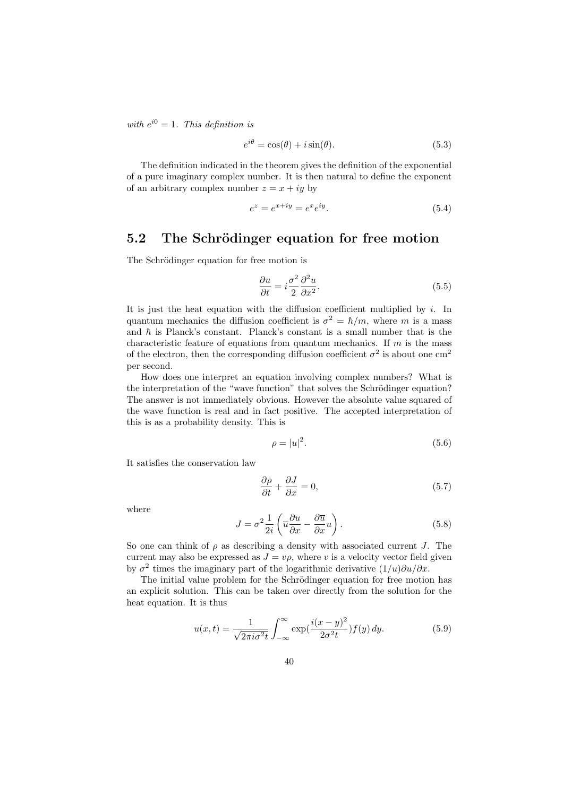with  $e^{i0} = 1$ . This definition is

$$
e^{i\theta} = \cos(\theta) + i\sin(\theta). \tag{5.3}
$$

The definition indicated in the theorem gives the definition of the exponential of a pure imaginary complex number. It is then natural to define the exponent of an arbitrary complex number  $z = x + iy$  by

$$
e^z = e^{x+iy} = e^x e^{iy}.\tag{5.4}
$$

#### 5.2 The Schrödinger equation for free motion

The Schrödinger equation for free motion is

$$
\frac{\partial u}{\partial t} = i \frac{\sigma^2}{2} \frac{\partial^2 u}{\partial x^2}.
$$
\n(5.5)

It is just the heat equation with the diffusion coefficient multiplied by  $i$ . In quantum mechanics the diffusion coefficient is  $\sigma^2 = \hbar/m$ , where m is a mass and  $\hbar$  is Planck's constant. Planck's constant is a small number that is the characteristic feature of equations from quantum mechanics. If  $m$  is the mass of the electron, then the corresponding diffusion coefficient  $\sigma^2$  is about one cm<sup>2</sup> per second.

How does one interpret an equation involving complex numbers? What is the interpretation of the "wave function" that solves the Schrödinger equation? The answer is not immediately obvious. However the absolute value squared of the wave function is real and in fact positive. The accepted interpretation of this is as a probability density. This is

$$
\rho = |u|^2. \tag{5.6}
$$

It satisfies the conservation law

$$
\frac{\partial \rho}{\partial t} + \frac{\partial J}{\partial x} = 0,\t\t(5.7)
$$

where

$$
J = \sigma^2 \frac{1}{2i} \left( \overline{u} \frac{\partial u}{\partial x} - \frac{\partial \overline{u}}{\partial x} u \right).
$$
 (5.8)

So one can think of  $\rho$  as describing a density with associated current J. The current may also be expressed as  $J = v\rho$ , where v is a velocity vector field given by  $\sigma^2$  times the imaginary part of the logarithmic derivative  $(1/u)\partial u/\partial x$ .

The initial value problem for the Schrödinger equation for free motion has an explicit solution. This can be taken over directly from the solution for the heat equation. It is thus

$$
u(x,t) = \frac{1}{\sqrt{2\pi i \sigma^2 t}} \int_{-\infty}^{\infty} \exp(\frac{i(x-y)^2}{2\sigma^2 t}) f(y) dy.
$$
 (5.9)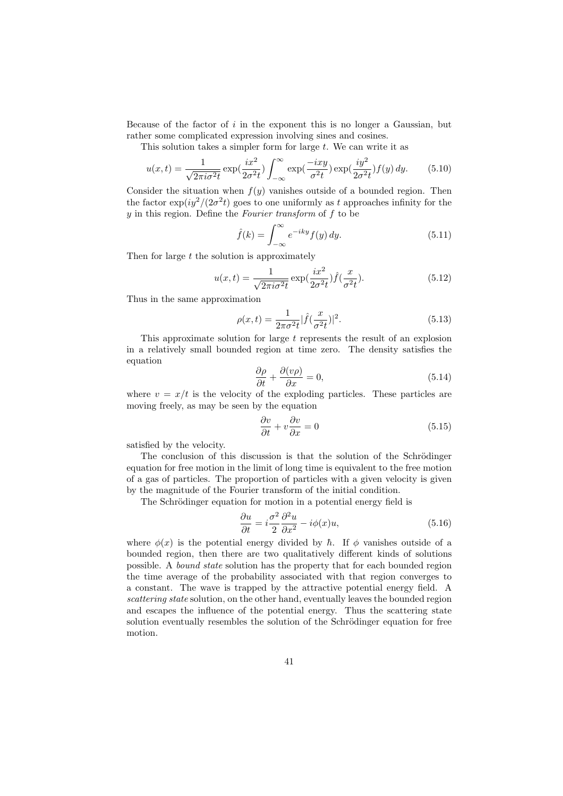Because of the factor of  $i$  in the exponent this is no longer a Gaussian, but rather some complicated expression involving sines and cosines.

This solution takes a simpler form for large t. We can write it as

$$
u(x,t) = \frac{1}{\sqrt{2\pi i \sigma^2 t}} \exp\left(\frac{ix^2}{2\sigma^2 t}\right) \int_{-\infty}^{\infty} \exp\left(\frac{-ixy}{\sigma^2 t}\right) \exp\left(\frac{iy^2}{2\sigma^2 t}\right) f(y) \, dy. \tag{5.10}
$$

Consider the situation when  $f(y)$  vanishes outside of a bounded region. Then the factor  $\exp(iy^2/(2\sigma^2 t))$  goes to one uniformly as t approaches infinity for the  $y$  in this region. Define the Fourier transform of  $f$  to be

$$
\hat{f}(k) = \int_{-\infty}^{\infty} e^{-iky} f(y) dy.
$$
\n(5.11)

Then for large  $t$  the solution is approximately

$$
u(x,t) = \frac{1}{\sqrt{2\pi i \sigma^2 t}} \exp(\frac{ix^2}{2\sigma^2 t}) \hat{f}(\frac{x}{\sigma^2 t}).
$$
\n(5.12)

Thus in the same approximation

$$
\rho(x,t) = \frac{1}{2\pi\sigma^2 t} |\hat{f}(\frac{x}{\sigma^2 t})|^2.
$$
\n(5.13)

This approximate solution for large  $t$  represents the result of an explosion in a relatively small bounded region at time zero. The density satisfies the equation

$$
\frac{\partial \rho}{\partial t} + \frac{\partial (v\rho)}{\partial x} = 0, \tag{5.14}
$$

where  $v = x/t$  is the velocity of the exploding particles. These particles are moving freely, as may be seen by the equation

$$
\frac{\partial v}{\partial t} + v \frac{\partial v}{\partial x} = 0 \tag{5.15}
$$

satisfied by the velocity.

The conclusion of this discussion is that the solution of the Schrödinger equation for free motion in the limit of long time is equivalent to the free motion of a gas of particles. The proportion of particles with a given velocity is given by the magnitude of the Fourier transform of the initial condition.

The Schrödinger equation for motion in a potential energy field is

$$
\frac{\partial u}{\partial t} = i \frac{\sigma^2}{2} \frac{\partial^2 u}{\partial x^2} - i \phi(x) u,\tag{5.16}
$$

where  $\phi(x)$  is the potential energy divided by  $\hbar$ . If  $\phi$  vanishes outside of a bounded region, then there are two qualitatively different kinds of solutions possible. A bound state solution has the property that for each bounded region the time average of the probability associated with that region converges to a constant. The wave is trapped by the attractive potential energy field. A scattering state solution, on the other hand, eventually leaves the bounded region and escapes the influence of the potential energy. Thus the scattering state solution eventually resembles the solution of the Schrödinger equation for free motion.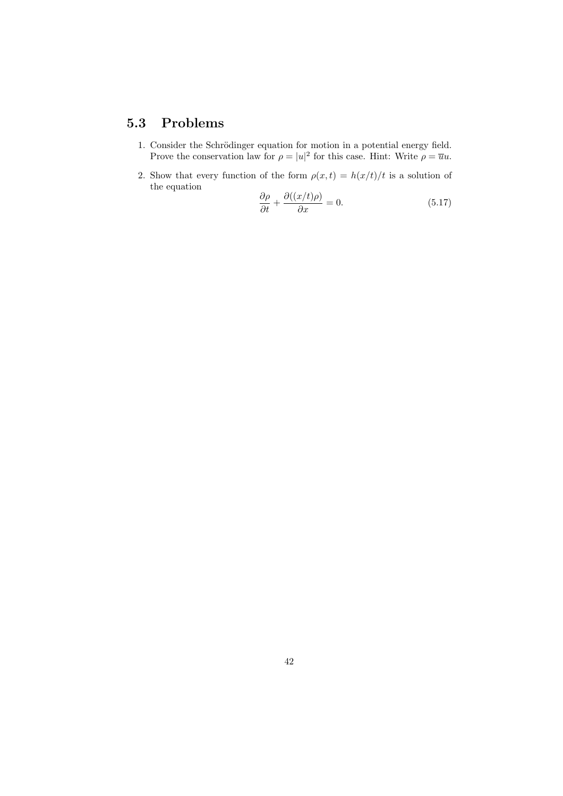## 5.3 Problems

- 1. Consider the Schrödinger equation for motion in a potential energy field. Prove the conservation law for  $\rho = |u|^2$  for this case. Hint: Write  $\rho = \overline{u}u$ .
- 2. Show that every function of the form  $\rho(x,t) = h(x/t)/t$  is a solution of the equation

$$
\frac{\partial \rho}{\partial t} + \frac{\partial ((x/t)\rho)}{\partial x} = 0.
$$
\n(5.17)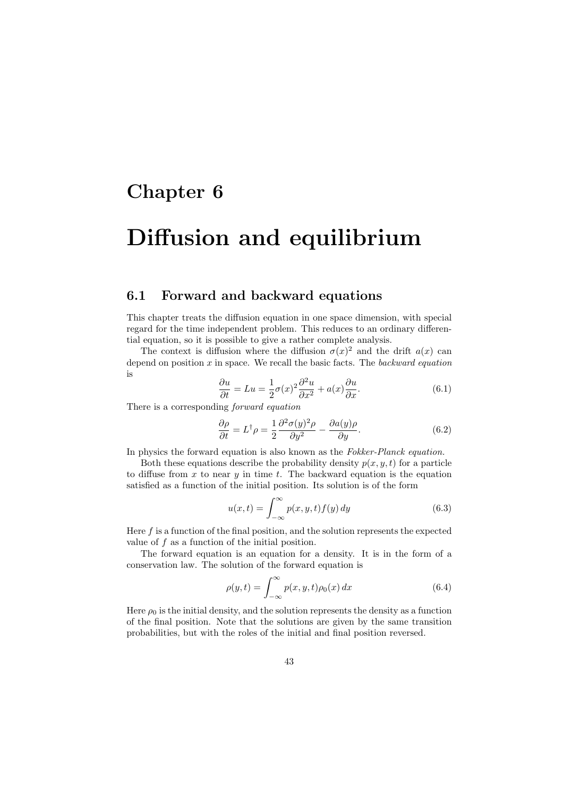## Chapter 6

# Diffusion and equilibrium

#### 6.1 Forward and backward equations

This chapter treats the diffusion equation in one space dimension, with special regard for the time independent problem. This reduces to an ordinary differential equation, so it is possible to give a rather complete analysis.

The context is diffusion where the diffusion  $\sigma(x)^2$  and the drift  $a(x)$  can depend on position  $x$  in space. We recall the basic facts. The backward equation is

$$
\frac{\partial u}{\partial t} = Lu = \frac{1}{2}\sigma(x)^2 \frac{\partial^2 u}{\partial x^2} + a(x)\frac{\partial u}{\partial x}.
$$
\n(6.1)

There is a corresponding forward equation

$$
\frac{\partial \rho}{\partial t} = L^{\dagger} \rho = \frac{1}{2} \frac{\partial^2 \sigma(y)^2 \rho}{\partial y^2} - \frac{\partial a(y) \rho}{\partial y}.
$$
 (6.2)

In physics the forward equation is also known as the Fokker-Planck equation.

Both these equations describe the probability density  $p(x, y, t)$  for a particle to diffuse from x to near y in time t. The backward equation is the equation satisfied as a function of the initial position. Its solution is of the form

$$
u(x,t) = \int_{-\infty}^{\infty} p(x,y,t) f(y) dy
$$
 (6.3)

Here  $f$  is a function of the final position, and the solution represents the expected value of  $f$  as a function of the initial position.

The forward equation is an equation for a density. It is in the form of a conservation law. The solution of the forward equation is

$$
\rho(y,t) = \int_{-\infty}^{\infty} p(x,y,t)\rho_0(x) dx
$$
\n(6.4)

Here  $\rho_0$  is the initial density, and the solution represents the density as a function of the final position. Note that the solutions are given by the same transition probabilities, but with the roles of the initial and final position reversed.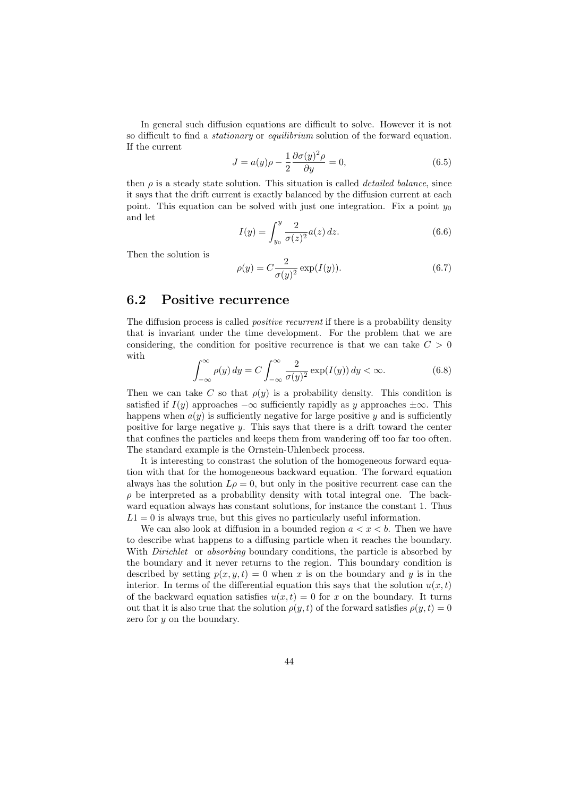In general such diffusion equations are difficult to solve. However it is not so difficult to find a *stationary* or *equilibrium* solution of the forward equation. If the current

$$
J = a(y)\rho - \frac{1}{2}\frac{\partial \sigma(y)^2 \rho}{\partial y} = 0,
$$
\n(6.5)

then  $\rho$  is a steady state solution. This situation is called *detailed balance*, since it says that the drift current is exactly balanced by the diffusion current at each point. This equation can be solved with just one integration. Fix a point  $y_0$ and let

$$
I(y) = \int_{y_0}^{y} \frac{2}{\sigma(z)^2} a(z) dz.
$$
 (6.6)

Then the solution is

$$
\rho(y) = C \frac{2}{\sigma(y)^2} \exp(I(y)).\tag{6.7}
$$

#### 6.2 Positive recurrence

The diffusion process is called *positive recurrent* if there is a probability density that is invariant under the time development. For the problem that we are considering, the condition for positive recurrence is that we can take  $C > 0$ with  $r^{\infty}$  $\overline{r}$ 

$$
\int_{-\infty}^{\infty} \rho(y) \, dy = C \int_{-\infty}^{\infty} \frac{2}{\sigma(y)^2} \exp(I(y)) \, dy < \infty. \tag{6.8}
$$

Then we can take C so that  $\rho(y)$  is a probability density. This condition is satisfied if  $I(y)$  approaches  $-\infty$  sufficiently rapidly as y approaches  $\pm \infty$ . This happens when  $a(y)$  is sufficiently negative for large positive y and is sufficiently positive for large negative  $y$ . This says that there is a drift toward the center that confines the particles and keeps them from wandering off too far too often. The standard example is the Ornstein-Uhlenbeck process.

It is interesting to constrast the solution of the homogeneous forward equation with that for the homogeneous backward equation. The forward equation always has the solution  $L\rho = 0$ , but only in the positive recurrent case can the  $\rho$  be interpreted as a probability density with total integral one. The backward equation always has constant solutions, for instance the constant 1. Thus  $L1 = 0$  is always true, but this gives no particularly useful information.

We can also look at diffusion in a bounded region  $a < x < b$ . Then we have to describe what happens to a diffusing particle when it reaches the boundary. With *Dirichlet* or *absorbing* boundary conditions, the particle is absorbed by the boundary and it never returns to the region. This boundary condition is described by setting  $p(x, y, t) = 0$  when x is on the boundary and y is in the interior. In terms of the differential equation this says that the solution  $u(x, t)$ of the backward equation satisfies  $u(x, t) = 0$  for x on the boundary. It turns out that it is also true that the solution  $\rho(y, t)$  of the forward satisfies  $\rho(y, t) = 0$ zero for y on the boundary.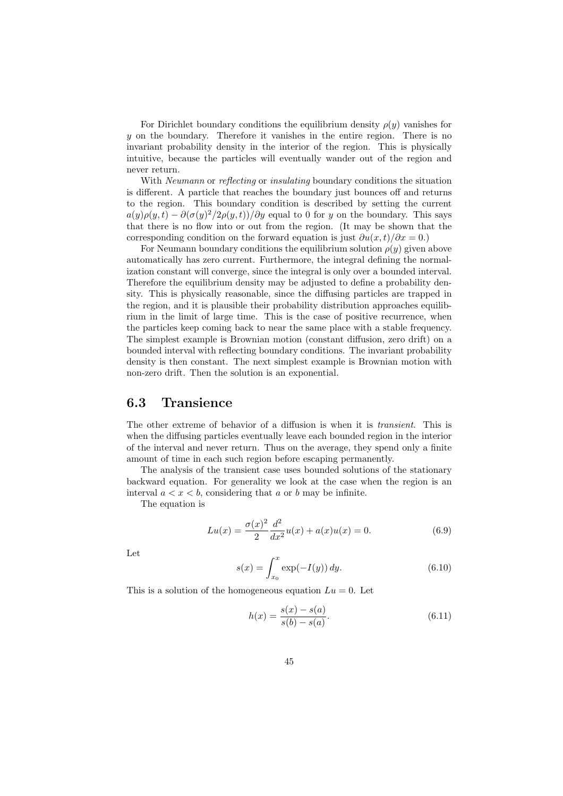For Dirichlet boundary conditions the equilibrium density  $\rho(y)$  vanishes for  $y$  on the boundary. Therefore it vanishes in the entire region. There is no invariant probability density in the interior of the region. This is physically intuitive, because the particles will eventually wander out of the region and never return.

With Neumann or reflecting or insulating boundary conditions the situation is different. A particle that reaches the boundary just bounces off and returns to the region. This boundary condition is described by setting the current  $a(y)\rho(y,t) - \partial(\sigma(y)^2/2\rho(y,t))/\partial y$  equal to 0 for y on the boundary. This says that there is no flow into or out from the region. (It may be shown that the corresponding condition on the forward equation is just  $\partial u(x, t)/\partial x = 0$ .)

For Neumann boundary conditions the equilibrium solution  $\rho(y)$  given above automatically has zero current. Furthermore, the integral defining the normalization constant will converge, since the integral is only over a bounded interval. Therefore the equilibrium density may be adjusted to define a probability density. This is physically reasonable, since the diffusing particles are trapped in the region, and it is plausible their probability distribution approaches equilibrium in the limit of large time. This is the case of positive recurrence, when the particles keep coming back to near the same place with a stable frequency. The simplest example is Brownian motion (constant diffusion, zero drift) on a bounded interval with reflecting boundary conditions. The invariant probability density is then constant. The next simplest example is Brownian motion with non-zero drift. Then the solution is an exponential.

#### 6.3 Transience

The other extreme of behavior of a diffusion is when it is transient. This is when the diffusing particles eventually leave each bounded region in the interior of the interval and never return. Thus on the average, they spend only a finite amount of time in each such region before escaping permanently.

The analysis of the transient case uses bounded solutions of the stationary backward equation. For generality we look at the case when the region is an interval  $a < x < b$ , considering that a or b may be infinite.

The equation is

$$
Lu(x) = \frac{\sigma(x)^2}{2} \frac{d^2}{dx^2} u(x) + a(x)u(x) = 0.
$$
 (6.9)

Let

$$
s(x) = \int_{x_0}^{x} \exp(-I(y)) \, dy. \tag{6.10}
$$

This is a solution of the homogeneous equation  $Lu = 0$ . Let

$$
h(x) = \frac{s(x) - s(a)}{s(b) - s(a)}.
$$
\n(6.11)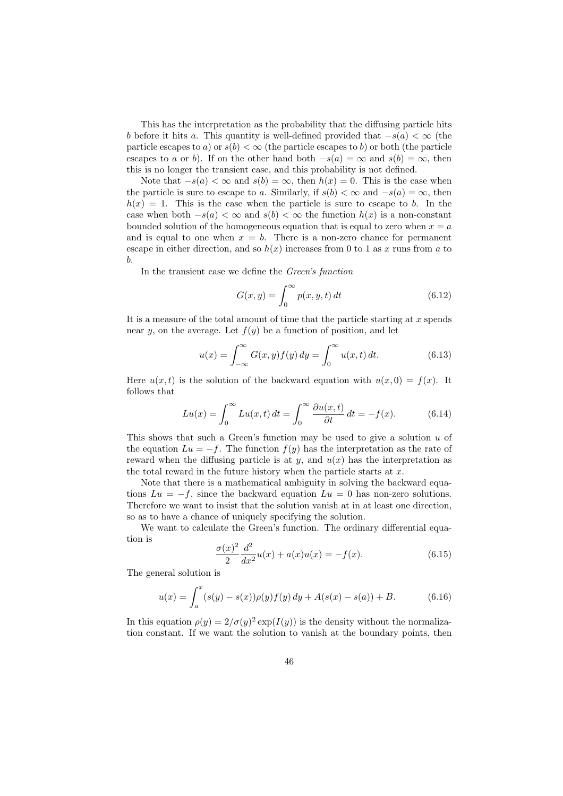This has the interpretation as the probability that the diffusing particle hits b before it hits a. This quantity is well-defined provided that  $-s(a) < \infty$  (the particle escapes to a) or  $s(b) < \infty$  (the particle escapes to b) or both (the particle escapes to a or b). If on the other hand both  $-s(a) = \infty$  and  $s(b) = \infty$ , then this is no longer the transient case, and this probability is not defined.

Note that  $-s(a) < \infty$  and  $s(b) = \infty$ , then  $h(x) = 0$ . This is the case when the particle is sure to escape to a. Similarly, if  $s(b) < \infty$  and  $-s(a) = \infty$ , then  $h(x) = 1$ . This is the case when the particle is sure to escape to b. In the case when both  $-s(a) < \infty$  and  $s(b) < \infty$  the function  $h(x)$  is a non-constant bounded solution of the homogeneous equation that is equal to zero when  $x = a$ and is equal to one when  $x = b$ . There is a non-zero chance for permanent escape in either direction, and so  $h(x)$  increases from 0 to 1 as x runs from a to b.

In the transient case we define the Green's function

$$
G(x,y) = \int_0^\infty p(x,y,t) dt
$$
\n(6.12)

It is a measure of the total amount of time that the particle starting at  $x$  spends near y, on the average. Let  $f(y)$  be a function of position, and let

$$
u(x) = \int_{-\infty}^{\infty} G(x, y) f(y) \, dy = \int_{0}^{\infty} u(x, t) \, dt. \tag{6.13}
$$

Here  $u(x, t)$  is the solution of the backward equation with  $u(x, 0) = f(x)$ . It follows that

$$
Lu(x) = \int_0^\infty Lu(x, t) dt = \int_0^\infty \frac{\partial u(x, t)}{\partial t} dt = -f(x). \tag{6.14}
$$

This shows that such a Green's function may be used to give a solution  $u$  of the equation  $Lu = -f$ . The function  $f(y)$  has the interpretation as the rate of reward when the diffusing particle is at y, and  $u(x)$  has the interpretation as the total reward in the future history when the particle starts at  $x$ .

Note that there is a mathematical ambiguity in solving the backward equations  $Lu = -f$ , since the backward equation  $Lu = 0$  has non-zero solutions. Therefore we want to insist that the solution vanish at in at least one direction, so as to have a chance of uniquely specifying the solution.

We want to calculate the Green's function. The ordinary differential equation is

$$
\frac{\sigma(x)^2}{2} \frac{d^2}{dx^2} u(x) + a(x)u(x) = -f(x). \tag{6.15}
$$

The general solution is

$$
u(x) = \int_{a}^{x} (s(y) - s(x)) \rho(y) f(y) dy + A(s(x) - s(a)) + B.
$$
 (6.16)

In this equation  $\rho(y) = 2/\sigma(y)^2 \exp(I(y))$  is the density without the normalization constant. If we want the solution to vanish at the boundary points, then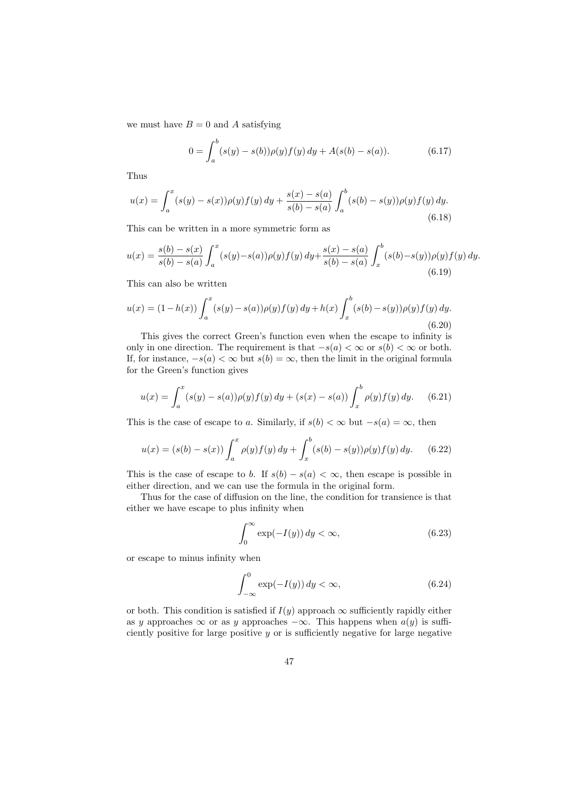we must have  $B = 0$  and A satisfying

$$
0 = \int_{a}^{b} (s(y) - s(b)) \rho(y) f(y) dy + A(s(b) - s(a)).
$$
 (6.17)

Thus

$$
u(x) = \int_{a}^{x} (s(y) - s(x)) \rho(y) f(y) dy + \frac{s(x) - s(a)}{s(b) - s(a)} \int_{a}^{b} (s(b) - s(y)) \rho(y) f(y) dy.
$$
\n(6.18)

This can be written in a more symmetric form as

$$
u(x) = \frac{s(b) - s(x)}{s(b) - s(a)} \int_a^x (s(y) - s(a)) \rho(y) f(y) dy + \frac{s(x) - s(a)}{s(b) - s(a)} \int_x^b (s(b) - s(y)) \rho(y) f(y) dy.
$$
\n(6.19)

This can also be written

$$
u(x) = (1 - h(x)) \int_{a}^{x} (s(y) - s(a)) \rho(y) f(y) dy + h(x) \int_{x}^{b} (s(b) - s(y)) \rho(y) f(y) dy.
$$
\n(6.20)

This gives the correct Green's function even when the escape to infinity is only in one direction. The requirement is that  $-s(a) < \infty$  or  $s(b) < \infty$  or both. If, for instance,  $-s(a) < \infty$  but  $s(b) = \infty$ , then the limit in the original formula for the Green's function gives

$$
u(x) = \int_{a}^{x} (s(y) - s(a)) \rho(y) f(y) dy + (s(x) - s(a)) \int_{x}^{b} \rho(y) f(y) dy.
$$
 (6.21)

This is the case of escape to a. Similarly, if  $s(b) < \infty$  but  $-s(a) = \infty$ , then

$$
u(x) = (s(b) - s(x)) \int_a^x \rho(y) f(y) dy + \int_x^b (s(b) - s(y)) \rho(y) f(y) dy.
$$
 (6.22)

This is the case of escape to b. If  $s(b) - s(a) < \infty$ , then escape is possible in either direction, and we can use the formula in the original form.

Thus for the case of diffusion on the line, the condition for transience is that either we have escape to plus infinity when

$$
\int_0^\infty \exp(-I(y)) \, dy < \infty,\tag{6.23}
$$

or escape to minus infinity when

$$
\int_{-\infty}^{0} \exp(-I(y)) dy < \infty,
$$
\n(6.24)

or both. This condition is satisfied if  $I(y)$  approach  $\infty$  sufficiently rapidly either as y approaches  $\infty$  or as y approaches  $-\infty$ . This happens when  $a(y)$  is sufficiently positive for large positive  $y$  or is sufficiently negative for large negative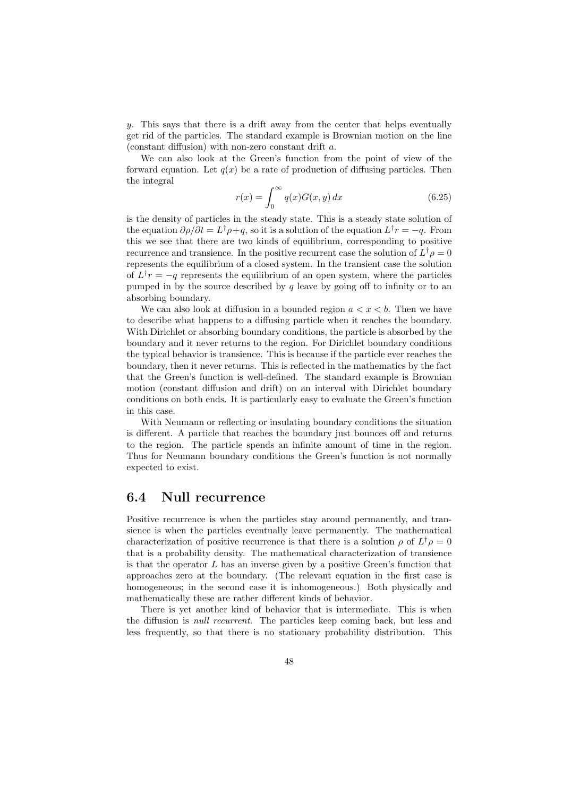$y$ . This says that there is a drift away from the center that helps eventually get rid of the particles. The standard example is Brownian motion on the line (constant diffusion) with non-zero constant drift a.

We can also look at the Green's function from the point of view of the forward equation. Let  $q(x)$  be a rate of production of diffusing particles. Then the integral

$$
r(x) = \int_0^\infty q(x)G(x, y) dx
$$
\n(6.25)

is the density of particles in the steady state. This is a steady state solution of the equation  $\partial \rho / \partial t = L^{\dagger} \rho + q$ , so it is a solution of the equation  $L^{\dagger} r = -q$ . From this we see that there are two kinds of equilibrium, corresponding to positive recurrence and transience. In the positive recurrent case the solution of  $L^{\dagger} \rho = 0$ represents the equilibrium of a closed system. In the transient case the solution of  $L^{\dagger}r = -q$  represents the equilibrium of an open system, where the particles pumped in by the source described by  $q$  leave by going off to infinity or to an absorbing boundary.

We can also look at diffusion in a bounded region  $a < x < b$ . Then we have to describe what happens to a diffusing particle when it reaches the boundary. With Dirichlet or absorbing boundary conditions, the particle is absorbed by the boundary and it never returns to the region. For Dirichlet boundary conditions the typical behavior is transience. This is because if the particle ever reaches the boundary, then it never returns. This is reflected in the mathematics by the fact that the Green's function is well-defined. The standard example is Brownian motion (constant diffusion and drift) on an interval with Dirichlet boundary conditions on both ends. It is particularly easy to evaluate the Green's function in this case.

With Neumann or reflecting or insulating boundary conditions the situation is different. A particle that reaches the boundary just bounces off and returns to the region. The particle spends an infinite amount of time in the region. Thus for Neumann boundary conditions the Green's function is not normally expected to exist.

#### 6.4 Null recurrence

Positive recurrence is when the particles stay around permanently, and transience is when the particles eventually leave permanently. The mathematical characterization of positive recurrence is that there is a solution  $\rho$  of  $L^{\dagger} \rho = 0$ that is a probability density. The mathematical characterization of transience is that the operator  $L$  has an inverse given by a positive Green's function that approaches zero at the boundary. (The relevant equation in the first case is homogeneous; in the second case it is inhomogeneous.) Both physically and mathematically these are rather different kinds of behavior.

There is yet another kind of behavior that is intermediate. This is when the diffusion is null recurrent. The particles keep coming back, but less and less frequently, so that there is no stationary probability distribution. This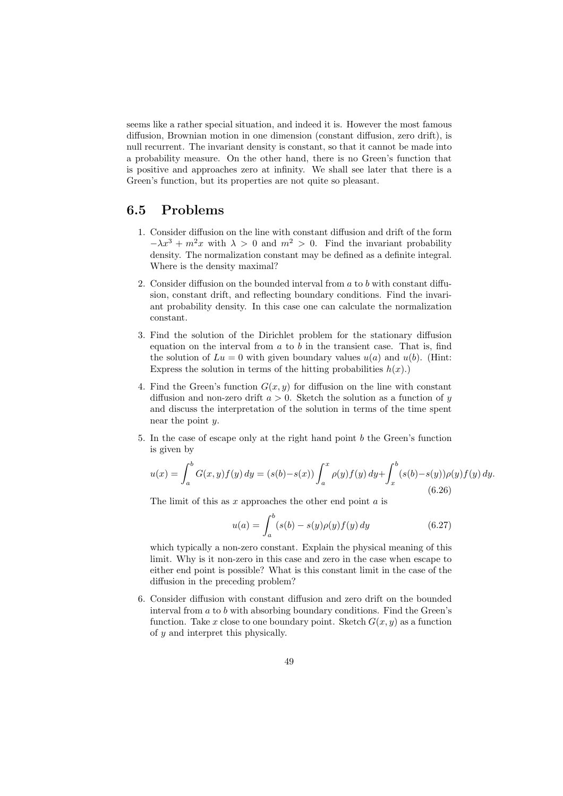seems like a rather special situation, and indeed it is. However the most famous diffusion, Brownian motion in one dimension (constant diffusion, zero drift), is null recurrent. The invariant density is constant, so that it cannot be made into a probability measure. On the other hand, there is no Green's function that is positive and approaches zero at infinity. We shall see later that there is a Green's function, but its properties are not quite so pleasant.

#### 6.5 Problems

- 1. Consider diffusion on the line with constant diffusion and drift of the form  $-\lambda x^3 + m^2x$  with  $\lambda > 0$  and  $m^2 > 0$ . Find the invariant probability density. The normalization constant may be defined as a definite integral. Where is the density maximal?
- 2. Consider diffusion on the bounded interval from a to b with constant diffusion, constant drift, and reflecting boundary conditions. Find the invariant probability density. In this case one can calculate the normalization constant.
- 3. Find the solution of the Dirichlet problem for the stationary diffusion equation on the interval from  $a$  to  $b$  in the transient case. That is, find the solution of  $Lu = 0$  with given boundary values  $u(a)$  and  $u(b)$ . (Hint: Express the solution in terms of the hitting probabilities  $h(x)$ .
- 4. Find the Green's function  $G(x, y)$  for diffusion on the line with constant diffusion and non-zero drift  $a > 0$ . Sketch the solution as a function of y and discuss the interpretation of the solution in terms of the time spent near the point y.
- 5. In the case of escape only at the right hand point  $b$  the Green's function is given by

$$
u(x) = \int_{a}^{b} G(x, y) f(y) dy = (s(b) - s(x)) \int_{a}^{x} \rho(y) f(y) dy + \int_{x}^{b} (s(b) - s(y)) \rho(y) f(y) dy.
$$
\n(6.26)

The limit of this as  $x$  approaches the other end point  $a$  is

$$
u(a) = \int_{a}^{b} (s(b) - s(y)\rho(y)f(y) \, dy \tag{6.27}
$$

which typically a non-zero constant. Explain the physical meaning of this limit. Why is it non-zero in this case and zero in the case when escape to either end point is possible? What is this constant limit in the case of the diffusion in the preceding problem?

6. Consider diffusion with constant diffusion and zero drift on the bounded interval from  $a$  to  $b$  with absorbing boundary conditions. Find the Green's function. Take x close to one boundary point. Sketch  $G(x, y)$  as a function of y and interpret this physically.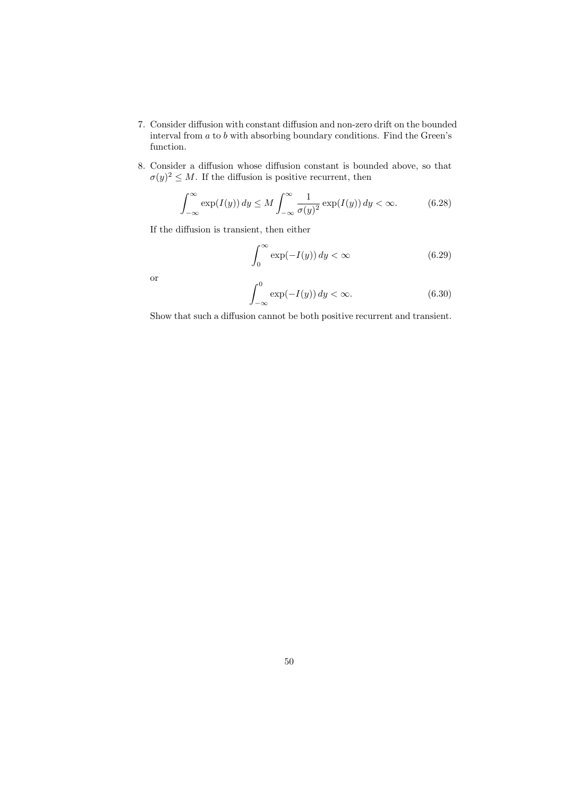- 7. Consider diffusion with constant diffusion and non-zero drift on the bounded interval from  $a$  to  $b$  with absorbing boundary conditions. Find the Green's function.
- 8. Consider a diffusion whose diffusion constant is bounded above, so that  $\sigma(y)^2 \leq M$ . If the diffusion is positive recurrent, then

$$
\int_{-\infty}^{\infty} \exp(I(y)) dy \le M \int_{-\infty}^{\infty} \frac{1}{\sigma(y)^2} \exp(I(y)) dy < \infty.
$$
 (6.28)

If the diffusion is transient, then either

$$
\int_0^\infty \exp(-I(y)) \, dy < \infty \tag{6.29}
$$

or

$$
\int_{-\infty}^{0} \exp(-I(y)) dy < \infty.
$$
 (6.30)

Show that such a diffusion cannot be both positive recurrent and transient.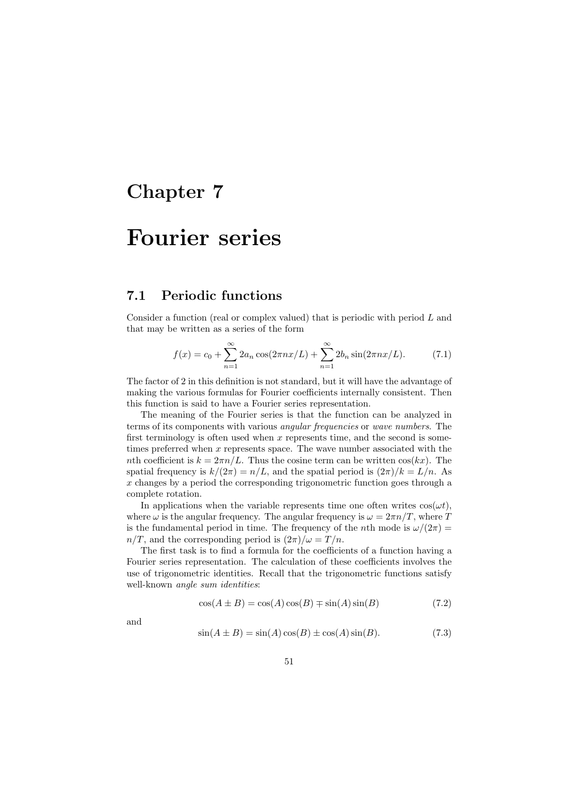## Chapter 7

# Fourier series

## 7.1 Periodic functions

Consider a function (real or complex valued) that is periodic with period L and that may be written as a series of the form

$$
f(x) = c_0 + \sum_{n=1}^{\infty} 2a_n \cos(2\pi nx/L) + \sum_{n=1}^{\infty} 2b_n \sin(2\pi nx/L).
$$
 (7.1)

The factor of 2 in this definition is not standard, but it will have the advantage of making the various formulas for Fourier coefficients internally consistent. Then this function is said to have a Fourier series representation.

The meaning of the Fourier series is that the function can be analyzed in terms of its components with various angular frequencies or wave numbers. The first terminology is often used when  $x$  represents time, and the second is sometimes preferred when  $x$  represents space. The wave number associated with the nth coefficient is  $k = 2\pi n/L$ . Thus the cosine term can be written cos(kx). The spatial frequency is  $k/(2\pi) = n/L$ , and the spatial period is  $(2\pi)/k = L/n$ . As x changes by a period the corresponding trigonometric function goes through a complete rotation.

In applications when the variable represents time one often writes  $\cos(\omega t)$ , where  $\omega$  is the angular frequency. The angular frequency is  $\omega = 2\pi n/T$ , where T is the fundamental period in time. The frequency of the *n*th mode is  $\omega/(2\pi)$  =  $n/T$ , and the corresponding period is  $(2\pi)/\omega = T/n$ .

The first task is to find a formula for the coefficients of a function having a Fourier series representation. The calculation of these coefficients involves the use of trigonometric identities. Recall that the trigonometric functions satisfy well-known angle sum identities:

$$
\cos(A \pm B) = \cos(A)\cos(B) \mp \sin(A)\sin(B)
$$
\n(7.2)

and

$$
\sin(A \pm B) = \sin(A)\cos(B) \pm \cos(A)\sin(B). \tag{7.3}
$$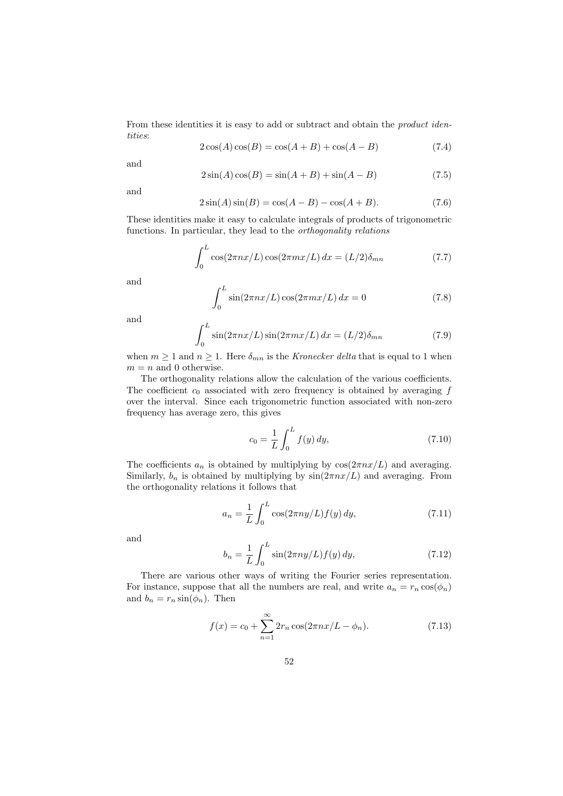From these identities it is easy to add or subtract and obtain the *product iden*tities:

$$
2\cos(A)\cos(B) = \cos(A+B) + \cos(A-B)
$$
 (7.4)

and

$$
2\sin(A)\cos(B) = \sin(A+B) + \sin(A-B)
$$
 (7.5)

and

$$
2\sin(A)\sin(B) = \cos(A - B) - \cos(A + B). \tag{7.6}
$$

These identities make it easy to calculate integrals of products of trigonometric functions. In particular, they lead to the orthogonality relations

$$
\int_0^L \cos(2\pi nx/L)\cos(2\pi mx/L)\,dx = (L/2)\delta_{mn} \tag{7.7}
$$

and

$$
\int_{0}^{L} \sin(2\pi nx/L) \cos(2\pi mx/L) dx = 0
$$
\n(7.8)

and

$$
\int_0^L \sin(2\pi nx/L)\sin(2\pi mx/L) dx = (L/2)\delta_{mn}
$$
\n(7.9)

when  $m \geq 1$  and  $n \geq 1$ . Here  $\delta_{mn}$  is the Kronecker delta that is equal to 1 when  $m = n$  and 0 otherwise.

The orthogonality relations allow the calculation of the various coefficients. The coefficient  $c_0$  associated with zero frequency is obtained by averaging  $f$ over the interval. Since each trigonometric function associated with non-zero frequency has average zero, this gives

$$
c_0 = \frac{1}{L} \int_0^L f(y) \, dy,\tag{7.10}
$$

The coefficients  $a_n$  is obtained by multiplying by  $cos(2\pi nx/L)$  and averaging. Similarly,  $b_n$  is obtained by multiplying by  $sin(2\pi nx/L)$  and averaging. From the orthogonality relations it follows that

$$
a_n = \frac{1}{L} \int_0^L \cos(2\pi ny/L) f(y) \, dy,\tag{7.11}
$$

and

$$
b_n = \frac{1}{L} \int_0^L \sin(2\pi ny/L) f(y) \, dy,\tag{7.12}
$$

There are various other ways of writing the Fourier series representation. For instance, suppose that all the numbers are real, and write  $a_n = r_n \cos(\phi_n)$ and  $b_n = r_n \sin(\phi_n)$ . Then

$$
f(x) = c_0 + \sum_{n=1}^{\infty} 2r_n \cos(2\pi nx/L - \phi_n).
$$
 (7.13)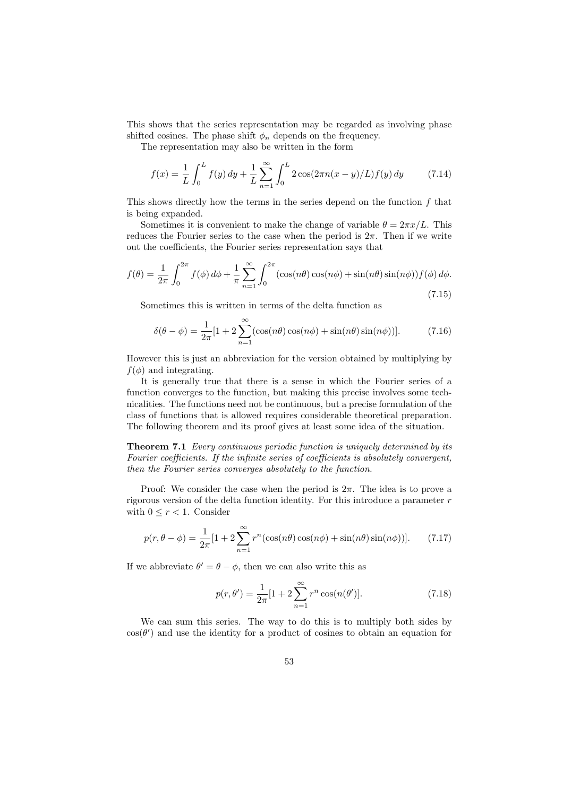This shows that the series representation may be regarded as involving phase shifted cosines. The phase shift  $\phi_n$  depends on the frequency.

The representation may also be written in the form

$$
f(x) = \frac{1}{L} \int_0^L f(y) \, dy + \frac{1}{L} \sum_{n=1}^\infty \int_0^L 2 \cos(2\pi n(x - y)/L) f(y) \, dy \tag{7.14}
$$

This shows directly how the terms in the series depend on the function  $f$  that is being expanded.

Sometimes it is convenient to make the change of variable  $\theta = 2\pi x/L$ . This reduces the Fourier series to the case when the period is  $2\pi$ . Then if we write out the coefficients, the Fourier series representation says that

$$
f(\theta) = \frac{1}{2\pi} \int_0^{2\pi} f(\phi) d\phi + \frac{1}{\pi} \sum_{n=1}^{\infty} \int_0^{2\pi} (\cos(n\theta)\cos(n\phi) + \sin(n\theta)\sin(n\phi)) f(\phi) d\phi.
$$
\n(7.15)

Sometimes this is written in terms of the delta function as

$$
\delta(\theta - \phi) = \frac{1}{2\pi} \left[ 1 + 2 \sum_{n=1}^{\infty} (\cos(n\theta)\cos(n\phi) + \sin(n\theta)\sin(n\phi)) \right].
$$
 (7.16)

However this is just an abbreviation for the version obtained by multiplying by  $f(\phi)$  and integrating.

It is generally true that there is a sense in which the Fourier series of a function converges to the function, but making this precise involves some technicalities. The functions need not be continuous, but a precise formulation of the class of functions that is allowed requires considerable theoretical preparation. The following theorem and its proof gives at least some idea of the situation.

Theorem 7.1 Every continuous periodic function is uniquely determined by its Fourier coefficients. If the infinite series of coefficients is absolutely convergent, then the Fourier series converges absolutely to the function.

Proof: We consider the case when the period is  $2\pi$ . The idea is to prove a rigorous version of the delta function identity. For this introduce a parameter  $r$ with  $0 \leq r < 1$ . Consider

$$
p(r, \theta - \phi) = \frac{1}{2\pi} [1 + 2 \sum_{n=1}^{\infty} r^n (\cos(n\theta)\cos(n\phi) + \sin(n\theta)\sin(n\phi))].
$$
 (7.17)

If we abbreviate  $\theta' = \theta - \phi$ , then we can also write this as

$$
p(r, \theta') = \frac{1}{2\pi} [1 + 2 \sum_{n=1}^{\infty} r^n \cos(n(\theta'))].
$$
 (7.18)

We can sum this series. The way to do this is to multiply both sides by  $\cos(\theta')$  and use the identity for a product of cosines to obtain an equation for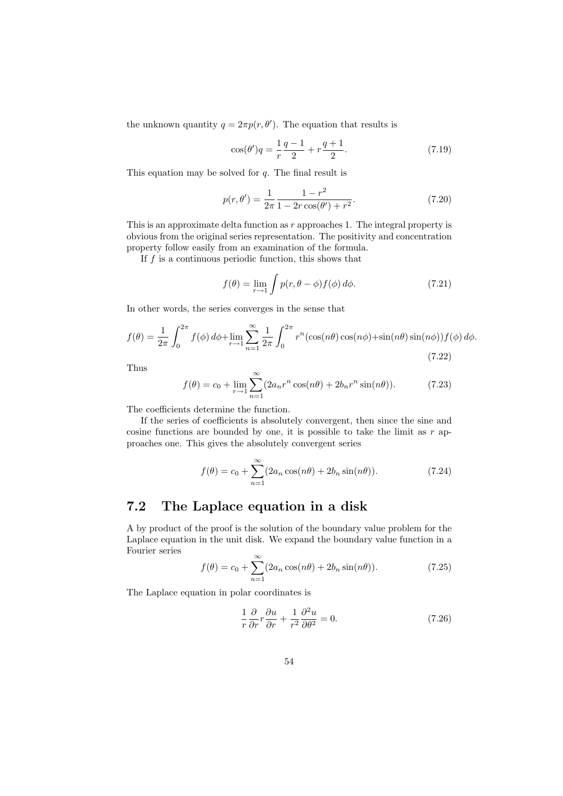the unknown quantity  $q = 2\pi p(r, \theta')$ . The equation that results is

$$
\cos(\theta')q = \frac{1}{r}\frac{q-1}{2} + r\frac{q+1}{2}.\tag{7.19}
$$

This equation may be solved for  $q$ . The final result is

$$
p(r, \theta') = \frac{1}{2\pi} \frac{1 - r^2}{1 - 2r\cos(\theta') + r^2}.
$$
\n(7.20)

This is an approximate delta function as r approaches 1. The integral property is obvious from the original series representation. The positivity and concentration property follow easily from an examination of the formula.

If  $f$  is a continuous periodic function, this shows that

$$
f(\theta) = \lim_{r \to 1} \int p(r, \theta - \phi) f(\phi) d\phi.
$$
 (7.21)

In other words, the series converges in the sense that

$$
f(\theta) = \frac{1}{2\pi} \int_0^{2\pi} f(\phi) d\phi + \lim_{r \to 1} \sum_{n=1}^{\infty} \frac{1}{2\pi} \int_0^{2\pi} r^n (\cos(n\theta) \cos(n\phi) + \sin(n\theta) \sin(n\phi)) f(\phi) d\phi.
$$
\n(7.22)

Thus

$$
f(\theta) = c_0 + \lim_{r \to 1} \sum_{n=1}^{\infty} (2a_n r^n \cos(n\theta) + 2b_n r^n \sin(n\theta)).
$$
 (7.23)

The coefficients determine the function.

If the series of coefficients is absolutely convergent, then since the sine and cosine functions are bounded by one, it is possible to take the limit as  $r$  approaches one. This gives the absolutely convergent series

$$
f(\theta) = c_0 + \sum_{n=1}^{\infty} (2a_n \cos(n\theta) + 2b_n \sin(n\theta)).
$$
 (7.24)

## 7.2 The Laplace equation in a disk

A by product of the proof is the solution of the boundary value problem for the Laplace equation in the unit disk. We expand the boundary value function in a Fourier series

$$
f(\theta) = c_0 + \sum_{n=1}^{\infty} (2a_n \cos(n\theta) + 2b_n \sin(n\theta)).
$$
 (7.25)

The Laplace equation in polar coordinates is

$$
\frac{1}{r}\frac{\partial}{\partial r}r\frac{\partial u}{\partial r} + \frac{1}{r^2}\frac{\partial^2 u}{\partial \theta^2} = 0.
$$
 (7.26)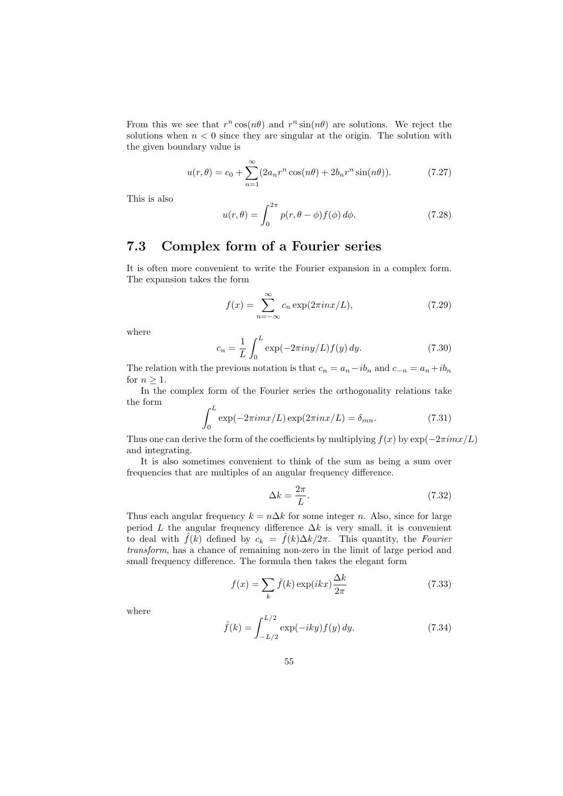From this we see that  $r^n \cos(n\theta)$  and  $r^n \sin(n\theta)$  are solutions. We reject the solutions when  $n < 0$  since they are singular at the origin. The solution with the given boundary value is

$$
u(r,\theta) = c_0 + \sum_{n=1}^{\infty} (2a_n r^n \cos(n\theta) + 2b_n r^n \sin(n\theta)).
$$
 (7.27)

This is also

$$
u(r,\theta) = \int_0^{2\pi} p(r,\theta - \phi) f(\phi) d\phi.
$$
 (7.28)

## 7.3 Complex form of a Fourier series

It is often more convenient to write the Fourier expansion in a complex form. The expansion takes the form

$$
f(x) = \sum_{n = -\infty}^{\infty} c_n \exp(2\pi i n x/L),
$$
 (7.29)

where

$$
c_n = \frac{1}{L} \int_0^L \exp(-2\pi i n y/L) f(y) \, dy. \tag{7.30}
$$

The relation with the previous notation is that  $c_n = a_n - ib_n$  and  $c_{-n} = a_n + ib_n$ for  $n \geq 1$ .

In the complex form of the Fourier series the orthogonality relations take the form Z <sup>L</sup>

$$
\int_0^L \exp(-2\pi imx/L) \exp(2\pi inx/L) = \delta_{mn}.
$$
 (7.31)

Thus one can derive the form of the coefficients by multiplying  $f(x)$  by  $\exp(-2\pi imx/L)$ and integrating.

It is also sometimes convenient to think of the sum as being a sum over frequencies that are multiples of an angular frequency difference.

$$
\Delta k = \frac{2\pi}{L}.\tag{7.32}
$$

Thus each angular frequency  $k = n\Delta k$  for some integer n. Also, since for large period L the angular frequency difference  $\Delta k$  is very small, it is convenient to deal with  $\hat{f}(k)$  defined by  $c_k = \hat{f}(k)\Delta k/2\pi$ . This quantity, the Fourier transform, has a chance of remaining non-zero in the limit of large period and small frequency difference. The formula then takes the elegant form

$$
f(x) = \sum_{k} \hat{f}(k) \exp(ikx) \frac{\Delta k}{2\pi}
$$
 (7.33)

where

$$
\hat{f}(k) = \int_{-L/2}^{L/2} \exp(-iky) f(y) \, dy. \tag{7.34}
$$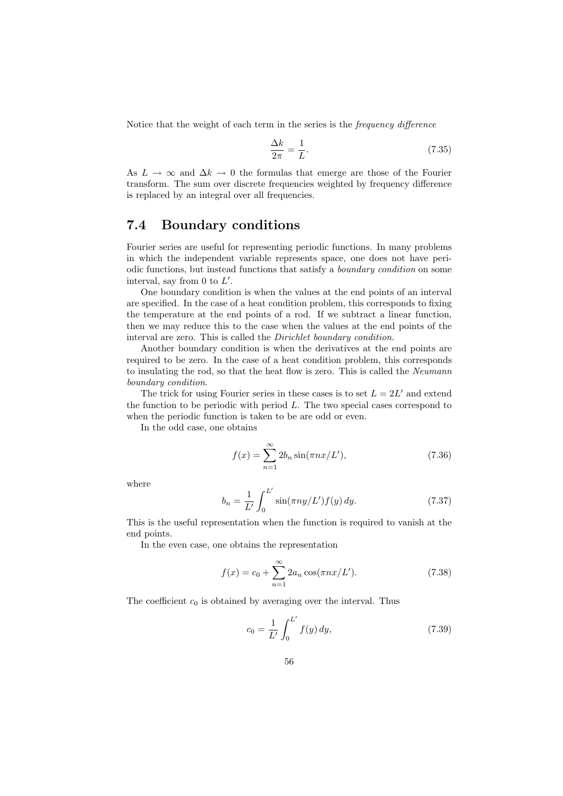Notice that the weight of each term in the series is the frequency difference

$$
\frac{\Delta k}{2\pi} = \frac{1}{L}.\tag{7.35}
$$

As  $L \to \infty$  and  $\Delta k \to 0$  the formulas that emerge are those of the Fourier transform. The sum over discrete frequencies weighted by frequency difference is replaced by an integral over all frequencies.

#### 7.4 Boundary conditions

Fourier series are useful for representing periodic functions. In many problems in which the independent variable represents space, one does not have periodic functions, but instead functions that satisfy a boundary condition on some interval, say from 0 to  $L'$ .

One boundary condition is when the values at the end points of an interval are specified. In the case of a heat condition problem, this corresponds to fixing the temperature at the end points of a rod. If we subtract a linear function, then we may reduce this to the case when the values at the end points of the interval are zero. This is called the Dirichlet boundary condition.

Another boundary condition is when the derivatives at the end points are required to be zero. In the case of a heat condition problem, this corresponds to insulating the rod, so that the heat flow is zero. This is called the Neumann boundary condition.

The trick for using Fourier series in these cases is to set  $L = 2L'$  and extend the function to be periodic with period L. The two special cases correspond to when the periodic function is taken to be are odd or even.

In the odd case, one obtains

$$
f(x) = \sum_{n=1}^{\infty} 2b_n \sin(\pi nx/L'),
$$
 (7.36)

where

$$
b_n = \frac{1}{L'} \int_0^{L'} \sin(\pi ny/L') f(y) \, dy. \tag{7.37}
$$

This is the useful representation when the function is required to vanish at the end points.

In the even case, one obtains the representation

$$
f(x) = c_0 + \sum_{n=1}^{\infty} 2a_n \cos(\pi nx/L').
$$
 (7.38)

The coefficient  $c_0$  is obtained by averaging over the interval. Thus

$$
c_0 = \frac{1}{L'} \int_0^{L'} f(y) \, dy,\tag{7.39}
$$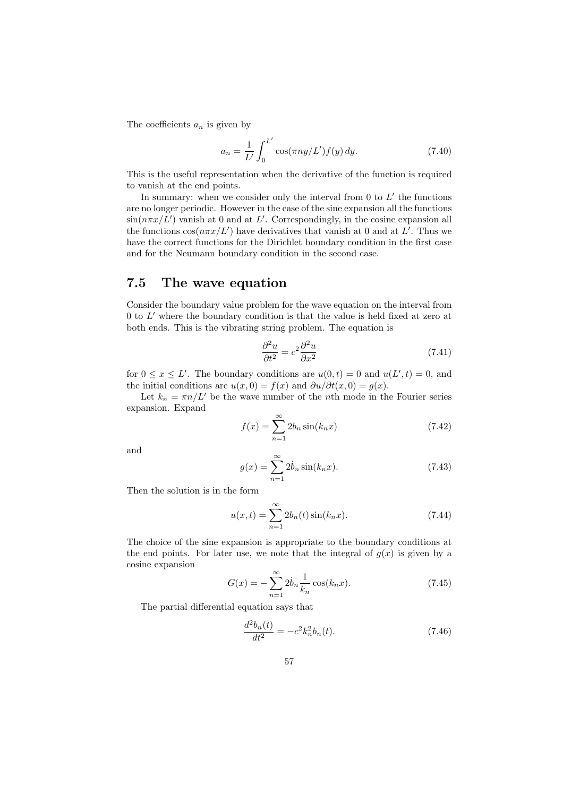The coefficients  $a_n$  is given by

$$
a_n = \frac{1}{L'} \int_0^{L'} \cos(\pi ny/L') f(y) \, dy. \tag{7.40}
$$

This is the useful representation when the derivative of the function is required to vanish at the end points.

In summary: when we consider only the interval from  $0$  to  $L'$  the functions are no longer periodic. However in the case of the sine expansion all the functions  $\sin(n\pi x/L')$  vanish at 0 and at L'. Correspondingly, in the cosine expansion all the functions  $\cos(n\pi x/L')$  have derivatives that vanish at 0 and at L'. Thus we have the correct functions for the Dirichlet boundary condition in the first case and for the Neumann boundary condition in the second case.

## 7.5 The wave equation

Consider the boundary value problem for the wave equation on the interval from  $0$  to  $L'$  where the boundary condition is that the value is held fixed at zero at both ends. This is the vibrating string problem. The equation is

$$
\frac{\partial^2 u}{\partial t^2} = c^2 \frac{\partial^2 u}{\partial x^2} \tag{7.41}
$$

for  $0 \le x \le L'$ . The boundary conditions are  $u(0, t) = 0$  and  $u(L', t) = 0$ , and the initial conditions are  $u(x, 0) = f(x)$  and  $\partial u / \partial t(x, 0) = g(x)$ .

Let  $k_n = \pi n/L'$  be the wave number of the nth mode in the Fourier series expansion. Expand

$$
f(x) = \sum_{n=1}^{\infty} 2b_n \sin(k_n x) \tag{7.42}
$$

and

$$
g(x) = \sum_{n=1}^{\infty} 2\dot{b}_n \sin(k_n x).
$$
 (7.43)

Then the solution is in the form

$$
u(x,t) = \sum_{n=1}^{\infty} 2b_n(t) \sin(k_n x).
$$
 (7.44)

The choice of the sine expansion is appropriate to the boundary conditions at the end points. For later use, we note that the integral of  $g(x)$  is given by a cosine expansion

$$
G(x) = -\sum_{n=1}^{\infty} 2\dot{b}_n \frac{1}{k_n} \cos(k_n x). \tag{7.45}
$$

The partial differential equation says that

$$
\frac{d^2b_n(t)}{dt^2} = -c^2k_n^2b_n(t).
$$
\n(7.46)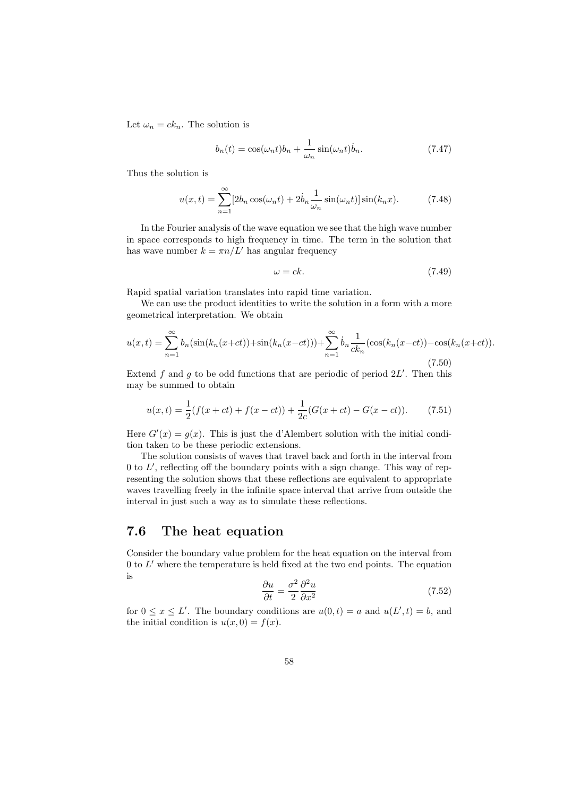Let  $\omega_n = ck_n$ . The solution is

$$
b_n(t) = \cos(\omega_n t) b_n + \frac{1}{\omega_n} \sin(\omega_n t) b_n.
$$
 (7.47)

Thus the solution is

$$
u(x,t) = \sum_{n=1}^{\infty} \left[ 2b_n \cos(\omega_n t) + 2\dot{b}_n \frac{1}{\omega_n} \sin(\omega_n t) \right] \sin(k_n x). \tag{7.48}
$$

In the Fourier analysis of the wave equation we see that the high wave number in space corresponds to high frequency in time. The term in the solution that has wave number  $k = \pi n/L'$  has angular frequency

$$
\omega = ck.\tag{7.49}
$$

Rapid spatial variation translates into rapid time variation.

We can use the product identities to write the solution in a form with a more geometrical interpretation. We obtain

$$
u(x,t) = \sum_{n=1}^{\infty} b_n(\sin(k_n(x+ct)) + \sin(k_n(x-ct))) + \sum_{n=1}^{\infty} b_n \frac{1}{ck_n}(\cos(k_n(x-ct)) - \cos(k_n(x+ct)).
$$
\n(7.50)

Extend f and g to be odd functions that are periodic of period  $2L'$ . Then this may be summed to obtain

$$
u(x,t) = \frac{1}{2}(f(x+ct) + f(x-ct)) + \frac{1}{2c}(G(x+ct) - G(x-ct)).
$$
 (7.51)

Here  $G'(x) = g(x)$ . This is just the d'Alembert solution with the initial condition taken to be these periodic extensions.

The solution consists of waves that travel back and forth in the interval from  $0$  to  $L'$ , reflecting off the boundary points with a sign change. This way of representing the solution shows that these reflections are equivalent to appropriate waves travelling freely in the infinite space interval that arrive from outside the interval in just such a way as to simulate these reflections.

#### 7.6 The heat equation

Consider the boundary value problem for the heat equation on the interval from  $0$  to  $L'$  where the temperature is held fixed at the two end points. The equation is

$$
\frac{\partial u}{\partial t} = \frac{\sigma^2}{2} \frac{\partial^2 u}{\partial x^2} \tag{7.52}
$$

for  $0 \le x \le L'$ . The boundary conditions are  $u(0, t) = a$  and  $u(L', t) = b$ , and the initial condition is  $u(x, 0) = f(x)$ .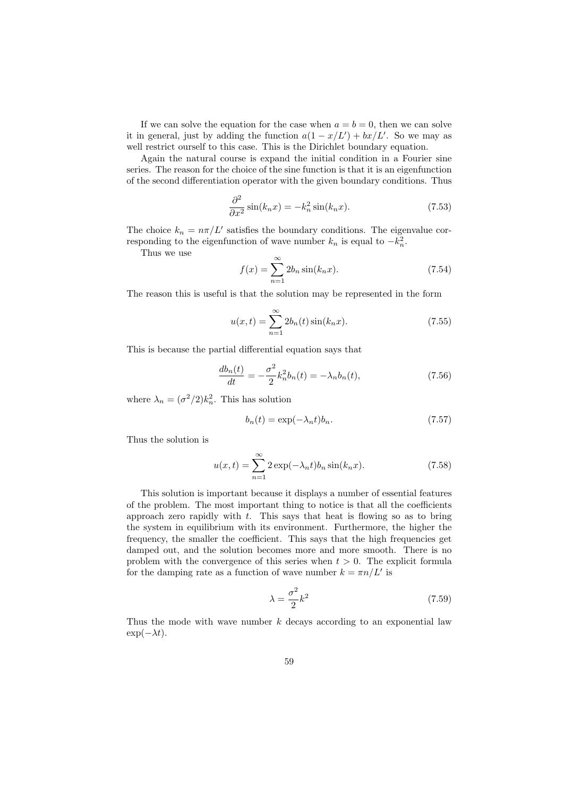If we can solve the equation for the case when  $a = b = 0$ , then we can solve it in general, just by adding the function  $a(1 - x/L') + bx/L'$ . So we may as well restrict ourself to this case. This is the Dirichlet boundary equation.

Again the natural course is expand the initial condition in a Fourier sine series. The reason for the choice of the sine function is that it is an eigenfunction of the second differentiation operator with the given boundary conditions. Thus

$$
\frac{\partial^2}{\partial x^2} \sin(k_n x) = -k_n^2 \sin(k_n x). \tag{7.53}
$$

The choice  $k_n = n\pi/L'$  satisfies the boundary conditions. The eigenvalue corresponding to the eigenfunction of wave number  $k_n$  is equal to  $-k_n^2$ .

Thus we use

$$
f(x) = \sum_{n=1}^{\infty} 2b_n \sin(k_n x).
$$
 (7.54)

The reason this is useful is that the solution may be represented in the form

$$
u(x,t) = \sum_{n=1}^{\infty} 2b_n(t) \sin(k_n x).
$$
 (7.55)

This is because the partial differential equation says that

$$
\frac{db_n(t)}{dt} = -\frac{\sigma^2}{2} k_n^2 b_n(t) = -\lambda_n b_n(t),\tag{7.56}
$$

where  $\lambda_n = (\sigma^2/2)k_n^2$ . This has solution

$$
b_n(t) = \exp(-\lambda_n t) b_n. \tag{7.57}
$$

Thus the solution is

$$
u(x,t) = \sum_{n=1}^{\infty} 2 \exp(-\lambda_n t) b_n \sin(k_n x). \tag{7.58}
$$

This solution is important because it displays a number of essential features of the problem. The most important thing to notice is that all the coefficients approach zero rapidly with  $t$ . This says that heat is flowing so as to bring the system in equilibrium with its environment. Furthermore, the higher the frequency, the smaller the coefficient. This says that the high frequencies get damped out, and the solution becomes more and more smooth. There is no problem with the convergence of this series when  $t > 0$ . The explicit formula for the damping rate as a function of wave number  $k = \pi n/L'$  is

$$
\lambda = \frac{\sigma^2}{2} k^2 \tag{7.59}
$$

Thus the mode with wave number  $k$  decays according to an exponential law  $\exp(-\lambda t)$ .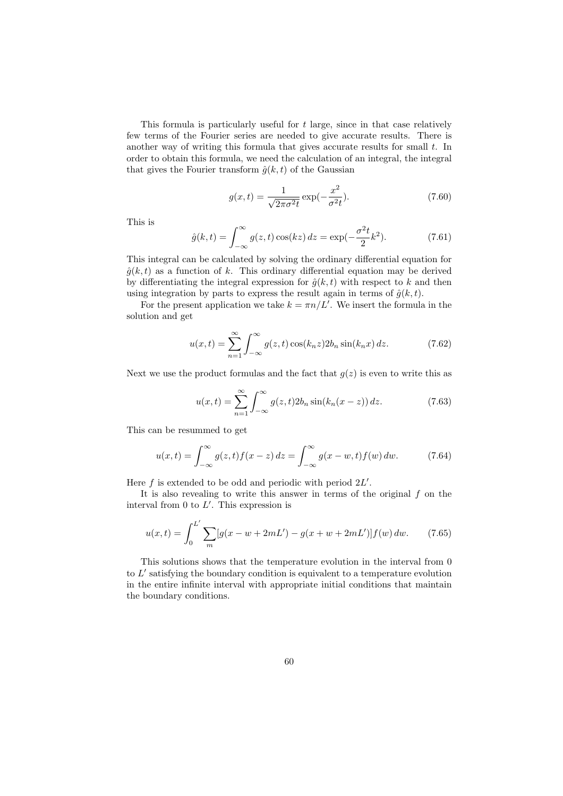This formula is particularly useful for  $t$  large, since in that case relatively few terms of the Fourier series are needed to give accurate results. There is another way of writing this formula that gives accurate results for small  $t$ . In order to obtain this formula, we need the calculation of an integral, the integral that gives the Fourier transform  $\hat{g}(k, t)$  of the Gaussian

$$
g(x,t) = \frac{1}{\sqrt{2\pi\sigma^2 t}} \exp(-\frac{x^2}{\sigma^2 t}).
$$
\n(7.60)

This is

$$
\hat{g}(k,t) = \int_{-\infty}^{\infty} g(z,t) \cos(kz) dz = \exp(-\frac{\sigma^2 t}{2} k^2). \tag{7.61}
$$

This integral can be calculated by solving the ordinary differential equation for  $\hat{g}(k,t)$  as a function of k. This ordinary differential equation may be derived by differentiating the integral expression for  $\hat{g}(k, t)$  with respect to k and then using integration by parts to express the result again in terms of  $\hat{g}(k, t)$ .

For the present application we take  $k = \pi n/L'$ . We insert the formula in the solution and get

$$
u(x,t) = \sum_{n=1}^{\infty} \int_{-\infty}^{\infty} g(z,t) \cos(k_n z) 2b_n \sin(k_n x) dz.
$$
 (7.62)

Next we use the product formulas and the fact that  $g(z)$  is even to write this as

$$
u(x,t) = \sum_{n=1}^{\infty} \int_{-\infty}^{\infty} g(z,t) 2b_n \sin(k_n(x-z)) dz.
$$
 (7.63)

This can be resummed to get

$$
u(x,t) = \int_{-\infty}^{\infty} g(z,t)f(x-z) dz = \int_{-\infty}^{\infty} g(x-w,t)f(w) dw.
$$
 (7.64)

Here  $f$  is extended to be odd and periodic with period  $2L'$ .

It is also revealing to write this answer in terms of the original  $f$  on the interval from  $0$  to  $L'$ . This expression is

$$
u(x,t) = \int_0^{L'} \sum_m [g(x - w + 2mL') - g(x + w + 2mL')]f(w) \, dw. \tag{7.65}
$$

This solutions shows that the temperature evolution in the interval from 0 to  $L'$  satisfying the boundary condition is equivalent to a temperature evolution in the entire infinite interval with appropriate initial conditions that maintain the boundary conditions.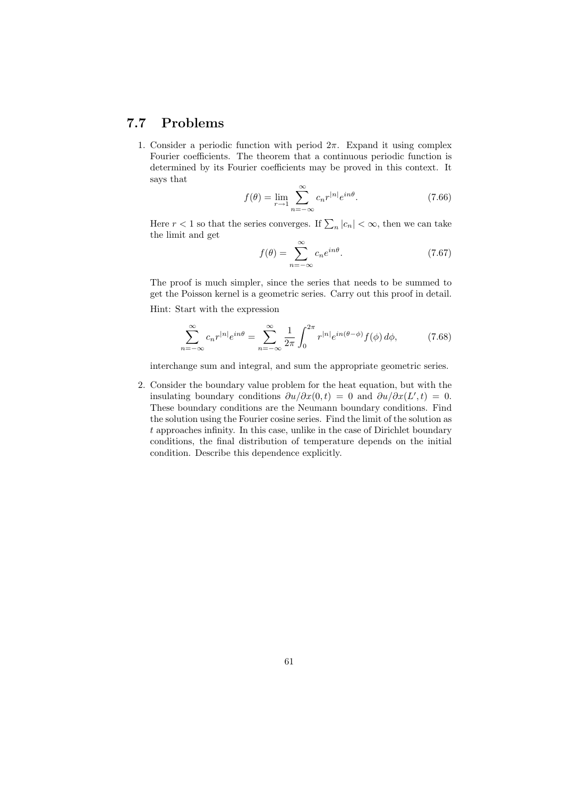### 7.7 Problems

1. Consider a periodic function with period  $2\pi$ . Expand it using complex Fourier coefficients. The theorem that a continuous periodic function is determined by its Fourier coefficients may be proved in this context. It says that

$$
f(\theta) = \lim_{r \to 1} \sum_{n = -\infty}^{\infty} c_n r^{|n|} e^{in\theta}.
$$
 (7.66)

Here  $r < 1$  so that the series converges. If  $\sum_n |c_n| < \infty$ , then we can take the limit and get

$$
f(\theta) = \sum_{n = -\infty}^{\infty} c_n e^{in\theta}.
$$
 (7.67)

The proof is much simpler, since the series that needs to be summed to get the Poisson kernel is a geometric series. Carry out this proof in detail. Hint: Start with the expression

$$
\sum_{n=-\infty}^{\infty} c_n r^{|n|} e^{in\theta} = \sum_{n=-\infty}^{\infty} \frac{1}{2\pi} \int_0^{2\pi} r^{|n|} e^{in(\theta-\phi)} f(\phi) d\phi,
$$
 (7.68)

interchange sum and integral, and sum the appropriate geometric series.

2. Consider the boundary value problem for the heat equation, but with the insulating boundary conditions  $\partial u/\partial x(0,t) = 0$  and  $\partial u/\partial x(L',t) = 0$ . These boundary conditions are the Neumann boundary conditions. Find the solution using the Fourier cosine series. Find the limit of the solution as t approaches infinity. In this case, unlike in the case of Dirichlet boundary conditions, the final distribution of temperature depends on the initial condition. Describe this dependence explicitly.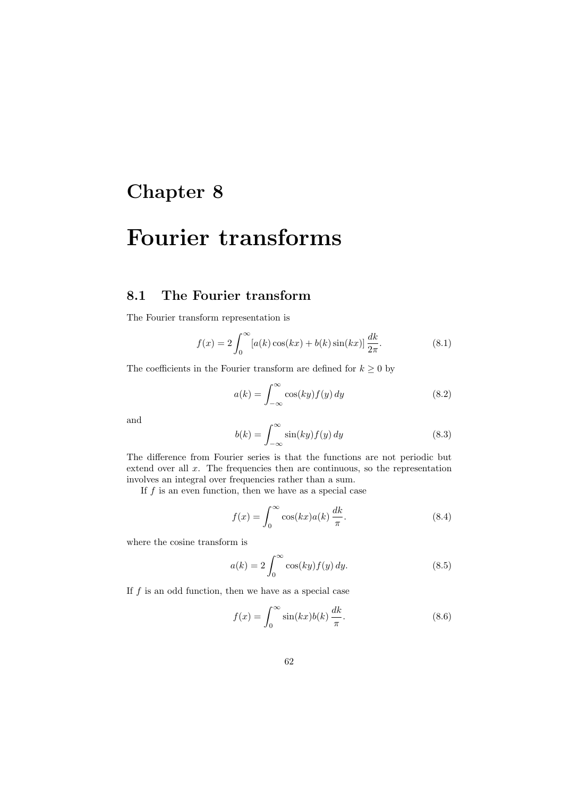## Chapter 8

# Fourier transforms

## 8.1 The Fourier transform

The Fourier transform representation is

$$
f(x) = 2 \int_0^{\infty} [a(k)\cos(kx) + b(k)\sin(kx)] \frac{dk}{2\pi}.
$$
 (8.1)

The coefficients in the Fourier transform are defined for  $k \geq 0$  by

$$
a(k) = \int_{-\infty}^{\infty} \cos(ky) f(y) dy
$$
 (8.2)

and

$$
b(k) = \int_{-\infty}^{\infty} \sin(ky) f(y) \, dy \tag{8.3}
$$

The difference from Fourier series is that the functions are not periodic but extend over all  $x$ . The frequencies then are continuous, so the representation involves an integral over frequencies rather than a sum.

If  $f$  is an even function, then we have as a special case

$$
f(x) = \int_0^\infty \cos(kx) a(k) \frac{dk}{\pi}.
$$
 (8.4)

where the cosine transform is

$$
a(k) = 2 \int_0^\infty \cos(ky) f(y) \, dy. \tag{8.5}
$$

If  $f$  is an odd function, then we have as a special case

$$
f(x) = \int_0^\infty \sin(kx)b(k)\frac{dk}{\pi}.
$$
 (8.6)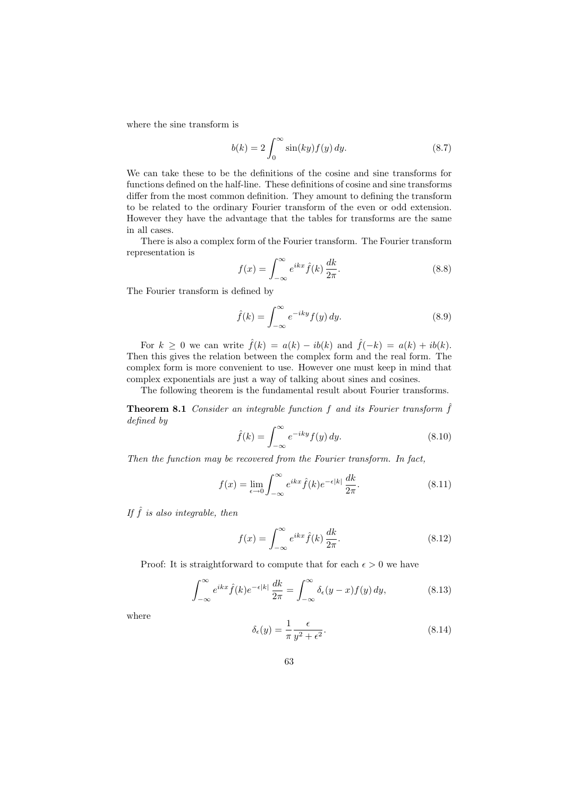where the sine transform is

$$
b(k) = 2 \int_0^\infty \sin(ky) f(y) dy.
$$
 (8.7)

We can take these to be the definitions of the cosine and sine transforms for functions defined on the half-line. These definitions of cosine and sine transforms differ from the most common definition. They amount to defining the transform to be related to the ordinary Fourier transform of the even or odd extension. However they have the advantage that the tables for transforms are the same in all cases.

There is also a complex form of the Fourier transform. The Fourier transform representation is

$$
f(x) = \int_{-\infty}^{\infty} e^{ikx} \hat{f}(k) \frac{dk}{2\pi}.
$$
 (8.8)

The Fourier transform is defined by

$$
\hat{f}(k) = \int_{-\infty}^{\infty} e^{-iky} f(y) \, dy.
$$
\n(8.9)

For  $k \geq 0$  we can write  $\hat{f}(k) = a(k) - ib(k)$  and  $\hat{f}(-k) = a(k) + ib(k)$ . Then this gives the relation between the complex form and the real form. The complex form is more convenient to use. However one must keep in mind that complex exponentials are just a way of talking about sines and cosines.

The following theorem is the fundamental result about Fourier transforms.

**Theorem 8.1** Consider an integrable function f and its Fourier transform  $\hat{f}$ defined by

$$
\hat{f}(k) = \int_{-\infty}^{\infty} e^{-iky} f(y) \, dy.
$$
\n(8.10)

Then the function may be recovered from the Fourier transform. In fact,

$$
f(x) = \lim_{\epsilon \to 0} \int_{-\infty}^{\infty} e^{ikx} \hat{f}(k) e^{-\epsilon|k|} \frac{dk}{2\pi}.
$$
 (8.11)

If  $\hat{f}$  is also integrable, then

$$
f(x) = \int_{-\infty}^{\infty} e^{ikx} \hat{f}(k) \frac{dk}{2\pi}.
$$
 (8.12)

Proof: It is straightforward to compute that for each  $\epsilon > 0$  we have

$$
\int_{-\infty}^{\infty} e^{ikx} \hat{f}(k) e^{-\epsilon|k|} \frac{dk}{2\pi} = \int_{-\infty}^{\infty} \delta_{\epsilon}(y-x) f(y) dy,
$$
 (8.13)

where

$$
\delta_{\epsilon}(y) = \frac{1}{\pi} \frac{\epsilon}{y^2 + \epsilon^2}.
$$
\n(8.14)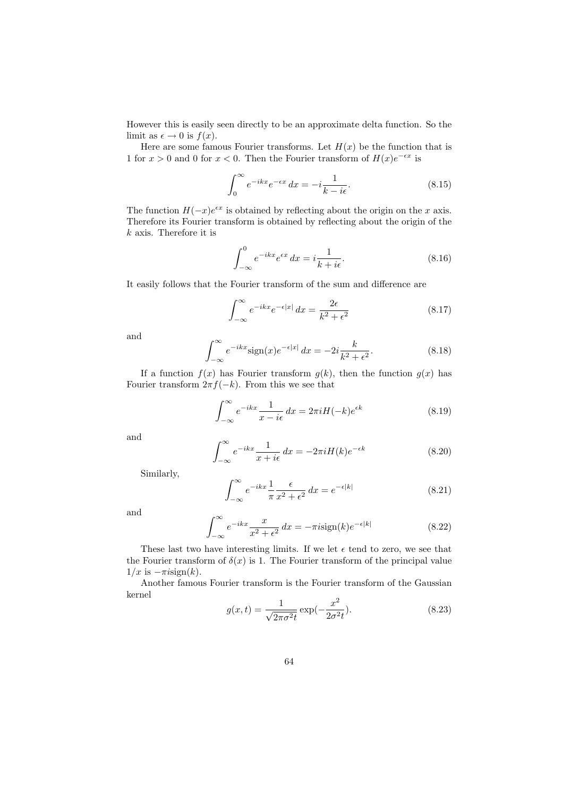However this is easily seen directly to be an approximate delta function. So the limit as  $\epsilon \to 0$  is  $f(x)$ .

Here are some famous Fourier transforms. Let  $H(x)$  be the function that is 1 for  $x > 0$  and 0 for  $x < 0$ . Then the Fourier transform of  $H(x)e^{-\epsilon x}$  is

$$
\int_0^\infty e^{-ikx} e^{-\epsilon x} dx = -i \frac{1}{k - i\epsilon}.
$$
\n(8.15)

The function  $H(-x)e^{cx}$  is obtained by reflecting about the origin on the x axis. Therefore its Fourier transform is obtained by reflecting about the origin of the  $k$  axis. Therefore it is

$$
\int_{-\infty}^{0} e^{-ikx} e^{\epsilon x} dx = i \frac{1}{k + i\epsilon}.
$$
 (8.16)

It easily follows that the Fourier transform of the sum and difference are

$$
\int_{-\infty}^{\infty} e^{-ikx} e^{-\epsilon|x|} dx = \frac{2\epsilon}{k^2 + \epsilon^2}
$$
 (8.17)

and

$$
\int_{-\infty}^{\infty} e^{-ikx} \operatorname{sign}(x) e^{-\epsilon|x|} dx = -2i \frac{k}{k^2 + \epsilon^2}.
$$
 (8.18)

If a function  $f(x)$  has Fourier transform  $g(k)$ , then the function  $g(x)$  has Fourier transform  $2\pi f(-k)$ . From this we see that

$$
\int_{-\infty}^{\infty} e^{-ikx} \frac{1}{x - i\epsilon} dx = 2\pi i H(-k)e^{\epsilon k}
$$
 (8.19)

and

$$
\int_{-\infty}^{\infty} e^{-ikx} \frac{1}{x + i\epsilon} dx = -2\pi i H(k)e^{-\epsilon k}
$$
 (8.20)

Similarly,

$$
\int_{-\infty}^{\infty} e^{-ikx} \frac{1}{\pi} \frac{\epsilon}{x^2 + \epsilon^2} dx = e^{-\epsilon|k|}
$$
 (8.21)

and

$$
\int_{-\infty}^{\infty} e^{-ikx} \frac{x}{x^2 + \epsilon^2} dx = -\pi i \text{sign}(k) e^{-\epsilon|k|}
$$
 (8.22)

These last two have interesting limits. If we let  $\epsilon$  tend to zero, we see that the Fourier transform of  $\delta(x)$  is 1. The Fourier transform of the principal value  $1/x$  is  $-\pi i$ sign $(k)$ .

Another famous Fourier transform is the Fourier transform of the Gaussian kernel

$$
g(x,t) = \frac{1}{\sqrt{2\pi\sigma^2 t}} \exp(-\frac{x^2}{2\sigma^2 t}).
$$
\n(8.23)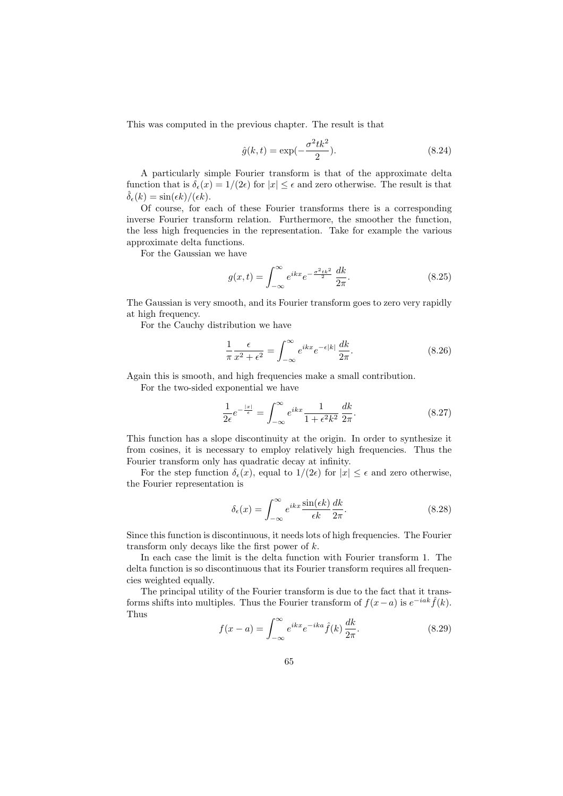This was computed in the previous chapter. The result is that

$$
\hat{g}(k,t) = \exp(-\frac{\sigma^2 tk^2}{2}).
$$
\n(8.24)

A particularly simple Fourier transform is that of the approximate delta function that is  $\delta_{\epsilon}(x) = 1/(2\epsilon)$  for  $|x| \leq \epsilon$  and zero otherwise. The result is that  $\hat{\delta}_{\epsilon}(k) = \sin(\epsilon k)/(\epsilon k).$ 

Of course, for each of these Fourier transforms there is a corresponding inverse Fourier transform relation. Furthermore, the smoother the function, the less high frequencies in the representation. Take for example the various approximate delta functions.

For the Gaussian we have

$$
g(x,t) = \int_{-\infty}^{\infty} e^{ikx} e^{-\frac{\sigma^2 t k^2}{2}} \frac{dk}{2\pi}.
$$
 (8.25)

The Gaussian is very smooth, and its Fourier transform goes to zero very rapidly at high frequency.

For the Cauchy distribution we have

$$
\frac{1}{\pi} \frac{\epsilon}{x^2 + \epsilon^2} = \int_{-\infty}^{\infty} e^{ikx} e^{-\epsilon|k|} \frac{dk}{2\pi}.
$$
\n(8.26)

Again this is smooth, and high frequencies make a small contribution.

For the two-sided exponential we have

$$
\frac{1}{2\epsilon}e^{-\frac{|x|}{\epsilon}} = \int_{-\infty}^{\infty} e^{ikx} \frac{1}{1 + \epsilon^2 k^2} \frac{dk}{2\pi}.
$$
 (8.27)

This function has a slope discontinuity at the origin. In order to synthesize it from cosines, it is necessary to employ relatively high frequencies. Thus the Fourier transform only has quadratic decay at infinity.

For the step function  $\delta_{\epsilon}(x)$ , equal to  $1/(2\epsilon)$  for  $|x| \leq \epsilon$  and zero otherwise, the Fourier representation is

$$
\delta_{\epsilon}(x) = \int_{-\infty}^{\infty} e^{ikx} \frac{\sin(\epsilon k)}{\epsilon k} \frac{dk}{2\pi}.
$$
\n(8.28)

Since this function is discontinuous, it needs lots of high frequencies. The Fourier transform only decays like the first power of k.

In each case the limit is the delta function with Fourier transform 1. The delta function is so discontinuous that its Fourier transform requires all frequencies weighted equally.

The principal utility of the Fourier transform is due to the fact that it transforms shifts into multiples. Thus the Fourier transform of  $f(x-a)$  is  $e^{-iak}\hat{f}(k)$ . Thus

$$
f(x-a) = \int_{-\infty}^{\infty} e^{ikx} e^{-ika} \hat{f}(k) \frac{dk}{2\pi}.
$$
 (8.29)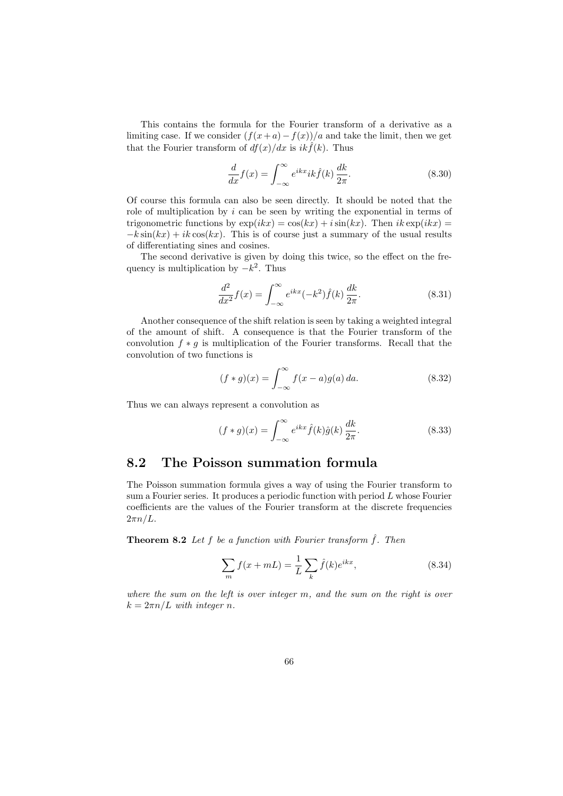This contains the formula for the Fourier transform of a derivative as a limiting case. If we consider  $(f(x+a)-f(x))/a$  and take the limit, then we get that the Fourier transform of  $df(x)/dx$  is  $ik \hat{f}(k)$ . Thus

$$
\frac{d}{dx}f(x) = \int_{-\infty}^{\infty} e^{ikx} ik \hat{f}(k) \frac{dk}{2\pi}.
$$
\n(8.30)

Of course this formula can also be seen directly. It should be noted that the role of multiplication by  $i$  can be seen by writing the exponential in terms of trigonometric functions by  $\exp(ikx) = \cos(kx) + i\sin(kx)$ . Then  $ik \exp(ikx) =$  $-k\sin(kx) + ik\cos(kx)$ . This is of course just a summary of the usual results of differentiating sines and cosines.

The second derivative is given by doing this twice, so the effect on the frequency is multiplication by  $-k^2$ . Thus

$$
\frac{d^2}{dx^2}f(x) = \int_{-\infty}^{\infty} e^{ikx} (-k^2) \hat{f}(k) \frac{dk}{2\pi}.
$$
 (8.31)

Another consequence of the shift relation is seen by taking a weighted integral of the amount of shift. A consequence is that the Fourier transform of the convolution  $f * g$  is multiplication of the Fourier transforms. Recall that the convolution of two functions is

$$
(f * g)(x) = \int_{-\infty}^{\infty} f(x - a)g(a) da.
$$
 (8.32)

Thus we can always represent a convolution as

$$
(f * g)(x) = \int_{-\infty}^{\infty} e^{ikx} \hat{f}(k) \hat{g}(k) \frac{dk}{2\pi}.
$$
 (8.33)

## 8.2 The Poisson summation formula

The Poisson summation formula gives a way of using the Fourier transform to sum a Fourier series. It produces a periodic function with period L whose Fourier coefficients are the values of the Fourier transform at the discrete frequencies  $2\pi n/L$ .

**Theorem 8.2** Let f be a function with Fourier transform  $\hat{f}$ . Then

$$
\sum_{m} f(x + mL) = \frac{1}{L} \sum_{k} \hat{f}(k)e^{ikx},
$$
\n(8.34)

where the sum on the left is over integer m, and the sum on the right is over  $k = 2\pi n/L$  with integer n.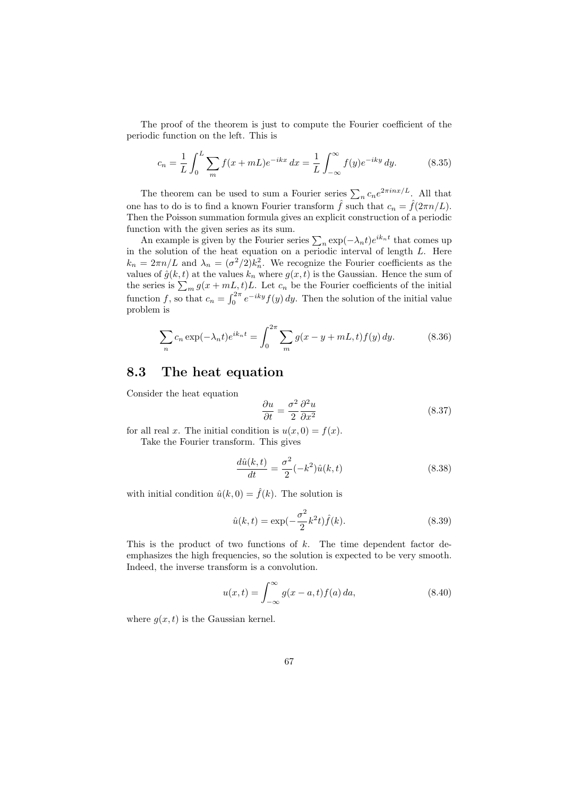The proof of the theorem is just to compute the Fourier coefficient of the periodic function on the left. This is

$$
c_n = \frac{1}{L} \int_0^L \sum_m f(x + mL) e^{-ikx} dx = \frac{1}{L} \int_{-\infty}^{\infty} f(y) e^{-iky} dy.
$$
 (8.35)

The theorem can be used to sum a Fourier series  $\sum_n c_n e^{2\pi i n x/L}$ . All that one has to do is to find a known Fourier transform  $\hat{f}$  such that  $c_n = \hat{f}(2\pi n/L)$ . Then the Poisson summation formula gives an explicit construction of a periodic function with the given series as its sum.

ction with the given series as its sum.<br>An example is given by the Fourier series  $\sum_n \exp(-\lambda_n t)e^{ik_n t}$  that comes up in the solution of the heat equation on a periodic interval of length L. Here  $k_n = 2\pi n/L$  and  $\lambda_n = (\sigma^2/2)k_n^2$ . We recognize the Fourier coefficients as the values of  $\hat{g}(k, t)$  at the values  $k_n$  where  $g(x, t)$  is the Gaussian. Hence the sum of values of  $g(\kappa, t)$  at the values  $\kappa_n$  where  $g(x, t)$  is the Gaussian. Hence the sum of the series is  $\sum_m g(x + mL, t)L$ . Let  $c_n$  be the Fourier coefficients of the initial function f, so that  $c_n = \int_0^{2\pi}$  $e^{-iky} f(y) dy$ . Then the solution of the initial value problem is

$$
\sum_{n} c_n \exp(-\lambda_n t) e^{ik_n t} = \int_0^{2\pi} \sum_{m} g(x - y + mL, t) f(y) dy.
$$
 (8.36)

### 8.3 The heat equation

Consider the heat equation

$$
\frac{\partial u}{\partial t} = \frac{\sigma^2}{2} \frac{\partial^2 u}{\partial x^2}
$$
 (8.37)

for all real x. The initial condition is  $u(x, 0) = f(x)$ . Take the Fourier transform. This gives

$$
\frac{d\hat{u}(k,t)}{dt} = \frac{\sigma^2}{2}(-k^2)\hat{u}(k,t)
$$
\n(8.38)

with initial condition  $\hat{u}(k, 0) = \hat{f}(k)$ . The solution is

$$
\hat{u}(k,t) = \exp(-\frac{\sigma^2}{2}k^2t)\hat{f}(k).
$$
\n(8.39)

This is the product of two functions of  $k$ . The time dependent factor deemphasizes the high frequencies, so the solution is expected to be very smooth. Indeed, the inverse transform is a convolution.

$$
u(x,t) = \int_{-\infty}^{\infty} g(x-a,t)f(a) da,
$$
\n(8.40)

where  $g(x, t)$  is the Gaussian kernel.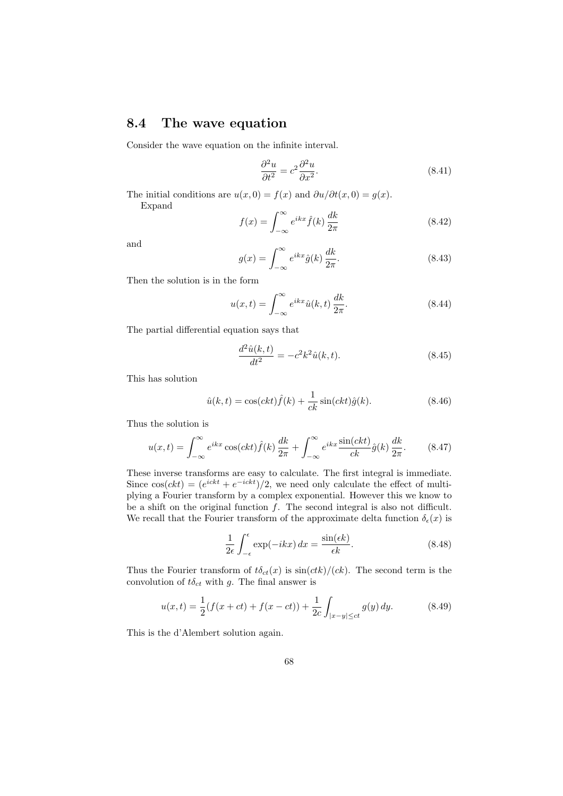## 8.4 The wave equation

Consider the wave equation on the infinite interval.

$$
\frac{\partial^2 u}{\partial t^2} = c^2 \frac{\partial^2 u}{\partial x^2}.
$$
\n(8.41)

The initial conditions are  $u(x, 0) = f(x)$  and  $\partial u / \partial t(x, 0) = g(x)$ . Expand

$$
f(x) = \int_{-\infty}^{\infty} e^{ikx} \hat{f}(k) \frac{dk}{2\pi}
$$
 (8.42)

and

$$
g(x) = \int_{-\infty}^{\infty} e^{ikx} \hat{g}(k) \frac{dk}{2\pi}.
$$
 (8.43)

Then the solution is in the form

$$
u(x,t) = \int_{-\infty}^{\infty} e^{ikx} \hat{u}(k,t) \frac{dk}{2\pi}.
$$
 (8.44)

The partial differential equation says that

$$
\frac{d^2\hat{u}(k,t)}{dt^2} = -c^2k^2\hat{u}(k,t).
$$
 (8.45)

This has solution

$$
\hat{u}(k,t) = \cos(ckt)\hat{f}(k) + \frac{1}{ck}\sin(ckt)\hat{g}(k).
$$
\n(8.46)

Thus the solution is

$$
u(x,t) = \int_{-\infty}^{\infty} e^{ikx} \cos(ckt) \hat{f}(k) \frac{dk}{2\pi} + \int_{-\infty}^{\infty} e^{ikx} \frac{\sin(ckt)}{ck} \hat{g}(k) \frac{dk}{2\pi}.
$$
 (8.47)

These inverse transforms are easy to calculate. The first integral is immediate. Since  $cos(ckt) = (e^{ickt} + e^{-ickt})/2$ , we need only calculate the effect of multiplying a Fourier transform by a complex exponential. However this we know to be a shift on the original function  $f$ . The second integral is also not difficult. We recall that the Fourier transform of the approximate delta function  $\delta_{\epsilon}(x)$  is

$$
\frac{1}{2\epsilon} \int_{-\epsilon}^{\epsilon} \exp(-ikx) \, dx = \frac{\sin(\epsilon k)}{\epsilon k}.\tag{8.48}
$$

Thus the Fourier transform of  $t\delta_{ct}(x)$  is  $\sin(ctk)/(ck)$ . The second term is the convolution of  $t\delta_{ct}$  with g. The final answer is

$$
u(x,t) = \frac{1}{2}(f(x+ct) + f(x-ct)) + \frac{1}{2c} \int_{|x-y| \le ct} g(y) dy.
$$
 (8.49)

This is the d'Alembert solution again.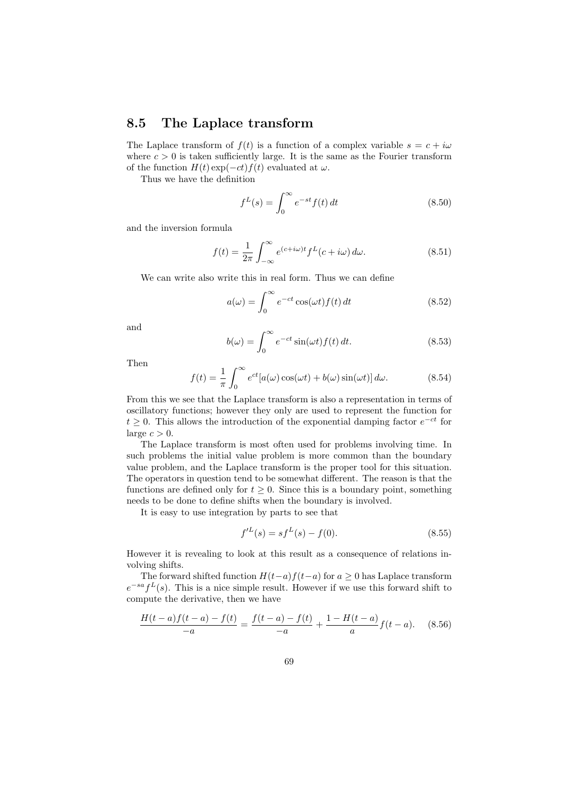#### 8.5 The Laplace transform

The Laplace transform of  $f(t)$  is a function of a complex variable  $s = c + i\omega$ where  $c > 0$  is taken sufficiently large. It is the same as the Fourier transform of the function  $H(t) \exp(-ct) f(t)$  evaluated at  $\omega$ .

Thus we have the definition

$$
f^{L}(s) = \int_{0}^{\infty} e^{-st} f(t) dt
$$
\n(8.50)

and the inversion formula

$$
f(t) = \frac{1}{2\pi} \int_{-\infty}^{\infty} e^{(c+i\omega)t} f^{L}(c+i\omega) d\omega.
$$
 (8.51)

We can write also write this in real form. Thus we can define

$$
a(\omega) = \int_0^\infty e^{-ct} \cos(\omega t) f(t) dt \qquad (8.52)
$$

and

$$
b(\omega) = \int_0^\infty e^{-ct} \sin(\omega t) f(t) dt.
$$
 (8.53)

Then

$$
f(t) = \frac{1}{\pi} \int_0^\infty e^{ct} [a(\omega)\cos(\omega t) + b(\omega)\sin(\omega t)] d\omega.
$$
 (8.54)

From this we see that the Laplace transform is also a representation in terms of oscillatory functions; however they only are used to represent the function for  $t \geq 0$ . This allows the introduction of the exponential damping factor  $e^{-ct}$  for large  $c > 0$ .

The Laplace transform is most often used for problems involving time. In such problems the initial value problem is more common than the boundary value problem, and the Laplace transform is the proper tool for this situation. The operators in question tend to be somewhat different. The reason is that the functions are defined only for  $t \geq 0$ . Since this is a boundary point, something needs to be done to define shifts when the boundary is involved.

It is easy to use integration by parts to see that

$$
f^{L}(s) = sf^{L}(s) - f(0). \tag{8.55}
$$

However it is revealing to look at this result as a consequence of relations involving shifts.

The forward shifted function  $H(t-a) f(t-a)$  for  $a > 0$  has Laplace transform  $e^{-sa} f^{L}(s)$ . This is a nice simple result. However if we use this forward shift to compute the derivative, then we have

$$
\frac{H(t-a)f(t-a)-f(t)}{-a} = \frac{f(t-a)-f(t)}{-a} + \frac{1-H(t-a)}{a}f(t-a). \quad (8.56)
$$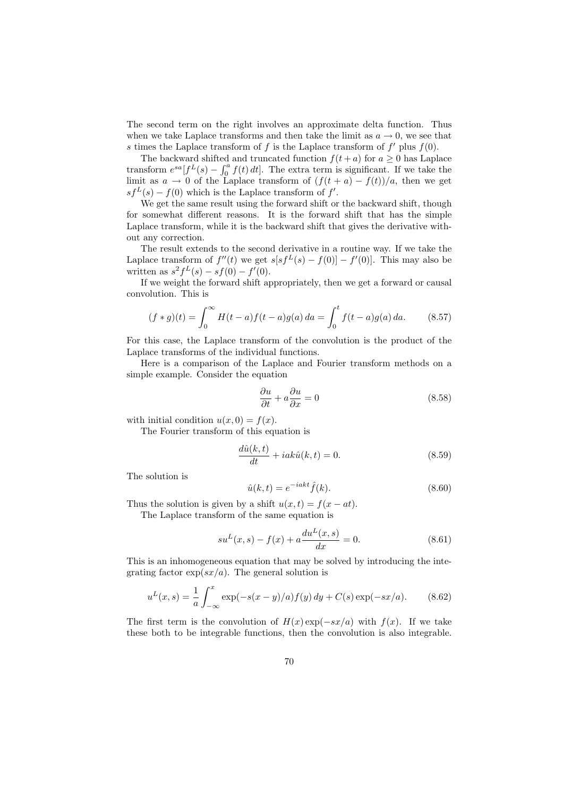The second term on the right involves an approximate delta function. Thus when we take Laplace transforms and then take the limit as  $a \to 0$ , we see that s times the Laplace transform of f is the Laplace transform of  $f'$  plus  $f(0)$ .

The backward shifted and truncated function  $f(t + a)$  for  $a \ge 0$  has Laplace The backward shifted<br>transform  $e^{sa}[f^L(s) - \int_0^a$  $\int_0^a f(t) dt$ . The extra term is significant. If we take the limit as  $a \to 0$  of the Laplace transform of  $(f(t + a) - f(t))/a$ , then we get  $sf<sup>L</sup>(s) - f(0)$  which is the Laplace transform of f'.

We get the same result using the forward shift or the backward shift, though for somewhat different reasons. It is the forward shift that has the simple Laplace transform, while it is the backward shift that gives the derivative without any correction.

The result extends to the second derivative in a routine way. If we take the Laplace transform of  $f''(t)$  we get  $s[sf^L(s) - f(0)] - f'(0)$ . This may also be written as  $s^2 f^L(s) - s f(0) - f'(0)$ .

If we weight the forward shift appropriately, then we get a forward or causal convolution. This is

$$
(f * g)(t) = \int_0^\infty H(t-a)f(t-a)g(a) \, da = \int_0^t f(t-a)g(a) \, da. \tag{8.57}
$$

For this case, the Laplace transform of the convolution is the product of the Laplace transforms of the individual functions.

Here is a comparison of the Laplace and Fourier transform methods on a simple example. Consider the equation

$$
\frac{\partial u}{\partial t} + a \frac{\partial u}{\partial x} = 0 \tag{8.58}
$$

with initial condition  $u(x, 0) = f(x)$ .

The Fourier transform of this equation is

$$
\frac{d\hat{u}(k,t)}{dt} + iak\hat{u}(k,t) = 0.
$$
\n(8.59)

The solution is

$$
\hat{u}(k,t) = e^{-iakt}\hat{f}(k). \tag{8.60}
$$

Thus the solution is given by a shift  $u(x, t) = f(x - at)$ .

The Laplace transform of the same equation is

$$
su^{L}(x,s) - f(x) + a \frac{du^{L}(x,s)}{dx} = 0.
$$
\n(8.61)

This is an inhomogeneous equation that may be solved by introducing the integrating factor  $\exp(sx/a)$ . The general solution is

$$
u^{L}(x,s) = \frac{1}{a} \int_{-\infty}^{x} \exp(-s(x-y)/a) f(y) dy + C(s) \exp(-sx/a).
$$
 (8.62)

The first term is the convolution of  $H(x) \exp(-sx/a)$  with  $f(x)$ . If we take these both to be integrable functions, then the convolution is also integrable.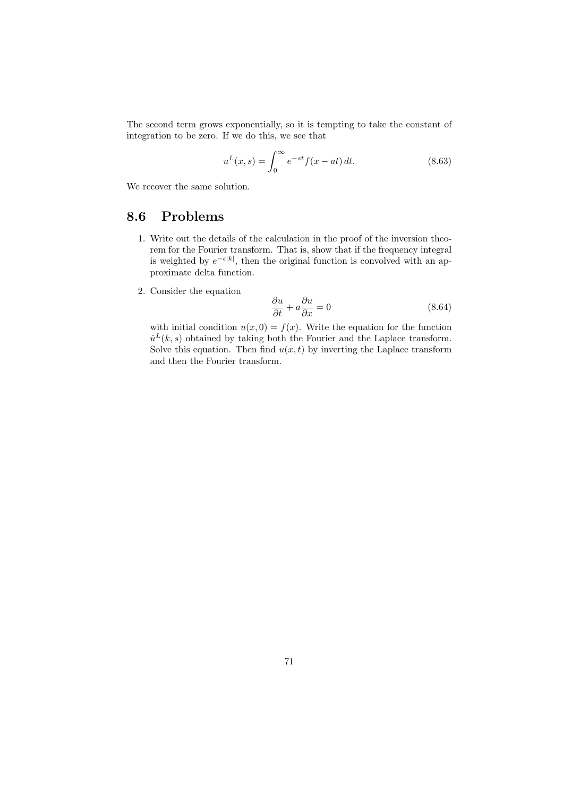The second term grows exponentially, so it is tempting to take the constant of integration to be zero. If we do this, we see that

$$
u^{L}(x,s) = \int_{0}^{\infty} e^{-st} f(x - at) dt.
$$
 (8.63)

We recover the same solution.

## 8.6 Problems

- 1. Write out the details of the calculation in the proof of the inversion theorem for the Fourier transform. That is, show that if the frequency integral is weighted by  $e^{-\epsilon|k|}$ , then the original function is convolved with an approximate delta function.
- 2. Consider the equation

$$
\frac{\partial u}{\partial t} + a \frac{\partial u}{\partial x} = 0 \tag{8.64}
$$

with initial condition  $u(x, 0) = f(x)$ . Write the equation for the function  $\hat{u}^{L}(k, s)$  obtained by taking both the Fourier and the Laplace transform. Solve this equation. Then find  $u(x, t)$  by inverting the Laplace transform and then the Fourier transform.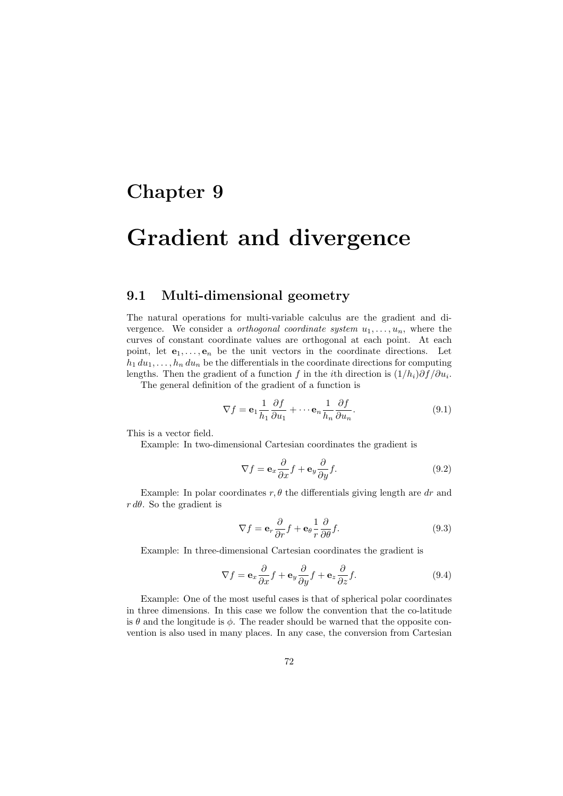# Chapter 9

# Gradient and divergence

#### 9.1 Multi-dimensional geometry

The natural operations for multi-variable calculus are the gradient and divergence. We consider a *orthogonal coordinate system*  $u_1, \ldots, u_n$ , where the curves of constant coordinate values are orthogonal at each point. At each point, let  $e_1, \ldots, e_n$  be the unit vectors in the coordinate directions. Let  $h_1 du_1, \ldots, h_n du_n$  be the differentials in the coordinate directions for computing lengths. Then the gradient of a function f in the *i*th direction is  $(1/h_i)\partial f/\partial u_i$ .

The general definition of the gradient of a function is

$$
\nabla f = \mathbf{e}_1 \frac{1}{h_1} \frac{\partial f}{\partial u_1} + \dots + \mathbf{e}_n \frac{1}{h_n} \frac{\partial f}{\partial u_n}.
$$
 (9.1)

This is a vector field.

Example: In two-dimensional Cartesian coordinates the gradient is

$$
\nabla f = \mathbf{e}_x \frac{\partial}{\partial x} f + \mathbf{e}_y \frac{\partial}{\partial y} f. \tag{9.2}
$$

Example: In polar coordinates  $r, \theta$  the differentials giving length are dr and  $r d\theta$ . So the gradient is

$$
\nabla f = \mathbf{e}_r \frac{\partial}{\partial r} f + \mathbf{e}_\theta \frac{1}{r} \frac{\partial}{\partial \theta} f. \tag{9.3}
$$

Example: In three-dimensional Cartesian coordinates the gradient is

$$
\nabla f = \mathbf{e}_x \frac{\partial}{\partial x} f + \mathbf{e}_y \frac{\partial}{\partial y} f + \mathbf{e}_z \frac{\partial}{\partial z} f.
$$
 (9.4)

Example: One of the most useful cases is that of spherical polar coordinates in three dimensions. In this case we follow the convention that the co-latitude is  $\theta$  and the longitude is  $\phi$ . The reader should be warned that the opposite convention is also used in many places. In any case, the conversion from Cartesian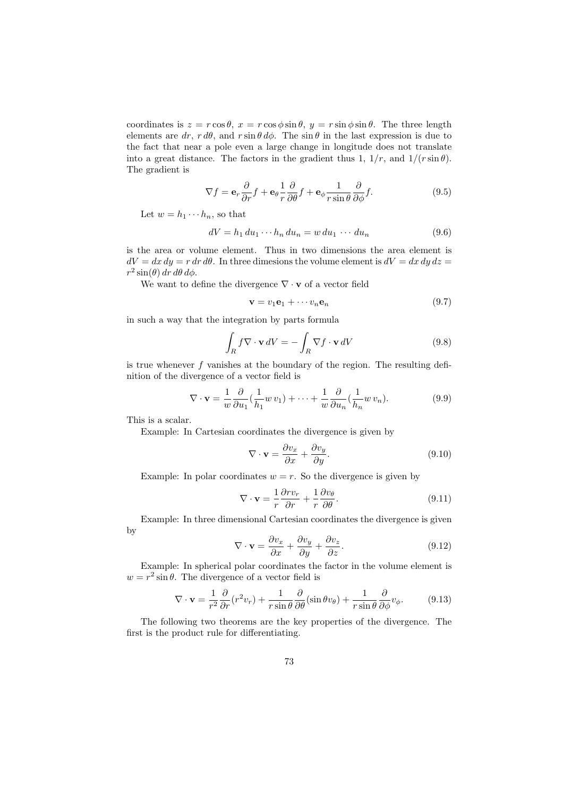coordinates is  $z = r \cos \theta$ ,  $x = r \cos \phi \sin \theta$ ,  $y = r \sin \phi \sin \theta$ . The three length elements are dr, r d $\theta$ , and r sin  $\theta$  d $\phi$ . The sin  $\theta$  in the last expression is due to the fact that near a pole even a large change in longitude does not translate into a great distance. The factors in the gradient thus 1,  $1/r$ , and  $1/(r \sin \theta)$ . The gradient is

$$
\nabla f = \mathbf{e}_r \frac{\partial}{\partial r} f + \mathbf{e}_\theta \frac{1}{r} \frac{\partial}{\partial \theta} f + \mathbf{e}_\phi \frac{1}{r \sin \theta} \frac{\partial}{\partial \phi} f. \tag{9.5}
$$

Let  $w = h_1 \cdots h_n$ , so that

$$
dV = h_1 du_1 \cdots h_n du_n = w du_1 \cdots du_n \tag{9.6}
$$

is the area or volume element. Thus in two dimensions the area element is  $dV = dx dy = r dr d\theta$ . In three dimesions the volume element is  $dV = dx dy dz =$  $r^2 \sin(\theta) dr d\theta d\phi.$ 

We want to define the divergence  $\nabla \cdot \mathbf{v}$  of a vector field

$$
\mathbf{v} = v_1 \mathbf{e}_1 + \cdots v_n \mathbf{e}_n \tag{9.7}
$$

in such a way that the integration by parts formula

$$
\int_{R} f \nabla \cdot \mathbf{v} \, dV = -\int_{R} \nabla f \cdot \mathbf{v} \, dV \tag{9.8}
$$

is true whenever  $f$  vanishes at the boundary of the region. The resulting definition of the divergence of a vector field is

$$
\nabla \cdot \mathbf{v} = \frac{1}{w} \frac{\partial}{\partial u_1} \left( \frac{1}{h_1} w v_1 \right) + \dots + \frac{1}{w} \frac{\partial}{\partial u_n} \left( \frac{1}{h_n} w v_n \right). \tag{9.9}
$$

This is a scalar.

Example: In Cartesian coordinates the divergence is given by

$$
\nabla \cdot \mathbf{v} = \frac{\partial v_x}{\partial x} + \frac{\partial v_y}{\partial y}.
$$
\n(9.10)

Example: In polar coordinates  $w = r$ . So the divergence is given by

$$
\nabla \cdot \mathbf{v} = -\frac{1}{r} \frac{\partial r v_r}{\partial r} + \frac{1}{r} \frac{\partial v_\theta}{\partial \theta}.
$$
\n(9.11)

Example: In three dimensional Cartesian coordinates the divergence is given by

$$
\nabla \cdot \mathbf{v} = \frac{\partial v_x}{\partial x} + \frac{\partial v_y}{\partial y} + \frac{\partial v_z}{\partial z}.
$$
 (9.12)

Example: In spherical polar coordinates the factor in the volume element is  $w = r^2 \sin \theta$ . The divergence of a vector field is

$$
\nabla \cdot \mathbf{v} = \frac{1}{r^2} \frac{\partial}{\partial r} (r^2 v_r) + \frac{1}{r \sin \theta} \frac{\partial}{\partial \theta} (\sin \theta v_\theta) + \frac{1}{r \sin \theta} \frac{\partial}{\partial \phi} v_\phi.
$$
(9.13)

The following two theorems are the key properties of the divergence. The first is the product rule for differentiating.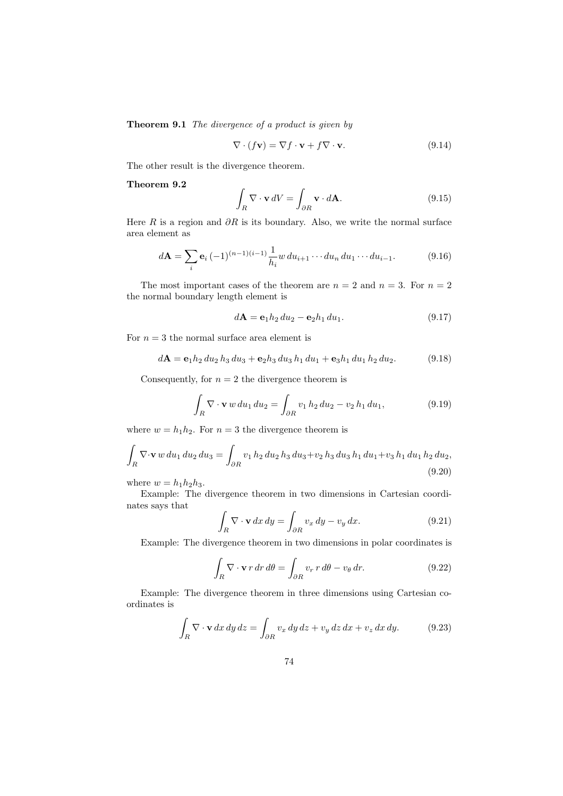Theorem 9.1 The divergence of a product is given by

$$
\nabla \cdot (f\mathbf{v}) = \nabla f \cdot \mathbf{v} + f \nabla \cdot \mathbf{v}.
$$
 (9.14)

The other result is the divergence theorem.

Theorem 9.2

$$
\int_{R} \nabla \cdot \mathbf{v} \, dV = \int_{\partial R} \mathbf{v} \cdot d\mathbf{A}.\tag{9.15}
$$

Here R is a region and  $\partial R$  is its boundary. Also, we write the normal surface area element as

$$
d\mathbf{A} = \sum_{i} \mathbf{e}_i \, (-1)^{(n-1)(i-1)} \frac{1}{h_i} w \, du_{i+1} \cdots du_n \, du_1 \cdots du_{i-1}.
$$
 (9.16)

The most important cases of the theorem are  $n = 2$  and  $n = 3$ . For  $n = 2$ the normal boundary length element is

$$
d\mathbf{A} = \mathbf{e}_1 h_2 du_2 - \mathbf{e}_2 h_1 du_1. \tag{9.17}
$$

For  $n = 3$  the normal surface area element is

$$
d\mathbf{A} = \mathbf{e}_1 h_2 \, du_2 \, h_3 \, du_3 + \mathbf{e}_2 h_3 \, du_3 \, h_1 \, du_1 + \mathbf{e}_3 h_1 \, du_1 \, h_2 \, du_2. \tag{9.18}
$$

Consequently, for  $n = 2$  the divergence theorem is

$$
\int_{R} \nabla \cdot \mathbf{v} \, w \, du_1 \, du_2 = \int_{\partial R} v_1 \, h_2 \, du_2 - v_2 \, h_1 \, du_1,\tag{9.19}
$$

where  $w = h_1 h_2$ . For  $n = 3$  the divergence theorem is  $\overline{a}$ 

$$
\int_{R} \nabla \cdot \mathbf{v} \, w \, du_1 \, du_2 \, du_3 = \int_{\partial R} v_1 \, h_2 \, du_2 \, h_3 \, du_3 + v_2 \, h_3 \, du_3 \, h_1 \, du_1 + v_3 \, h_1 \, du_1 \, h_2 \, du_2,
$$
\n(9.20)

where  $w = h_1 h_2 h_3$ .

Example: The divergence theorem in two dimensions in Cartesian coordinates says that

$$
\int_{R} \nabla \cdot \mathbf{v} \, dx \, dy = \int_{\partial R} v_x \, dy - v_y \, dx. \tag{9.21}
$$

Example: The divergence theorem in two dimensions in polar coordinates is

$$
\int_{R} \nabla \cdot \mathbf{v} \, r \, dr \, d\theta = \int_{\partial R} v_r \, r \, d\theta - v_\theta \, dr. \tag{9.22}
$$

Example: The divergence theorem in three dimensions using Cartesian coordinates is

$$
\int_{R} \nabla \cdot \mathbf{v} \, dx \, dy \, dz = \int_{\partial R} v_x \, dy \, dz + v_y \, dz \, dx + v_z \, dx \, dy. \tag{9.23}
$$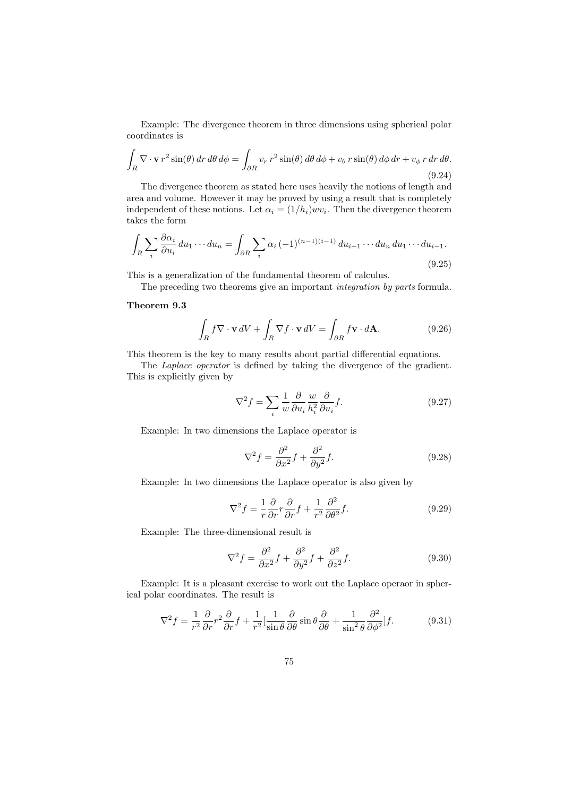Example: The divergence theorem in three dimensions using spherical polar coordinates is

$$
\int_{R} \nabla \cdot \mathbf{v} r^{2} \sin(\theta) dr d\theta d\phi = \int_{\partial R} v_{r} r^{2} \sin(\theta) d\theta d\phi + v_{\theta} r \sin(\theta) d\phi dr + v_{\phi} r dr d\theta.
$$
\n(9.24)

The divergence theorem as stated here uses heavily the notions of length and area and volume. However it may be proved by using a result that is completely independent of these notions. Let  $\alpha_i = (1/h_i) w v_i$ . Then the divergence theorem takes the form

$$
\int_{R} \sum_{i} \frac{\partial \alpha_{i}}{\partial u_{i}} du_{1} \cdots du_{n} = \int_{\partial R} \sum_{i} \alpha_{i} (-1)^{(n-1)(i-1)} du_{i+1} \cdots du_{n} du_{1} \cdots du_{i-1}.
$$
\n(9.25)

This is a generalization of the fundamental theorem of calculus.

The preceding two theorems give an important integration by parts formula.

#### Theorem 9.3

$$
\int_{R} f \nabla \cdot \mathbf{v} \, dV + \int_{R} \nabla f \cdot \mathbf{v} \, dV = \int_{\partial R} f \mathbf{v} \cdot d\mathbf{A}.
$$
\n(9.26)

This theorem is the key to many results about partial differential equations.

The Laplace operator is defined by taking the divergence of the gradient. This is explicitly given by

$$
\nabla^2 f = \sum_i \frac{1}{w} \frac{\partial}{\partial u_i} \frac{w}{h_i^2} \frac{\partial}{\partial u_i} f. \tag{9.27}
$$

Example: In two dimensions the Laplace operator is

$$
\nabla^2 f = \frac{\partial^2}{\partial x^2} f + \frac{\partial^2}{\partial y^2} f.
$$
\n(9.28)

Example: In two dimensions the Laplace operator is also given by

$$
\nabla^2 f = \frac{1}{r} \frac{\partial}{\partial r} r \frac{\partial}{\partial r} f + \frac{1}{r^2} \frac{\partial^2}{\partial \theta^2} f. \tag{9.29}
$$

Example: The three-dimensional result is

$$
\nabla^2 f = \frac{\partial^2}{\partial x^2} f + \frac{\partial^2}{\partial y^2} f + \frac{\partial^2}{\partial z^2} f. \tag{9.30}
$$

Example: It is a pleasant exercise to work out the Laplace operaor in spherical polar coordinates. The result is

$$
\nabla^2 f = \frac{1}{r^2} \frac{\partial}{\partial r} r^2 \frac{\partial}{\partial r} f + \frac{1}{r^2} \left[ \frac{1}{\sin \theta} \frac{\partial}{\partial \theta} \sin \theta \frac{\partial}{\partial \theta} + \frac{1}{\sin^2 \theta} \frac{\partial^2}{\partial \phi^2} \right] f. \tag{9.31}
$$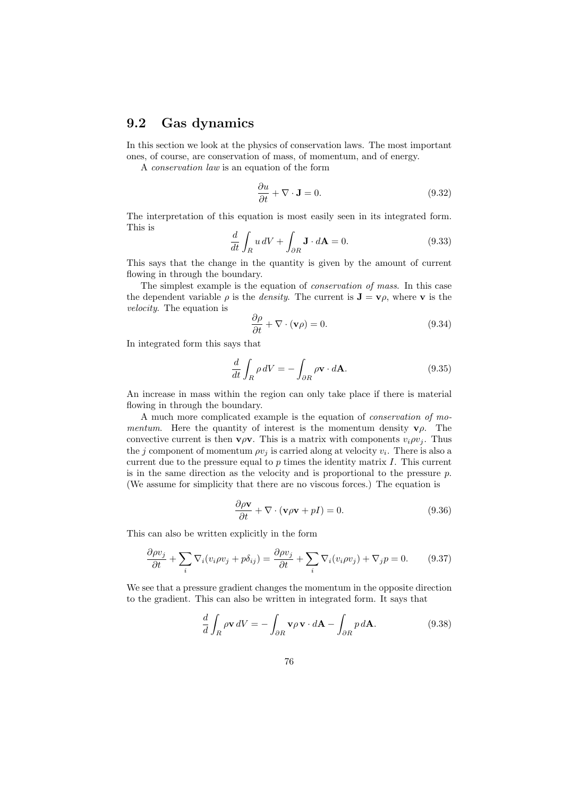#### 9.2 Gas dynamics

In this section we look at the physics of conservation laws. The most important ones, of course, are conservation of mass, of momentum, and of energy.

A conservation law is an equation of the form

$$
\frac{\partial u}{\partial t} + \nabla \cdot \mathbf{J} = 0.
$$
\n(9.32)

The interpretation of this equation is most easily seen in its integrated form. This is

$$
\frac{d}{dt} \int_{R} u \, dV + \int_{\partial R} \mathbf{J} \cdot d\mathbf{A} = 0. \tag{9.33}
$$

This says that the change in the quantity is given by the amount of current flowing in through the boundary.

The simplest example is the equation of conservation of mass. In this case the dependent variable  $\rho$  is the *density*. The current is  $\mathbf{J} = \mathbf{v}\rho$ , where **v** is the velocity. The equation is

$$
\frac{\partial \rho}{\partial t} + \nabla \cdot (\mathbf{v}\rho) = 0.
$$
\n(9.34)

In integrated form this says that

$$
\frac{d}{dt} \int_{R} \rho \, dV = - \int_{\partial R} \rho \mathbf{v} \cdot d\mathbf{A}.\tag{9.35}
$$

An increase in mass within the region can only take place if there is material flowing in through the boundary.

A much more complicated example is the equation of conservation of momentum. Here the quantity of interest is the momentum density  $v\rho$ . The convective current is then  $v \rho v$ . This is a matrix with components  $v_i \rho v_j$ . Thus the j component of momentum  $\rho v_j$  is carried along at velocity  $v_i$ . There is also a current due to the pressure equal to  $p$  times the identity matrix  $I$ . This current is in the same direction as the velocity and is proportional to the pressure  $p$ . (We assume for simplicity that there are no viscous forces.) The equation is

$$
\frac{\partial \rho \mathbf{v}}{\partial t} + \nabla \cdot (\mathbf{v}\rho \mathbf{v} + pI) = 0.
$$
 (9.36)

This can also be written explicitly in the form

$$
\frac{\partial \rho v_j}{\partial t} + \sum_i \nabla_i (v_i \rho v_j + p \delta_{ij}) = \frac{\partial \rho v_j}{\partial t} + \sum_i \nabla_i (v_i \rho v_j) + \nabla_j p = 0. \tag{9.37}
$$

We see that a pressure gradient changes the momentum in the opposite direction to the gradient. This can also be written in integrated form. It says that

$$
\frac{d}{d} \int_{R} \rho \mathbf{v} \, dV = -\int_{\partial R} \mathbf{v} \rho \, \mathbf{v} \cdot d\mathbf{A} - \int_{\partial R} p \, d\mathbf{A}.\tag{9.38}
$$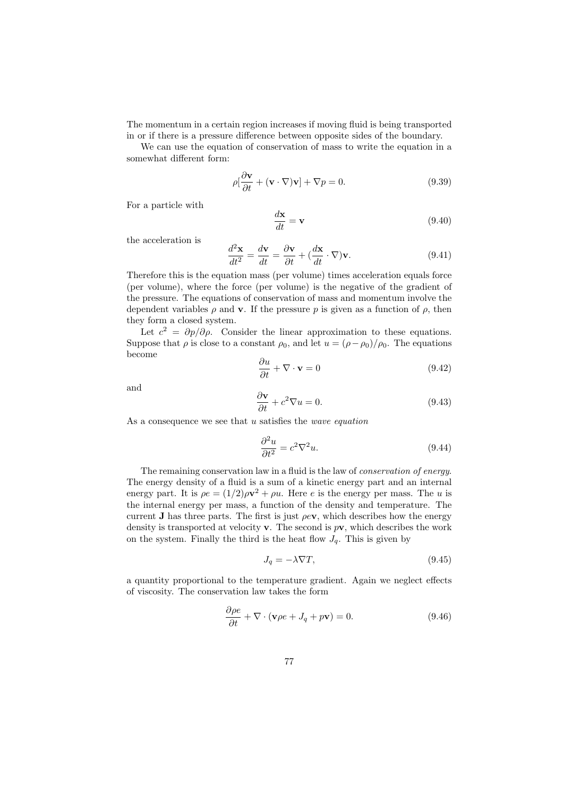The momentum in a certain region increases if moving fluid is being transported in or if there is a pressure difference between opposite sides of the boundary.

We can use the equation of conservation of mass to write the equation in a somewhat different form:

$$
\rho[\frac{\partial \mathbf{v}}{\partial t} + (\mathbf{v} \cdot \nabla)\mathbf{v}] + \nabla p = 0.
$$
 (9.39)

For a particle with

$$
\frac{d\mathbf{x}}{dt} = \mathbf{v} \tag{9.40}
$$

the acceleration is

$$
\frac{d^2\mathbf{x}}{dt^2} = \frac{d\mathbf{v}}{dt} = \frac{\partial \mathbf{v}}{\partial t} + \left(\frac{d\mathbf{x}}{dt} \cdot \nabla\right) \mathbf{v}.\tag{9.41}
$$

Therefore this is the equation mass (per volume) times acceleration equals force (per volume), where the force (per volume) is the negative of the gradient of the pressure. The equations of conservation of mass and momentum involve the dependent variables  $\rho$  and **v**. If the pressure p is given as a function of  $\rho$ , then they form a closed system.

Let  $c^2 = \partial p/\partial \rho$ . Consider the linear approximation to these equations. Suppose that  $\rho$  is close to a constant  $\rho_0$ , and let  $u = (\rho - \rho_0)/\rho_0$ . The equations become

$$
\frac{\partial u}{\partial t} + \nabla \cdot \mathbf{v} = 0 \tag{9.42}
$$

and

$$
\frac{\partial \mathbf{v}}{\partial t} + c^2 \nabla u = 0. \tag{9.43}
$$

As a consequence we see that u satisfies the *wave equation* 

$$
\frac{\partial^2 u}{\partial t^2} = c^2 \nabla^2 u. \tag{9.44}
$$

The remaining conservation law in a fluid is the law of *conservation of energy*. The energy density of a fluid is a sum of a kinetic energy part and an internal energy part. It is  $\rho e = (1/2)\rho \mathbf{v}^2 + \rho u$ . Here *e* is the energy per mass. The *u* is the internal energy per mass, a function of the density and temperature. The current **J** has three parts. The first is just  $\rho e \mathbf{v}$ , which describes how the energy density is transported at velocity  $\bf{v}$ . The second is  $p\bf{v}$ , which describes the work on the system. Finally the third is the heat flow  $J_q$ . This is given by

$$
J_q = -\lambda \nabla T,\tag{9.45}
$$

a quantity proportional to the temperature gradient. Again we neglect effects of viscosity. The conservation law takes the form

$$
\frac{\partial \rho e}{\partial t} + \nabla \cdot (\mathbf{v}\rho e + J_q + p\mathbf{v}) = 0.
$$
 (9.46)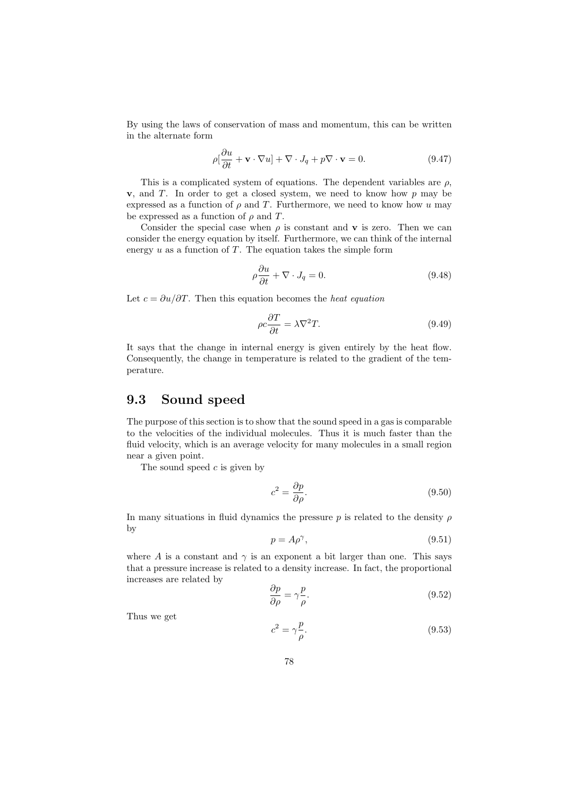By using the laws of conservation of mass and momentum, this can be written in the alternate form

$$
\rho[\frac{\partial u}{\partial t} + \mathbf{v} \cdot \nabla u] + \nabla \cdot J_q + p \nabla \cdot \mathbf{v} = 0.
$$
 (9.47)

This is a complicated system of equations. The dependent variables are  $\rho$ , **v**, and T. In order to get a closed system, we need to know how p may be expressed as a function of  $\rho$  and T. Furthermore, we need to know how u may be expressed as a function of  $\rho$  and T.

Consider the special case when  $\rho$  is constant and **v** is zero. Then we can consider the energy equation by itself. Furthermore, we can think of the internal energy  $u$  as a function of  $T$ . The equation takes the simple form

$$
\rho \frac{\partial u}{\partial t} + \nabla \cdot J_q = 0. \tag{9.48}
$$

Let  $c = \partial u / \partial T$ . Then this equation becomes the *heat equation* 

$$
\rho c \frac{\partial T}{\partial t} = \lambda \nabla^2 T. \tag{9.49}
$$

It says that the change in internal energy is given entirely by the heat flow. Consequently, the change in temperature is related to the gradient of the temperature.

### 9.3 Sound speed

The purpose of this section is to show that the sound speed in a gas is comparable to the velocities of the individual molecules. Thus it is much faster than the fluid velocity, which is an average velocity for many molecules in a small region near a given point.

The sound speed  $c$  is given by

$$
c^2 = \frac{\partial p}{\partial \rho}.\tag{9.50}
$$

In many situations in fluid dynamics the pressure  $p$  is related to the density  $\rho$ by

$$
p = A\rho^{\gamma},\tag{9.51}
$$

where A is a constant and  $\gamma$  is an exponent a bit larger than one. This says that a pressure increase is related to a density increase. In fact, the proportional increases are related by

$$
\frac{\partial p}{\partial \rho} = \gamma \frac{p}{\rho}.\tag{9.52}
$$

Thus we get

$$
c^2 = \gamma \frac{p}{\rho}.\tag{9.53}
$$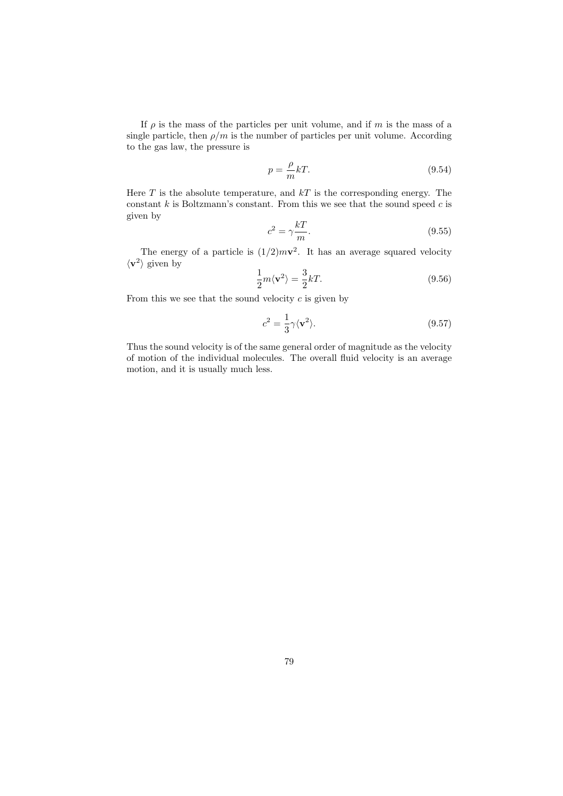If  $\rho$  is the mass of the particles per unit volume, and if m is the mass of a single particle, then  $\rho/m$  is the number of particles per unit volume. According to the gas law, the pressure is

$$
p = -\frac{\rho}{m}kT.\tag{9.54}
$$

Here  $T$  is the absolute temperature, and  $kT$  is the corresponding energy. The constant  $k$  is Boltzmann's constant. From this we see that the sound speed  $c$  is given by

$$
c^2 = \gamma \frac{kT}{m}.\tag{9.55}
$$

The energy of a particle is  $(1/2)m\mathbf{v}^2$ . It has an average squared velocity  $\langle v^2 \rangle$  given by

$$
\frac{1}{2}m\langle \mathbf{v}^2 \rangle = \frac{3}{2}kT.
$$
\n(9.56)

From this we see that the sound velocity  $c$  is given by

$$
c^2 = \frac{1}{3}\gamma \langle \mathbf{v}^2 \rangle. \tag{9.57}
$$

Thus the sound velocity is of the same general order of magnitude as the velocity of motion of the individual molecules. The overall fluid velocity is an average motion, and it is usually much less.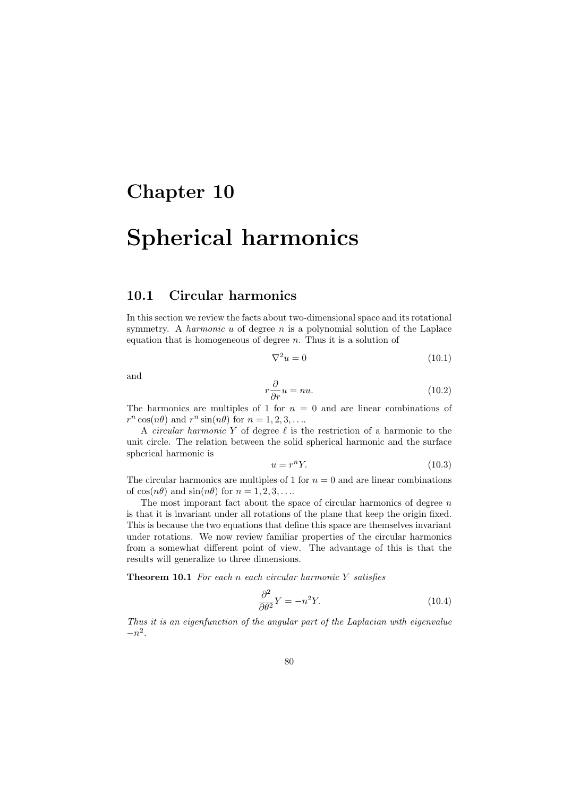# Chapter 10

# Spherical harmonics

### 10.1 Circular harmonics

In this section we review the facts about two-dimensional space and its rotational symmetry. A *harmonic u* of degree n is a polynomial solution of the Laplace equation that is homogeneous of degree  $n$ . Thus it is a solution of

$$
\nabla^2 u = 0 \tag{10.1}
$$

and

$$
r\frac{\partial}{\partial r}u = nu.\tag{10.2}
$$

The harmonics are multiples of 1 for  $n = 0$  and are linear combinations of  $r^n \cos(n\theta)$  and  $r^n \sin(n\theta)$  for  $n = 1, 2, 3, \dots$ 

A *circular harmonic* Y of degree  $\ell$  is the restriction of a harmonic to the unit circle. The relation between the solid spherical harmonic and the surface spherical harmonic is

$$
u = r^n Y. \tag{10.3}
$$

The circular harmonics are multiples of 1 for  $n = 0$  and are linear combinations of  $\cos(n\theta)$  and  $\sin(n\theta)$  for  $n = 1, 2, 3, \ldots$ .

The most imporant fact about the space of circular harmonics of degree  $n$ is that it is invariant under all rotations of the plane that keep the origin fixed. This is because the two equations that define this space are themselves invariant under rotations. We now review familiar properties of the circular harmonics from a somewhat different point of view. The advantage of this is that the results will generalize to three dimensions.

**Theorem 10.1** For each  $n$  each circular harmonic  $Y$  satisfies

$$
\frac{\partial^2}{\partial \theta^2} Y = -n^2 Y. \tag{10.4}
$$

Thus it is an eigenfunction of the angular part of the Laplacian with eigenvalue  $-n^2$ .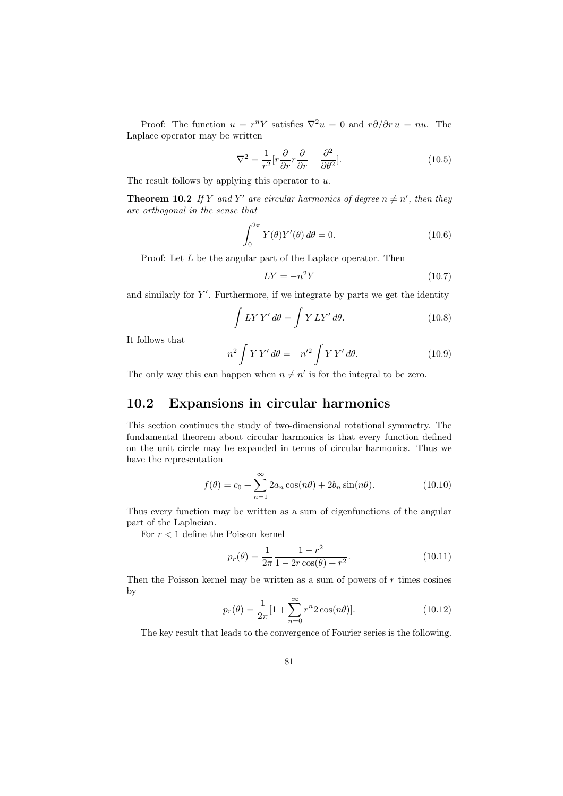Proof: The function  $u = r^n Y$  satisfies  $\nabla^2 u = 0$  and  $r \partial/\partial r u = nu$ . The Laplace operator may be written

$$
\nabla^2 = \frac{1}{r^2} \left[ r \frac{\partial}{\partial r} r \frac{\partial}{\partial r} + \frac{\partial^2}{\partial \theta^2} \right].
$$
 (10.5)

The result follows by applying this operator to  $u$ .

**Theorem 10.2** If Y and Y' are circular harmonics of degree  $n \neq n'$ , then they are orthogonal in the sense that

$$
\int_0^{2\pi} Y(\theta) Y'(\theta) d\theta = 0.
$$
 (10.6)

Proof: Let L be the angular part of the Laplace operator. Then

$$
LY = -n^2Y\tag{10.7}
$$

and similarly for  $Y'$ . Furthermore, if we integrate by parts we get the identity

$$
\int LY Y' d\theta = \int Y LY' d\theta.
$$
 (10.8)

It follows that

$$
-n^2 \int Y Y' d\theta = -n'^2 \int Y Y' d\theta.
$$
 (10.9)

The only way this can happen when  $n \neq n'$  is for the integral to be zero.

# 10.2 Expansions in circular harmonics

This section continues the study of two-dimensional rotational symmetry. The fundamental theorem about circular harmonics is that every function defined on the unit circle may be expanded in terms of circular harmonics. Thus we have the representation

$$
f(\theta) = c_0 + \sum_{n=1}^{\infty} 2a_n \cos(n\theta) + 2b_n \sin(n\theta).
$$
 (10.10)

Thus every function may be written as a sum of eigenfunctions of the angular part of the Laplacian.

For  $r < 1$  define the Poisson kernel

$$
p_r(\theta) = \frac{1}{2\pi} \frac{1 - r^2}{1 - 2r\cos(\theta) + r^2}.
$$
\n(10.11)

Then the Poisson kernel may be written as a sum of powers of  $r$  times cosines by

$$
p_r(\theta) = \frac{1}{2\pi} [1 + \sum_{n=0}^{\infty} r^n 2 \cos(n\theta)].
$$
 (10.12)

The key result that leads to the convergence of Fourier series is the following.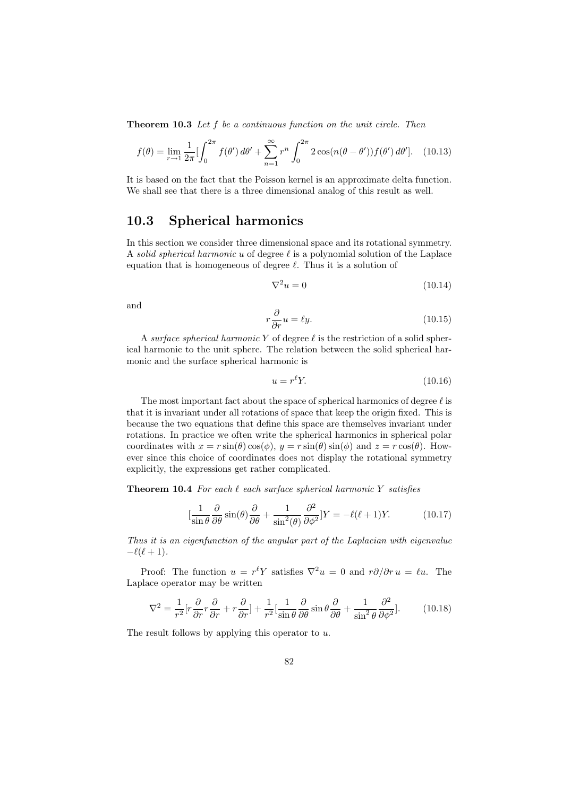Theorem 10.3 Let f be a continuous function on the unit circle. Then

$$
f(\theta) = \lim_{r \to 1} \frac{1}{2\pi} \left[ \int_0^{2\pi} f(\theta') \, d\theta' + \sum_{n=1}^\infty r^n \int_0^{2\pi} 2\cos(n(\theta - \theta')) f(\theta') \, d\theta' \right]. \tag{10.13}
$$

It is based on the fact that the Poisson kernel is an approximate delta function. We shall see that there is a three dimensional analog of this result as well.

#### 10.3 Spherical harmonics

In this section we consider three dimensional space and its rotational symmetry. A solid spherical harmonic u of degree  $\ell$  is a polynomial solution of the Laplace equation that is homogeneous of degree  $\ell$ . Thus it is a solution of

$$
\nabla^2 u = 0 \tag{10.14}
$$

and

$$
r\frac{\partial}{\partial r}u = \ell y.\tag{10.15}
$$

A surface spherical harmonic Y of degree  $\ell$  is the restriction of a solid spherical harmonic to the unit sphere. The relation between the solid spherical harmonic and the surface spherical harmonic is

$$
u = r^{\ell} Y. \tag{10.16}
$$

The most important fact about the space of spherical harmonics of degree  $\ell$  is that it is invariant under all rotations of space that keep the origin fixed. This is because the two equations that define this space are themselves invariant under rotations. In practice we often write the spherical harmonics in spherical polar coordinates with  $x = r \sin(\theta) \cos(\phi)$ ,  $y = r \sin(\theta) \sin(\phi)$  and  $z = r \cos(\theta)$ . However since this choice of coordinates does not display the rotational symmetry explicitly, the expressions get rather complicated.

**Theorem 10.4** For each  $\ell$  each surface spherical harmonic Y satisfies

$$
\left[\frac{1}{\sin\theta}\frac{\partial}{\partial\theta}\sin(\theta)\frac{\partial}{\partial\theta} + \frac{1}{\sin^2(\theta)}\frac{\partial^2}{\partial\phi^2}\right]Y = -\ell(\ell+1)Y.
$$
 (10.17)

Thus it is an eigenfunction of the angular part of the Laplacian with eigenvalue  $-\ell(\ell + 1).$ 

Proof: The function  $u = r^{\ell} Y$  satisfies  $\nabla^2 u = 0$  and  $r \partial/\partial r u = \ell u$ . The Laplace operator may be written

$$
\nabla^2 = \frac{1}{r^2} \left[ r \frac{\partial}{\partial r} r \frac{\partial}{\partial r} + r \frac{\partial}{\partial r} \right] + \frac{1}{r^2} \left[ \frac{1}{\sin \theta} \frac{\partial}{\partial \theta} \sin \theta \frac{\partial}{\partial \theta} + \frac{1}{\sin^2 \theta} \frac{\partial^2}{\partial \phi^2} \right].
$$
 (10.18)

The result follows by applying this operator to  $u$ .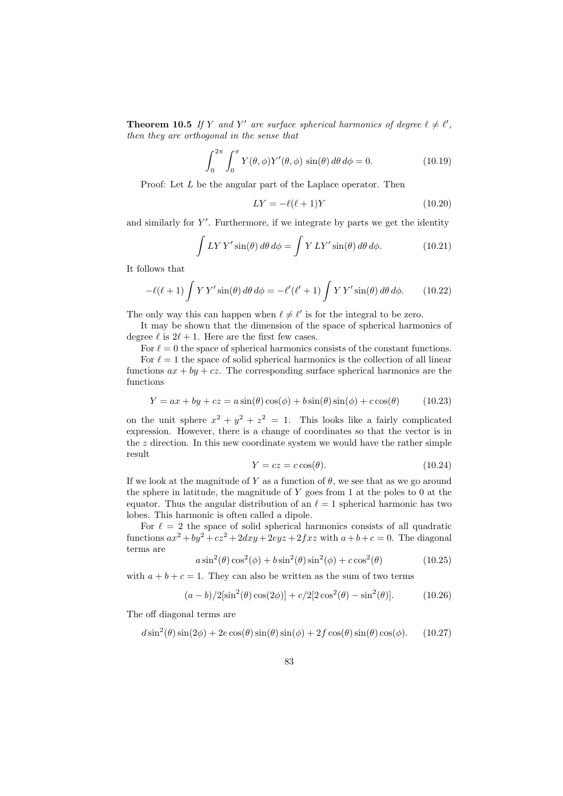**Theorem 10.5** If Y and Y' are surface spherical harmonics of degree  $\ell \neq \ell'$ , then they are orthogonal in the sense that

$$
\int_0^{2\pi} \int_0^{\pi} Y(\theta, \phi) Y'(\theta, \phi) \sin(\theta) d\theta d\phi = 0.
$$
 (10.19)

Proof: Let L be the angular part of the Laplace operator. Then

$$
LY = -\ell(\ell+1)Y\tag{10.20}
$$

and similarly for  $Y'$ . Furthermore, if we integrate by parts we get the identity

$$
\int LY Y' \sin(\theta) d\theta d\phi = \int Y LY' \sin(\theta) d\theta d\phi.
$$
 (10.21)

It follows that

$$
-\ell(\ell+1)\int Y Y' \sin(\theta) d\theta d\phi = -\ell'(\ell'+1)\int Y Y' \sin(\theta) d\theta d\phi.
$$
 (10.22)

The only way this can happen when  $\ell \neq \ell'$  is for the integral to be zero.

It may be shown that the dimension of the space of spherical harmonics of degree  $\ell$  is  $2\ell + 1$ . Here are the first few cases.

For  $\ell = 0$  the space of spherical harmonics consists of the constant functions.

For  $\ell = 1$  the space of solid spherical harmonics is the collection of all linear functions  $ax + by + cz$ . The corresponding surface spherical harmonics are the functions

$$
Y = ax + by + cz = a\sin(\theta)\cos(\phi) + b\sin(\theta)\sin(\phi) + c\cos(\theta)
$$
 (10.23)

on the unit sphere  $x^2 + y^2 + z^2 = 1$ . This looks like a fairly complicated expression. However, there is a change of coordinates so that the vector is in the  $z$  direction. In this new coordinate system we would have the rather simple result

$$
Y = cz = c \cos(\theta). \tag{10.24}
$$

If we look at the magnitude of Y as a function of  $\theta$ , we see that as we go around the sphere in latitude, the magnitude of Y goes from 1 at the poles to 0 at the equator. Thus the angular distribution of an  $\ell = 1$  spherical harmonic has two lobes. This harmonic is often called a dipole.

For  $\ell = 2$  the space of solid spherical harmonics consists of all quadratic functions  $ax^2 + by^2 + cz^2 + 2dxy + 2eyz + 2fxz$  with  $a+b+c=0$ . The diagonal terms are

$$
a\sin^2(\theta)\cos^2(\phi) + b\sin^2(\theta)\sin^2(\phi) + c\cos^2(\theta)
$$
 (10.25)

with  $a + b + c = 1$ . They can also be written as the sum of two terms

$$
(a - b)/2[\sin^2(\theta)\cos(2\phi)] + c/2[2\cos^2(\theta) - \sin^2(\theta)].
$$
 (10.26)

The off diagonal terms are

$$
d\sin^2(\theta)\sin(2\phi) + 2e\cos(\theta)\sin(\theta)\sin(\phi) + 2f\cos(\theta)\sin(\theta)\cos(\phi). \quad (10.27)
$$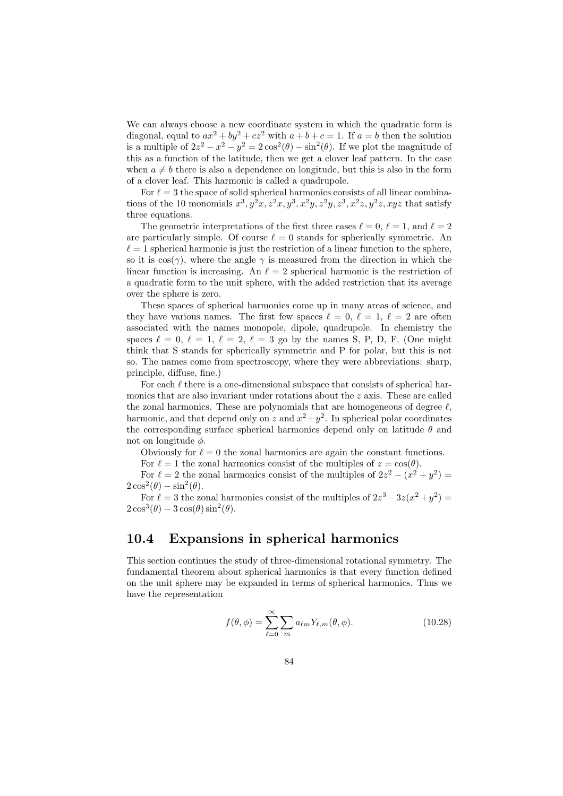We can always choose a new coordinate system in which the quadratic form is diagonal, equal to  $ax^2 + by^2 + cz^2$  with  $a + b + c = 1$ . If  $a = b$  then the solution is a multiple of  $2z^2 - x^2 - y^2 = 2\cos^2(\theta) - \sin^2(\theta)$ . If we plot the magnitude of this as a function of the latitude, then we get a clover leaf pattern. In the case when  $a \neq b$  there is also a dependence on longitude, but this is also in the form of a clover leaf. This harmonic is called a quadrupole.

For  $\ell = 3$  the space of solid spherical harmonics consists of all linear combinations of the 10 monomials  $x^3$ ,  $y^2x$ ,  $z^2x$ ,  $y^3$ ,  $x^2y$ ,  $z^3$ ,  $x^2z$ ,  $y^2z$ ,  $xyz$  that satisfy three equations.

The geometric interpretations of the first three cases  $\ell = 0, \ell = 1$ , and  $\ell = 2$ are particularly simple. Of course  $\ell = 0$  stands for spherically symmetric. An  $\ell = 1$  spherical harmonic is just the restriction of a linear function to the sphere, so it is  $cos(\gamma)$ , where the angle  $\gamma$  is measured from the direction in which the linear function is increasing. An  $\ell = 2$  spherical harmonic is the restriction of a quadratic form to the unit sphere, with the added restriction that its average over the sphere is zero.

These spaces of spherical harmonics come up in many areas of science, and they have various names. The first few spaces  $\ell = 0, \ell = 1, \ell = 2$  are often associated with the names monopole, dipole, quadrupole. In chemistry the spaces  $\ell = 0, \ell = 1, \ell = 2, \ell = 3$  go by the names S, P, D, F. (One might think that S stands for spherically symmetric and P for polar, but this is not so. The names come from spectroscopy, where they were abbreviations: sharp, principle, diffuse, fine.)

For each  $\ell$  there is a one-dimensional subspace that consists of spherical harmonics that are also invariant under rotations about the z axis. These are called the zonal harmonics. These are polynomials that are homogeneous of degree  $\ell$ , harmonic, and that depend only on z and  $x^2 + y^2$ . In spherical polar coordinates the corresponding surface spherical harmonics depend only on latitude  $\theta$  and not on longitude  $\phi$ .

Obviously for  $\ell = 0$  the zonal harmonics are again the constant functions.

For  $\ell = 1$  the zonal harmonics consist of the multiples of  $z = \cos(\theta)$ .

For  $\ell = 2$  the zonal harmonics consist of the multiples of  $2z^2 - (x^2 + y^2) =$  $2\cos^2(\theta) - \sin^2(\theta)$ .

For  $\ell = 3$  the zonal harmonics consist of the multiples of  $2z^3 - 3z(x^2 + y^2) =$  $2\cos^3(\theta) - 3\cos(\theta)\sin^2(\theta).$ 

#### 10.4 Expansions in spherical harmonics

This section continues the study of three-dimensional rotational symmetry. The fundamental theorem about spherical harmonics is that every function defined on the unit sphere may be expanded in terms of spherical harmonics. Thus we have the representation

$$
f(\theta,\phi) = \sum_{\ell=0}^{\infty} \sum_{m} a_{\ell m} Y_{\ell,m}(\theta,\phi).
$$
 (10.28)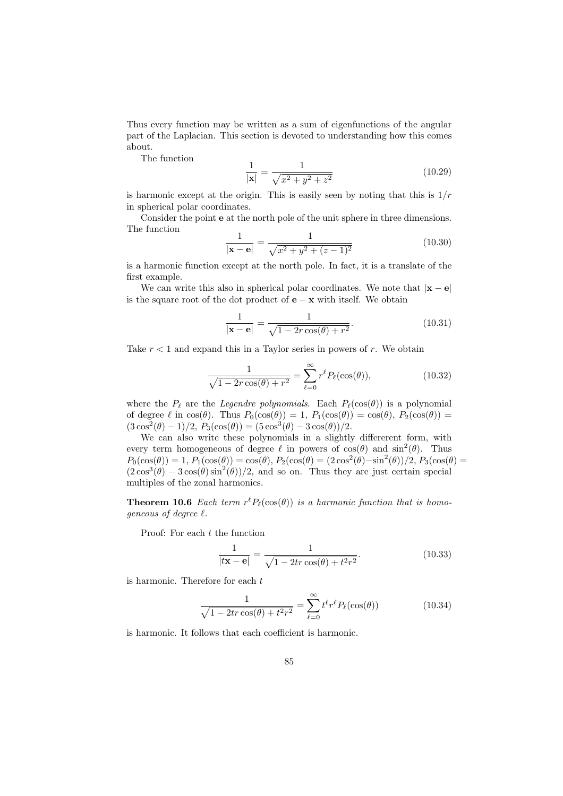Thus every function may be written as a sum of eigenfunctions of the angular part of the Laplacian. This section is devoted to understanding how this comes about.

The function

$$
\frac{1}{|\mathbf{x}|} = \frac{1}{\sqrt{x^2 + y^2 + z^2}}
$$
(10.29)

is harmonic except at the origin. This is easily seen by noting that this is  $1/r$ in spherical polar coordinates.

Consider the point e at the north pole of the unit sphere in three dimensions. The function

$$
\frac{1}{|\mathbf{x} - \mathbf{e}|} = \frac{1}{\sqrt{x^2 + y^2 + (z - 1)^2}}
$$
(10.30)

is a harmonic function except at the north pole. In fact, it is a translate of the first example.

We can write this also in spherical polar coordinates. We note that  $|x - e|$ is the square root of the dot product of  $e - x$  with itself. We obtain

$$
\frac{1}{|\mathbf{x} - \mathbf{e}|} = \frac{1}{\sqrt{1 - 2r\cos(\theta) + r^2}}.
$$
\n(10.31)

Take  $r < 1$  and expand this in a Taylor series in powers of r. We obtain

$$
\frac{1}{\sqrt{1 - 2r\cos(\theta) + r^2}} = \sum_{\ell=0}^{\infty} r^{\ell} P_{\ell}(\cos(\theta)),
$$
 (10.32)

where the  $P_\ell$  are the *Legendre polynomials*. Each  $P_\ell(\cos(\theta))$  is a polynomial of degree  $\ell$  in  $\cos(\theta)$ . Thus  $P_0(\cos(\theta)) = 1$ ,  $P_1(\cos(\theta)) = \cos(\theta)$ ,  $P_2(\cos(\theta)) =$  $(3\cos^2(\theta) - 1)/2$ ,  $P_3(\cos(\theta)) = (5\cos^3(\theta) - 3\cos(\theta))/2$ .

We can also write these polynomials in a slightly differerent form, with every term homogeneous of degree  $\ell$  in powers of  $\cos(\theta)$  and  $\sin^2(\theta)$ . Thus  $P_0(\cos(\theta)) = 1, P_1(\cos(\theta)) = \cos(\theta), P_2(\cos(\theta)) = (2\cos^2(\theta) - \sin^2(\theta))/2, P_3(\cos(\theta)) =$  $(2\cos^3(\theta) - 3\cos(\theta)\sin^2(\theta))/2$ , and so on. Thus they are just certain special multiples of the zonal harmonics.

**Theorem 10.6** Each term  $r^{\ell}P_{\ell}(\cos(\theta))$  is a harmonic function that is homogeneous of degree  $\ell$ .

Proof: For each  $t$  the function

$$
\frac{1}{|t\mathbf{x} - \mathbf{e}|} = \frac{1}{\sqrt{1 - 2tr\cos(\theta) + t^2 r^2}}.
$$
(10.33)

is harmonic. Therefore for each t

$$
\frac{1}{\sqrt{1 - 2tr\cos(\theta) + t^2 r^2}} = \sum_{\ell=0}^{\infty} t^{\ell} r^{\ell} P_{\ell}(\cos(\theta))
$$
 (10.34)

is harmonic. It follows that each coefficient is harmonic.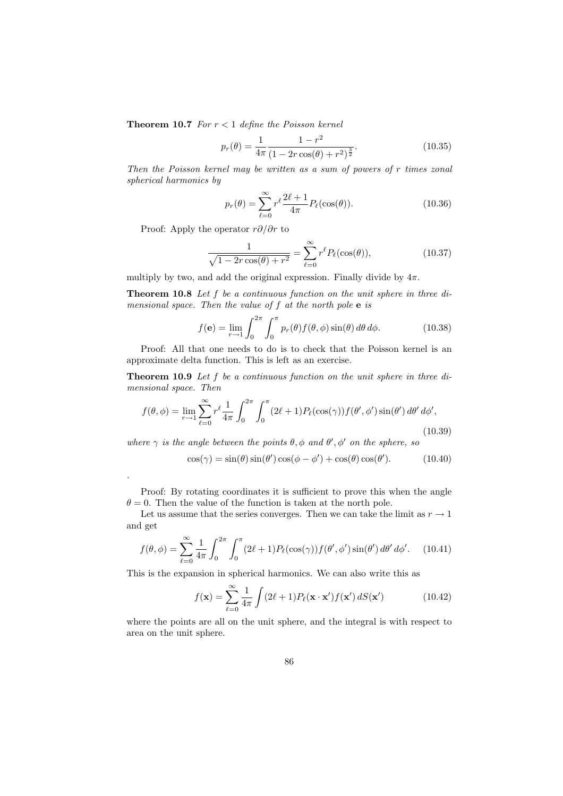**Theorem 10.7** For  $r < 1$  define the Poisson kernel

$$
p_r(\theta) = \frac{1}{4\pi} \frac{1 - r^2}{(1 - 2r\cos(\theta) + r^2)^{\frac{3}{2}}}.
$$
\n(10.35)

Then the Poisson kernel may be written as a sum of powers of r times zonal spherical harmonics by

$$
p_r(\theta) = \sum_{\ell=0}^{\infty} r^{\ell} \frac{2\ell+1}{4\pi} P_{\ell}(\cos(\theta)).
$$
 (10.36)

Proof: Apply the operator  $r\partial/\partial r$  to

.

$$
\frac{1}{\sqrt{1 - 2r\cos(\theta) + r^2}} = \sum_{\ell=0}^{\infty} r^{\ell} P_{\ell}(\cos(\theta)),
$$
 (10.37)

multiply by two, and add the original expression. Finally divide by  $4\pi$ .

Theorem 10.8 Let f be a continuous function on the unit sphere in three dimensional space. Then the value of  $f$  at the north pole  $e$  is

$$
f(\mathbf{e}) = \lim_{r \to 1} \int_0^{2\pi} \int_0^{\pi} p_r(\theta) f(\theta, \phi) \sin(\theta) d\theta d\phi.
$$
 (10.38)

Proof: All that one needs to do is to check that the Poisson kernel is an approximate delta function. This is left as an exercise.

Theorem 10.9 Let f be a continuous function on the unit sphere in three dimensional space. Then

$$
f(\theta,\phi) = \lim_{r \to 1} \sum_{\ell=0}^{\infty} r^{\ell} \frac{1}{4\pi} \int_0^{2\pi} \int_0^{\pi} (2\ell+1) P_{\ell}(\cos(\gamma)) f(\theta',\phi') \sin(\theta') d\theta' d\phi',
$$
\n(10.39)

where  $\gamma$  is the angle between the points  $\theta$ ,  $\phi$  and  $\theta'$ ,  $\phi'$  on the sphere, so

$$
\cos(\gamma) = \sin(\theta)\sin(\theta')\cos(\phi - \phi') + \cos(\theta)\cos(\theta'). \tag{10.40}
$$

Proof: By rotating coordinates it is sufficient to prove this when the angle  $\theta = 0$ . Then the value of the function is taken at the north pole.

Let us assume that the series converges. Then we can take the limit as  $r \to 1$ and get

$$
f(\theta,\phi) = \sum_{\ell=0}^{\infty} \frac{1}{4\pi} \int_0^{2\pi} \int_0^{\pi} (2\ell+1) P_\ell(\cos(\gamma)) f(\theta',\phi') \sin(\theta') d\theta' d\phi'.
$$
 (10.41)

This is the expansion in spherical harmonics. We can also write this as

$$
f(\mathbf{x}) = \sum_{\ell=0}^{\infty} \frac{1}{4\pi} \int (2\ell+1) P_{\ell}(\mathbf{x} \cdot \mathbf{x}') f(\mathbf{x}') dS(\mathbf{x}') \tag{10.42}
$$

where the points are all on the unit sphere, and the integral is with respect to area on the unit sphere.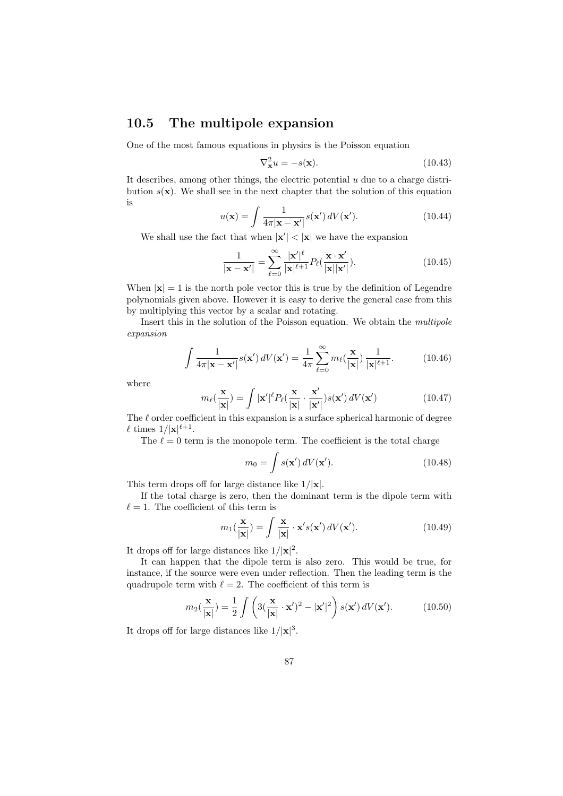### 10.5 The multipole expansion

One of the most famous equations in physics is the Poisson equation

$$
\nabla_{\mathbf{x}}^2 u = -s(\mathbf{x}).\tag{10.43}
$$

It describes, among other things, the electric potential  $u$  due to a charge distribution  $s(\mathbf{x})$ . We shall see in the next chapter that the solution of this equation is

$$
u(\mathbf{x}) = \int \frac{1}{4\pi |\mathbf{x} - \mathbf{x}'|} s(\mathbf{x}') dV(\mathbf{x}').
$$
 (10.44)

We shall use the fact that when  $|x'| < |x|$  we have the expansion

$$
\frac{1}{|\mathbf{x} - \mathbf{x}'|} = \sum_{\ell=0}^{\infty} \frac{|\mathbf{x}'| \ell}{|\mathbf{x}|^{\ell+1}} P_{\ell}(\frac{\mathbf{x} \cdot \mathbf{x}'}{|\mathbf{x}||\mathbf{x}'|}).
$$
(10.45)

When  $|x| = 1$  is the north pole vector this is true by the definition of Legendre polynomials given above. However it is easy to derive the general case from this by multiplying this vector by a scalar and rotating.

Insert this in the solution of the Poisson equation. We obtain the multipole expansion

$$
\int \frac{1}{4\pi |\mathbf{x} - \mathbf{x}'|} s(\mathbf{x}') dV(\mathbf{x}') = \frac{1}{4\pi} \sum_{\ell=0}^{\infty} m_{\ell}(\frac{\mathbf{x}}{|\mathbf{x}|}) \frac{1}{|\mathbf{x}|^{\ell+1}}.
$$
 (10.46)

where

$$
m_{\ell}(\frac{\mathbf{x}}{|\mathbf{x}|}) = \int |\mathbf{x}'|^{\ell} P_{\ell}(\frac{\mathbf{x}}{|\mathbf{x}|} \cdot \frac{\mathbf{x}'}{|\mathbf{x}'|}) s(\mathbf{x}') dV(\mathbf{x}') \qquad (10.47)
$$

The  $\ell$  order coefficient in this expansion is a surface spherical harmonic of degree  $\ell$  times  $1/|{\bf x}|^{\ell+1}$ .

The  $\ell = 0$  term is the monopole term. The coefficient is the total charge

$$
m_0 = \int s(\mathbf{x}') dV(\mathbf{x}'). \qquad (10.48)
$$

This term drops off for large distance like  $1/|x|$ .

If the total charge is zero, then the dominant term is the dipole term with  $\ell = 1$ . The coefficient of this term is

$$
m_1(\frac{\mathbf{x}}{|\mathbf{x}|}) = \int \frac{\mathbf{x}}{|\mathbf{x}|} \cdot \mathbf{x}' s(\mathbf{x}') dV(\mathbf{x}').
$$
 (10.49)

It drops off for large distances like  $1/|x|^2$ .

It can happen that the dipole term is also zero. This would be true, for instance, if the source were even under reflection. Then the leading term is the quadrupole term with  $\ell = 2$ . The coefficient of this term is

$$
m_2(\frac{\mathbf{x}}{|\mathbf{x}|}) = \frac{1}{2} \int \left( 3(\frac{\mathbf{x}}{|\mathbf{x}|} \cdot \mathbf{x}')^2 - |\mathbf{x}'|^2 \right) s(\mathbf{x}') dV(\mathbf{x}'). \tag{10.50}
$$

It drops off for large distances like  $1/|x|^3$ .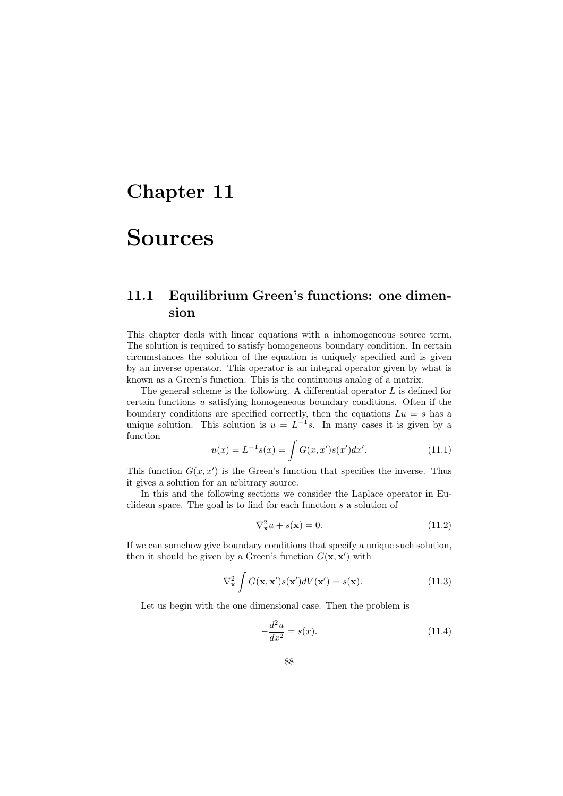# Chapter 11

# Sources

# 11.1 Equilibrium Green's functions: one dimension

This chapter deals with linear equations with a inhomogeneous source term. The solution is required to satisfy homogeneous boundary condition. In certain circumstances the solution of the equation is uniquely specified and is given by an inverse operator. This operator is an integral operator given by what is known as a Green's function. This is the continuous analog of a matrix.

The general scheme is the following. A differential operator L is defined for certain functions u satisfying homogeneous boundary conditions. Often if the boundary conditions are specified correctly, then the equations  $Lu = s$  has a unique solution. This solution is  $u = L^{-1}s$ . In many cases it is given by a function

$$
u(x) = L^{-1}s(x) = \int G(x, x')s(x')dx'.
$$
 (11.1)

This function  $G(x, x')$  is the Green's function that specifies the inverse. Thus it gives a solution for an arbitrary source.

In this and the following sections we consider the Laplace operator in Euclidean space. The goal is to find for each function s a solution of

$$
\nabla_{\mathbf{x}}^2 u + s(\mathbf{x}) = 0. \tag{11.2}
$$

If we can somehow give boundary conditions that specify a unique such solution, then it should be given by a Green's function  $G(\mathbf{x}, \mathbf{x}')$  with

$$
-\nabla_{\mathbf{x}}^2 \int G(\mathbf{x}, \mathbf{x}') s(\mathbf{x}') dV(\mathbf{x}') = s(\mathbf{x}).
$$
 (11.3)

Let us begin with the one dimensional case. Then the problem is

$$
-\frac{d^2u}{dx^2} = s(x).
$$
 (11.4)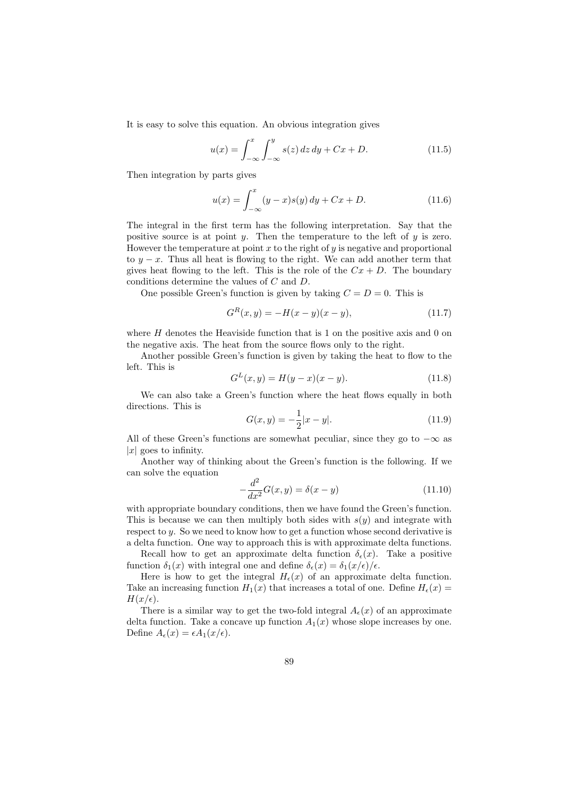It is easy to solve this equation. An obvious integration gives

$$
u(x) = \int_{-\infty}^{x} \int_{-\infty}^{y} s(z) \, dz \, dy + Cx + D. \tag{11.5}
$$

Then integration by parts gives

$$
u(x) = \int_{-\infty}^{x} (y - x)s(y) \, dy + Cx + D. \tag{11.6}
$$

The integral in the first term has the following interpretation. Say that the positive source is at point  $y$ . Then the temperature to the left of  $y$  is zero. However the temperature at point  $x$  to the right of  $y$  is negative and proportional to  $y - x$ . Thus all heat is flowing to the right. We can add another term that gives heat flowing to the left. This is the role of the  $Cx + D$ . The boundary conditions determine the values of C and D.

One possible Green's function is given by taking  $C = D = 0$ . This is

$$
G^{R}(x, y) = -H(x - y)(x - y),
$$
\n(11.7)

where  $H$  denotes the Heaviside function that is 1 on the positive axis and 0 on the negative axis. The heat from the source flows only to the right.

Another possible Green's function is given by taking the heat to flow to the left. This is

$$
G^{L}(x, y) = H(y - x)(x - y).
$$
 (11.8)

We can also take a Green's function where the heat flows equally in both directions. This is

$$
G(x,y) = -\frac{1}{2}|x-y|.\t(11.9)
$$

All of these Green's functions are somewhat peculiar, since they go to  $-\infty$  as  $|x|$  goes to infinity.

Another way of thinking about the Green's function is the following. If we can solve the equation

$$
-\frac{d^2}{dx^2}G(x,y) = \delta(x-y)
$$
\n(11.10)

with appropriate boundary conditions, then we have found the Green's function. This is because we can then multiply both sides with  $s(y)$  and integrate with respect to y. So we need to know how to get a function whose second derivative is a delta function. One way to approach this is with approximate delta functions.

Recall how to get an approximate delta function  $\delta_{\epsilon}(x)$ . Take a positive function  $\delta_1(x)$  with integral one and define  $\delta_{\epsilon}(x) = \delta_1(x/\epsilon)/\epsilon$ .

Here is how to get the integral  $H_{\epsilon}(x)$  of an approximate delta function. Take an increasing function  $H_1(x)$  that increases a total of one. Define  $H_1(x)$  =  $H(x/\epsilon)$ .

There is a similar way to get the two-fold integral  $A_{\epsilon}(x)$  of an approximate delta function. Take a concave up function  $A_1(x)$  whose slope increases by one. Define  $A_{\epsilon}(x) = \epsilon A_1(x/\epsilon)$ .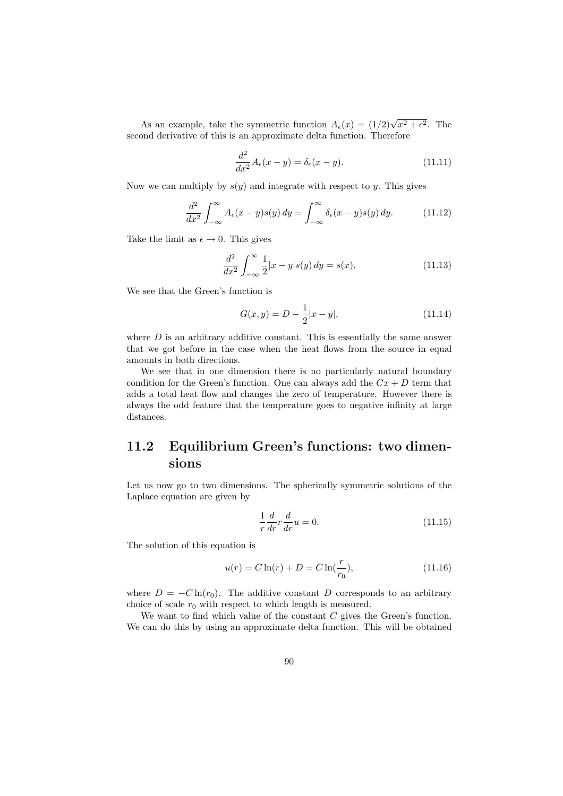As an example, take the symmetric function  $A_{\epsilon}(x) = (1/2)\sqrt{x^2 + \epsilon^2}$ . The second derivative of this is an approximate delta function. Therefore

$$
\frac{d^2}{dx^2}A_{\epsilon}(x-y)=\delta_{\epsilon}(x-y). \tag{11.11}
$$

Now we can multiply by  $s(y)$  and integrate with respect to y. This gives

$$
\frac{d^2}{dx^2} \int_{-\infty}^{\infty} A_{\epsilon}(x - y)s(y) dy = \int_{-\infty}^{\infty} \delta_{\epsilon}(x - y)s(y) dy.
$$
 (11.12)

Take the limit as  $\epsilon \to 0$ . This gives

$$
\frac{d^2}{dx^2} \int_{-\infty}^{\infty} \frac{1}{2} |x - y| s(y) dy = s(x).
$$
 (11.13)

We see that the Green's function is

$$
G(x,y) = D - \frac{1}{2}|x - y|,
$$
\n(11.14)

where  $D$  is an arbitrary additive constant. This is essentially the same answer that we got before in the case when the heat flows from the source in equal amounts in both directions.

We see that in one dimension there is no particularly natural boundary condition for the Green's function. One can always add the  $Cx + D$  term that adds a total heat flow and changes the zero of temperature. However there is always the odd feature that the temperature goes to negative infinity at large distances.

# 11.2 Equilibrium Green's functions: two dimensions

Let us now go to two dimensions. The spherically symmetric solutions of the Laplace equation are given by

$$
\frac{1}{r}\frac{d}{dr}r\frac{d}{dr}u = 0.\tag{11.15}
$$

The solution of this equation is

$$
u(r) = C \ln(r) + D = C \ln(\frac{r}{r_0}),
$$
\n(11.16)

where  $D = -C \ln(r_0)$ . The additive constant D corresponds to an arbitrary choice of scale  $r_0$  with respect to which length is measured.

We want to find which value of the constant  $C$  gives the Green's function. We can do this by using an approximate delta function. This will be obtained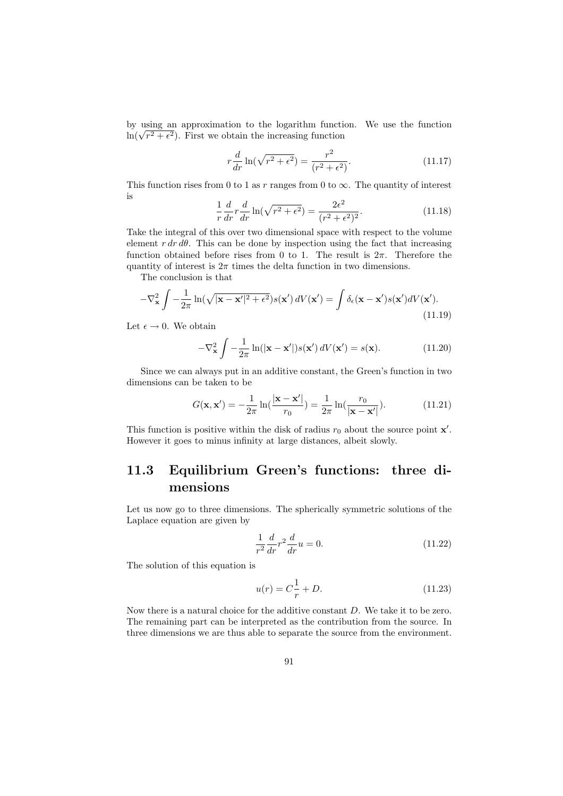by using an approximation to the logarithm function. We use the function by using an approximation to the logarithm function<br> $\ln(\sqrt{r^2 + \epsilon^2})$ . First we obtain the increasing function

$$
r\frac{d}{dr}\ln(\sqrt{r^2+\epsilon^2}) = \frac{r^2}{(r^2+\epsilon^2)}.\tag{11.17}
$$

This function rises from 0 to 1 as r ranges from 0 to  $\infty$ . The quantity of interest is

$$
\frac{1}{r}\frac{d}{dr}r\frac{d}{dr}\ln(\sqrt{r^2+\epsilon^2}) = \frac{2\epsilon^2}{(r^2+\epsilon^2)^2}.
$$
\n(11.18)

Take the integral of this over two dimensional space with respect to the volume element  $r dr d\theta$ . This can be done by inspection using the fact that increasing function obtained before rises from 0 to 1. The result is  $2\pi$ . Therefore the quantity of interest is  $2\pi$  times the delta function in two dimensions.

The conclusion is that

$$
-\nabla_{\mathbf{x}}^2 \int -\frac{1}{2\pi} \ln(\sqrt{|\mathbf{x} - \mathbf{x}'|^2 + \epsilon^2}) s(\mathbf{x}') dV(\mathbf{x}') = \int \delta_{\epsilon}(\mathbf{x} - \mathbf{x}') s(\mathbf{x}') dV(\mathbf{x}').
$$
\n(11.19)

Let  $\epsilon \to 0$ . We obtain

$$
-\nabla_{\mathbf{x}}^2 \int -\frac{1}{2\pi} \ln(|\mathbf{x} - \mathbf{x}'|) s(\mathbf{x}') dV(\mathbf{x}') = s(\mathbf{x}).
$$
 (11.20)

Since we can always put in an additive constant, the Green's function in two dimensions can be taken to be

$$
G(\mathbf{x}, \mathbf{x}') = -\frac{1}{2\pi} \ln\left(\frac{|\mathbf{x} - \mathbf{x}'|}{r_0}\right) = \frac{1}{2\pi} \ln\left(\frac{r_0}{|\mathbf{x} - \mathbf{x}'|}\right).
$$
 (11.21)

This function is positive within the disk of radius  $r_0$  about the source point  $x'$ . However it goes to minus infinity at large distances, albeit slowly.

# 11.3 Equilibrium Green's functions: three dimensions

Let us now go to three dimensions. The spherically symmetric solutions of the Laplace equation are given by

$$
\frac{1}{r^2} \frac{d}{dr} r^2 \frac{d}{dr} u = 0.
$$
\n(11.22)

The solution of this equation is

$$
u(r) = C\frac{1}{r} + D.
$$
 (11.23)

Now there is a natural choice for the additive constant D. We take it to be zero. The remaining part can be interpreted as the contribution from the source. In three dimensions we are thus able to separate the source from the environment.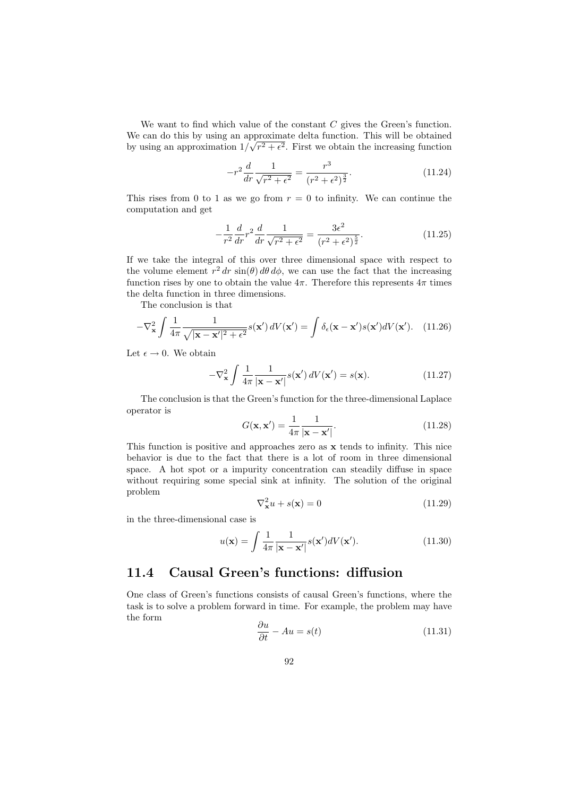We want to find which value of the constant  $C$  gives the Green's function. We can do this by using an approximate delta function. This will be obtained by using an approximation  $1/\sqrt{r^2 + \epsilon^2}$ . First we obtain the increasing function

$$
-r^2\frac{d}{dr}\frac{1}{\sqrt{r^2+\epsilon^2}} = \frac{r^3}{(r^2+\epsilon^2)^{\frac{3}{2}}}.
$$
\n(11.24)

This rises from 0 to 1 as we go from  $r = 0$  to infinity. We can continue the computation and get

$$
-\frac{1}{r^2}\frac{d}{dr}r^2\frac{d}{dr}\frac{1}{\sqrt{r^2+\epsilon^2}} = \frac{3\epsilon^2}{(r^2+\epsilon^2)^{\frac{5}{2}}}.
$$
 (11.25)

If we take the integral of this over three dimensional space with respect to the volume element  $r^2 dr \sin(\theta) d\theta d\phi$ , we can use the fact that the increasing function rises by one to obtain the value  $4\pi$ . Therefore this represents  $4\pi$  times the delta function in three dimensions.

The conclusion is that

$$
-\nabla_{\mathbf{x}}^2 \int \frac{1}{4\pi} \frac{1}{\sqrt{|\mathbf{x} - \mathbf{x}'|^2 + \epsilon^2}} s(\mathbf{x}') dV(\mathbf{x}') = \int \delta_{\epsilon}(\mathbf{x} - \mathbf{x}') s(\mathbf{x}') dV(\mathbf{x}'). \quad (11.26)
$$

Let  $\epsilon \to 0$ . We obtain

$$
-\nabla_{\mathbf{x}}^2 \int \frac{1}{4\pi} \frac{1}{|\mathbf{x} - \mathbf{x}'|} s(\mathbf{x}') dV(\mathbf{x}') = s(\mathbf{x}).
$$
 (11.27)

The conclusion is that the Green's function for the three-dimensional Laplace operator is

$$
G(\mathbf{x}, \mathbf{x}') = \frac{1}{4\pi} \frac{1}{|\mathbf{x} - \mathbf{x}'|}.
$$
 (11.28)

This function is positive and approaches zero as  $x$  tends to infinity. This nice behavior is due to the fact that there is a lot of room in three dimensional space. A hot spot or a impurity concentration can steadily diffuse in space without requiring some special sink at infinity. The solution of the original problem

$$
\nabla_{\mathbf{x}}^2 u + s(\mathbf{x}) = 0 \tag{11.29}
$$

in the three-dimensional case is

$$
u(\mathbf{x}) = \int \frac{1}{4\pi} \frac{1}{|\mathbf{x} - \mathbf{x}'|} s(\mathbf{x}') dV(\mathbf{x}').
$$
 (11.30)

## 11.4 Causal Green's functions: diffusion

One class of Green's functions consists of causal Green's functions, where the task is to solve a problem forward in time. For example, the problem may have the form

$$
\frac{\partial u}{\partial t} - Au = s(t) \tag{11.31}
$$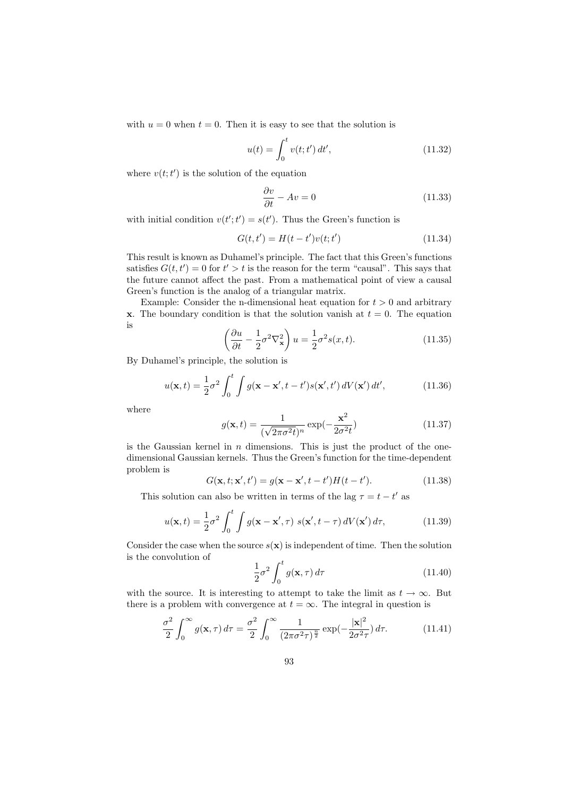with  $u = 0$  when  $t = 0$ . Then it is easy to see that the solution is

$$
u(t) = \int_0^t v(t; t') dt',
$$
\n(11.32)

where  $v(t; t')$  is the solution of the equation

$$
\frac{\partial v}{\partial t} - Av = 0 \tag{11.33}
$$

with initial condition  $v(t';t') = s(t')$ . Thus the Green's function is

$$
G(t, t') = H(t - t')v(t; t')
$$
\n(11.34)

This result is known as Duhamel's principle. The fact that this Green's functions satisfies  $G(t, t') = 0$  for  $t' > t$  is the reason for the term "causal". This says that the future cannot affect the past. From a mathematical point of view a causal Green's function is the analog of a triangular matrix.

Example: Consider the n-dimensional heat equation for  $t > 0$  and arbitrary **x**. The boundary condition is that the solution vanish at  $t = 0$ . The equation is  $\overline{\phantom{a}}$  $\mathbf{r}$ 

$$
\left(\frac{\partial u}{\partial t} - \frac{1}{2}\sigma^2 \nabla_{\mathbf{x}}^2\right) u = \frac{1}{2}\sigma^2 s(x, t).
$$
 (11.35)

By Duhamel's principle, the solution is

$$
u(\mathbf{x},t) = \frac{1}{2}\sigma^2 \int_0^t \int g(\mathbf{x} - \mathbf{x}',t - t')s(\mathbf{x}',t') dV(\mathbf{x}') dt',
$$
 (11.36)

where

$$
g(\mathbf{x},t) = \frac{1}{(\sqrt{2\pi\sigma^2 t})^n} \exp(-\frac{\mathbf{x}^2}{2\sigma^2 t})
$$
\n(11.37)

is the Gaussian kernel in  $n$  dimensions. This is just the product of the onedimensional Gaussian kernels. Thus the Green's function for the time-dependent problem is

$$
G(\mathbf{x},t;\mathbf{x}',t') = g(\mathbf{x}-\mathbf{x}',t-t')H(t-t').
$$
\n(11.38)

This solution can also be written in terms of the lag  $\tau = t - t'$  as

$$
u(\mathbf{x},t) = \frac{1}{2}\sigma^2 \int_0^t \int g(\mathbf{x} - \mathbf{x}', \tau) \ s(\mathbf{x}',t - \tau) \ dV(\mathbf{x}') \ d\tau,
$$
 (11.39)

Consider the case when the source  $s(\mathbf{x})$  is independent of time. Then the solution is the convolution of  $\overline{r}$ 

$$
\frac{1}{2}\sigma^2 \int_0^t g(\mathbf{x}, \tau) d\tau
$$
\n(11.40)

with the source. It is interesting to attempt to take the limit as  $t \to \infty$ . But there is a problem with convergence at  $t = \infty$ . The integral in question is

$$
\frac{\sigma^2}{2} \int_0^\infty g(\mathbf{x}, \tau) d\tau = \frac{\sigma^2}{2} \int_0^\infty \frac{1}{(2\pi\sigma^2\tau)^{\frac{n}{2}}} \exp(-\frac{|\mathbf{x}|^2}{2\sigma^2\tau}) d\tau.
$$
 (11.41)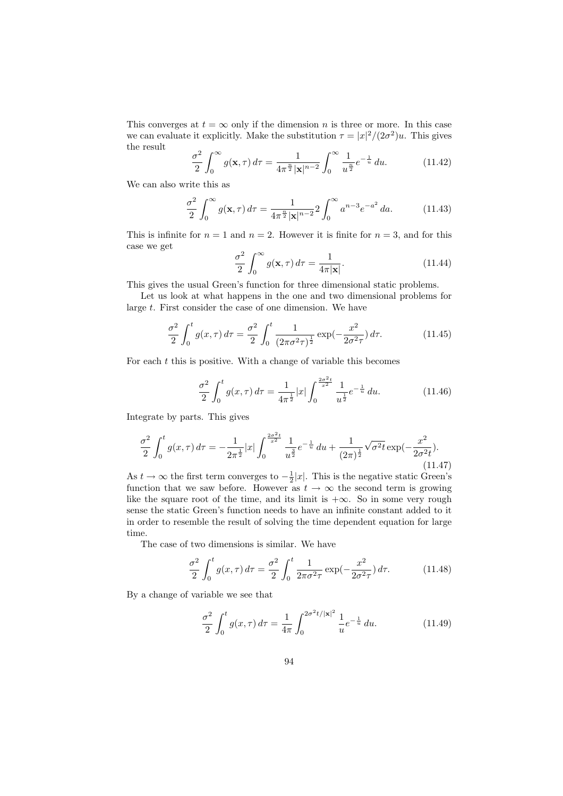This converges at  $t = \infty$  only if the dimension n is three or more. In this case we can evaluate it explicitly. Make the substitution  $\tau = |x|^2/(2\sigma^2)u$ . This gives the result  $\overline{r}^{\infty}$  $\overline{r}^{\infty}$ 

$$
\frac{\sigma^2}{2} \int_0^\infty g(\mathbf{x}, \tau) d\tau = \frac{1}{4\pi^{\frac{n}{2}} |\mathbf{x}|^{n-2}} \int_0^\infty \frac{1}{u^{\frac{n}{2}}} e^{-\frac{1}{u}} du.
$$
 (11.42)

We can also write this as

$$
\frac{\sigma^2}{2} \int_0^\infty g(\mathbf{x}, \tau) d\tau = \frac{1}{4\pi^{\frac{n}{2}} |\mathbf{x}|^{n-2}} 2 \int_0^\infty a^{n-3} e^{-a^2} da.
$$
 (11.43)

This is infinite for  $n = 1$  and  $n = 2$ . However it is finite for  $n = 3$ , and for this case we get  $\overline{r}$ 

$$
\frac{\sigma^2}{2} \int_0^\infty g(\mathbf{x}, \tau) d\tau = \frac{1}{4\pi |\mathbf{x}|}.
$$
 (11.44)

This gives the usual Green's function for three dimensional static problems.

Let us look at what happens in the one and two dimensional problems for large t. First consider the case of one dimension. We have

$$
\frac{\sigma^2}{2} \int_0^t g(x,\tau) \, d\tau = \frac{\sigma^2}{2} \int_0^t \frac{1}{(2\pi\sigma^2\tau)^{\frac{1}{2}}} \exp\left(-\frac{x^2}{2\sigma^2\tau}\right) d\tau. \tag{11.45}
$$

For each  $t$  this is positive. With a change of variable this becomes

$$
\frac{\sigma^2}{2} \int_0^t g(x,\tau) \, d\tau = \frac{1}{4\pi^{\frac{1}{2}}} |x| \int_0^{\frac{2\sigma^2 t}{x^2}} \frac{1}{u^{\frac{1}{2}}} e^{-\frac{1}{u}} \, du. \tag{11.46}
$$

Integrate by parts. This gives

$$
\frac{\sigma^2}{2} \int_0^t g(x,\tau) \, d\tau = -\frac{1}{2\pi^{\frac{1}{2}}} |x| \int_0^{\frac{2\sigma^2 t}{x^2}} \frac{1}{u^{\frac{3}{2}}} e^{-\frac{1}{u}} \, du + \frac{1}{(2\pi)^{\frac{1}{2}}} \sqrt{\sigma^2 t} \exp(-\frac{x^2}{2\sigma^2 t}). \tag{11.47}
$$

As  $t \to \infty$  the first term converges to  $-\frac{1}{2}|x|$ . This is the negative static Green's function that we saw before. However as  $t \to \infty$  the second term is growing like the square root of the time, and its limit is  $+\infty$ . So in some very rough sense the static Green's function needs to have an infinite constant added to it in order to resemble the result of solving the time dependent equation for large time.

The case of two dimensions is similar. We have

$$
\frac{\sigma^2}{2} \int_0^t g(x,\tau) \, d\tau = \frac{\sigma^2}{2} \int_0^t \frac{1}{2\pi\sigma^2\tau} \exp(-\frac{x^2}{2\sigma^2\tau}) \, d\tau. \tag{11.48}
$$

By a change of variable we see that

$$
\frac{\sigma^2}{2} \int_0^t g(x,\tau) \, d\tau = \frac{1}{4\pi} \int_0^{2\sigma^2 t/|\mathbf{x}|^2} \frac{1}{u} e^{-\frac{1}{u}} \, du. \tag{11.49}
$$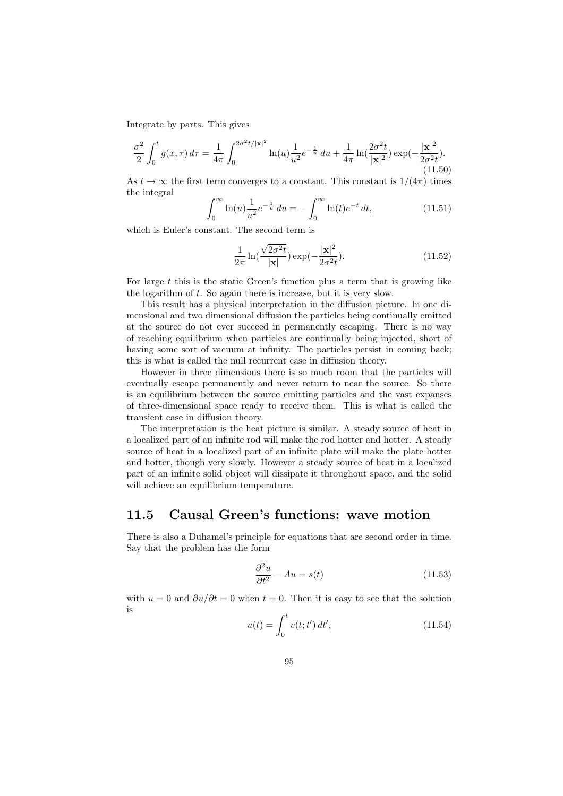Integrate by parts. This gives

$$
\frac{\sigma^2}{2} \int_0^t g(x,\tau) \, d\tau = \frac{1}{4\pi} \int_0^{2\sigma^2 t/|\mathbf{x}|^2} \ln(u) \frac{1}{u^2} e^{-\frac{1}{u}} \, du + \frac{1}{4\pi} \ln\left(\frac{2\sigma^2 t}{|\mathbf{x}|^2}\right) \exp\left(-\frac{|\mathbf{x}|^2}{2\sigma^2 t}\right). \tag{11.50}
$$

As  $t \to \infty$  the first term converges to a constant. This constant is  $1/(4\pi)$  times the integral  $r^{\infty}$  $r^{\infty}$ 

$$
\int_0^\infty \ln(u) \frac{1}{u^2} e^{-\frac{1}{u}} \, du = -\int_0^\infty \ln(t) e^{-t} \, dt,\tag{11.51}
$$

which is Euler's constant. The second term is

$$
\frac{1}{2\pi} \ln\left(\frac{\sqrt{2\sigma^2 t}}{|\mathbf{x}|}\right) \exp\left(-\frac{|\mathbf{x}|^2}{2\sigma^2 t}\right). \tag{11.52}
$$

For large  $t$  this is the static Green's function plus a term that is growing like the logarithm of t. So again there is increase, but it is very slow.

This result has a physical interpretation in the diffusion picture. In one dimensional and two dimensional diffusion the particles being continually emitted at the source do not ever succeed in permanently escaping. There is no way of reaching equilibrium when particles are continually being injected, short of having some sort of vacuum at infinity. The particles persist in coming back; this is what is called the null recurrent case in diffusion theory.

However in three dimensions there is so much room that the particles will eventually escape permanently and never return to near the source. So there is an equilibrium between the source emitting particles and the vast expanses of three-dimensional space ready to receive them. This is what is called the transient case in diffusion theory.

The interpretation is the heat picture is similar. A steady source of heat in a localized part of an infinite rod will make the rod hotter and hotter. A steady source of heat in a localized part of an infinite plate will make the plate hotter and hotter, though very slowly. However a steady source of heat in a localized part of an infinite solid object will dissipate it throughout space, and the solid will achieve an equilibrium temperature.

#### 11.5 Causal Green's functions: wave motion

There is also a Duhamel's principle for equations that are second order in time. Say that the problem has the form

$$
\frac{\partial^2 u}{\partial t^2} - Au = s(t) \tag{11.53}
$$

with  $u = 0$  and  $\frac{\partial u}{\partial t} = 0$  when  $t = 0$ . Then it is easy to see that the solution is

$$
u(t) = \int_0^t v(t; t') dt',
$$
\n(11.54)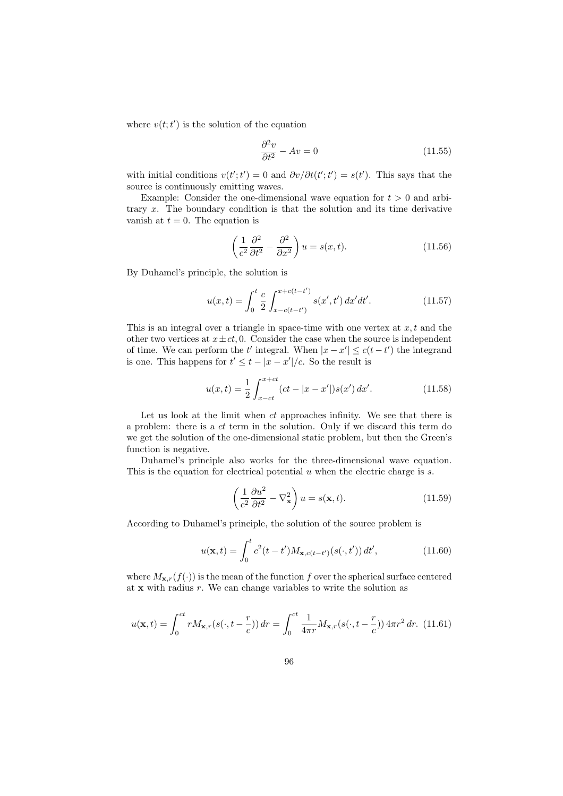where  $v(t; t')$  is the solution of the equation

$$
\frac{\partial^2 v}{\partial t^2} - Av = 0 \tag{11.55}
$$

with initial conditions  $v(t';t') = 0$  and  $\frac{\partial v}{\partial t}(t';t') = s(t')$ . This says that the source is continuously emitting waves.

Example: Consider the one-dimensional wave equation for  $t > 0$  and arbitrary x. The boundary condition is that the solution and its time derivative vanish at  $t = 0$ . The equation is

$$
\left(\frac{1}{c^2}\frac{\partial^2}{\partial t^2} - \frac{\partial^2}{\partial x^2}\right)u = s(x,t).
$$
\n(11.56)

By Duhamel's principle, the solution is

$$
u(x,t) = \int_0^t \frac{c}{2} \int_{x-c(t-t')}^{x+c(t-t')} s(x',t') dx'dt'.
$$
 (11.57)

This is an integral over a triangle in space-time with one vertex at  $x, t$  and the other two vertices at  $x \pm ct$ , 0. Consider the case when the source is independent of time. We can perform the t' integral. When  $|x - x'| \le c(t - t')$  the integrand is one. This happens for  $t' \leq t - |x - x'|/c$ . So the result is

$$
u(x,t) = \frac{1}{2} \int_{x-ct}^{x+ct} (ct - |x - x'|) s(x') dx'.
$$
 (11.58)

Let us look at the limit when  $ct$  approaches infinity. We see that there is a problem: there is a ct term in the solution. Only if we discard this term do we get the solution of the one-dimensional static problem, but then the Green's function is negative.

Duhamel's principle also works for the three-dimensional wave equation. This is the equation for electrical potential  $u$  when the electric charge is  $s$ .

$$
\left(\frac{1}{c^2}\frac{\partial u^2}{\partial t^2} - \nabla_{\mathbf{x}}^2\right)u = s(\mathbf{x}, t). \tag{11.59}
$$

According to Duhamel's principle, the solution of the source problem is

$$
u(\mathbf{x},t) = \int_0^t c^2(t-t')M_{\mathbf{x},c(t-t')}(s(\cdot,t'))\,dt',\tag{11.60}
$$

where  $M_{\mathbf{x},r}(f(\cdot))$  is the mean of the function f over the spherical surface centered at  $x$  with radius  $r$ . We can change variables to write the solution as

$$
u(\mathbf{x},t) = \int_0^{ct} r M_{\mathbf{x},r}(s(\cdot,t-\frac{r}{c})) dr = \int_0^{ct} \frac{1}{4\pi r} M_{\mathbf{x},r}(s(\cdot,t-\frac{r}{c})) 4\pi r^2 dr. (11.61)
$$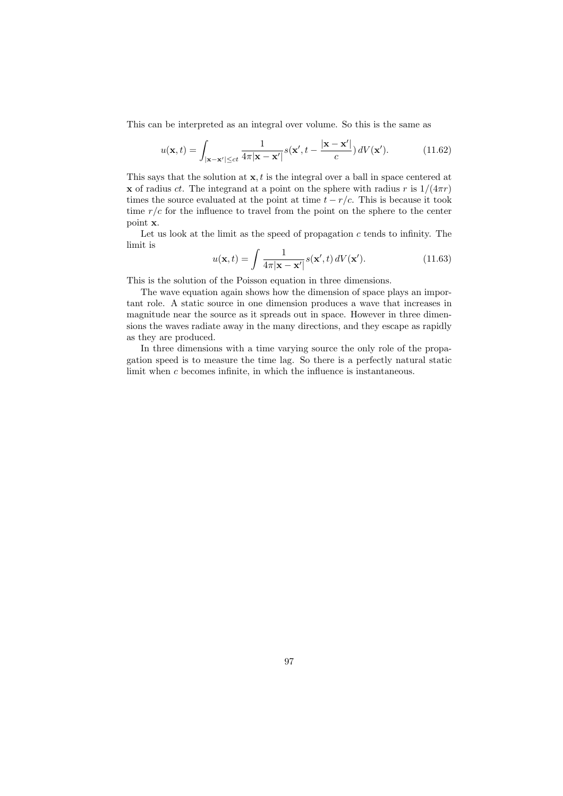This can be interpreted as an integral over volume. So this is the same as

$$
u(\mathbf{x},t) = \int_{|\mathbf{x}-\mathbf{x}'| \le ct} \frac{1}{4\pi |\mathbf{x}-\mathbf{x}'|} s(\mathbf{x}',t-\frac{|\mathbf{x}-\mathbf{x}'|}{c}) dV(\mathbf{x}').
$$
 (11.62)

This says that the solution at  $x, t$  is the integral over a ball in space centered at x of radius ct. The integrand at a point on the sphere with radius r is  $1/(4\pi r)$ times the source evaluated at the point at time  $t - r/c$ . This is because it took time  $r/c$  for the influence to travel from the point on the sphere to the center point x.

Let us look at the limit as the speed of propagation  $c$  tends to infinity. The limit is

$$
u(\mathbf{x},t) = \int \frac{1}{4\pi|\mathbf{x} - \mathbf{x}'|} s(\mathbf{x}',t) dV(\mathbf{x}').
$$
 (11.63)

This is the solution of the Poisson equation in three dimensions.

The wave equation again shows how the dimension of space plays an important role. A static source in one dimension produces a wave that increases in magnitude near the source as it spreads out in space. However in three dimensions the waves radiate away in the many directions, and they escape as rapidly as they are produced.

In three dimensions with a time varying source the only role of the propagation speed is to measure the time lag. So there is a perfectly natural static limit when c becomes infinite, in which the influence is instantaneous.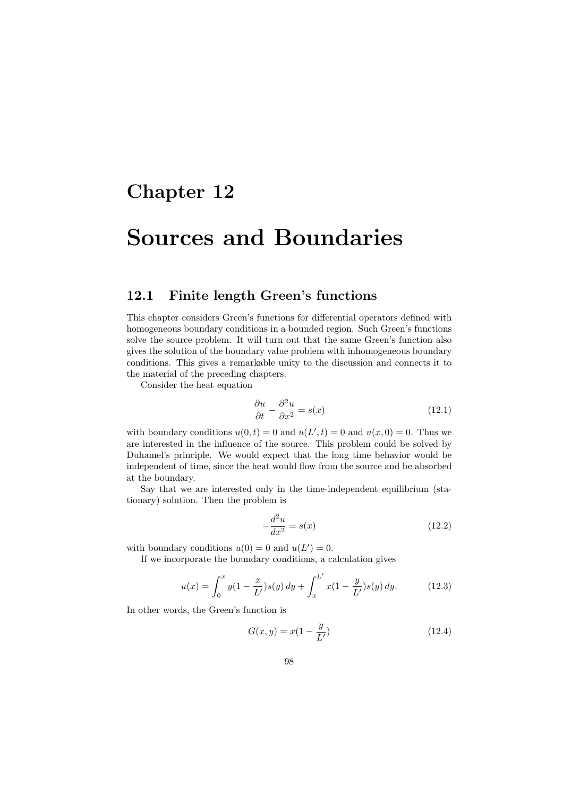# Chapter 12

# Sources and Boundaries

### 12.1 Finite length Green's functions

This chapter considers Green's functions for differential operators defined with homogeneous boundary conditions in a bounded region. Such Green's functions solve the source problem. It will turn out that the same Green's function also gives the solution of the boundary value problem with inhomogeneous boundary conditions. This gives a remarkable unity to the discussion and connects it to the material of the preceding chapters.

Consider the heat equation

$$
\frac{\partial u}{\partial t} - \frac{\partial^2 u}{\partial x^2} = s(x) \tag{12.1}
$$

with boundary conditions  $u(0, t) = 0$  and  $u(L', t) = 0$  and  $u(x, 0) = 0$ . Thus we are interested in the influence of the source. This problem could be solved by Duhamel's principle. We would expect that the long time behavior would be independent of time, since the heat would flow from the source and be absorbed at the boundary.

Say that we are interested only in the time-independent equilibrium (stationary) solution. Then the problem is

$$
-\frac{d^2u}{dx^2} = s(x) \tag{12.2}
$$

with boundary conditions  $u(0) = 0$  and  $u(L') = 0$ .

If we incorporate the boundary conditions, a calculation gives

$$
u(x) = \int_0^x y(1 - \frac{x}{L'})s(y) \, dy + \int_x^{L'} x(1 - \frac{y}{L'})s(y) \, dy. \tag{12.3}
$$

In other words, the Green's function is

$$
G(x, y) = x(1 - \frac{y}{L'})
$$
\n(12.4)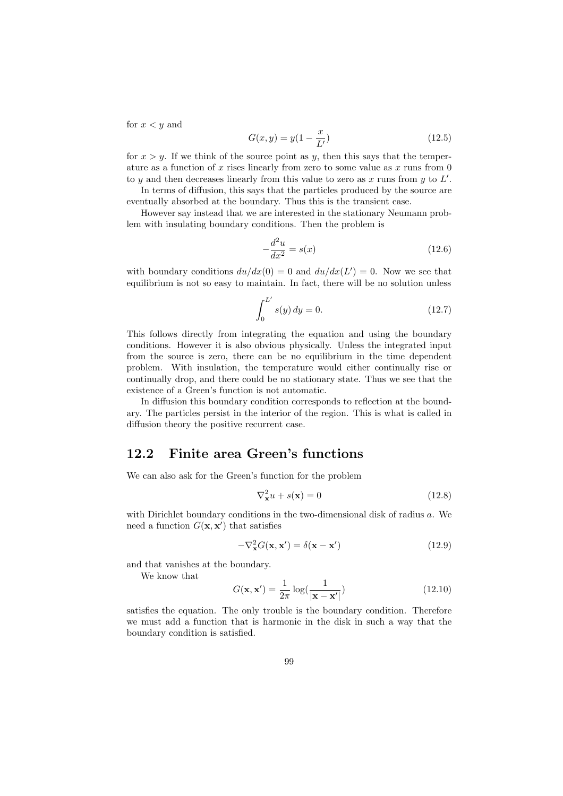for  $x < y$  and

$$
G(x, y) = y(1 - \frac{x}{L'})
$$
\n(12.5)

for  $x > y$ . If we think of the source point as y, then this says that the temperature as a function of  $x$  rises linearly from zero to some value as  $x$  runs from 0 to y and then decreases linearly from this value to zero as x runs from y to  $L'$ .

In terms of diffusion, this says that the particles produced by the source are eventually absorbed at the boundary. Thus this is the transient case.

However say instead that we are interested in the stationary Neumann problem with insulating boundary conditions. Then the problem is

$$
-\frac{d^2u}{dx^2} = s(x) \tag{12.6}
$$

with boundary conditions  $du/dx(0) = 0$  and  $du/dx(L') = 0$ . Now we see that equilibrium is not so easy to maintain. In fact, there will be no solution unless

$$
\int_{0}^{L'} s(y) dy = 0.
$$
 (12.7)

This follows directly from integrating the equation and using the boundary conditions. However it is also obvious physically. Unless the integrated input from the source is zero, there can be no equilibrium in the time dependent problem. With insulation, the temperature would either continually rise or continually drop, and there could be no stationary state. Thus we see that the existence of a Green's function is not automatic.

In diffusion this boundary condition corresponds to reflection at the boundary. The particles persist in the interior of the region. This is what is called in diffusion theory the positive recurrent case.

#### 12.2 Finite area Green's functions

We can also ask for the Green's function for the problem

$$
\nabla_{\mathbf{x}}^2 u + s(\mathbf{x}) = 0 \tag{12.8}
$$

with Dirichlet boundary conditions in the two-dimensional disk of radius a. We need a function  $G(\mathbf{x}, \mathbf{x}')$  that satisfies

$$
-\nabla_{\mathbf{x}}^2 G(\mathbf{x}, \mathbf{x}') = \delta(\mathbf{x} - \mathbf{x}') \tag{12.9}
$$

and that vanishes at the boundary.

We know that

$$
G(\mathbf{x}, \mathbf{x}') = \frac{1}{2\pi} \log(\frac{1}{|\mathbf{x} - \mathbf{x}'|})
$$
\n(12.10)

satisfies the equation. The only trouble is the boundary condition. Therefore we must add a function that is harmonic in the disk in such a way that the boundary condition is satisfied.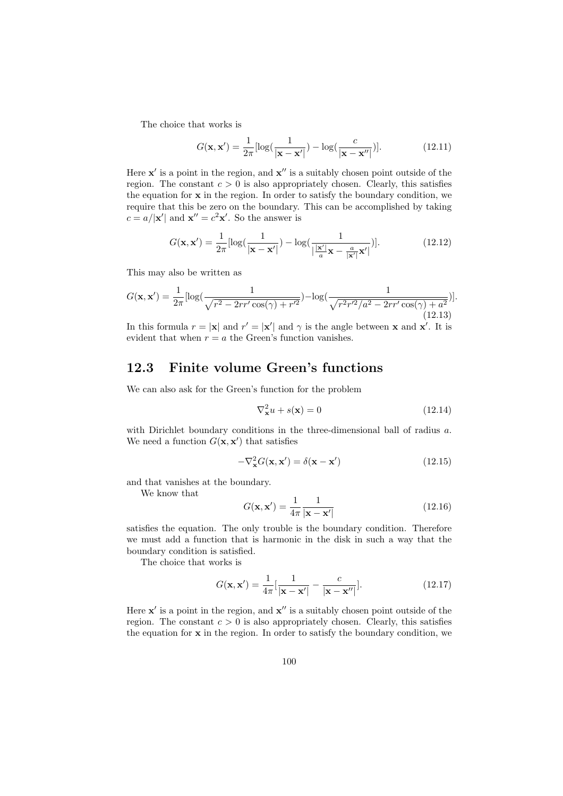The choice that works is

$$
G(\mathbf{x}, \mathbf{x}') = \frac{1}{2\pi} [\log(\frac{1}{|\mathbf{x} - \mathbf{x}'|}) - \log(\frac{c}{|\mathbf{x} - \mathbf{x}''|})].
$$
 (12.11)

Here  $x'$  is a point in the region, and  $x''$  is a suitably chosen point outside of the region. The constant  $c > 0$  is also appropriately chosen. Clearly, this satisfies the equation for x in the region. In order to satisfy the boundary condition, we require that this be zero on the boundary. This can be accomplished by taking  $c = a/|\mathbf{x}'|$  and  $\mathbf{x}'' = c^2 \mathbf{x}'$ . So the answer is

$$
G(\mathbf{x}, \mathbf{x}') = \frac{1}{2\pi} [\log(\frac{1}{|\mathbf{x} - \mathbf{x}'|}) - \log(\frac{1}{|\frac{|\mathbf{x}'|}{a}\mathbf{x} - \frac{a}{|\mathbf{x}'|}\mathbf{x}'|})].
$$
(12.12)

This may also be written as

$$
G(\mathbf{x}, \mathbf{x}') = \frac{1}{2\pi} [\log(\frac{1}{\sqrt{r^2 - 2rr'\cos(\gamma) + r'^2}}) - \log(\frac{1}{\sqrt{r^2 r'^2 / a^2 - 2rr'\cos(\gamma) + a^2}})].
$$
\n(12.13)

In this formula  $r = |\mathbf{x}|$  and  $r' = |\mathbf{x}'|$  and  $\gamma$  is the angle between x and x'. It is evident that when  $r = a$  the Green's function vanishes.

## 12.3 Finite volume Green's functions

We can also ask for the Green's function for the problem

$$
\nabla_{\mathbf{x}}^2 u + s(\mathbf{x}) = 0 \tag{12.14}
$$

with Dirichlet boundary conditions in the three-dimensional ball of radius a. We need a function  $G(\mathbf{x}, \mathbf{x}')$  that satisfies

$$
-\nabla_{\mathbf{x}}^2 G(\mathbf{x}, \mathbf{x}') = \delta(\mathbf{x} - \mathbf{x}') \tag{12.15}
$$

and that vanishes at the boundary.

We know that

$$
G(\mathbf{x}, \mathbf{x}') = \frac{1}{4\pi} \frac{1}{|\mathbf{x} - \mathbf{x}'|}
$$
(12.16)

satisfies the equation. The only trouble is the boundary condition. Therefore we must add a function that is harmonic in the disk in such a way that the boundary condition is satisfied.

The choice that works is

$$
G(\mathbf{x}, \mathbf{x}') = \frac{1}{4\pi} \left[ \frac{1}{|\mathbf{x} - \mathbf{x}'|} - \frac{c}{|\mathbf{x} - \mathbf{x}''|} \right].
$$
 (12.17)

Here  $x'$  is a point in the region, and  $x''$  is a suitably chosen point outside of the region. The constant  $c > 0$  is also appropriately chosen. Clearly, this satisfies the equation for  $x$  in the region. In order to satisfy the boundary condition, we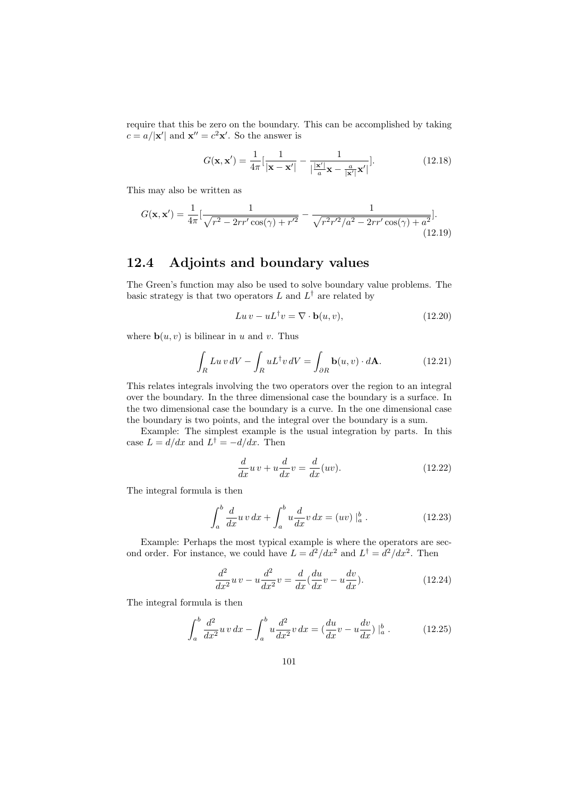require that this be zero on the boundary. This can be accomplished by taking  $c = a/|\mathbf{x}'|$  and  $\mathbf{x}'' = c^2 \mathbf{x}'$ . So the answer is

$$
G(\mathbf{x}, \mathbf{x}') = \frac{1}{4\pi} \left[ \frac{1}{|\mathbf{x} - \mathbf{x}'|} - \frac{1}{\left| \frac{|\mathbf{x}'|}{a} \mathbf{x} - \frac{a}{|\mathbf{x}'|} \mathbf{x}' \right|} \right].
$$
 (12.18)

This may also be written as

$$
G(\mathbf{x}, \mathbf{x}') = \frac{1}{4\pi} \left[ \frac{1}{\sqrt{r^2 - 2rr' \cos(\gamma) + r'^2}} - \frac{1}{\sqrt{r^2 r'^2 / a^2 - 2rr' \cos(\gamma) + a^2}} \right].
$$
\n(12.19)

## 12.4 Adjoints and boundary values

The Green's function may also be used to solve boundary value problems. The basic strategy is that two operators L and  $L^{\dagger}$  are related by

$$
Lu v - uL^{\dagger} v = \nabla \cdot \mathbf{b}(u, v), \qquad (12.20)
$$

where  $\mathbf{b}(u, v)$  is bilinear in u and v. Thus

$$
\int_{R} Lu v dV - \int_{R} uL^{\dagger} v dV = \int_{\partial R} \mathbf{b}(u, v) \cdot d\mathbf{A}.
$$
\n(12.21)

This relates integrals involving the two operators over the region to an integral over the boundary. In the three dimensional case the boundary is a surface. In the two dimensional case the boundary is a curve. In the one dimensional case the boundary is two points, and the integral over the boundary is a sum.

Example: The simplest example is the usual integration by parts. In this case  $L = d/dx$  and  $L^{\dagger} = -d/dx$ . Then

$$
\frac{d}{dx}uv + u\frac{d}{dx}v = \frac{d}{dx}(uv).
$$
\n(12.22)

The integral formula is then

$$
\int_{a}^{b} \frac{d}{dx} u v \, dx + \int_{a}^{b} u \frac{d}{dx} v \, dx = (uv) \Big|_{a}^{b} . \tag{12.23}
$$

Example: Perhaps the most typical example is where the operators are second order. For instance, we could have  $L = d^2/dx^2$  and  $L^{\dagger} = d^2/dx^2$ . Then

$$
\frac{d^2}{dx^2}u\,v - u\frac{d^2}{dx^2}v = \frac{d}{dx}(\frac{du}{dx}v - u\frac{dv}{dx}).
$$
\n(12.24)

The integral formula is then

$$
\int_{a}^{b} \frac{d^{2}}{dx^{2}} u v \, dx - \int_{a}^{b} u \frac{d^{2}}{dx^{2}} v \, dx = \left(\frac{du}{dx} v - u \frac{dv}{dx}\right) \Big|_{a}^{b} . \tag{12.25}
$$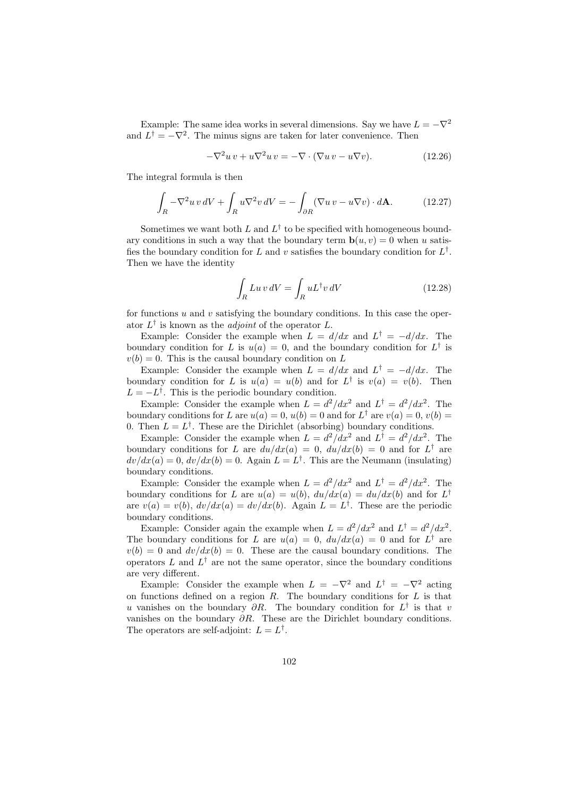Example: The same idea works in several dimensions. Say we have  $L = -\nabla^2$ and  $L^{\dagger} = -\nabla^2$ . The minus signs are taken for later convenience. Then

$$
-\nabla^2 u v + u \nabla^2 u v = -\nabla \cdot (\nabla u v - u \nabla v).
$$
 (12.26)

The integral formula is then

$$
\int_{R} -\nabla^2 u \, v \, dV + \int_{R} u \nabla^2 v \, dV = -\int_{\partial R} (\nabla u \, v - u \nabla v) \cdot d\mathbf{A}.
$$
\n(12.27)

Sometimes we want both L and  $L^{\dagger}$  to be specified with homogeneous boundary conditions in such a way that the boundary term  $\mathbf{b}(u, v) = 0$  when u satisfies the boundary condition for L and v satisfies the boundary condition for  $L^{\dagger}$ . Then we have the identity

$$
\int_{R} Lu v dV = \int_{R} uL^{\dagger} v dV
$$
\n(12.28)

for functions  $u$  and  $v$  satisfying the boundary conditions. In this case the operator  $L^{\dagger}$  is known as the *adjoint* of the operator L.

Example: Consider the example when  $L = d/dx$  and  $L^{\dagger} = -d/dx$ . The boundary condition for L is  $u(a) = 0$ , and the boundary condition for  $L^{\dagger}$  is  $v(b) = 0$ . This is the causal boundary condition on L

Example: Consider the example when  $L = d/dx$  and  $L^{\dagger} = -d/dx$ . The boundary condition for L is  $u(a) = u(b)$  and for L<sup>†</sup> is  $v(a) = v(b)$ . Then  $L = -L^{\dagger}$ . This is the periodic boundary condition.

Example: Consider the example when  $L = d^2/dx^2$  and  $L^{\dagger} = d^2/dx^2$ . The boundary conditions for L are  $u(a) = 0$ ,  $u(b) = 0$  and for  $L^{\dagger}$  are  $v(a) = 0$ ,  $v(b) = 0$ 0. Then  $L = L^{\dagger}$ . These are the Dirichlet (absorbing) boundary conditions.

Example: Consider the example when  $L = d^2/dx^2$  and  $L^{\dagger} = d^2/dx^2$ . The boundary conditions for L are  $du/dx(a) = 0$ ,  $du/dx(b) = 0$  and for  $L^{\dagger}$  are  $dv/dx(a) = 0, dv/dx(b) = 0.$  Again  $L = L^{\dagger}$ . This are the Neumann (insulating) boundary conditions.

Example: Consider the example when  $L = d^2/dx^2$  and  $L^{\dagger} = d^2/dx^2$ . The boundary conditions for L are  $u(a) = u(b)$ ,  $du/dx(a) = du/dx(b)$  and for  $L^{\dagger}$ are  $v(a) = v(b)$ ,  $dv/dx(a) = dv/dx(b)$ . Again  $L = L^{\dagger}$ . These are the periodic boundary conditions.

Example: Consider again the example when  $L = d^2/dx^2$  and  $L^{\dagger} = d^2/dx^2$ . The boundary conditions for L are  $u(a) = 0$ ,  $du/dx(a) = 0$  and for  $L^{\dagger}$  are  $v(b) = 0$  and  $dv/dx(b) = 0$ . These are the causal boundary conditions. The operators L and  $L^{\dagger}$  are not the same operator, since the boundary conditions are very different.

Example: Consider the example when  $L = -\nabla^2$  and  $L^{\dagger} = -\nabla^2$  acting on functions defined on a region  $R$ . The boundary conditions for  $L$  is that u vanishes on the boundary  $\partial R$ . The boundary condition for  $L^{\dagger}$  is that v vanishes on the boundary  $\partial R$ . These are the Dirichlet boundary conditions. The operators are self-adjoint:  $L = L^{\dagger}$ .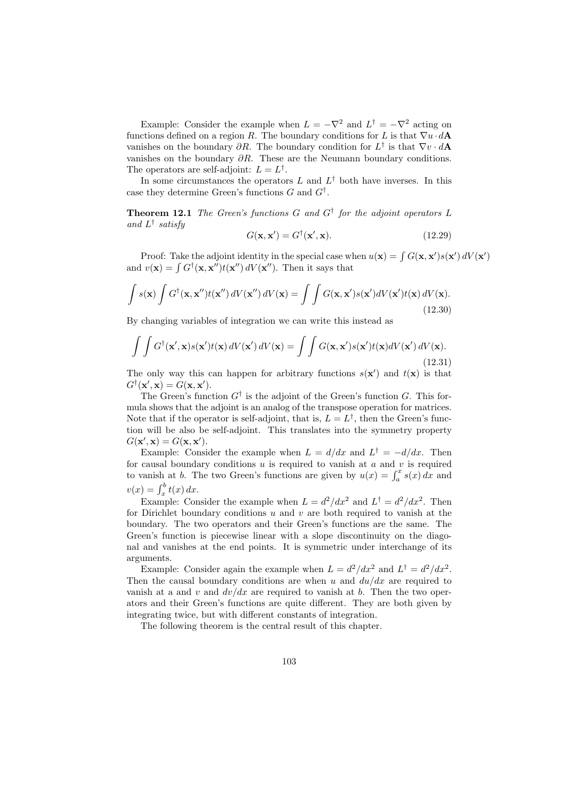Example: Consider the example when  $L = -\nabla^2$  and  $L^{\dagger} = -\nabla^2$  acting on functions defined on a region R. The boundary conditions for L is that  $\nabla u \cdot d\mathbf{A}$ vanishes on the boundary  $\partial R$ . The boundary condition for  $L^{\dagger}$  is that  $\nabla v \cdot d\mathbf{A}$ vanishes on the boundary  $\partial R$ . These are the Neumann boundary conditions. The operators are self-adjoint:  $L = L^{\dagger}$ .

In some circumstances the operators  $L$  and  $L^{\dagger}$  both have inverses. In this case they determine Green's functions  $G$  and  $G^{\dagger}$ .

**Theorem 12.1** The Green's functions G and  $G^{\dagger}$  for the adjoint operators L and  $L^{\dagger}$  satisfy

$$
G(\mathbf{x}, \mathbf{x}') = G^{\dagger}(\mathbf{x}', \mathbf{x}).
$$
\n(12.29)

Proof: Take the adjoint identity in the special case when  $u(\mathbf{x}) = \int G(\mathbf{x}, \mathbf{x}')s(\mathbf{x}') dV(\mathbf{x}')$ Proof: Take the adjoint identity in the special case with<br>and  $v(\mathbf{x}) = \int G^{\dagger}(\mathbf{x}, \mathbf{x}'') t(\mathbf{x}'') dV(\mathbf{x}'')$ . Then it says that

$$
\int s(\mathbf{x}) \int G^{\dagger}(\mathbf{x}, \mathbf{x}'') t(\mathbf{x}'') dV(\mathbf{x}'') dV(\mathbf{x}) = \int \int G(\mathbf{x}, \mathbf{x}') s(\mathbf{x}') dV(\mathbf{x}') t(\mathbf{x}) dV(\mathbf{x}).
$$
\n(12.30)

By changing variables of integration we can write this instead as

$$
\int \int G^{\dagger}(\mathbf{x}', \mathbf{x}) s(\mathbf{x}') t(\mathbf{x}) dV(\mathbf{x}') dV(\mathbf{x}) = \int \int G(\mathbf{x}, \mathbf{x}') s(\mathbf{x}') t(\mathbf{x}) dV(\mathbf{x}') dV(\mathbf{x}).
$$
\n(12.31)

The only way this can happen for arbitrary functions  $s(\mathbf{x}')$  and  $t(\mathbf{x})$  is that  $G^{\dagger}(\mathbf{x}', \mathbf{x}) = G(\mathbf{x}, \mathbf{x}').$ 

The Green's function  $G^{\dagger}$  is the adjoint of the Green's function G. This formula shows that the adjoint is an analog of the transpose operation for matrices. Note that if the operator is self-adjoint, that is,  $L = L^{\dagger}$ , then the Green's function will be also be self-adjoint. This translates into the symmetry property  $G(\mathbf{x}', \mathbf{x}) = G(\mathbf{x}, \mathbf{x}').$ 

Example: Consider the example when  $L = d/dx$  and  $L^{\dagger} = -d/dx$ . Then for causal boundary conditions  $u$  is required to vanish at  $a$  and  $v$  is required for causal boundary conditions u is required to vanish at a and v is required<br>to vanish at b. The two Green's functions are given by  $u(x) = \int_a^x s(x) dx$  and  $v(x) = \int_x^b t(x) dx.$ 

Example: Consider the example when  $L = d^2/dx^2$  and  $L^{\dagger} = d^2/dx^2$ . Then for Dirichlet boundary conditions  $u$  and  $v$  are both required to vanish at the boundary. The two operators and their Green's functions are the same. The Green's function is piecewise linear with a slope discontinuity on the diagonal and vanishes at the end points. It is symmetric under interchange of its arguments.

Example: Consider again the example when  $L = d^2/dx^2$  and  $L^{\dagger} = d^2/dx^2$ . Then the causal boundary conditions are when u and  $du/dx$  are required to vanish at a and v and  $dv/dx$  are required to vanish at b. Then the two operators and their Green's functions are quite different. They are both given by integrating twice, but with different constants of integration.

The following theorem is the central result of this chapter.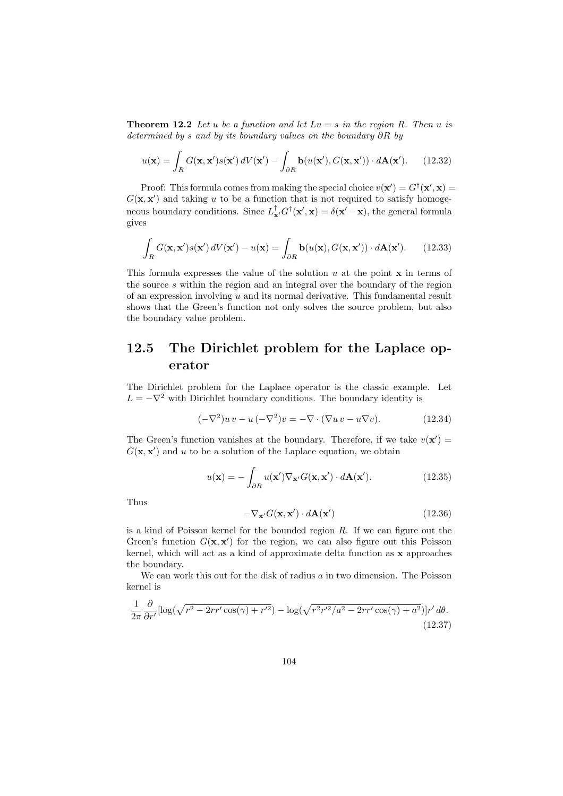**Theorem 12.2** Let u be a function and let  $Lu = s$  in the region R. Then u is determined by s and by its boundary values on the boundary ∂R by

$$
u(\mathbf{x}) = \int_{R} G(\mathbf{x}, \mathbf{x}') s(\mathbf{x}') dV(\mathbf{x}') - \int_{\partial R} \mathbf{b}(u(\mathbf{x}'), G(\mathbf{x}, \mathbf{x}')) \cdot d\mathbf{A}(\mathbf{x}'). \tag{12.32}
$$

Proof: This formula comes from making the special choice  $v(\mathbf{x}') = G^{\dagger}(\mathbf{x}', \mathbf{x}) =$  $G(\mathbf{x}, \mathbf{x}')$  and taking u to be a function that is not required to satisfy homogeneous boundary conditions. Since  $L_{\mathbf{x}}^{\dagger} G^{\dagger}(\mathbf{x}', \mathbf{x}) = \delta(\mathbf{x}' - \mathbf{x})$ , the general formula gives

$$
\int_{R} G(\mathbf{x}, \mathbf{x}') s(\mathbf{x}') dV(\mathbf{x}') - u(\mathbf{x}) = \int_{\partial R} \mathbf{b}(u(\mathbf{x}), G(\mathbf{x}, \mathbf{x}')) \cdot d\mathbf{A}(\mathbf{x}').
$$
 (12.33)

This formula expresses the value of the solution  $u$  at the point  $x$  in terms of the source s within the region and an integral over the boundary of the region of an expression involving u and its normal derivative. This fundamental result shows that the Green's function not only solves the source problem, but also the boundary value problem.

## 12.5 The Dirichlet problem for the Laplace operator

The Dirichlet problem for the Laplace operator is the classic example. Let  $L=-\nabla^2$  with Dirichlet boundary conditions. The boundary identity is

$$
(-\nabla^2)u\,v - u\,(-\nabla^2)v = -\nabla\cdot(\nabla u\,v - u\nabla v). \tag{12.34}
$$

The Green's function vanishes at the boundary. Therefore, if we take  $v(\mathbf{x}') =$  $G(\mathbf{x}, \mathbf{x}')$  and u to be a solution of the Laplace equation, we obtain

$$
u(\mathbf{x}) = -\int_{\partial R} u(\mathbf{x}') \nabla_{\mathbf{x}'} G(\mathbf{x}, \mathbf{x}') \cdot d\mathbf{A}(\mathbf{x}').
$$
 (12.35)

Thus

$$
-\nabla_{\mathbf{x}'} G(\mathbf{x}, \mathbf{x}') \cdot d\mathbf{A}(\mathbf{x}')
$$
 (12.36)

is a kind of Poisson kernel for the bounded region  $R$ . If we can figure out the Green's function  $G(\mathbf{x}, \mathbf{x}')$  for the region, we can also figure out this Poisson kernel, which will act as a kind of approximate delta function as x approaches the boundary.

We can work this out for the disk of radius  $\alpha$  in two dimension. The Poisson kernel is

$$
\frac{1}{2\pi} \frac{\partial}{\partial r'} \left[ \log(\sqrt{r^2 - 2rr'\cos(\gamma) + r'^2}) - \log(\sqrt{r^2 r'^2/a^2 - 2rr'\cos(\gamma) + a^2}) \right] r' d\theta.
$$
\n(12.37)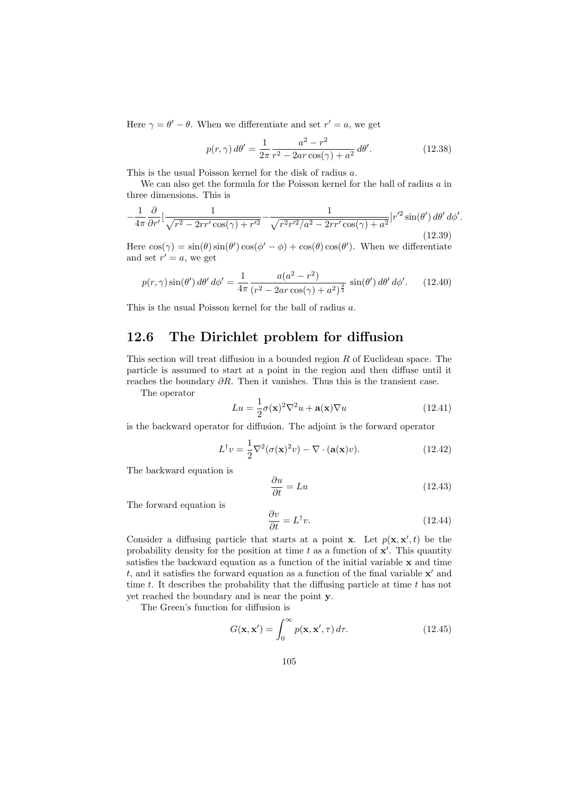Here  $\gamma = \theta' - \theta$ . When we differentiate and set  $r' = a$ , we get

$$
p(r,\gamma) d\theta' = \frac{1}{2\pi} \frac{a^2 - r^2}{r^2 - 2ar\cos(\gamma) + a^2} d\theta'. \tag{12.38}
$$

This is the usual Poisson kernel for the disk of radius a.

We can also get the formula for the Poisson kernel for the ball of radius  $a$  in three dimensions. This is

$$
-\frac{1}{4\pi} \frac{\partial}{\partial r'} \left[ \frac{1}{\sqrt{r^2 - 2rr' \cos(\gamma) + r'^2}} - \frac{1}{\sqrt{r^2 r'^2 / a^2 - 2rr' \cos(\gamma) + a^2}} \right] r'^2 \sin(\theta') d\theta' d\phi'.
$$
\n(12.39)

Here  $\cos(\gamma) = \sin(\theta) \sin(\theta') \cos(\phi' - \phi) + \cos(\theta) \cos(\theta')$ . When we differentiate and set  $r' = a$ , we get

$$
p(r,\gamma)\sin(\theta')\,d\theta'\,d\phi' = \frac{1}{4\pi}\frac{a(a^2 - r^2)}{(r^2 - 2ar\cos(\gamma) + a^2)^{\frac{3}{2}}}\sin(\theta')\,d\theta'\,d\phi'.\tag{12.40}
$$

This is the usual Poisson kernel for the ball of radius a.

## 12.6 The Dirichlet problem for diffusion

This section will treat diffusion in a bounded region  $R$  of Euclidean space. The particle is assumed to start at a point in the region and then diffuse until it reaches the boundary  $\partial R$ . Then it vanishes. Thus this is the transient case.

The operator

$$
Lu = \frac{1}{2}\sigma(\mathbf{x})^2 \nabla^2 u + \mathbf{a}(\mathbf{x}) \nabla u \qquad (12.41)
$$

is the backward operator for diffusion. The adjoint is the forward operator

$$
L^{\dagger}v = \frac{1}{2}\nabla^2(\sigma(\mathbf{x})^2v) - \nabla \cdot (\mathbf{a}(\mathbf{x})v).
$$
 (12.42)

The backward equation is

$$
\frac{\partial u}{\partial t} = Lu \tag{12.43}
$$

The forward equation is

$$
\frac{\partial v}{\partial t} = L^{\dagger} v. \tag{12.44}
$$

Consider a diffusing particle that starts at a point **x**. Let  $p(\mathbf{x}, \mathbf{x}', t)$  be the probability density for the position at time  $t$  as a function of  $\mathbf{x}'$ . This quantity satisfies the backward equation as a function of the initial variable x and time t, and it satisfies the forward equation as a function of the final variable  $x'$  and time t. It describes the probability that the diffusing particle at time  $t$  has not yet reached the boundary and is near the point y.

The Green's function for diffusion is

$$
G(\mathbf{x}, \mathbf{x}') = \int_0^\infty p(\mathbf{x}, \mathbf{x}', \tau) d\tau.
$$
 (12.45)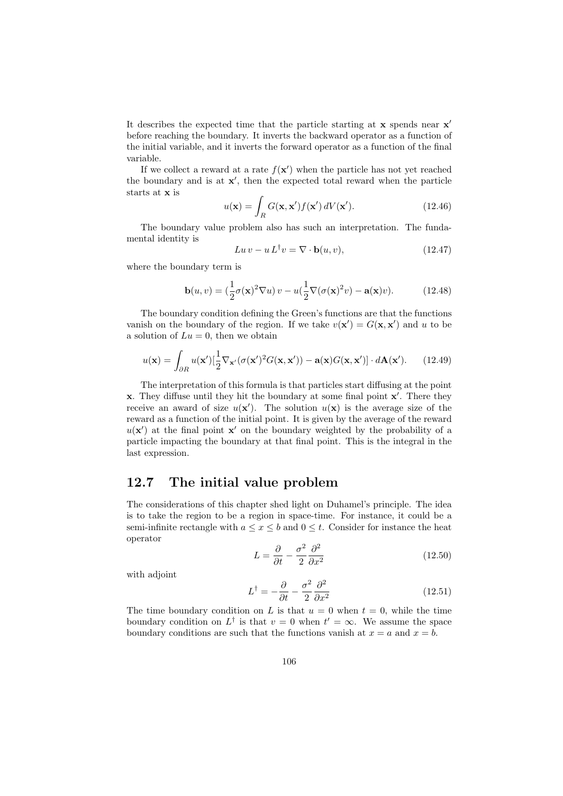It describes the expected time that the particle starting at  $x$  spends near  $x'$ before reaching the boundary. It inverts the backward operator as a function of the initial variable, and it inverts the forward operator as a function of the final variable.

If we collect a reward at a rate  $f(\mathbf{x}')$  when the particle has not yet reached the boundary and is at  $x'$ , then the expected total reward when the particle starts at x is

$$
u(\mathbf{x}) = \int_{R} G(\mathbf{x}, \mathbf{x}') f(\mathbf{x}') dV(\mathbf{x}').
$$
 (12.46)

The boundary value problem also has such an interpretation. The fundamental identity is

$$
Lu v - u L^{\dagger} v = \nabla \cdot \mathbf{b}(u, v), \qquad (12.47)
$$

where the boundary term is

$$
\mathbf{b}(u,v) = \left(\frac{1}{2}\sigma(\mathbf{x})^2 \nabla u\right)v - u\left(\frac{1}{2}\nabla(\sigma(\mathbf{x})^2 v) - \mathbf{a}(\mathbf{x})v\right).
$$
 (12.48)

The boundary condition defining the Green's functions are that the functions vanish on the boundary of the region. If we take  $v(\mathbf{x}') = G(\mathbf{x}, \mathbf{x}')$  and u to be a solution of  $Lu = 0$ , then we obtain

$$
u(\mathbf{x}) = \int_{\partial R} u(\mathbf{x}') \left[\frac{1}{2} \nabla_{\mathbf{x}'} (\sigma(\mathbf{x}')^2 G(\mathbf{x}, \mathbf{x}')) - \mathbf{a}(\mathbf{x}) G(\mathbf{x}, \mathbf{x}')\right] \cdot d\mathbf{A}(\mathbf{x}'). \tag{12.49}
$$

The interpretation of this formula is that particles start diffusing at the point  $x$ . They diffuse until they hit the boundary at some final point  $x'$ . There they receive an award of size  $u(\mathbf{x}')$ . The solution  $u(\mathbf{x})$  is the average size of the reward as a function of the initial point. It is given by the average of the reward  $u(\mathbf{x}')$  at the final point  $\mathbf{x}'$  on the boundary weighted by the probability of a particle impacting the boundary at that final point. This is the integral in the last expression.

#### 12.7 The initial value problem

The considerations of this chapter shed light on Duhamel's principle. The idea is to take the region to be a region in space-time. For instance, it could be a semi-infinite rectangle with  $a \leq x \leq b$  and  $0 \leq t$ . Consider for instance the heat operator

$$
L = \frac{\partial}{\partial t} - \frac{\sigma^2}{2} \frac{\partial^2}{\partial x^2}
$$
 (12.50)

with adjoint

$$
L^{\dagger} = -\frac{\partial}{\partial t} - \frac{\sigma^2}{2} \frac{\partial^2}{\partial x^2}
$$
 (12.51)

The time boundary condition on L is that  $u = 0$  when  $t = 0$ , while the time boundary condition on  $L^{\dagger}$  is that  $v = 0$  when  $t' = \infty$ . We assume the space boundary conditions are such that the functions vanish at  $x = a$  and  $x = b$ .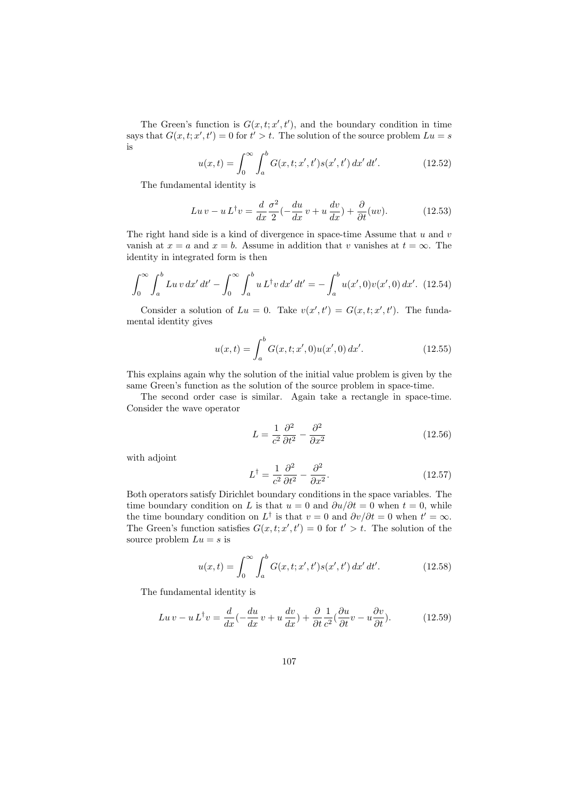The Green's function is  $G(x, t; x', t')$ , and the boundary condition in time says that  $G(x, t; x', t') = 0$  for  $t' > t$ . The solution of the source problem  $Lu = s$ is

$$
u(x,t) = \int_0^\infty \int_a^b G(x,t;x',t')s(x',t')\,dx'\,dt'.\tag{12.52}
$$

The fundamental identity is

$$
Lu v - u L^{\dagger} v = \frac{d}{dx} \frac{\sigma^2}{2} \left( -\frac{du}{dx} v + u \frac{dv}{dx} \right) + \frac{\partial}{\partial t} (uv). \tag{12.53}
$$

The right hand side is a kind of divergence in space-time Assume that  $u$  and  $v$ vanish at  $x = a$  and  $x = b$ . Assume in addition that v vanishes at  $t = \infty$ . The identity in integrated form is then

$$
\int_0^\infty \int_a^b Lu \, v \, dx' \, dt' - \int_0^\infty \int_a^b u \, L^\dagger v \, dx' \, dt' = -\int_a^b u(x',0)v(x',0) \, dx'. \tag{12.54}
$$

Consider a solution of  $Lu = 0$ . Take  $v(x', t') = G(x, t; x', t')$ . The fundamental identity gives

$$
u(x,t) = \int_{a}^{b} G(x,t;x',0)u(x',0) dx'. \qquad (12.55)
$$

This explains again why the solution of the initial value problem is given by the same Green's function as the solution of the source problem in space-time.

The second order case is similar. Again take a rectangle in space-time. Consider the wave operator

$$
L = \frac{1}{c^2} \frac{\partial^2}{\partial t^2} - \frac{\partial^2}{\partial x^2}
$$
 (12.56)

with adjoint

$$
L^{\dagger} = \frac{1}{c^2} \frac{\partial^2}{\partial t^2} - \frac{\partial^2}{\partial x^2}.
$$
 (12.57)

Both operators satisfy Dirichlet boundary conditions in the space variables. The time boundary condition on L is that  $u = 0$  and  $\frac{\partial u}{\partial t} = 0$  when  $t = 0$ , while the time boundary condition on  $L^{\dagger}$  is that  $v = 0$  and  $\partial v / \partial t = 0$  when  $t' = \infty$ . The Green's function satisfies  $G(x, t; x', t') = 0$  for  $t' > t$ . The solution of the source problem  $Lu = s$  is

$$
u(x,t) = \int_0^\infty \int_a^b G(x,t;x',t')s(x',t')\,dx'\,dt'.\tag{12.58}
$$

The fundamental identity is

$$
Lu v - u L^{\dagger} v = \frac{d}{dx} \left( -\frac{du}{dx} v + u \frac{dv}{dx} \right) + \frac{\partial}{\partial t} \frac{1}{c^2} \left( \frac{\partial u}{\partial t} v - u \frac{\partial v}{\partial t} \right).
$$
 (12.59)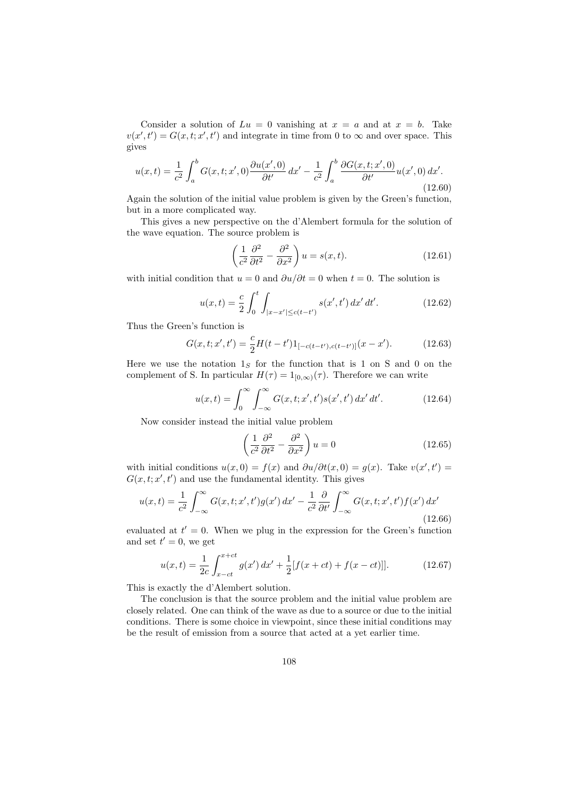Consider a solution of  $Lu = 0$  vanishing at  $x = a$  and at  $x = b$ . Take  $v(x', t') = G(x, t; x', t')$  and integrate in time from 0 to  $\infty$  and over space. This gives

$$
u(x,t) = \frac{1}{c^2} \int_a^b G(x,t;x',0) \frac{\partial u(x',0)}{\partial t'} dx' - \frac{1}{c^2} \int_a^b \frac{\partial G(x,t;x',0)}{\partial t'} u(x',0) dx'.
$$
\n(12.60)

Again the solution of the initial value problem is given by the Green's function, but in a more complicated way.

This gives a new perspective on the d'Alembert formula for the solution of the wave equation. The source problem is

$$
\left(\frac{1}{c^2}\frac{\partial^2}{\partial t^2} - \frac{\partial^2}{\partial x^2}\right)u = s(x,t).
$$
\n(12.61)

with initial condition that  $u = 0$  and  $\partial u / \partial t = 0$  when  $t = 0$ . The solution is

$$
u(x,t) = \frac{c}{2} \int_0^t \int_{|x-x'| \le c(t-t')} s(x',t') dx' dt'.
$$
 (12.62)

Thus the Green's function is

$$
G(x, t; x', t') = \frac{c}{2} H(t - t') 1_{[-c(t - t'), c(t - t')]}(x - x').
$$
 (12.63)

Here we use the notation  $1<sub>S</sub>$  for the function that is 1 on S and 0 on the complement of S. In particular  $H(\tau) = 1_{[0,\infty)}(\tau)$ . Therefore we can write

$$
u(x,t) = \int_0^\infty \int_{-\infty}^\infty G(x,t;x',t')s(x',t')\,dx'\,dt'.\tag{12.64}
$$

Now consider instead the initial value problem

$$
\left(\frac{1}{c^2}\frac{\partial^2}{\partial t^2} - \frac{\partial^2}{\partial x^2}\right)u = 0
$$
\n(12.65)

with initial conditions  $u(x, 0) = f(x)$  and  $\partial u / \partial t(x, 0) = g(x)$ . Take  $v(x', t') =$  $G(x, t; x', t')$  and use the fundamental identity. This gives

$$
u(x,t) = \frac{1}{c^2} \int_{-\infty}^{\infty} G(x,t;x',t')g(x') dx' - \frac{1}{c^2} \frac{\partial}{\partial t'} \int_{-\infty}^{\infty} G(x,t;x',t')f(x') dx' \tag{12.66}
$$

evaluated at  $t' = 0$ . When we plug in the expression for the Green's function and set  $t' = 0$ , we get

$$
u(x,t) = \frac{1}{2c} \int_{x-ct}^{x+ct} g(x') dx' + \frac{1}{2} [f(x+ct) + f(x-ct)]].
$$
 (12.67)

This is exactly the d'Alembert solution.

The conclusion is that the source problem and the initial value problem are closely related. One can think of the wave as due to a source or due to the initial conditions. There is some choice in viewpoint, since these initial conditions may be the result of emission from a source that acted at a yet earlier time.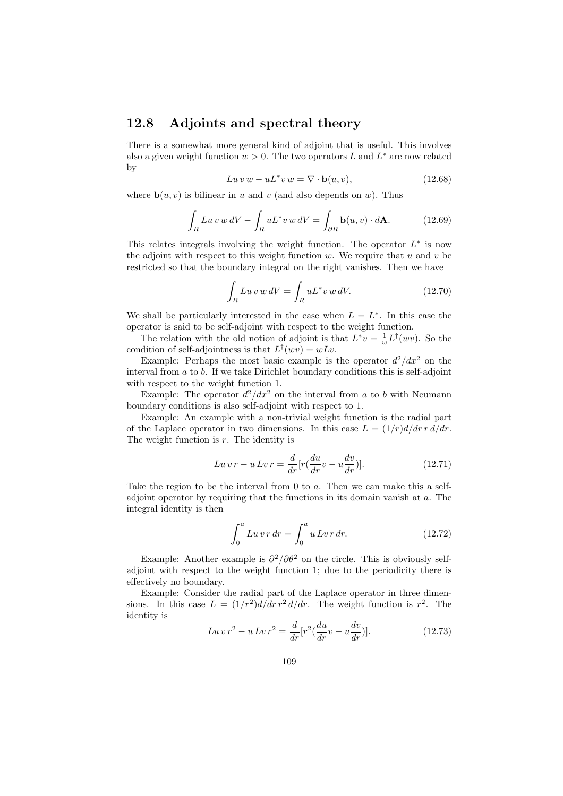#### 12.8 Adjoints and spectral theory

There is a somewhat more general kind of adjoint that is useful. This involves also a given weight function  $w > 0$ . The two operators L and  $L^*$  are now related by

$$
Lu v w - u L^* v w = \nabla \cdot \mathbf{b}(u, v), \qquad (12.68)
$$

where  $\mathbf{b}(u, v)$  is bilinear in u and v (and also depends on w). Thus

$$
\int_{R} Lu v w dV - \int_{R} u L^* v w dV = \int_{\partial R} \mathbf{b}(u, v) \cdot d\mathbf{A}.
$$
 (12.69)

This relates integrals involving the weight function. The operator  $L^*$  is now the adjoint with respect to this weight function  $w$ . We require that  $u$  and  $v$  be restricted so that the boundary integral on the right vanishes. Then we have

$$
\int_{R} Lu v w dV = \int_{R} u L^* v w dV.
$$
\n(12.70)

We shall be particularly interested in the case when  $L = L^*$ . In this case the operator is said to be self-adjoint with respect to the weight function.

The relation with the old notion of adjoint is that  $L^*v = \frac{1}{w}L^{\dagger}(wv)$ . So the condition of self-adjointness is that  $L^{\dagger}(wv) = wLv$ .

Example: Perhaps the most basic example is the operator  $d^2/dx^2$  on the interval from a to b. If we take Dirichlet boundary conditions this is self-adjoint with respect to the weight function 1.

Example: The operator  $d^2/dx^2$  on the interval from a to b with Neumann boundary conditions is also self-adjoint with respect to 1.

Example: An example with a non-trivial weight function is the radial part of the Laplace operator in two dimensions. In this case  $L = (1/r)d/dr$  r  $d/dr$ . The weight function is  $r$ . The identity is

$$
Lu\,v\,r - u\,Lv\,r = \frac{d}{dr}[r(\frac{du}{dr}v - u\frac{dv}{dr})].\tag{12.71}
$$

Take the region to be the interval from 0 to a. Then we can make this a selfadjoint operator by requiring that the functions in its domain vanish at a. The integral identity is then

$$
\int_0^a Lu \, v \, r \, dr = \int_0^a u \, Lv \, r \, dr. \tag{12.72}
$$

Example: Another example is  $\partial^2/\partial\theta^2$  on the circle. This is obviously selfadjoint with respect to the weight function 1; due to the periodicity there is effectively no boundary.

Example: Consider the radial part of the Laplace operator in three dimensions. In this case  $L = (1/r^2)d/dr r^2 d/dr$ . The weight function is  $r^2$ . The identity is

$$
Lu\,v\,r^2 - u\,Lv\,r^2 = \frac{d}{dr}[r^2(\frac{du}{dr}v - u\frac{dv}{dr})].\tag{12.73}
$$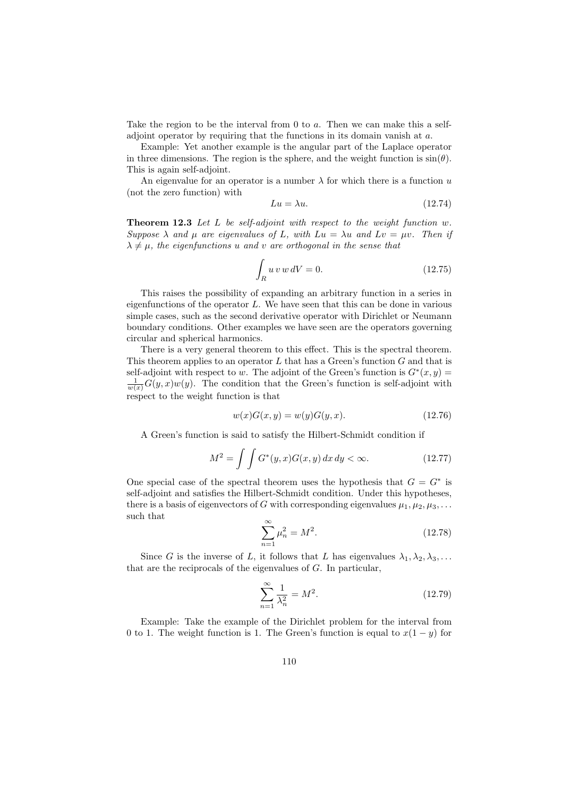Take the region to be the interval from 0 to a. Then we can make this a selfadjoint operator by requiring that the functions in its domain vanish at a.

Example: Yet another example is the angular part of the Laplace operator in three dimensions. The region is the sphere, and the weight function is  $\sin(\theta)$ . This is again self-adjoint.

An eigenvalue for an operator is a number  $\lambda$  for which there is a function u (not the zero function) with

$$
Lu = \lambda u. \tag{12.74}
$$

**Theorem 12.3** Let L be self-adjoint with respect to the weight function  $w$ . Suppose  $\lambda$  and  $\mu$  are eigenvalues of L, with  $Lu = \lambda u$  and  $Lv = \mu v$ . Then if  $\lambda \neq \mu$ , the eigenfunctions u and v are orthogonal in the sense that

$$
\int_{R} u v w dV = 0. \qquad (12.75)
$$

This raises the possibility of expanding an arbitrary function in a series in eigenfunctions of the operator L. We have seen that this can be done in various simple cases, such as the second derivative operator with Dirichlet or Neumann boundary conditions. Other examples we have seen are the operators governing circular and spherical harmonics.

There is a very general theorem to this effect. This is the spectral theorem. This theorem applies to an operator  $L$  that has a Green's function  $G$  and that is self-adjoint with respect to w. The adjoint of the Green's function is  $G^*(x, y) =$  $\frac{1}{w(x)}G(y,x)w(y)$ . The condition that the Green's function is self-adjoint with respect to the weight function is that

$$
w(x)G(x, y) = w(y)G(y, x).
$$
 (12.76)

A Green's function is said to satisfy the Hilbert-Schmidt condition if

$$
M^{2} = \int \int G^{*}(y, x)G(x, y) dx dy < \infty.
$$
 (12.77)

One special case of the spectral theorem uses the hypothesis that  $G = G^*$  is self-adjoint and satisfies the Hilbert-Schmidt condition. Under this hypotheses, there is a basis of eigenvectors of G with corresponding eigenvalues  $\mu_1, \mu_2, \mu_3, \ldots$ such that

$$
\sum_{n=1}^{\infty} \mu_n^2 = M^2.
$$
 (12.78)

Since G is the inverse of L, it follows that L has eigenvalues  $\lambda_1, \lambda_2, \lambda_3, \ldots$ that are the reciprocals of the eigenvalues of G. In particular,

$$
\sum_{n=1}^{\infty} \frac{1}{\lambda_n^2} = M^2.
$$
\n(12.79)

Example: Take the example of the Dirichlet problem for the interval from 0 to 1. The weight function is 1. The Green's function is equal to  $x(1 - y)$  for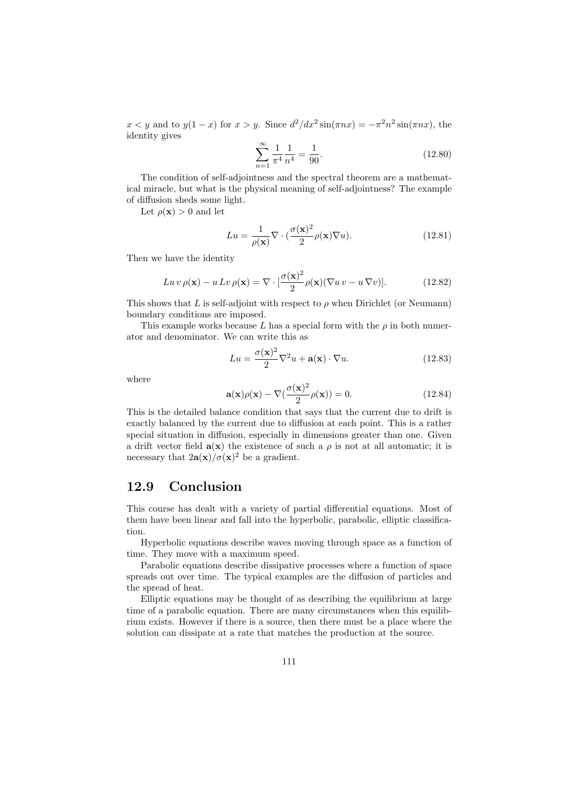$x < y$  and to  $y(1-x)$  for  $x > y$ . Since  $d^2/dx^2 \sin(\pi nx) = -\pi^2 n^2 \sin(\pi nx)$ , the identity gives

$$
\sum_{n=1}^{\infty} \frac{1}{\pi^4} \frac{1}{n^4} = \frac{1}{90}.
$$
\n(12.80)

The condition of self-adjointness and the spectral theorem are a mathematical miracle, but what is the physical meaning of self-adjointness? The example of diffusion sheds some light.

Let  $\rho(\mathbf{x}) > 0$  and let

$$
Lu = \frac{1}{\rho(\mathbf{x})} \nabla \cdot \left(\frac{\sigma(\mathbf{x})^2}{2} \rho(\mathbf{x}) \nabla u\right).
$$
 (12.81)

Then we have the identity

$$
Lu v \rho(\mathbf{x}) - u Lv \rho(\mathbf{x}) = \nabla \cdot \left[ \frac{\sigma(\mathbf{x})^2}{2} \rho(\mathbf{x}) (\nabla u v - u \nabla v) \right].
$$
 (12.82)

This shows that L is self-adjoint with respect to  $\rho$  when Dirichlet (or Neumann) boundary conditions are imposed.

This example works because L has a special form with the  $\rho$  in both numerator and denominator. We can write this as

$$
Lu = \frac{\sigma(\mathbf{x})^2}{2}\nabla^2 u + \mathbf{a}(\mathbf{x}) \cdot \nabla u.
$$
 (12.83)

where

$$
\mathbf{a}(\mathbf{x})\rho(\mathbf{x}) - \nabla(\frac{\sigma(\mathbf{x})^2}{2}\rho(\mathbf{x})) = 0.
$$
 (12.84)

This is the detailed balance condition that says that the current due to drift is exactly balanced by the current due to diffusion at each point. This is a rather special situation in diffusion, especially in dimensions greater than one. Given a drift vector field  $a(x)$  the existence of such a  $\rho$  is not at all automatic; it is necessary that  $2a(x)/\sigma(x)^2$  be a gradient.

#### 12.9 Conclusion

This course has dealt with a variety of partial differential equations. Most of them have been linear and fall into the hyperbolic, parabolic, elliptic classification.

Hyperbolic equations describe waves moving through space as a function of time. They move with a maximum speed.

Parabolic equations describe dissipative processes where a function of space spreads out over time. The typical examples are the diffusion of particles and the spread of heat.

Elliptic equations may be thought of as describing the equilibrium at large time of a parabolic equation. There are many circumstances when this equilibrium exists. However if there is a source, then there must be a place where the solution can dissipate at a rate that matches the production at the source.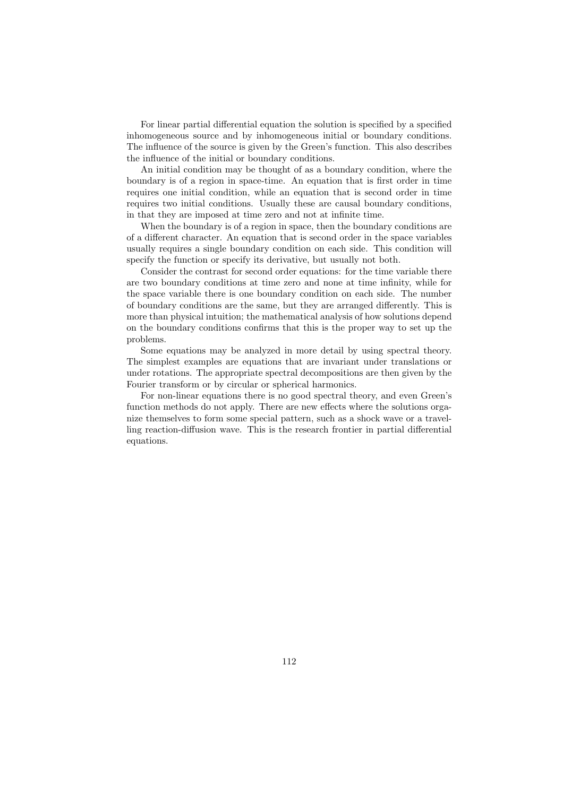For linear partial differential equation the solution is specified by a specified inhomogeneous source and by inhomogeneous initial or boundary conditions. The influence of the source is given by the Green's function. This also describes the influence of the initial or boundary conditions.

An initial condition may be thought of as a boundary condition, where the boundary is of a region in space-time. An equation that is first order in time requires one initial condition, while an equation that is second order in time requires two initial conditions. Usually these are causal boundary conditions, in that they are imposed at time zero and not at infinite time.

When the boundary is of a region in space, then the boundary conditions are of a different character. An equation that is second order in the space variables usually requires a single boundary condition on each side. This condition will specify the function or specify its derivative, but usually not both.

Consider the contrast for second order equations: for the time variable there are two boundary conditions at time zero and none at time infinity, while for the space variable there is one boundary condition on each side. The number of boundary conditions are the same, but they are arranged differently. This is more than physical intuition; the mathematical analysis of how solutions depend on the boundary conditions confirms that this is the proper way to set up the problems.

Some equations may be analyzed in more detail by using spectral theory. The simplest examples are equations that are invariant under translations or under rotations. The appropriate spectral decompositions are then given by the Fourier transform or by circular or spherical harmonics.

For non-linear equations there is no good spectral theory, and even Green's function methods do not apply. There are new effects where the solutions organize themselves to form some special pattern, such as a shock wave or a travelling reaction-diffusion wave. This is the research frontier in partial differential equations.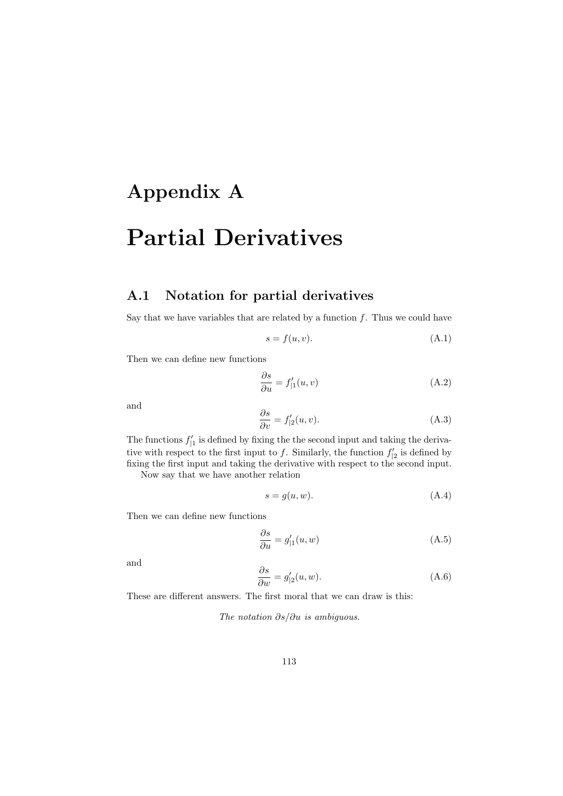# Appendix A Partial Derivatives

#### A.1 Notation for partial derivatives

Say that we have variables that are related by a function  $f$ . Thus we could have

$$
s = f(u, v). \tag{A.1}
$$

Then we can define new functions

$$
\frac{\partial s}{\partial u} = f'_{|1}(u, v) \tag{A.2}
$$

and

$$
\frac{\partial s}{\partial v} = f'_{2}(u, v). \tag{A.3}
$$

The functions  $f'_{|1}$  is defined by fixing the the second input and taking the derivative with respect to the first input to f. Similarly, the function  $f'_{2}$  is defined by fixing the first input and taking the derivative with respect to the second input.

Now say that we have another relation

$$
s = g(u, w). \tag{A.4}
$$

Then we can define new functions

$$
\frac{\partial s}{\partial u} = g'_{|1}(u, w) \tag{A.5}
$$

and

$$
\frac{\partial s}{\partial w} = g'_{|2}(u, w). \tag{A.6}
$$

These are different answers. The first moral that we can draw is this:

The notation ∂s/∂u is ambiguous.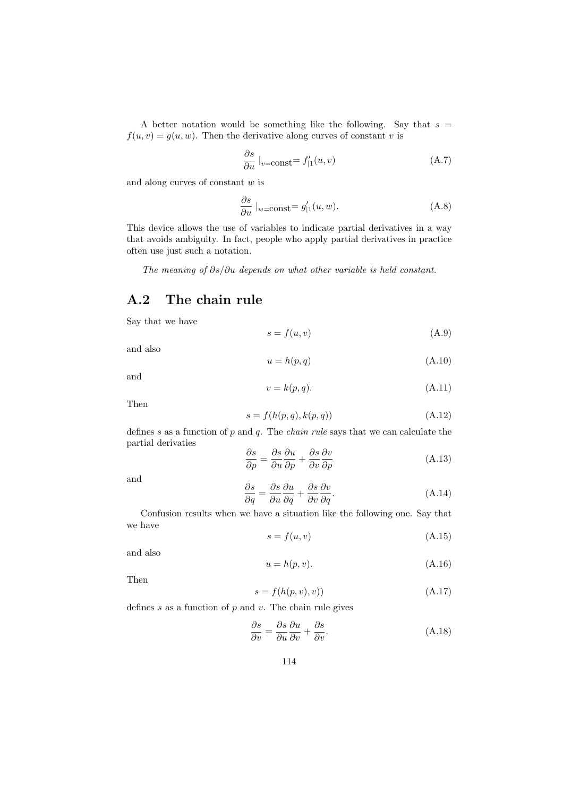A better notation would be something like the following. Say that  $s =$  $f(u, v) = g(u, w)$ . Then the derivative along curves of constant v is

$$
\frac{\partial s}{\partial u}\Big|_{v=\text{const}} = f'_{|1}(u,v) \tag{A.7}
$$

and along curves of constant  $w$  is

$$
\frac{\partial s}{\partial u}\big|_{w=\text{const}} = g'_{|1}(u, w). \tag{A.8}
$$

This device allows the use of variables to indicate partial derivatives in a way that avoids ambiguity. In fact, people who apply partial derivatives in practice often use just such a notation.

The meaning of ∂s/∂u depends on what other variable is held constant.

#### A.2 The chain rule

Say that we have

$$
s = f(u, v) \tag{A.9}
$$

and also

$$
u = h(p, q) \tag{A.10}
$$

and

$$
v = k(p, q). \tag{A.11}
$$

Then

$$
s = f(h(p, q), k(p, q))
$$
\n
$$
(A.12)
$$

defines s as a function of p and q. The *chain rule* says that we can calculate the partial derivaties

$$
\frac{\partial s}{\partial p} = \frac{\partial s}{\partial u} \frac{\partial u}{\partial p} + \frac{\partial s}{\partial v} \frac{\partial v}{\partial p}
$$
 (A.13)

and

$$
\frac{\partial s}{\partial q} = \frac{\partial s}{\partial u} \frac{\partial u}{\partial q} + \frac{\partial s}{\partial v} \frac{\partial v}{\partial q}.
$$
 (A.14)

Confusion results when we have a situation like the following one. Say that we have

$$
s = f(u, v) \tag{A.15}
$$

and also

$$
u = h(p, v). \tag{A.16}
$$

Then

$$
s = f(h(p, v), v))
$$
\n
$$
(A.17)
$$

defines  $s$  as a function of  $p$  and  $v$ . The chain rule gives

$$
\frac{\partial s}{\partial v} = \frac{\partial s}{\partial u} \frac{\partial u}{\partial v} + \frac{\partial s}{\partial v}.
$$
 (A.18)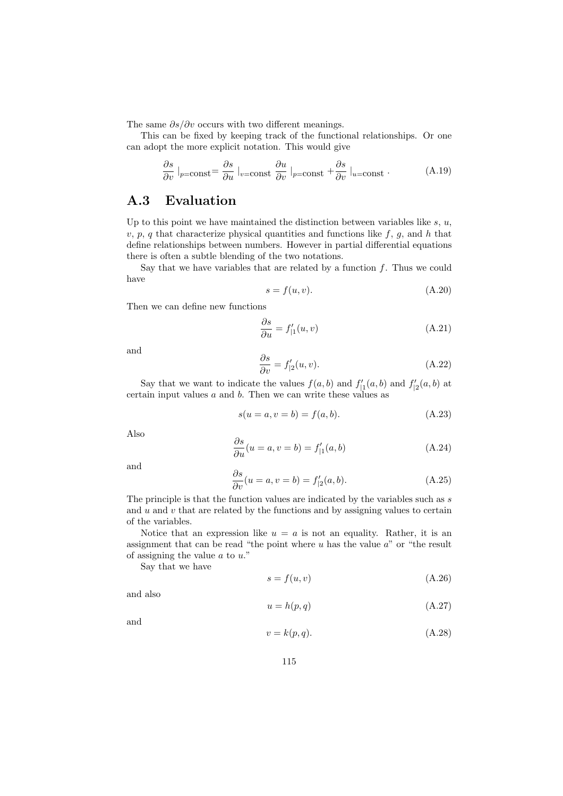The same  $\partial s/\partial v$  occurs with two different meanings.

This can be fixed by keeping track of the functional relationships. Or one can adopt the more explicit notation. This would give

$$
\frac{\partial s}{\partial v}\big|_{p=\text{const}} = \frac{\partial s}{\partial u}\big|_{v=\text{const}} \frac{\partial u}{\partial v}\big|_{p=\text{const}} + \frac{\partial s}{\partial v}\big|_{u=\text{const}}.
$$
 (A.19)

#### A.3 Evaluation

Up to this point we have maintained the distinction between variables like  $s, u$ ,  $v, p, q$  that characterize physical quantities and functions like  $f, g$ , and h that define relationships between numbers. However in partial differential equations there is often a subtle blending of the two notations.

Say that we have variables that are related by a function  $f$ . Thus we could have

$$
s = f(u, v). \tag{A.20}
$$

Then we can define new functions

$$
\frac{\partial s}{\partial u} = f'_{|1}(u, v) \tag{A.21}
$$

and

$$
\frac{\partial s}{\partial v} = f'_{2}(u, v). \tag{A.22}
$$

Say that we want to indicate the values  $f(a, b)$  and  $f'_{|1}(a, b)$  and  $f'_{|2}(a, b)$  at certain input values a and b. Then we can write these values as

$$
s(u = a, v = b) = f(a, b).
$$
 (A.23)

Also

$$
\frac{\partial s}{\partial u}(u=a, v=b) = f'_{|1}(a, b)
$$
\n(A.24)

and

$$
\frac{\partial s}{\partial v}(u=a, v=b) = f'_{|2}(a, b). \tag{A.25}
$$

The principle is that the function values are indicated by the variables such as s and  $u$  and  $v$  that are related by the functions and by assigning values to certain of the variables.

Notice that an expression like  $u = a$  is not an equality. Rather, it is an assignment that can be read "the point where  $u$  has the value  $a$ " or "the result of assigning the value  $a$  to  $u$ ."

Say that we have

$$
s = f(u, v) \tag{A.26}
$$

and also

$$
u = h(p, q) \tag{A.27}
$$

and

$$
v = k(p, q). \tag{A.28}
$$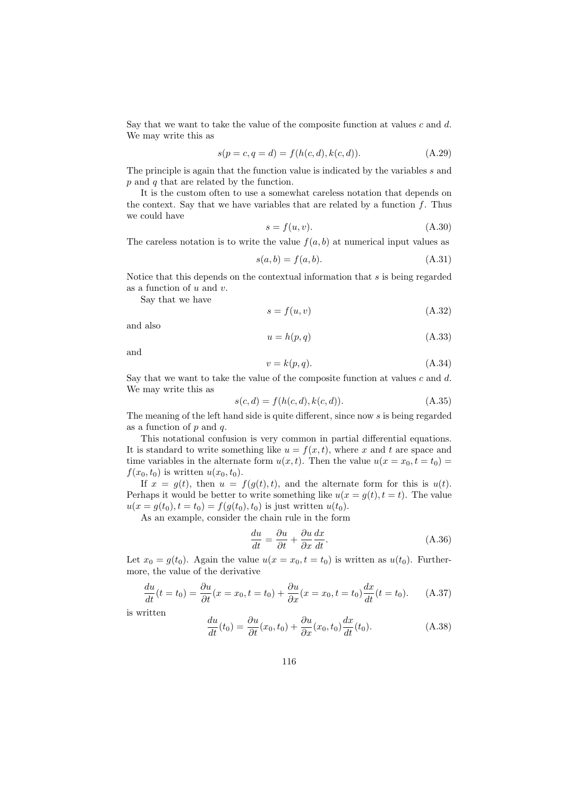Say that we want to take the value of the composite function at values  $c$  and  $d$ . We may write this as

$$
s(p = c, q = d) = f(h(c, d), k(c, d)).
$$
\n(A.29)

The principle is again that the function value is indicated by the variables s and p and q that are related by the function.

It is the custom often to use a somewhat careless notation that depends on the context. Say that we have variables that are related by a function  $f$ . Thus we could have

$$
s = f(u, v). \tag{A.30}
$$

The careless notation is to write the value  $f(a, b)$  at numerical input values as

$$
s(a,b) = f(a,b). \tag{A.31}
$$

Notice that this depends on the contextual information that s is being regarded as a function of u and v.

Say that we have

$$
s = f(u, v) \tag{A.32}
$$

and also

$$
u = h(p, q) \tag{A.33}
$$

and

$$
v = k(p, q). \tag{A.34}
$$

Say that we want to take the value of the composite function at values  $c$  and  $d$ . We may write this as

$$
s(c, d) = f(h(c, d), k(c, d)).
$$
\n(A.35)

The meaning of the left hand side is quite different, since now s is being regarded as a function of  $p$  and  $q$ .

This notational confusion is very common in partial differential equations. It is standard to write something like  $u = f(x, t)$ , where x and t are space and time variables in the alternate form  $u(x, t)$ . Then the value  $u(x = x_0, t = t_0)$  $f(x_0, t_0)$  is written  $u(x_0, t_0)$ .

If  $x = g(t)$ , then  $u = f(g(t), t)$ , and the alternate form for this is  $u(t)$ . Perhaps it would be better to write something like  $u(x = g(t), t = t)$ . The value  $u(x = g(t_0), t = t_0) = f(g(t_0), t_0)$  is just written  $u(t_0)$ .

As an example, consider the chain rule in the form

$$
\frac{du}{dt} = \frac{\partial u}{\partial t} + \frac{\partial u}{\partial x}\frac{dx}{dt}.
$$
\n(A.36)

Let  $x_0 = g(t_0)$ . Again the value  $u(x = x_0, t = t_0)$  is written as  $u(t_0)$ . Furthermore, the value of the derivative

$$
\frac{du}{dt}(t=t_0) = \frac{\partial u}{\partial t}(x=x_0, t=t_0) + \frac{\partial u}{\partial x}(x=x_0, t=t_0) \frac{dx}{dt}(t=t_0).
$$
 (A.37)

is written

$$
\frac{du}{dt}(t_0) = \frac{\partial u}{\partial t}(x_0, t_0) + \frac{\partial u}{\partial x}(x_0, t_0) \frac{dx}{dt}(t_0).
$$
\n(A.38)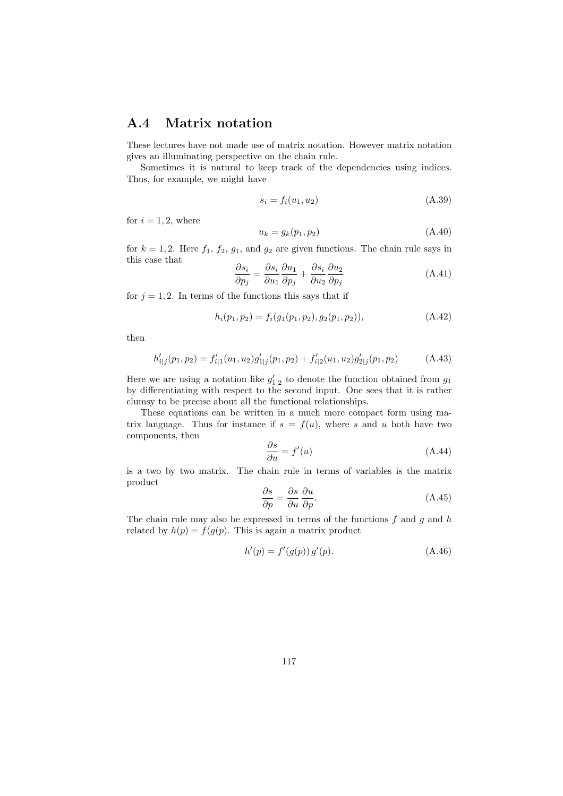#### A.4 Matrix notation

These lectures have not made use of matrix notation. However matrix notation gives an illuminating perspective on the chain rule.

Sometimes it is natural to keep track of the dependencies using indices. Thus, for example, we might have

$$
s_i = f_i(u_1, u_2) \tag{A.39}
$$

for  $i = 1, 2$ , where

$$
u_k = g_k(p_1, p_2) \tag{A.40}
$$

for  $k = 1, 2$ . Here  $f_1, f_2, g_1$ , and  $g_2$  are given functions. The chain rule says in this case that

$$
\frac{\partial s_i}{\partial p_j} = \frac{\partial s_i}{\partial u_1} \frac{\partial u_1}{\partial p_j} + \frac{\partial s_i}{\partial u_2} \frac{\partial u_2}{\partial p_j}
$$
(A.41)

for  $j = 1, 2$ . In terms of the functions this says that if

$$
h_i(p_1, p_2) = f_i(g_1(p_1, p_2), g_2(p_1, p_2)), \tag{A.42}
$$

then

$$
h'_{i|j}(p_1, p_2) = f'_{i|1}(u_1, u_2)g'_{1|j}(p_1, p_2) + f'_{i|2}(u_1, u_2)g'_{2|j}(p_1, p_2)
$$
 (A.43)

Here we are using a notation like  $g'_{1|2}$  to denote the function obtained from  $g_1$ by differentiating with respect to the second input. One sees that it is rather clumsy to be precise about all the functional relationships.

These equations can be written in a much more compact form using matrix language. Thus for instance if  $s = f(u)$ , where s and u both have two components, then

$$
\frac{\partial s}{\partial u} = f'(u) \tag{A.44}
$$

is a two by two matrix. The chain rule in terms of variables is the matrix product

$$
\frac{\partial s}{\partial p} = \frac{\partial s}{\partial u} \frac{\partial u}{\partial p}.
$$
\n(A.45)

The chain rule may also be expressed in terms of the functions  $f$  and  $g$  and  $h$ related by  $h(p) = f(g(p))$ . This is again a matrix product

$$
h'(p) = f'(g(p)) g'(p).
$$
 (A.46)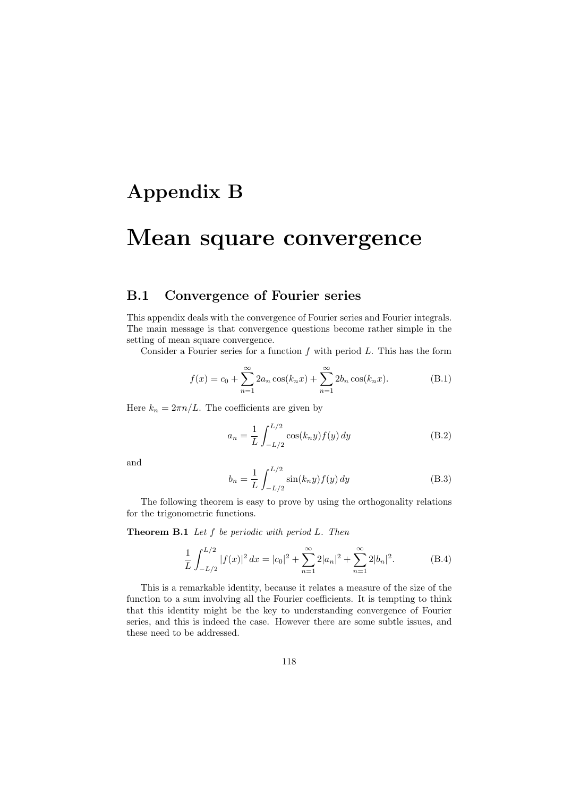### Appendix B

## Mean square convergence

#### B.1 Convergence of Fourier series

This appendix deals with the convergence of Fourier series and Fourier integrals. The main message is that convergence questions become rather simple in the setting of mean square convergence.

Consider a Fourier series for a function  $f$  with period  $L$ . This has the form

$$
f(x) = c_0 + \sum_{n=1}^{\infty} 2a_n \cos(k_n x) + \sum_{n=1}^{\infty} 2b_n \cos(k_n x).
$$
 (B.1)

Here  $k_n = 2\pi n/L$ . The coefficients are given by

$$
a_n = \frac{1}{L} \int_{-L/2}^{L/2} \cos(k_n y) f(y) \, dy \tag{B.2}
$$

and

$$
b_n = \frac{1}{L} \int_{-L/2}^{L/2} \sin(k_n y) f(y) \, dy \tag{B.3}
$$

The following theorem is easy to prove by using the orthogonality relations for the trigonometric functions.

**Theorem B.1** Let  $f$  be periodic with period  $L$ . Then

$$
\frac{1}{L} \int_{-L/2}^{L/2} |f(x)|^2 dx = |c_0|^2 + \sum_{n=1}^{\infty} 2|a_n|^2 + \sum_{n=1}^{\infty} 2|b_n|^2.
$$
 (B.4)

This is a remarkable identity, because it relates a measure of the size of the function to a sum involving all the Fourier coefficients. It is tempting to think that this identity might be the key to understanding convergence of Fourier series, and this is indeed the case. However there are some subtle issues, and these need to be addressed.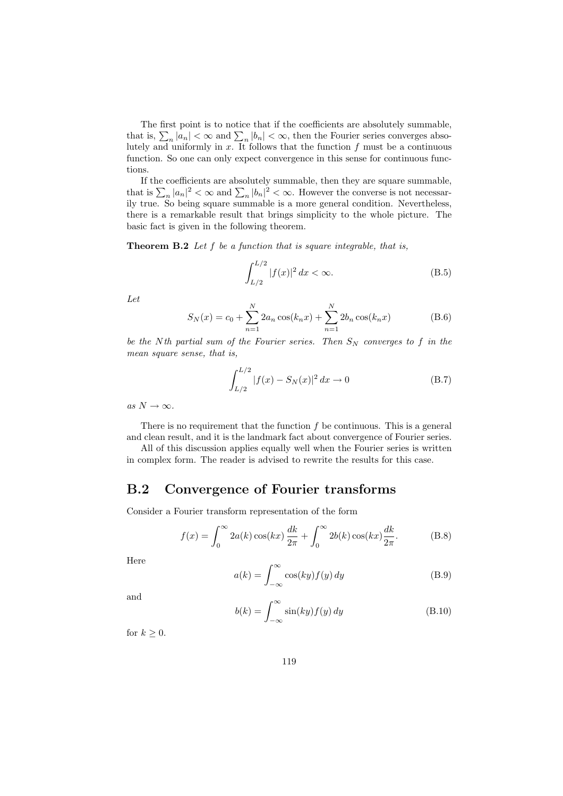The first point is to notice that if the coefficients are absolutely summable, The first point is to notice that if the coefficients are absolutely summable,<br>that is,  $\sum_n |a_n| < \infty$  and  $\sum_n |b_n| < \infty$ , then the Fourier series converges absolutely and uniformly in  $x$ . It follows that the function  $f$  must be a continuous function. So one can only expect convergence in this sense for continuous functions.

If the coefficients are absolutely summable, then they are square summable, It the coefficients are absolutely summable, then they are square summable, that is  $\sum_n |a_n|^2 < \infty$  and  $\sum_n |b_n|^2 < \infty$ . However the converse is not necessarily true. So being square summable is a more general condition. Nevertheless, there is a remarkable result that brings simplicity to the whole picture. The basic fact is given in the following theorem.

**Theorem B.2** Let  $f$  be a function that is square integrable, that is,

$$
\int_{L/2}^{L/2} |f(x)|^2 dx < \infty.
$$
 (B.5)

Let

$$
S_N(x) = c_0 + \sum_{n=1}^{N} 2a_n \cos(k_n x) + \sum_{n=1}^{N} 2b_n \cos(k_n x)
$$
 (B.6)

be the Nth partial sum of the Fourier series. Then  $S_N$  converges to f in the mean square sense, that is,

$$
\int_{L/2}^{L/2} |f(x) - S_N(x)|^2 dx \to 0
$$
 (B.7)

as  $N \to \infty$ .

There is no requirement that the function  $f$  be continuous. This is a general and clean result, and it is the landmark fact about convergence of Fourier series.

All of this discussion applies equally well when the Fourier series is written in complex form. The reader is advised to rewrite the results for this case.

#### B.2 Convergence of Fourier transforms

Consider a Fourier transform representation of the form

$$
f(x) = \int_0^\infty 2a(k)\cos(kx)\frac{dk}{2\pi} + \int_0^\infty 2b(k)\cos(kx)\frac{dk}{2\pi}.
$$
 (B.8)

Here

$$
a(k) = \int_{-\infty}^{\infty} \cos(ky) f(y) dy
$$
 (B.9)

and

$$
b(k) = \int_{-\infty}^{\infty} \sin(ky) f(y) dy
$$
 (B.10)

for  $k \geq 0$ .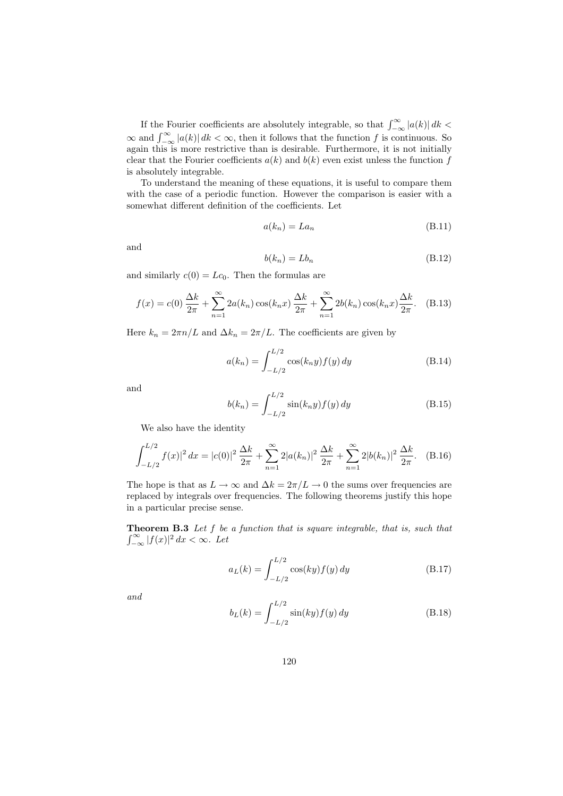If the Fourier coefficients are absolutely integrable, so that  $\int_{-\infty}^{\infty} |a(k)| \, dk <$  $\infty$  and  $\int_{-\infty}^{\infty} |a(k)| dk < \infty$ , then it follows that the function f is continuous. So again this is more restrictive than is desirable. Furthermore, it is not initially clear that the Fourier coefficients  $a(k)$  and  $b(k)$  even exist unless the function f is absolutely integrable.

To understand the meaning of these equations, it is useful to compare them with the case of a periodic function. However the comparison is easier with a somewhat different definition of the coefficients. Let

$$
a(k_n) = La_n \tag{B.11}
$$

and

$$
b(k_n) = Lb_n \tag{B.12}
$$

and similarly  $c(0) = Lc_0$ . Then the formulas are

$$
f(x) = c(0)\frac{\Delta k}{2\pi} + \sum_{n=1}^{\infty} 2a(k_n)\cos(k_n x)\frac{\Delta k}{2\pi} + \sum_{n=1}^{\infty} 2b(k_n)\cos(k_n x)\frac{\Delta k}{2\pi}.
$$
 (B.13)

Here  $k_n = 2\pi n/L$  and  $\Delta k_n = 2\pi/L$ . The coefficients are given by

$$
a(k_n) = \int_{-L/2}^{L/2} \cos(k_n y) f(y) \, dy \tag{B.14}
$$

and

$$
b(k_n) = \int_{-L/2}^{L/2} \sin(k_n y) f(y) \, dy \tag{B.15}
$$

We also have the identity

$$
\int_{-L/2}^{L/2} f(x)|^2 dx = |c(0)|^2 \frac{\Delta k}{2\pi} + \sum_{n=1}^{\infty} 2|a(k_n)|^2 \frac{\Delta k}{2\pi} + \sum_{n=1}^{\infty} 2|b(k_n)|^2 \frac{\Delta k}{2\pi}.
$$
 (B.16)

The hope is that as  $L \to \infty$  and  $\Delta k = 2\pi/L \to 0$  the sums over frequencies are replaced by integrals over frequencies. The following theorems justify this hope in a particular precise sense.

**Theorem B.3** Let f be a function that is square integrable, that is, such that  $\int_{-\infty}^{\infty} |f(x)|^2 dx < \infty$ . Let

$$
a_L(k) = \int_{-L/2}^{L/2} \cos(ky) f(y) \, dy \tag{B.17}
$$

and

$$
b_L(k) = \int_{-L/2}^{L/2} \sin(ky) f(y) \, dy \tag{B.18}
$$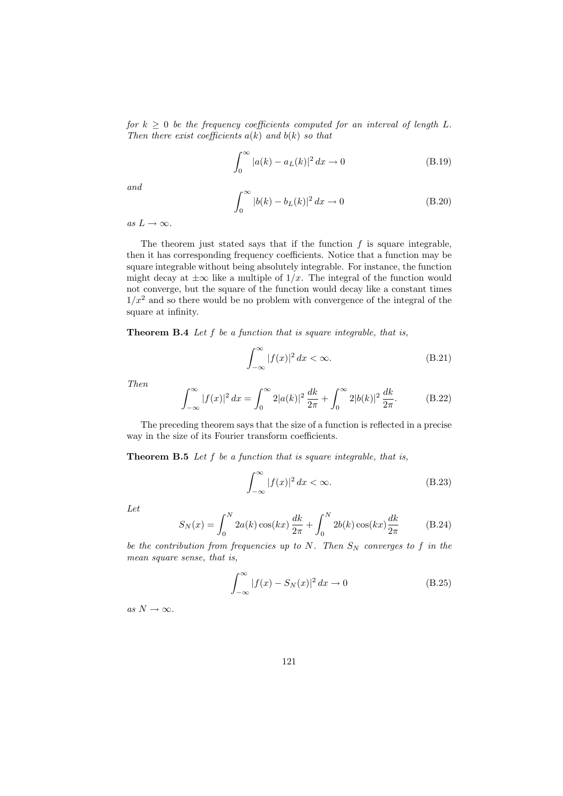for  $k \geq 0$  be the frequency coefficients computed for an interval of length L. Then there exist coefficients  $a(k)$  and  $b(k)$  so that

$$
\int_0^\infty |a(k) - a_L(k)|^2 dx \to 0
$$
\n(B.19)

and

$$
\int_0^\infty |b(k) - b_L(k)|^2 dx \to 0
$$
\n(B.20)

as  $L \to \infty$ .

The theorem just stated says that if the function  $f$  is square integrable, then it has corresponding frequency coefficients. Notice that a function may be square integrable without being absolutely integrable. For instance, the function might decay at  $\pm \infty$  like a multiple of  $1/x$ . The integral of the function would not converge, but the square of the function would decay like a constant times  $1/x^2$  and so there would be no problem with convergence of the integral of the square at infinity.

**Theorem B.4** Let  $f$  be a function that is square integrable, that is,

$$
\int_{-\infty}^{\infty} |f(x)|^2 dx < \infty.
$$
 (B.21)

Then

$$
\int_{-\infty}^{\infty} |f(x)|^2 dx = \int_{0}^{\infty} 2|a(k)|^2 \frac{dk}{2\pi} + \int_{0}^{\infty} 2|b(k)|^2 \frac{dk}{2\pi}.
$$
 (B.22)

The preceding theorem says that the size of a function is reflected in a precise way in the size of its Fourier transform coefficients.

**Theorem B.5** Let  $f$  be a function that is square integrable, that is,

$$
\int_{-\infty}^{\infty} |f(x)|^2 dx < \infty.
$$
 (B.23)

Let

$$
S_N(x) = \int_0^N 2a(k)\cos(kx)\frac{dk}{2\pi} + \int_0^N 2b(k)\cos(kx)\frac{dk}{2\pi}
$$
 (B.24)

be the contribution from frequencies up to  $N$ . Then  $S_N$  converges to f in the mean square sense, that is,

$$
\int_{-\infty}^{\infty} |f(x) - S_N(x)|^2 dx \to 0
$$
 (B.25)

as  $N \to \infty$ .